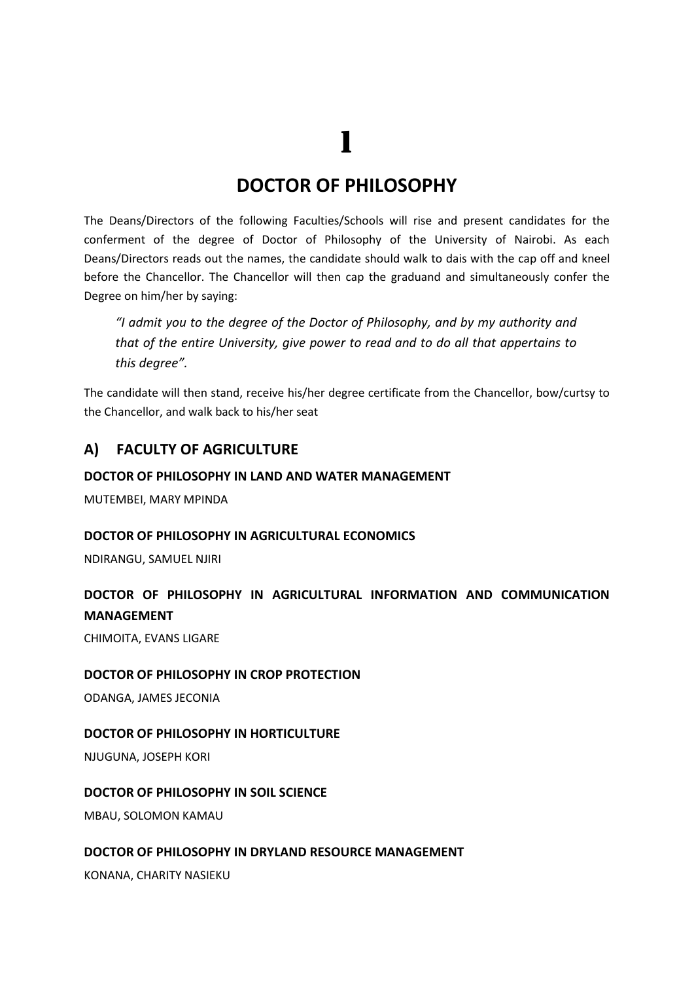# 1

# **DOCTOR OF PHILOSOPHY**

The Deans/Directors of the following Faculties/Schools will rise and present candidates for the conferment of the degree of Doctor of Philosophy of the University of Nairobi. As each Deans/Directors reads out the names, the candidate should walk to dais with the cap off and kneel before the Chancellor. The Chancellor will then cap the graduand and simultaneously confer the Degree on him/her by saying:

*"I admit you to the degree of the Doctor of Philosophy, and by my authority and that of the entire University, give power to read and to do all that appertains to this degree".*

The candidate will then stand, receive his/her degree certificate from the Chancellor, bow/curtsy to the Chancellor, and walk back to his/her seat

# **A) FACULTY OF AGRICULTURE**

# **DOCTOR OF PHILOSOPHY IN LAND AND WATER MANAGEMENT**

MUTEMBEI, MARY MPINDA

# **DOCTOR OF PHILOSOPHY IN AGRICULTURAL ECONOMICS**

NDIRANGU, SAMUEL NJIRI

# **DOCTOR OF PHILOSOPHY IN AGRICULTURAL INFORMATION AND COMMUNICATION MANAGEMENT**

CHIMOITA, EVANS LIGARE

# **DOCTOR OF PHILOSOPHY IN CROP PROTECTION**

ODANGA, JAMES JECONIA

# **DOCTOR OF PHILOSOPHY IN HORTICULTURE**

NJUGUNA, JOSEPH KORI

# **DOCTOR OF PHILOSOPHY IN SOIL SCIENCE**

MBAU, SOLOMON KAMAU

# **DOCTOR OF PHILOSOPHY IN DRYLAND RESOURCE MANAGEMENT**

KONANA, CHARITY NASIEKU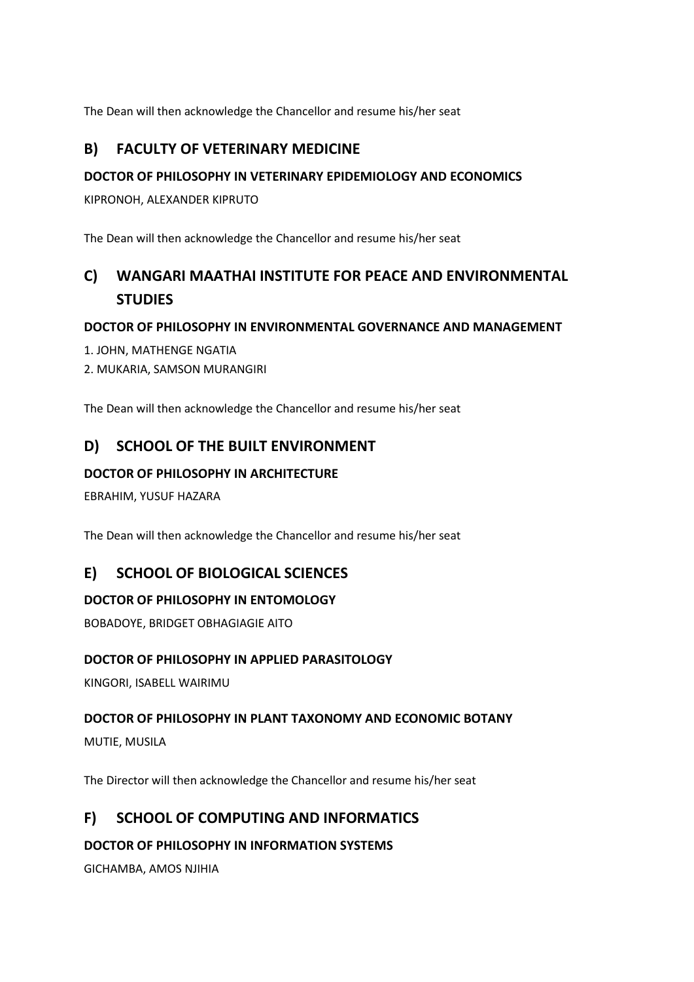The Dean will then acknowledge the Chancellor and resume his/her seat

# **B) FACULTY OF VETERINARY MEDICINE**

# **DOCTOR OF PHILOSOPHY IN VETERINARY EPIDEMIOLOGY AND ECONOMICS**

KIPRONOH, ALEXANDER KIPRUTO

The Dean will then acknowledge the Chancellor and resume his/her seat

# **C) WANGARI MAATHAI INSTITUTE FOR PEACE AND ENVIRONMENTAL STUDIES**

# **DOCTOR OF PHILOSOPHY IN ENVIRONMENTAL GOVERNANCE AND MANAGEMENT**

- 1. JOHN, MATHENGE NGATIA
- 2. MUKARIA, SAMSON MURANGIRI

The Dean will then acknowledge the Chancellor and resume his/her seat

# **D) SCHOOL OF THE BUILT ENVIRONMENT**

# **DOCTOR OF PHILOSOPHY IN ARCHITECTURE**

EBRAHIM, YUSUF HAZARA

The Dean will then acknowledge the Chancellor and resume his/her seat

# **E) SCHOOL OF BIOLOGICAL SCIENCES**

# **DOCTOR OF PHILOSOPHY IN ENTOMOLOGY**

BOBADOYE, BRIDGET OBHAGIAGIE AITO

# **DOCTOR OF PHILOSOPHY IN APPLIED PARASITOLOGY**

KINGORI, ISABELL WAIRIMU

# **DOCTOR OF PHILOSOPHY IN PLANT TAXONOMY AND ECONOMIC BOTANY**

MUTIE, MUSILA

The Director will then acknowledge the Chancellor and resume his/her seat

# **F) SCHOOL OF COMPUTING AND INFORMATICS**

# **DOCTOR OF PHILOSOPHY IN INFORMATION SYSTEMS**

GICHAMBA, AMOS NJIHIA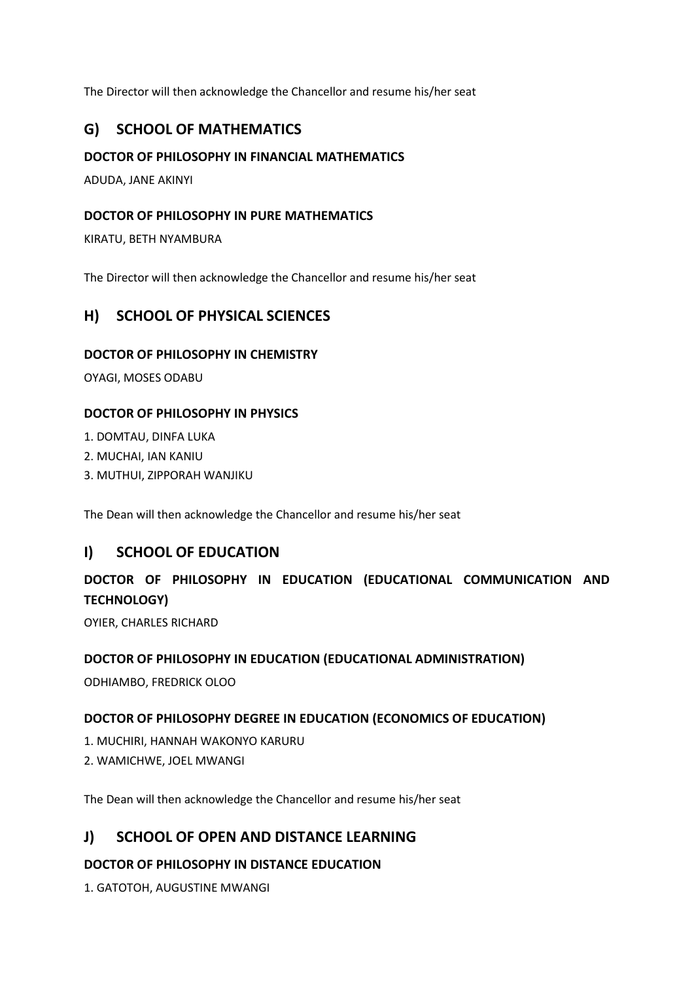The Director will then acknowledge the Chancellor and resume his/her seat

# **G) SCHOOL OF MATHEMATICS**

# **DOCTOR OF PHILOSOPHY IN FINANCIAL MATHEMATICS**

ADUDA, JANE AKINYI

# **DOCTOR OF PHILOSOPHY IN PURE MATHEMATICS**

KIRATU, BETH NYAMBURA

The Director will then acknowledge the Chancellor and resume his/her seat

# **H) SCHOOL OF PHYSICAL SCIENCES**

# **DOCTOR OF PHILOSOPHY IN CHEMISTRY**

OYAGI, MOSES ODABU

# **DOCTOR OF PHILOSOPHY IN PHYSICS**

1. DOMTAU, DINFA LUKA

- 2. MUCHAI, IAN KANIU
- 3. MUTHUI, ZIPPORAH WANJIKU

The Dean will then acknowledge the Chancellor and resume his/her seat

# **I) SCHOOL OF EDUCATION**

# **DOCTOR OF PHILOSOPHY IN EDUCATION (EDUCATIONAL COMMUNICATION AND TECHNOLOGY)**

OYIER, CHARLES RICHARD

# **DOCTOR OF PHILOSOPHY IN EDUCATION (EDUCATIONAL ADMINISTRATION)**

ODHIAMBO, FREDRICK OLOO

# **DOCTOR OF PHILOSOPHY DEGREE IN EDUCATION (ECONOMICS OF EDUCATION)**

- 1. MUCHIRI, HANNAH WAKONYO KARURU
- 2. WAMICHWE, JOEL MWANGI

The Dean will then acknowledge the Chancellor and resume his/her seat

# **J) SCHOOL OF OPEN AND DISTANCE LEARNING**

# **DOCTOR OF PHILOSOPHY IN DISTANCE EDUCATION**

1. GATOTOH, AUGUSTINE MWANGI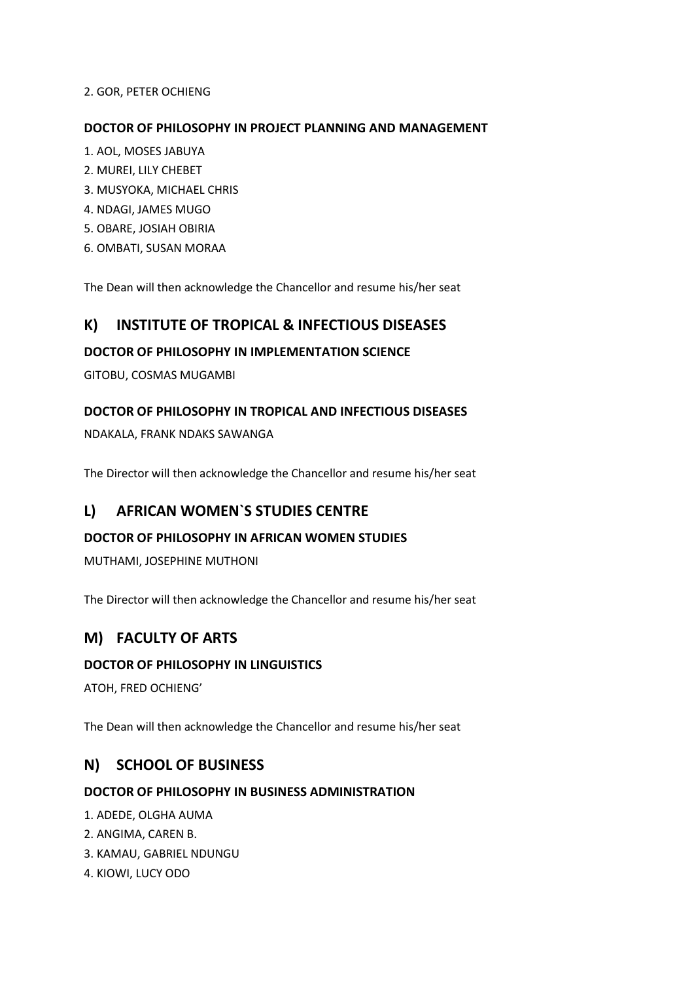# 2. GOR, PETER OCHIENG

# **DOCTOR OF PHILOSOPHY IN PROJECT PLANNING AND MANAGEMENT**

- 1. AOL, MOSES JABUYA
- 2. MUREI, LILY CHEBET
- 3. MUSYOKA, MICHAEL CHRIS
- 4. NDAGI, JAMES MUGO
- 5. OBARE, JOSIAH OBIRIA
- 6. OMBATI, SUSAN MORAA

The Dean will then acknowledge the Chancellor and resume his/her seat

# **K) INSTITUTE OF TROPICAL & INFECTIOUS DISEASES**

# **DOCTOR OF PHILOSOPHY IN IMPLEMENTATION SCIENCE**

GITOBU, COSMAS MUGAMBI

# **DOCTOR OF PHILOSOPHY IN TROPICAL AND INFECTIOUS DISEASES**

NDAKALA, FRANK NDAKS SAWANGA

The Director will then acknowledge the Chancellor and resume his/her seat

# **L) AFRICAN WOMEN`S STUDIES CENTRE**

# **DOCTOR OF PHILOSOPHY IN AFRICAN WOMEN STUDIES**

MUTHAMI, JOSEPHINE MUTHONI

The Director will then acknowledge the Chancellor and resume his/her seat

# **M) FACULTY OF ARTS**

# **DOCTOR OF PHILOSOPHY IN LINGUISTICS**

ATOH, FRED OCHIENG'

The Dean will then acknowledge the Chancellor and resume his/her seat

# **N) SCHOOL OF BUSINESS**

# **DOCTOR OF PHILOSOPHY IN BUSINESS ADMINISTRATION**

- 1. ADEDE, OLGHA AUMA
- 2. ANGIMA, CAREN B.
- 3. KAMAU, GABRIEL NDUNGU
- 4. KIOWI, LUCY ODO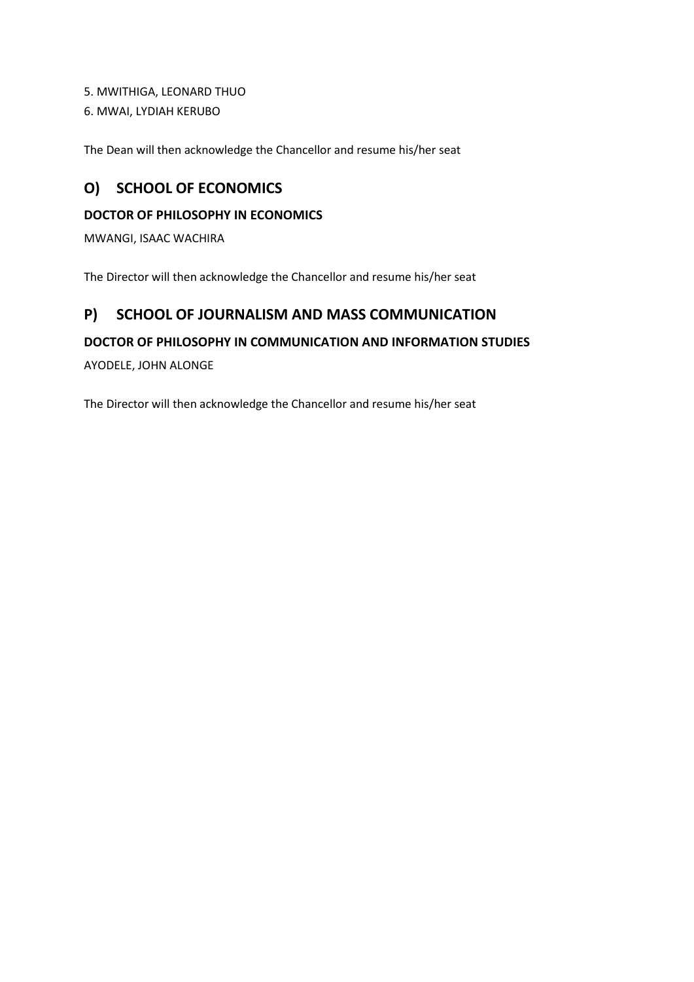5. MWITHIGA, LEONARD THUO

6. MWAI, LYDIAH KERUBO

The Dean will then acknowledge the Chancellor and resume his/her seat

# **O) SCHOOL OF ECONOMICS**

# **DOCTOR OF PHILOSOPHY IN ECONOMICS**

MWANGI, ISAAC WACHIRA

The Director will then acknowledge the Chancellor and resume his/her seat

# **P) SCHOOL OF JOURNALISM AND MASS COMMUNICATION**

# **DOCTOR OF PHILOSOPHY IN COMMUNICATION AND INFORMATION STUDIES**

AYODELE, JOHN ALONGE

The Director will then acknowledge the Chancellor and resume his/her seat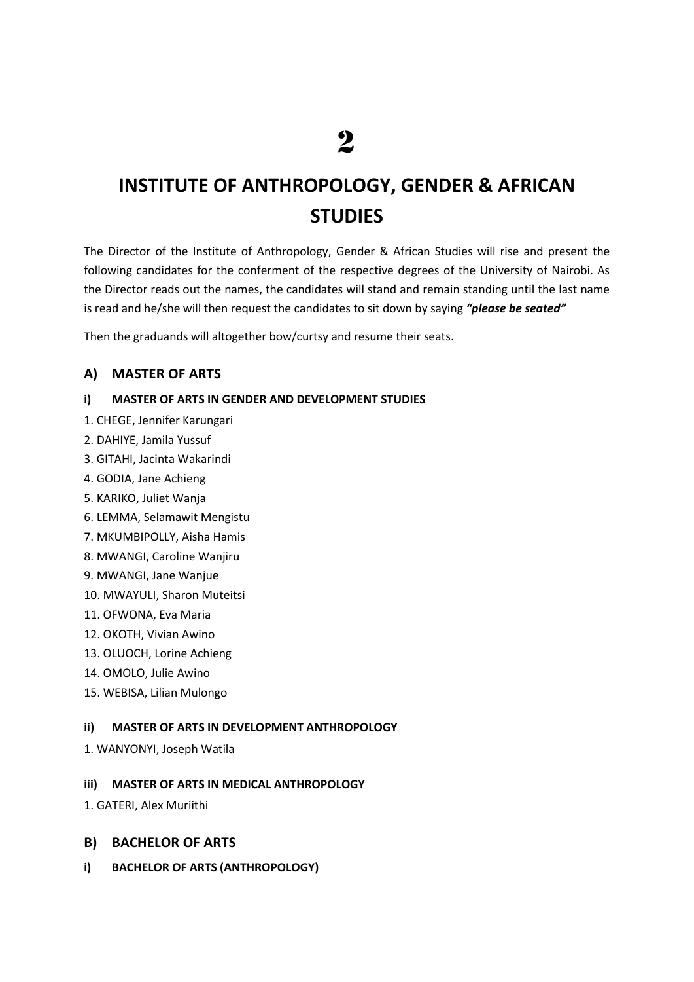# $\bf 2$

# **INSTITUTE OF ANTHROPOLOGY, GENDER & AFRICAN STUDIES**

The Director of the Institute of Anthropology, Gender & African Studies will rise and present the following candidates for the conferment of the respective degrees of the University of Nairobi. As the Director reads out the names, the candidates will stand and remain standing until the last name is read and he/she will then request the candidates to sit down by saying *"please be seated"*

Then the graduands will altogether bow/curtsy and resume their seats.

# **A) MASTER OF ARTS**

#### **i) MASTER OF ARTS IN GENDER AND DEVELOPMENT STUDIES**

- 1. CHEGE, Jennifer Karungari
- 2. DAHIYE, Jamila Yussuf
- 3. GITAHI, Jacinta Wakarindi
- 4. GODIA, Jane Achieng
- 5. KARIKO, Juliet Wanja
- 6. LEMMA, Selamawit Mengistu
- 7. MKUMBIPOLLY, Aisha Hamis
- 8. MWANGI, Caroline Wanjiru
- 9. MWANGI, Jane Wanjue
- 10. MWAYULI, Sharon Muteitsi
- 11. OFWONA, Eva Maria
- 12. OKOTH, Vivian Awino
- 13. OLUOCH, Lorine Achieng
- 14. OMOLO, Julie Awino
- 15. WEBISA, Lilian Mulongo

#### **ii) MASTER OF ARTS IN DEVELOPMENT ANTHROPOLOGY**

1. WANYONYI, Joseph Watila

#### **iii) MASTER OF ARTS IN MEDICAL ANTHROPOLOGY**

1. GATERI, Alex Muriithi

# **B) BACHELOR OF ARTS**

**i) BACHELOR OF ARTS (ANTHROPOLOGY)**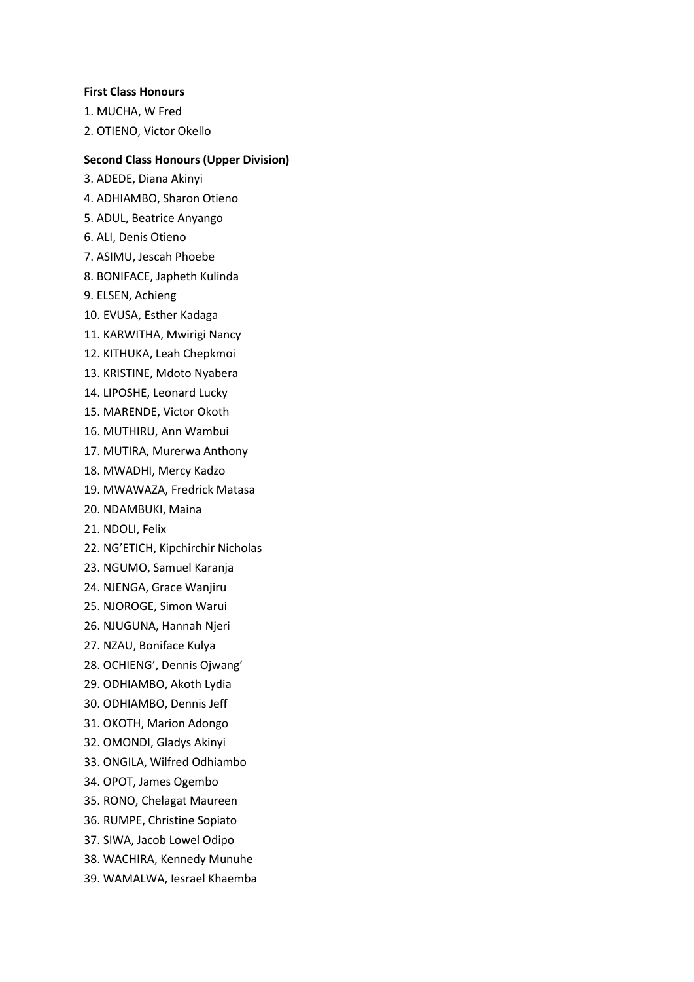#### **First Class Honours**

1. MUCHA, W Fred

2. OTIENO, Victor Okello

#### **Second Class Honours (Upper Division)**

- 3. ADEDE, Diana Akinyi
- 4. ADHIAMBO, Sharon Otieno
- 5. ADUL, Beatrice Anyango
- 6. ALI, Denis Otieno
- 7. ASIMU, Jescah Phoebe
- 8. BONIFACE, Japheth Kulinda
- 9. ELSEN, Achieng
- 10. EVUSA, Esther Kadaga
- 11. KARWITHA, Mwirigi Nancy
- 12. KITHUKA, Leah Chepkmoi
- 13. KRISTINE, Mdoto Nyabera
- 14. LIPOSHE, Leonard Lucky
- 15. MARENDE, Victor Okoth
- 16. MUTHIRU, Ann Wambui
- 17. MUTIRA, Murerwa Anthony
- 18. MWADHI, Mercy Kadzo
- 19. MWAWAZA, Fredrick Matasa
- 20. NDAMBUKI, Maina
- 21. NDOLI, Felix
- 22. NG'ETICH, Kipchirchir Nicholas
- 23. NGUMO, Samuel Karanja
- 24. NJENGA, Grace Wanjiru
- 25. NJOROGE, Simon Warui
- 26. NJUGUNA, Hannah Njeri
- 27. NZAU, Boniface Kulya
- 28. OCHIENG', Dennis Ojwang'
- 29. ODHIAMBO, Akoth Lydia
- 30. ODHIAMBO, Dennis Jeff
- 31. OKOTH, Marion Adongo
- 32. OMONDI, Gladys Akinyi
- 33. ONGILA, Wilfred Odhiambo
- 34. OPOT, James Ogembo
- 35. RONO, Chelagat Maureen
- 36. RUMPE, Christine Sopiato
- 37. SIWA, Jacob Lowel Odipo
- 38. WACHIRA, Kennedy Munuhe
- 39. WAMALWA, Iesrael Khaemba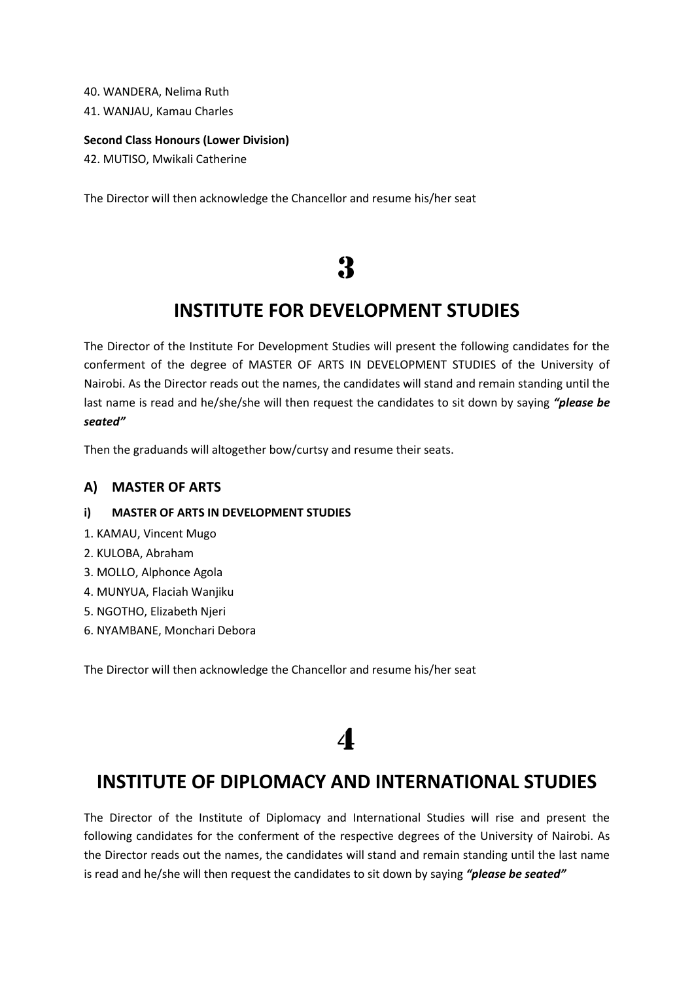# 40. WANDERA, Nelima Ruth

41. WANJAU, Kamau Charles

# **Second Class Honours (Lower Division)**

42. MUTISO, Mwikali Catherine

The Director will then acknowledge the Chancellor and resume his/her seat

# 3

# **INSTITUTE FOR DEVELOPMENT STUDIES**

The Director of the Institute For Development Studies will present the following candidates for the conferment of the degree of MASTER OF ARTS IN DEVELOPMENT STUDIES of the University of Nairobi. As the Director reads out the names, the candidates will stand and remain standing until the last name is read and he/she/she will then request the candidates to sit down by saying *"please be seated"*

Then the graduands will altogether bow/curtsy and resume their seats.

# **A) MASTER OF ARTS**

# **i) MASTER OF ARTS IN DEVELOPMENT STUDIES**

- 1. KAMAU, Vincent Mugo
- 2. KULOBA, Abraham
- 3. MOLLO, Alphonce Agola
- 4. MUNYUA, Flaciah Wanjiku
- 5. NGOTHO, Elizabeth Njeri
- 6. NYAMBANE, Monchari Debora

The Director will then acknowledge the Chancellor and resume his/her seat

# 4

# **INSTITUTE OF DIPLOMACY AND INTERNATIONAL STUDIES**

The Director of the Institute of Diplomacy and International Studies will rise and present the following candidates for the conferment of the respective degrees of the University of Nairobi. As the Director reads out the names, the candidates will stand and remain standing until the last name is read and he/she will then request the candidates to sit down by saying *"please be seated"*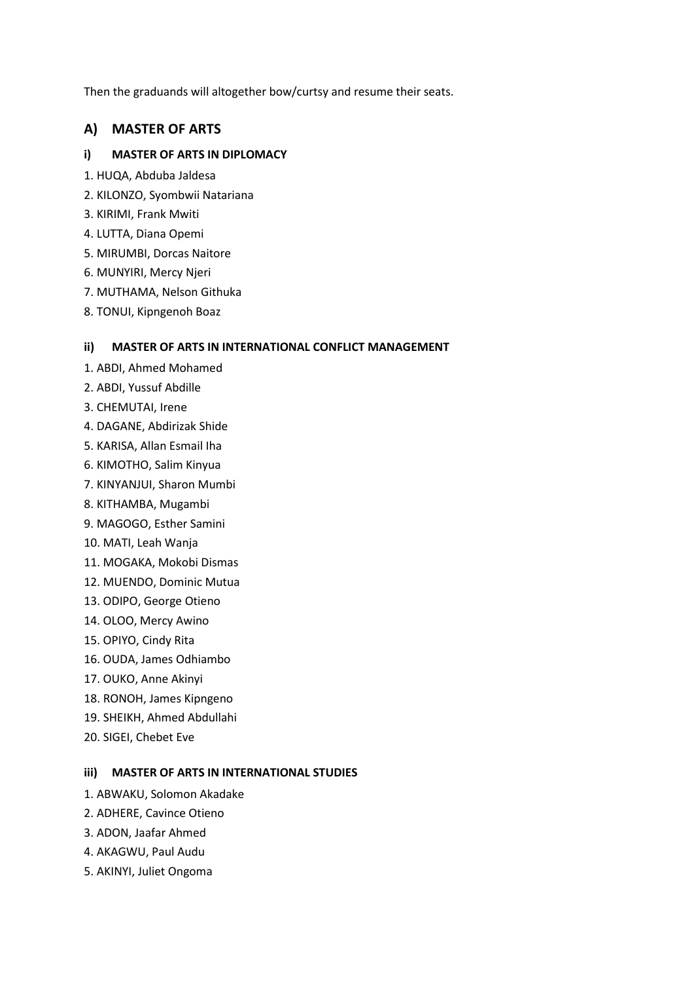Then the graduands will altogether bow/curtsy and resume their seats.

# **A) MASTER OF ARTS**

# **i) MASTER OF ARTS IN DIPLOMACY**

- 1. HUQA, Abduba Jaldesa
- 2. KILONZO, Syombwii Natariana
- 3. KIRIMI, Frank Mwiti
- 4. LUTTA, Diana Opemi
- 5. MIRUMBI, Dorcas Naitore
- 6. MUNYIRI, Mercy Njeri
- 7. MUTHAMA, Nelson Githuka
- 8. TONUI, Kipngenoh Boaz

#### **ii) MASTER OF ARTS IN INTERNATIONAL CONFLICT MANAGEMENT**

- 1. ABDI, Ahmed Mohamed
- 2. ABDI, Yussuf Abdille
- 3. CHEMUTAI, Irene
- 4. DAGANE, Abdirizak Shide
- 5. KARISA, Allan Esmail Iha
- 6. KIMOTHO, Salim Kinyua
- 7. KINYANJUI, Sharon Mumbi
- 8. KITHAMBA, Mugambi
- 9. MAGOGO, Esther Samini
- 10. MATI, Leah Wanja
- 11. MOGAKA, Mokobi Dismas
- 12. MUENDO, Dominic Mutua
- 13. ODIPO, George Otieno
- 14. OLOO, Mercy Awino
- 15. OPIYO, Cindy Rita
- 16. OUDA, James Odhiambo
- 17. OUKO, Anne Akinyi
- 18. RONOH, James Kipngeno
- 19. SHEIKH, Ahmed Abdullahi
- 20. SIGEI, Chebet Eve

#### **iii) MASTER OF ARTS IN INTERNATIONAL STUDIES**

- 1. ABWAKU, Solomon Akadake
- 2. ADHERE, Cavince Otieno
- 3. ADON, Jaafar Ahmed
- 4. AKAGWU, Paul Audu
- 5. AKINYI, Juliet Ongoma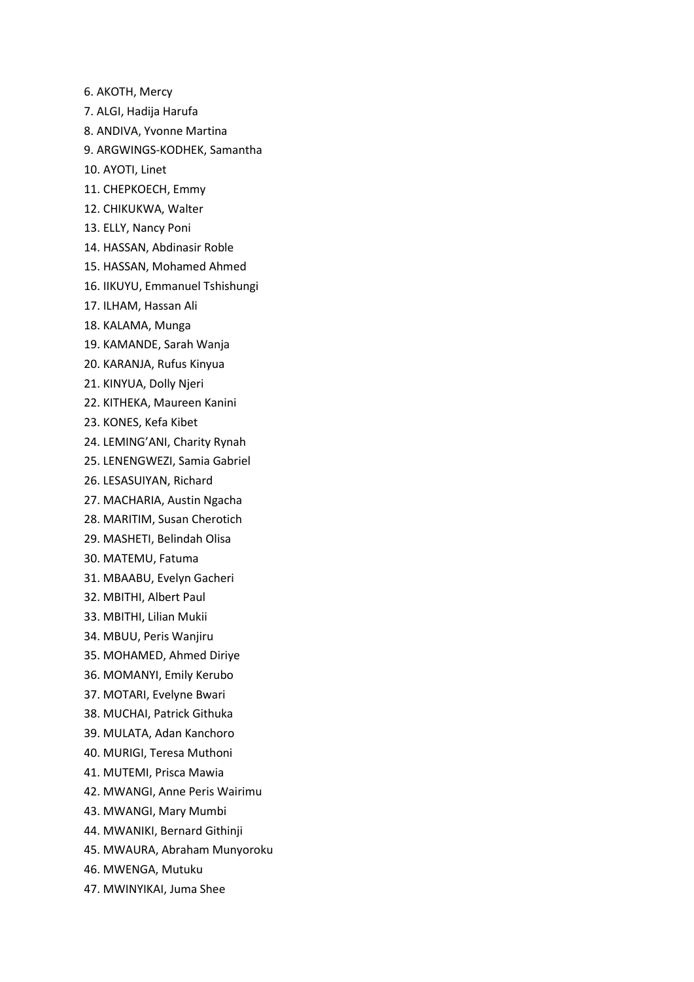- 6. AKOTH, Mercy
- 7. ALGI, Hadija Harufa
- 8. ANDIVA, Yvonne Martina
- 9. ARGWINGS-KODHEK, Samantha
- 10. AYOTI, Linet
- 11. CHEPKOECH, Emmy
- 12. CHIKUKWA, Walter
- 13. ELLY, Nancy Poni
- 14. HASSAN, Abdinasir Roble
- 15. HASSAN, Mohamed Ahmed
- 16. IIKUYU, Emmanuel Tshishungi
- 17. ILHAM, Hassan Ali
- 18. KALAMA, Munga
- 19. KAMANDE, Sarah Wanja
- 20. KARANJA, Rufus Kinyua
- 21. KINYUA, Dolly Njeri
- 22. KITHEKA, Maureen Kanini
- 23. KONES, Kefa Kibet
- 24. LEMING'ANI, Charity Rynah
- 25. LENENGWEZI, Samia Gabriel
- 26. LESASUIYAN, Richard
- 27. MACHARIA, Austin Ngacha
- 28. MARITIM, Susan Cherotich
- 29. MASHETI, Belindah Olisa
- 30. MATEMU, Fatuma
- 31. MBAABU, Evelyn Gacheri
- 32. MBITHI, Albert Paul
- 33. MBITHI, Lilian Mukii
- 34. MBUU, Peris Wanjiru
- 35. MOHAMED, Ahmed Diriye
- 36. MOMANYI, Emily Kerubo
- 37. MOTARI, Evelyne Bwari
- 38. MUCHAI, Patrick Githuka
- 39. MULATA, Adan Kanchoro
- 40. MURIGI, Teresa Muthoni
- 41. MUTEMI, Prisca Mawia
- 42. MWANGI, Anne Peris Wairimu
- 43. MWANGI, Mary Mumbi
- 44. MWANIKI, Bernard Githinji
- 45. MWAURA, Abraham Munyoroku
- 46. MWENGA, Mutuku
- 47. MWINYIKAI, Juma Shee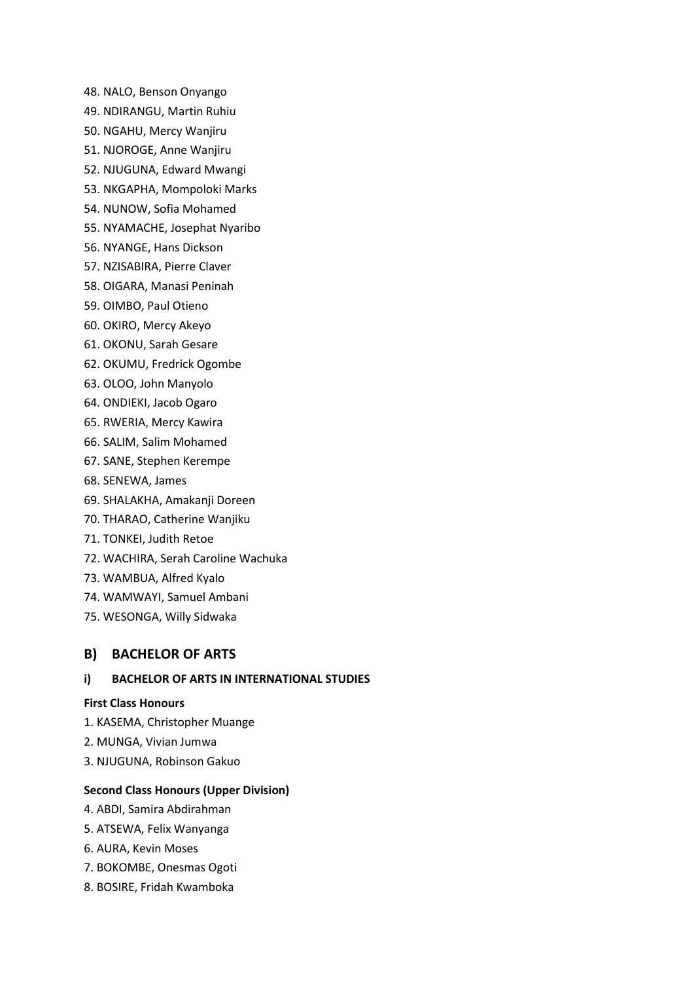- 48. NALO, Benson Onyango
- 49. NDIRANGU, Martin Ruhiu
- 50. NGAHU, Mercy Wanjiru
- 51. NJOROGE, Anne Wanjiru
- 52. NJUGUNA, Edward Mwangi
- 53. NKGAPHA, Mompoloki Marks
- 54. NUNOW, Sofia Mohamed
- 55. NYAMACHE, Josephat Nyaribo
- 56. NYANGE, Hans Dickson
- 57. NZISABIRA, Pierre Claver
- 58. OIGARA, Manasi Peninah
- 59. OIMBO, Paul Otieno
- 60. OKIRO, Mercy Akeyo
- 61. OKONU, Sarah Gesare
- 62. OKUMU, Fredrick Ogombe
- 63. OLOO, John Manyolo
- 64. ONDIEKI, Jacob Ogaro
- 65. RWERIA, Mercy Kawira
- 66. SALIM, Salim Mohamed
- 67. SANE, Stephen Kerempe
- 68. SENEWA, James
- 69. SHALAKHA, Amakanji Doreen
- 70. THARAO, Catherine Wanjiku
- 71. TONKEI, Judith Retoe
- 72. WACHIRA, Serah Caroline Wachuka
- 73. WAMBUA, Alfred Kyalo
- 74. WAMWAYI, Samuel Ambani
- 75. WESONGA, Willy Sidwaka

# **B) BACHELOR OF ARTS**

#### **i) BACHELOR OF ARTS IN INTERNATIONAL STUDIES**

#### **First Class Honours**

- 1. KASEMA, Christopher Muange
- 2. MUNGA, Vivian Jumwa
- 3. NJUGUNA, Robinson Gakuo

#### **Second Class Honours (Upper Division)**

- 4. ABDI, Samira Abdirahman
- 5. ATSEWA, Felix Wanyanga
- 6. AURA, Kevin Moses
- 7. BOKOMBE, Onesmas Ogoti
- 8. BOSIRE, Fridah Kwamboka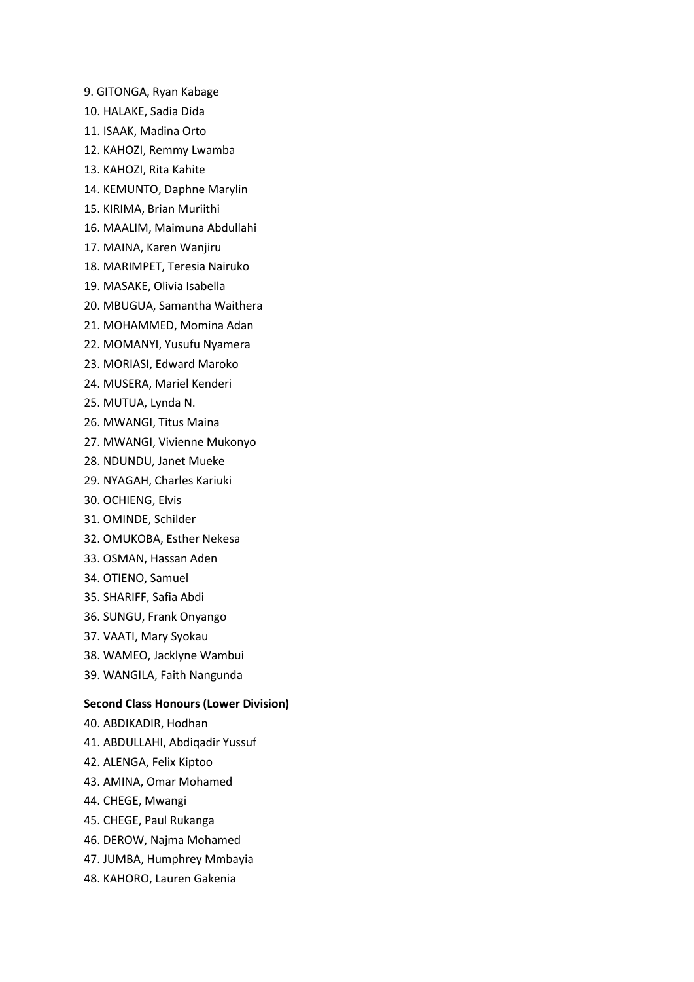- 9. GITONGA, Ryan Kabage
- 10. HALAKE, Sadia Dida
- 11. ISAAK, Madina Orto
- 12. KAHOZI, Remmy Lwamba
- 13. KAHOZI, Rita Kahite
- 14. KEMUNTO, Daphne Marylin
- 15. KIRIMA, Brian Muriithi
- 16. MAALIM, Maimuna Abdullahi
- 17. MAINA, Karen Wanjiru
- 18. MARIMPET, Teresia Nairuko
- 19. MASAKE, Olivia Isabella
- 20. MBUGUA, Samantha Waithera
- 21. MOHAMMED, Momina Adan
- 22. MOMANYI, Yusufu Nyamera
- 23. MORIASI, Edward Maroko
- 24. MUSERA, Mariel Kenderi
- 25. MUTUA, Lynda N.
- 26. MWANGI, Titus Maina
- 27. MWANGI, Vivienne Mukonyo
- 28. NDUNDU, Janet Mueke
- 29. NYAGAH, Charles Kariuki
- 30. OCHIENG, Elvis
- 31. OMINDE, Schilder
- 32. OMUKOBA, Esther Nekesa
- 33. OSMAN, Hassan Aden
- 34. OTIENO, Samuel
- 35. SHARIFF, Safia Abdi
- 36. SUNGU, Frank Onyango
- 37. VAATI, Mary Syokau
- 38. WAMEO, Jacklyne Wambui
- 39. WANGILA, Faith Nangunda

#### **Second Class Honours (Lower Division)**

- 40. ABDIKADIR, Hodhan
- 41. ABDULLAHI, Abdiqadir Yussuf
- 42. ALENGA, Felix Kiptoo
- 43. AMINA, Omar Mohamed
- 44. CHEGE, Mwangi
- 45. CHEGE, Paul Rukanga
- 46. DEROW, Najma Mohamed
- 47. JUMBA, Humphrey Mmbayia
- 48. KAHORO, Lauren Gakenia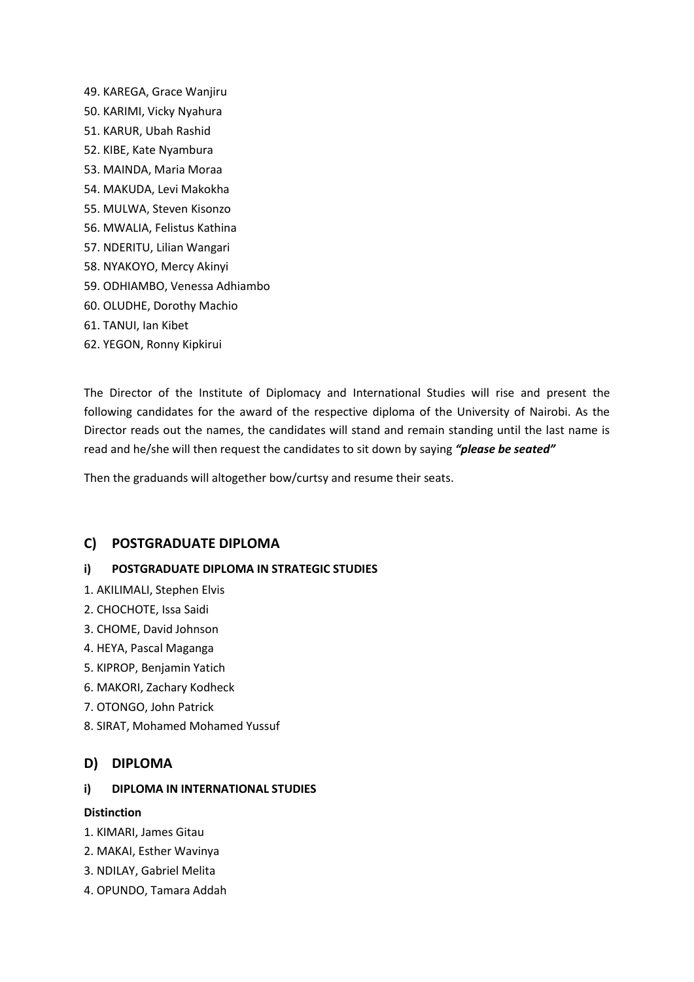- 49. KAREGA, Grace Wanjiru
- 50. KARIMI, Vicky Nyahura
- 51. KARUR, Ubah Rashid
- 52. KIBE, Kate Nyambura
- 53. MAINDA, Maria Moraa
- 54. MAKUDA, Levi Makokha
- 55. MULWA, Steven Kisonzo
- 56. MWALIA, Felistus Kathina
- 57. NDERITU, Lilian Wangari
- 58. NYAKOYO, Mercy Akinyi
- 59. ODHIAMBO, Venessa Adhiambo
- 60. OLUDHE, Dorothy Machio
- 61. TANUI, Ian Kibet
- 62. YEGON, Ronny Kipkirui

The Director of the Institute of Diplomacy and International Studies will rise and present the following candidates for the award of the respective diploma of the University of Nairobi. As the Director reads out the names, the candidates will stand and remain standing until the last name is read and he/she will then request the candidates to sit down by saying *"please be seated"*

Then the graduands will altogether bow/curtsy and resume their seats.

# **C) POSTGRADUATE DIPLOMA**

# **i) POSTGRADUATE DIPLOMA IN STRATEGIC STUDIES**

- 1. AKILIMALI, Stephen Elvis
- 2. CHOCHOTE, Issa Saidi
- 3. CHOME, David Johnson
- 4. HEYA, Pascal Maganga
- 5. KIPROP, Benjamin Yatich
- 6. MAKORI, Zachary Kodheck
- 7. OTONGO, John Patrick
- 8. SIRAT, Mohamed Mohamed Yussuf

# **D) DIPLOMA**

#### **i) DIPLOMA IN INTERNATIONAL STUDIES**

## **Distinction**

- 1. KIMARI, James Gitau
- 2. MAKAI, Esther Wavinya
- 3. NDILAY, Gabriel Melita
- 4. OPUNDO, Tamara Addah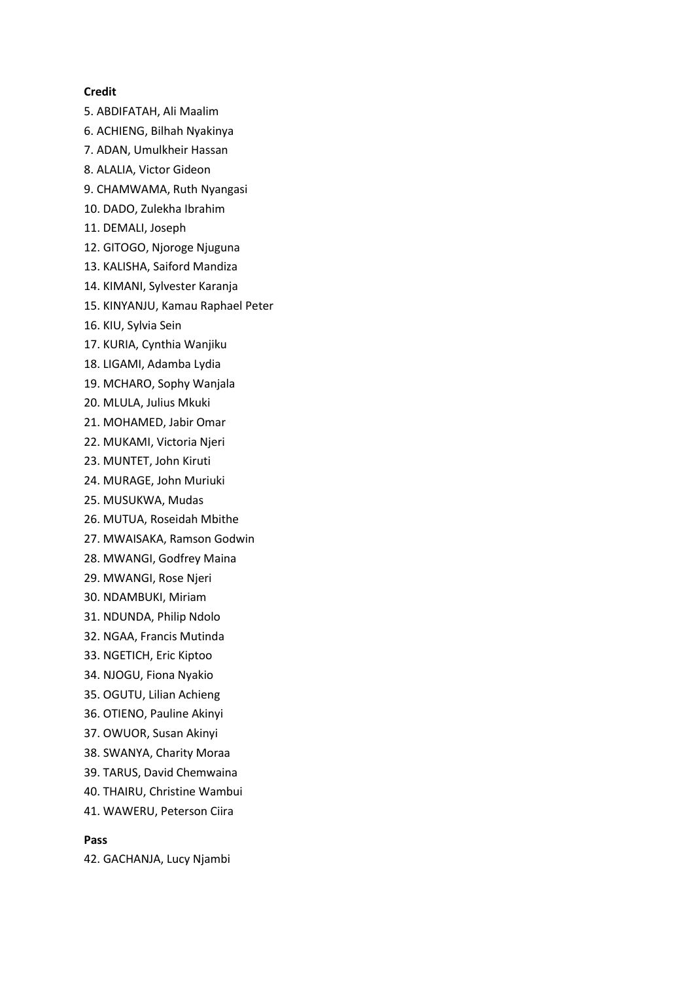#### **Credit**

- 5. ABDIFATAH, Ali Maalim
- 6. ACHIENG, Bilhah Nyakinya
- 7. ADAN, Umulkheir Hassan
- 8. ALALIA, Victor Gideon
- 9. CHAMWAMA, Ruth Nyangasi
- 10. DADO, Zulekha Ibrahim
- 11. DEMALI, Joseph
- 12. GITOGO, Njoroge Njuguna
- 13. KALISHA, Saiford Mandiza
- 14. KIMANI, Sylvester Karanja
- 15. KINYANJU, Kamau Raphael Peter
- 16. KIU, Sylvia Sein
- 17. KURIA, Cynthia Wanjiku
- 18. LIGAMI, Adamba Lydia
- 19. MCHARO, Sophy Wanjala
- 20. MLULA, Julius Mkuki
- 21. MOHAMED, Jabir Omar
- 22. MUKAMI, Victoria Njeri
- 23. MUNTET, John Kiruti
- 24. MURAGE, John Muriuki
- 25. MUSUKWA, Mudas
- 26. MUTUA, Roseidah Mbithe
- 27. MWAISAKA, Ramson Godwin
- 28. MWANGI, Godfrey Maina
- 29. MWANGI, Rose Njeri
- 30. NDAMBUKI, Miriam
- 31. NDUNDA, Philip Ndolo
- 32. NGAA, Francis Mutinda
- 33. NGETICH, Eric Kiptoo
- 34. NJOGU, Fiona Nyakio
- 35. OGUTU, Lilian Achieng
- 36. OTIENO, Pauline Akinyi
- 37. OWUOR, Susan Akinyi
- 38. SWANYA, Charity Moraa
- 39. TARUS, David Chemwaina
- 40. THAIRU, Christine Wambui
- 41. WAWERU, Peterson Ciira

#### **Pass**

42. GACHANJA, Lucy Njambi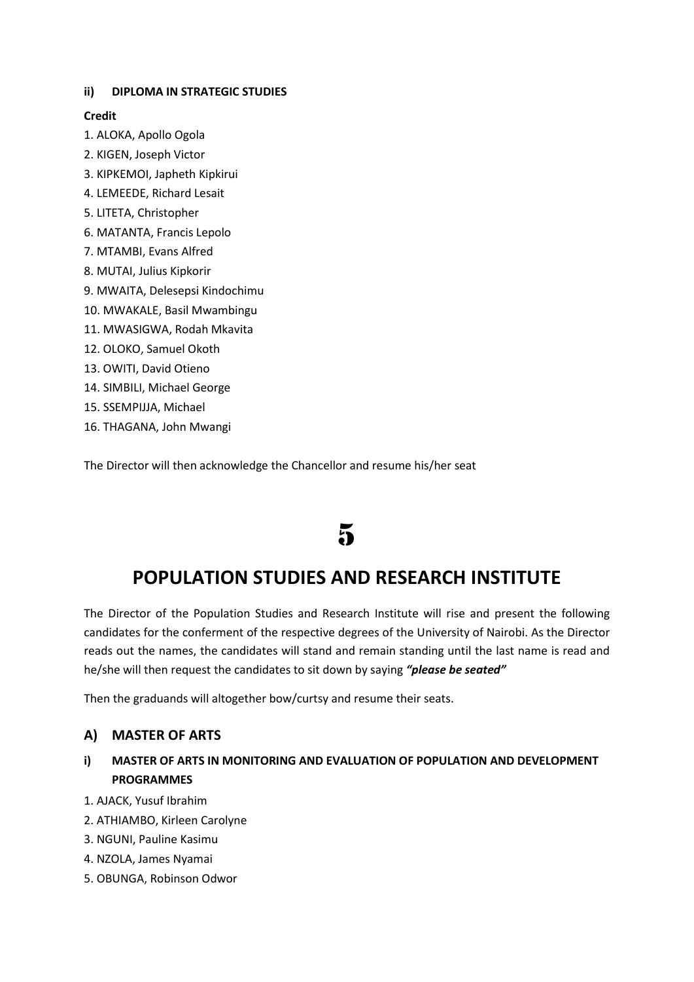## **ii) DIPLOMA IN STRATEGIC STUDIES**

# **Credit**

- 1. ALOKA, Apollo Ogola
- 2. KIGEN, Joseph Victor
- 3. KIPKEMOI, Japheth Kipkirui
- 4. LEMEEDE, Richard Lesait
- 5. LITETA, Christopher
- 6. MATANTA, Francis Lepolo
- 7. MTAMBI, Evans Alfred
- 8. MUTAI, Julius Kipkorir
- 9. MWAITA, Delesepsi Kindochimu
- 10. MWAKALE, Basil Mwambingu
- 11. MWASIGWA, Rodah Mkavita
- 12. OLOKO, Samuel Okoth
- 13. OWITI, David Otieno
- 14. SIMBILI, Michael George
- 15. SSEMPIJJA, Michael
- 16. THAGANA, John Mwangi

The Director will then acknowledge the Chancellor and resume his/her seat

# $5\overline{ }$

# **POPULATION STUDIES AND RESEARCH INSTITUTE**

The Director of the Population Studies and Research Institute will rise and present the following candidates for the conferment of the respective degrees of the University of Nairobi. As the Director reads out the names, the candidates will stand and remain standing until the last name is read and he/she will then request the candidates to sit down by saying *"please be seated"*

Then the graduands will altogether bow/curtsy and resume their seats.

# **A) MASTER OF ARTS**

# **i) MASTER OF ARTS IN MONITORING AND EVALUATION OF POPULATION AND DEVELOPMENT PROGRAMMES**

- 1. AJACK, Yusuf Ibrahim
- 2. ATHIAMBO, Kirleen Carolyne
- 3. NGUNI, Pauline Kasimu
- 4. NZOLA, James Nyamai
- 5. OBUNGA, Robinson Odwor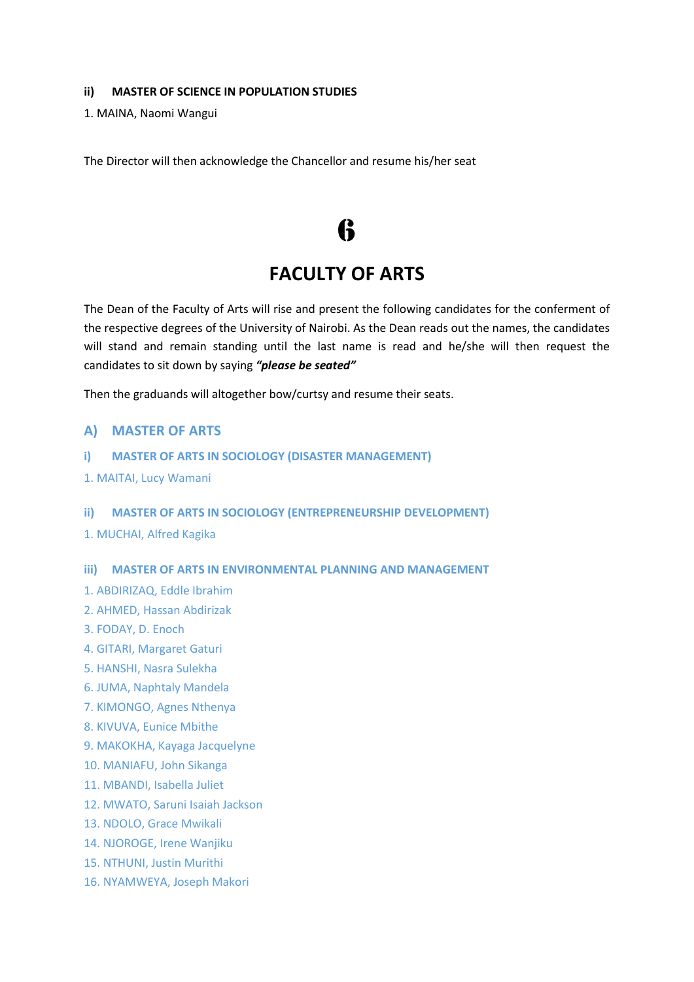#### **ii) MASTER OF SCIENCE IN POPULATION STUDIES**

1. MAINA, Naomi Wangui

The Director will then acknowledge the Chancellor and resume his/her seat

# 6

# **FACULTY OF ARTS**

The Dean of the Faculty of Arts will rise and present the following candidates for the conferment of the respective degrees of the University of Nairobi. As the Dean reads out the names, the candidates will stand and remain standing until the last name is read and he/she will then request the candidates to sit down by saying *"please be seated"*

Then the graduands will altogether bow/curtsy and resume their seats.

# **A) MASTER OF ARTS**

# **i) MASTER OF ARTS IN SOCIOLOGY (DISASTER MANAGEMENT)**

1. MAITAI, Lucy Wamani

# **ii) MASTER OF ARTS IN SOCIOLOGY (ENTREPRENEURSHIP DEVELOPMENT)**

1. MUCHAI, Alfred Kagika

#### **iii) MASTER OF ARTS IN ENVIRONMENTAL PLANNING AND MANAGEMENT**

- 1. ABDIRIZAQ, Eddle Ibrahim
- 2. AHMED, Hassan Abdirizak
- 3. FODAY, D. Enoch
- 4. GITARI, Margaret Gaturi
- 5. HANSHI, Nasra Sulekha
- 6. JUMA, Naphtaly Mandela
- 7. KIMONGO, Agnes Nthenya
- 8. KIVUVA, Eunice Mbithe
- 9. MAKOKHA, Kayaga Jacquelyne
- 10. MANIAFU, John Sikanga
- 11. MBANDI, Isabella Juliet
- 12. MWATO, Saruni Isaiah Jackson
- 13. NDOLO, Grace Mwikali
- 14. NJOROGE, Irene Wanjiku
- 15. NTHUNI, Justin Murithi
- 16. NYAMWEYA, Joseph Makori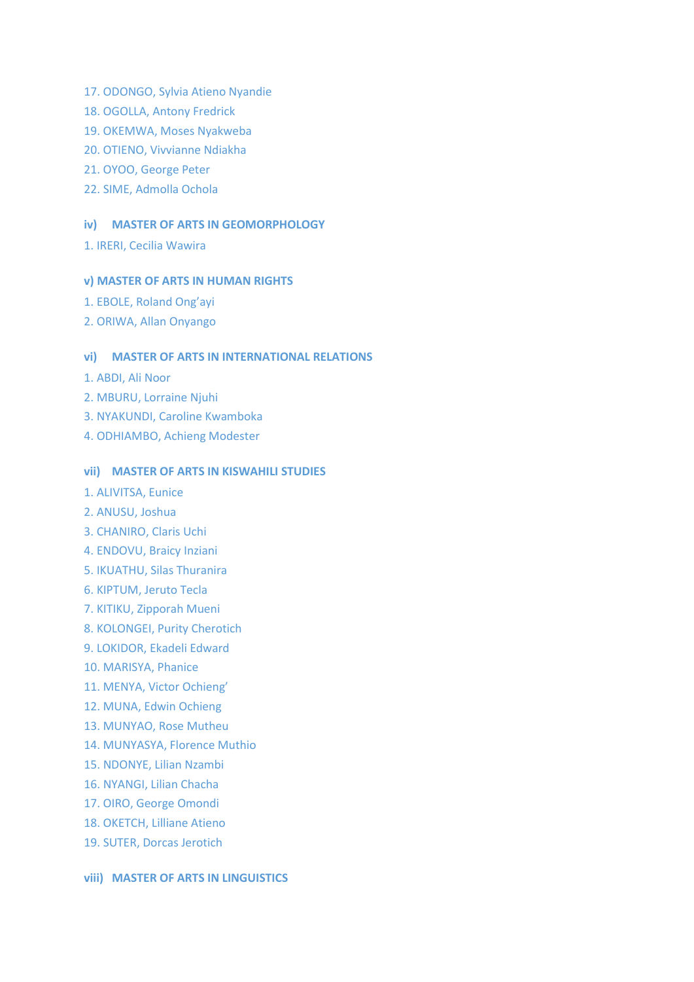- 17. ODONGO, Sylvia Atieno Nyandie
- 18. OGOLLA, Antony Fredrick
- 19. OKEMWA, Moses Nyakweba
- 20. OTIENO, Vivvianne Ndiakha
- 21. OYOO, George Peter
- 22. SIME, Admolla Ochola

## **iv) MASTER OF ARTS IN GEOMORPHOLOGY**

1. IRERI, Cecilia Wawira

#### **v) MASTER OF ARTS IN HUMAN RIGHTS**

- 1. EBOLE, Roland Ong'ayi
- 2. ORIWA, Allan Onyango

#### **vi) MASTER OF ARTS IN INTERNATIONAL RELATIONS**

- 1. ABDI, Ali Noor
- 2. MBURU, Lorraine Njuhi
- 3. NYAKUNDI, Caroline Kwamboka
- 4. ODHIAMBO, Achieng Modester

#### **vii) MASTER OF ARTS IN KISWAHILI STUDIES**

- 1. ALIVITSA, Eunice
- 2. ANUSU, Joshua
- 3. CHANIRO, Claris Uchi
- 4. ENDOVU, Braicy Inziani
- 5. IKUATHU, Silas Thuranira
- 6. KIPTUM, Jeruto Tecla
- 7. KITIKU, Zipporah Mueni
- 8. KOLONGEI, Purity Cherotich
- 9. LOKIDOR, Ekadeli Edward
- 10. MARISYA, Phanice
- 11. MENYA, Victor Ochieng'
- 12. MUNA, Edwin Ochieng
- 13. MUNYAO, Rose Mutheu
- 14. MUNYASYA, Florence Muthio
- 15. NDONYE, Lilian Nzambi
- 16. NYANGI, Lilian Chacha
- 17. OIRO, George Omondi
- 18. OKETCH, Lilliane Atieno
- 19. SUTER, Dorcas Jerotich

#### **viii) MASTER OF ARTS IN LINGUISTICS**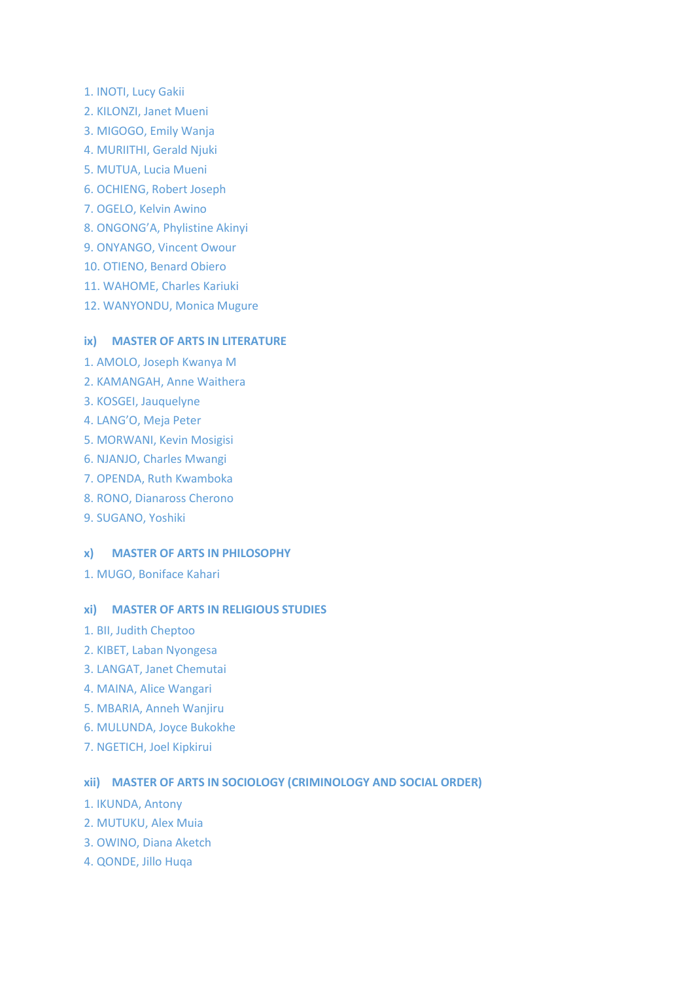- 1. INOTI, Lucy Gakii
- 2. KILONZI, Janet Mueni
- 3. MIGOGO, Emily Wanja
- 4. MURIITHI, Gerald Njuki
- 5. MUTUA, Lucia Mueni
- 6. OCHIENG, Robert Joseph
- 7. OGELO, Kelvin Awino
- 8. ONGONG'A, Phylistine Akinyi
- 9. ONYANGO, Vincent Owour
- 10. OTIENO, Benard Obiero
- 11. WAHOME, Charles Kariuki
- 12. WANYONDU, Monica Mugure

#### **ix) MASTER OF ARTS IN LITERATURE**

- 1. AMOLO, Joseph Kwanya M
- 2. KAMANGAH, Anne Waithera
- 3. KOSGEI, Jauquelyne
- 4. LANG'O, Meja Peter
- 5. MORWANI, Kevin Mosigisi
- 6. NJANJO, Charles Mwangi
- 7. OPENDA, Ruth Kwamboka
- 8. RONO, Dianaross Cherono
- 9. SUGANO, Yoshiki

#### **x) MASTER OF ARTS IN PHILOSOPHY**

1. MUGO, Boniface Kahari

#### **xi) MASTER OF ARTS IN RELIGIOUS STUDIES**

- 1. BII, Judith Cheptoo
- 2. KIBET, Laban Nyongesa
- 3. LANGAT, Janet Chemutai
- 4. MAINA, Alice Wangari
- 5. MBARIA, Anneh Wanjiru
- 6. MULUNDA, Joyce Bukokhe
- 7. NGETICH, Joel Kipkirui

#### **xii) MASTER OF ARTS IN SOCIOLOGY (CRIMINOLOGY AND SOCIAL ORDER)**

- 1. IKUNDA, Antony
- 2. MUTUKU, Alex Muia
- 3. OWINO, Diana Aketch
- 4. QONDE, Jillo Huqa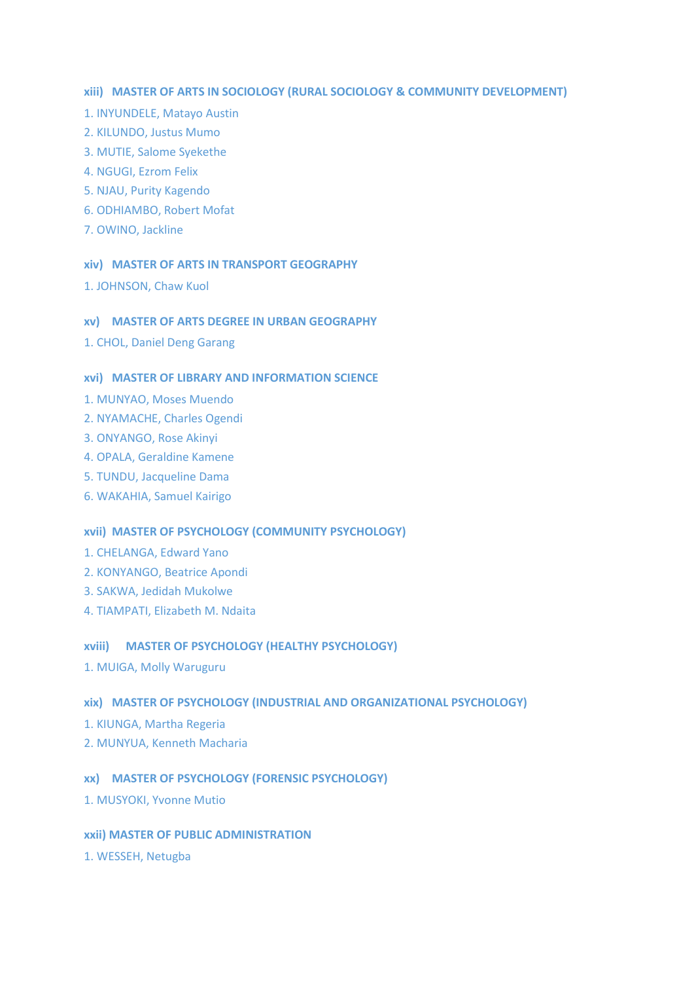#### **xiii) MASTER OF ARTS IN SOCIOLOGY (RURAL SOCIOLOGY & COMMUNITY DEVELOPMENT)**

- 1. INYUNDELE, Matayo Austin
- 2. KILUNDO, Justus Mumo
- 3. MUTIE, Salome Syekethe
- 4. NGUGI, Ezrom Felix
- 5. NJAU, Purity Kagendo
- 6. ODHIAMBO, Robert Mofat
- 7. OWINO, Jackline

#### **xiv) MASTER OF ARTS IN TRANSPORT GEOGRAPHY**

1. JOHNSON, Chaw Kuol

#### **xv) MASTER OF ARTS DEGREE IN URBAN GEOGRAPHY**

1. CHOL, Daniel Deng Garang

#### **xvi) MASTER OF LIBRARY AND INFORMATION SCIENCE**

- 1. MUNYAO, Moses Muendo
- 2. NYAMACHE, Charles Ogendi
- 3. ONYANGO, Rose Akinyi
- 4. OPALA, Geraldine Kamene
- 5. TUNDU, Jacqueline Dama
- 6. WAKAHIA, Samuel Kairigo

# **xvii) MASTER OF PSYCHOLOGY (COMMUNITY PSYCHOLOGY)**

- 1. CHELANGA, Edward Yano
- 2. KONYANGO, Beatrice Apondi
- 3. SAKWA, Jedidah Mukolwe
- 4. TIAMPATI, Elizabeth M. Ndaita

#### **xviii) MASTER OF PSYCHOLOGY (HEALTHY PSYCHOLOGY)**

1. MUIGA, Molly Waruguru

#### **xix) MASTER OF PSYCHOLOGY (INDUSTRIAL AND ORGANIZATIONAL PSYCHOLOGY)**

- 1. KIUNGA, Martha Regeria
- 2. MUNYUA, Kenneth Macharia

#### **xx) MASTER OF PSYCHOLOGY (FORENSIC PSYCHOLOGY)**

1. MUSYOKI, Yvonne Mutio

#### **xxii) MASTER OF PUBLIC ADMINISTRATION**

1. WESSEH, Netugba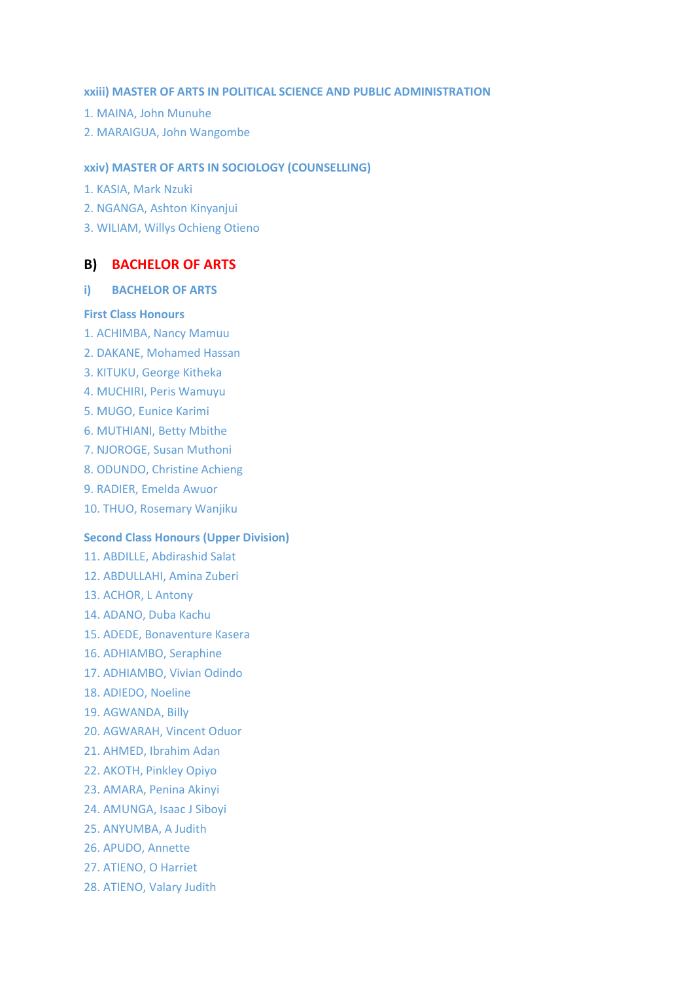#### **xxiii) MASTER OF ARTS IN POLITICAL SCIENCE AND PUBLIC ADMINISTRATION**

- 1. MAINA, John Munuhe
- 2. MARAIGUA, John Wangombe

#### **xxiv) MASTER OF ARTS IN SOCIOLOGY (COUNSELLING)**

- 1. KASIA, Mark Nzuki
- 2. NGANGA, Ashton Kinyanjui
- 3. WILIAM, Willys Ochieng Otieno

# **B) BACHELOR OF ARTS**

**i) BACHELOR OF ARTS** 

#### **First Class Honours**

- 1. ACHIMBA, Nancy Mamuu
- 2. DAKANE, Mohamed Hassan
- 3. KITUKU, George Kitheka
- 4. MUCHIRI, Peris Wamuyu
- 5. MUGO, Eunice Karimi
- 6. MUTHIANI, Betty Mbithe
- 7. NJOROGE, Susan Muthoni
- 8. ODUNDO, Christine Achieng
- 9. RADIER, Emelda Awuor
- 10. THUO, Rosemary Wanjiku

#### **Second Class Honours (Upper Division)**

- 11. ABDILLE, Abdirashid Salat
- 12. ABDULLAHI, Amina Zuberi
- 13. ACHOR, L Antony
- 14. ADANO, Duba Kachu
- 15. ADEDE, Bonaventure Kasera
- 16. ADHIAMBO, Seraphine
- 17. ADHIAMBO, Vivian Odindo
- 18. ADIEDO, Noeline
- 19. AGWANDA, Billy
- 20. AGWARAH, Vincent Oduor
- 21. AHMED, Ibrahim Adan
- 22. AKOTH, Pinkley Opiyo
- 23. AMARA, Penina Akinyi
- 24. AMUNGA, Isaac J Siboyi
- 25. ANYUMBA, A Judith
- 26. APUDO, Annette
- 27. ATIENO, O Harriet
- 28. ATIENO, Valary Judith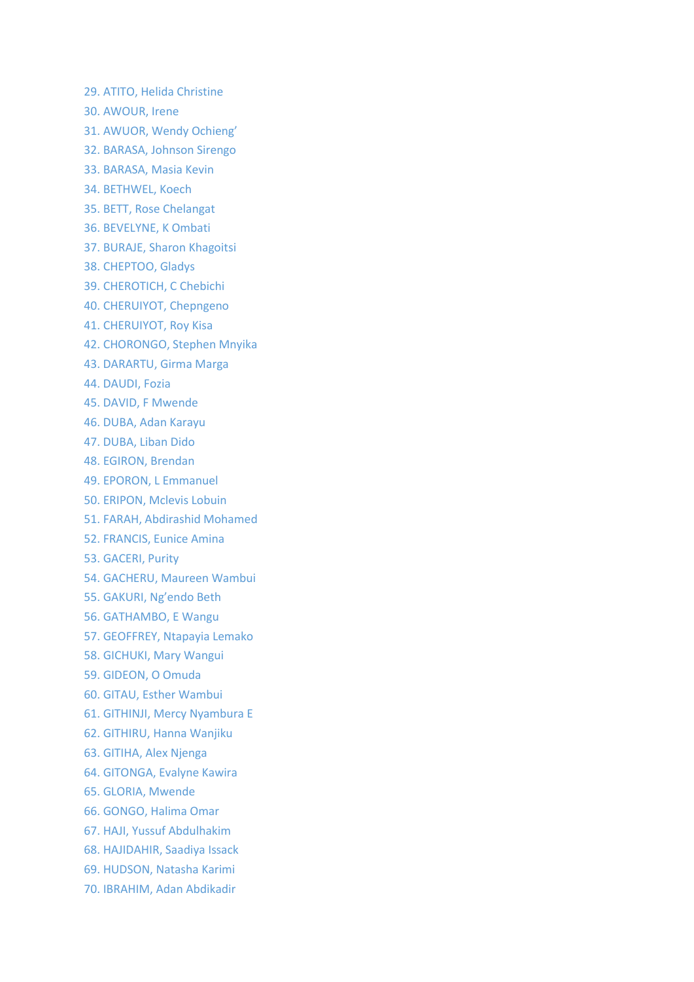- 29. ATITO, Helida Christine
- 30. AWOUR, Irene
- 31. AWUOR, Wendy Ochieng'
- 32. BARASA, Johnson Sirengo
- 33. BARASA, Masia Kevin
- 34. BETHWEL, Koech
- 35. BETT, Rose Chelangat
- 36. BEVELYNE, K Ombati
- 37. BURAJE, Sharon Khagoitsi
- 38. CHEPTOO, Gladys
- 39. CHEROTICH, C Chebichi
- 40. CHERUIYOT, Chepngeno
- 41. CHERUIYOT, Roy Kisa
- 42. CHORONGO, Stephen Mnyika
- 43. DARARTU, Girma Marga
- 44. DAUDI, Fozia
- 45. DAVID, F Mwende
- 46. DUBA, Adan Karayu
- 47. DUBA, Liban Dido
- 48. EGIRON, Brendan
- 49. EPORON, L Emmanuel
- 50. ERIPON, Mclevis Lobuin
- 51. FARAH, Abdirashid Mohamed
- 52. FRANCIS, Eunice Amina
- 53. GACERI, Purity
- 54. GACHERU, Maureen Wambui
- 55. GAKURI, Ng'endo Beth
- 56. GATHAMBO, E Wangu
- 57. GEOFFREY, Ntapayia Lemako
- 58. GICHUKI, Mary Wangui
- 59. GIDEON, O Omuda
- 60. GITAU, Esther Wambui
- 61. GITHINJI, Mercy Nyambura E
- 62. GITHIRU, Hanna Wanjiku
- 63. GITIHA, Alex Njenga
- 64. GITONGA, Evalyne Kawira
- 65. GLORIA, Mwende
- 66. GONGO, Halima Omar
- 67. HAJI, Yussuf Abdulhakim
- 68. HAJIDAHIR, Saadiya Issack
- 69. HUDSON, Natasha Karimi
- 70. IBRAHIM, Adan Abdikadir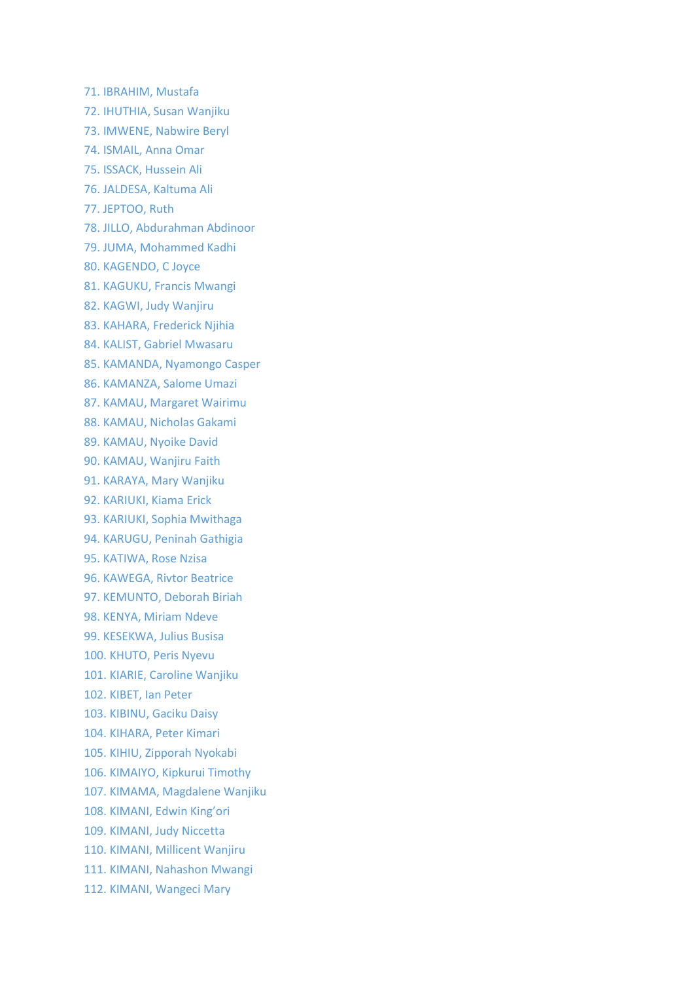71. IBRAHIM, Mustafa 72. IHUTHIA, Susan Wanjiku 73. IMWENE, Nabwire Beryl 74. ISMAIL, Anna Omar 75. ISSACK, Hussein Ali 76. JALDESA, Kaltuma Ali 77. JEPTOO, Ruth 78. JILLO, Abdurahman Abdinoor 79. JUMA, Mohammed Kadhi 80. KAGENDO, C Joyce 81. KAGUKU, Francis Mwangi 82. KAGWI, Judy Wanjiru 83. KAHARA, Frederick Njihia 84. KALIST, Gabriel Mwasaru 85. KAMANDA, Nyamongo Casper 86. KAMANZA, Salome Umazi 87. KAMAU, Margaret Wairimu 88. KAMAU, Nicholas Gakami 89. KAMAU, Nyoike David 90. KAMAU, Wanjiru Faith 91. KARAYA, Mary Wanjiku 92. KARIUKI, Kiama Erick 93. KARIUKI, Sophia Mwithaga 94. KARUGU, Peninah Gathigia 95. KATIWA, Rose Nzisa 96. KAWEGA, Rivtor Beatrice 97. KEMUNTO, Deborah Biriah 98. KENYA, Miriam Ndeve 99. KESEKWA, Julius Busisa 100. KHUTO, Peris Nyevu 101. KIARIE, Caroline Wanjiku 102. KIBET, Ian Peter 103. KIBINU, Gaciku Daisy 104. KIHARA, Peter Kimari 105. KIHIU, Zipporah Nyokabi 106. KIMAIYO, Kipkurui Timothy 107. KIMAMA, Magdalene Wanjiku 108. KIMANI, Edwin King'ori 109. KIMANI, Judy Niccetta 110. KIMANI, Millicent Wanjiru 111. KIMANI, Nahashon Mwangi 112. KIMANI, Wangeci Mary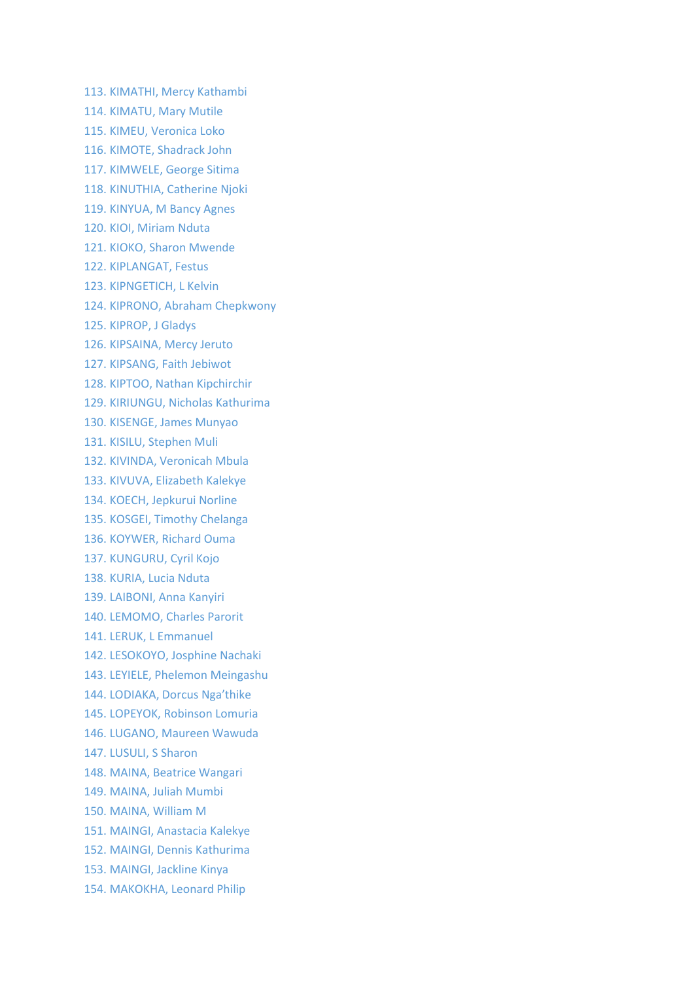113. KIMATHI, Mercy Kathambi

114. KIMATU, Mary Mutile

115. KIMEU, Veronica Loko

116. KIMOTE, Shadrack John

117. KIMWELE, George Sitima

118. KINUTHIA, Catherine Njoki

119. KINYUA, M Bancy Agnes

120. KIOI, Miriam Nduta

121. KIOKO, Sharon Mwende

122. KIPLANGAT, Festus

123. KIPNGETICH, L Kelvin

124. KIPRONO, Abraham Chepkwony

125. KIPROP, J Gladys

126. KIPSAINA, Mercy Jeruto

127. KIPSANG, Faith Jebiwot

128. KIPTOO, Nathan Kipchirchir

129. KIRIUNGU, Nicholas Kathurima

130. KISENGE, James Munyao

131. KISILU, Stephen Muli

132. KIVINDA, Veronicah Mbula

133. KIVUVA, Elizabeth Kalekye

134. KOECH, Jepkurui Norline

135. KOSGEI, Timothy Chelanga

136. KOYWER, Richard Ouma

137. KUNGURU, Cyril Kojo

138. KURIA, Lucia Nduta

139. LAIBONI, Anna Kanyiri

140. LEMOMO, Charles Parorit

141. LERUK, L Emmanuel

142. LESOKOYO, Josphine Nachaki

143. LEYIELE, Phelemon Meingashu

144. LODIAKA, Dorcus Nga'thike

145. LOPEYOK, Robinson Lomuria

146. LUGANO, Maureen Wawuda

147. LUSULI, S Sharon

148. MAINA, Beatrice Wangari

149. MAINA, Juliah Mumbi

150. MAINA, William M

151. MAINGI, Anastacia Kalekye

152. MAINGI, Dennis Kathurima

153. MAINGI, Jackline Kinya

154. MAKOKHA, Leonard Philip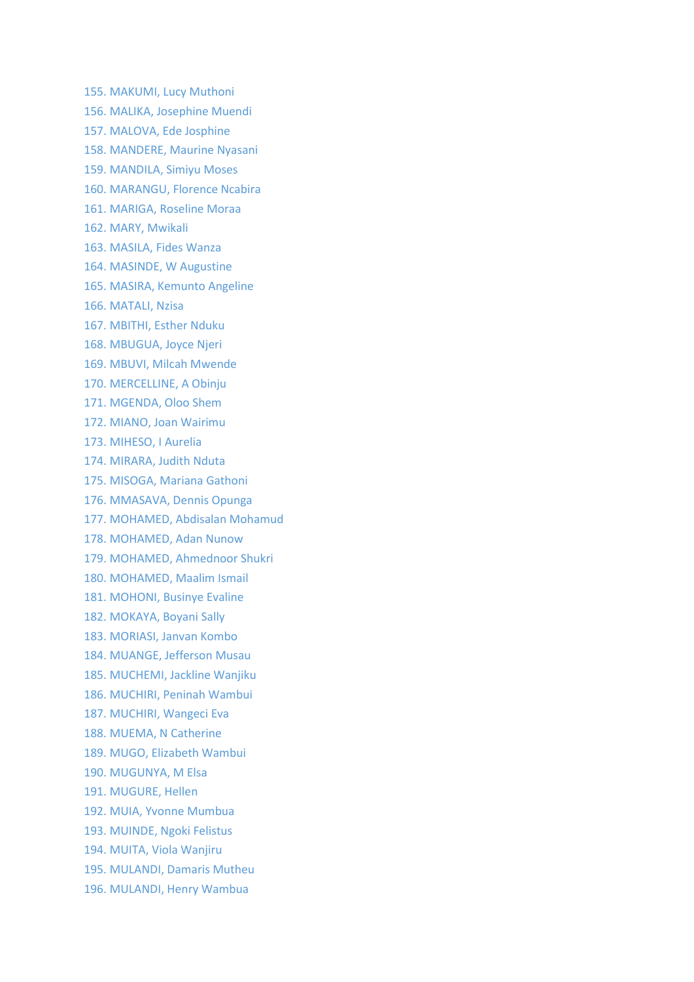155. MAKUMI, Lucy Muthoni 156. MALIKA, Josephine Muendi 157. MALOVA, Ede Josphine 158. MANDERE, Maurine Nyasani 159. MANDILA, Simiyu Moses 160. MARANGU, Florence Ncabira 161. MARIGA, Roseline Moraa 162. MARY, Mwikali 163. MASILA, Fides Wanza 164. MASINDE, W Augustine 165. MASIRA, Kemunto Angeline 166. MATALI, Nzisa 167. MBITHI, Esther Nduku 168. MBUGUA, Joyce Njeri 169. MBUVI, Milcah Mwende 170. MERCELLINE, A Obinju 171. MGENDA, Oloo Shem 172. MIANO, Joan Wairimu 173. MIHESO, I Aurelia 174. MIRARA, Judith Nduta 175. MISOGA, Mariana Gathoni 176. MMASAVA, Dennis Opunga 177. MOHAMED, Abdisalan Mohamud 178. MOHAMED, Adan Nunow 179. MOHAMED, Ahmednoor Shukri 180. MOHAMED, Maalim Ismail 181. MOHONI, Businye Evaline 182. MOKAYA, Boyani Sally 183. MORIASI, Janvan Kombo 184. MUANGE, Jefferson Musau 185. MUCHEMI, Jackline Wanjiku 186. MUCHIRI, Peninah Wambui 187. MUCHIRI, Wangeci Eva 188. MUEMA, N Catherine 189. MUGO, Elizabeth Wambui 190. MUGUNYA, M Elsa 191. MUGURE, Hellen 192. MUIA, Yvonne Mumbua 193. MUINDE, Ngoki Felistus 194. MUITA, Viola Wanjiru 195. MULANDI, Damaris Mutheu 196. MULANDI, Henry Wambua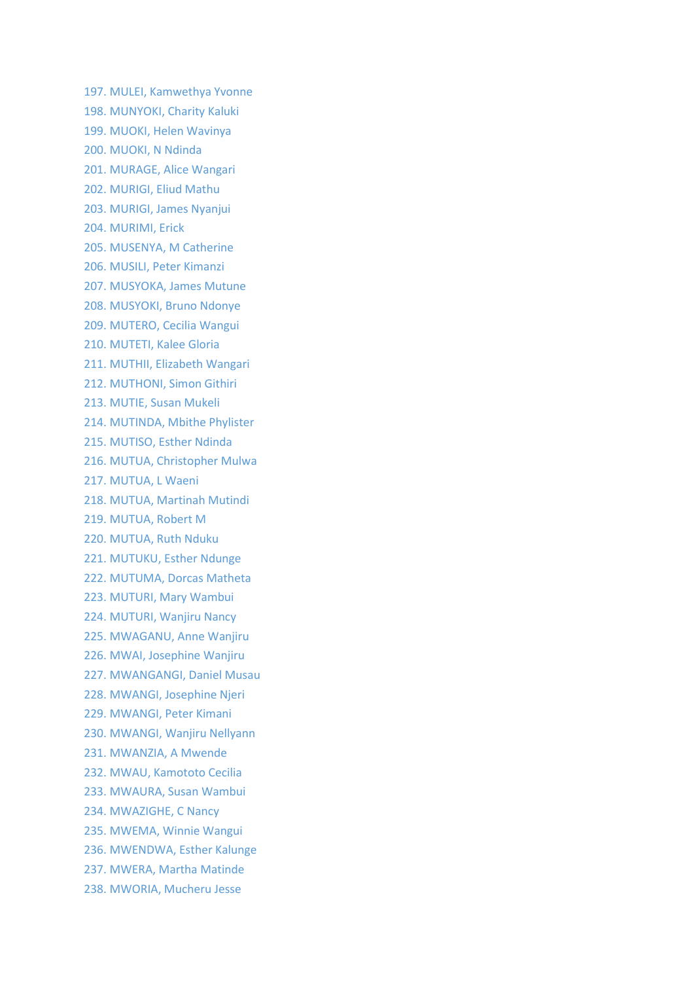197. MULEI, Kamwethya Yvonne 198. MUNYOKI, Charity Kaluki 199. MUOKI, Helen Wavinya 200. MUOKI, N Ndinda 201. MURAGE, Alice Wangari 202. MURIGI, Eliud Mathu 203. MURIGI, James Nyanjui 204. MURIMI, Erick 205. MUSENYA, M Catherine 206. MUSILI, Peter Kimanzi 207. MUSYOKA, James Mutune 208. MUSYOKI, Bruno Ndonye 209. MUTERO, Cecilia Wangui 210. MUTETI, Kalee Gloria 211. MUTHII, Elizabeth Wangari 212. MUTHONI, Simon Githiri 213. MUTIE, Susan Mukeli 214. MUTINDA, Mbithe Phylister 215. MUTISO, Esther Ndinda 216. MUTUA, Christopher Mulwa 217. MUTUA, L Waeni 218. MUTUA, Martinah Mutindi 219. MUTUA, Robert M 220. MUTUA, Ruth Nduku 221. MUTUKU, Esther Ndunge 222. MUTUMA, Dorcas Matheta 223. MUTURI, Mary Wambui 224. MUTURI, Wanjiru Nancy 225. MWAGANU, Anne Wanjiru 226. MWAI, Josephine Wanjiru 227. MWANGANGI, Daniel Musau 228. MWANGI, Josephine Njeri 229. MWANGI, Peter Kimani 230. MWANGI, Wanjiru Nellyann 231. MWANZIA, A Mwende 232. MWAU, Kamototo Cecilia 233. MWAURA, Susan Wambui 234. MWAZIGHE, C Nancy 235. MWEMA, Winnie Wangui 236. MWENDWA, Esther Kalunge 237. MWERA, Martha Matinde 238. MWORIA, Mucheru Jesse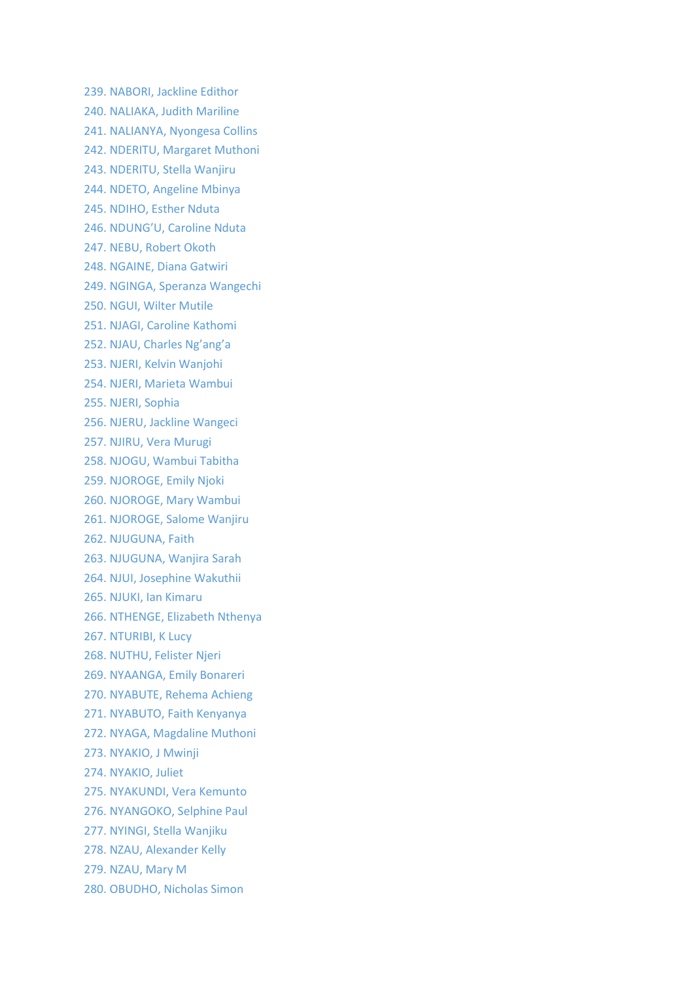239. NABORI, Jackline Edithor 240. NALIAKA, Judith Mariline 241. NALIANYA, Nyongesa Collins 242. NDERITU, Margaret Muthoni 243. NDERITU, Stella Wanjiru 244. NDETO, Angeline Mbinya 245. NDIHO, Esther Nduta 246. NDUNG'U, Caroline Nduta 247. NEBU, Robert Okoth 248. NGAINE, Diana Gatwiri 249. NGINGA, Speranza Wangechi 250. NGUI, Wilter Mutile 251. NJAGI, Caroline Kathomi 252. NJAU, Charles Ng'ang'a 253. NJERI, Kelvin Wanjohi 254. NJERI, Marieta Wambui 255. NJERI, Sophia 256. NJERU, Jackline Wangeci 257. NJIRU, Vera Murugi 258. NJOGU, Wambui Tabitha 259. NJOROGE, Emily Njoki 260. NJOROGE, Mary Wambui 261. NJOROGE, Salome Wanjiru 262. NJUGUNA, Faith 263. NJUGUNA, Wanjira Sarah 264. NJUI, Josephine Wakuthii 265. NJUKI, Ian Kimaru 266. NTHENGE, Elizabeth Nthenya 267. NTURIBI, K Lucy 268. NUTHU, Felister Njeri 269. NYAANGA, Emily Bonareri 270. NYABUTE, Rehema Achieng 271. NYABUTO, Faith Kenyanya 272. NYAGA, Magdaline Muthoni 273. NYAKIO, J Mwinji 274. NYAKIO, Juliet 275. NYAKUNDI, Vera Kemunto 276. NYANGOKO, Selphine Paul 277. NYINGI, Stella Wanjiku 278. NZAU, Alexander Kelly 279. NZAU, Mary M 280. OBUDHO, Nicholas Simon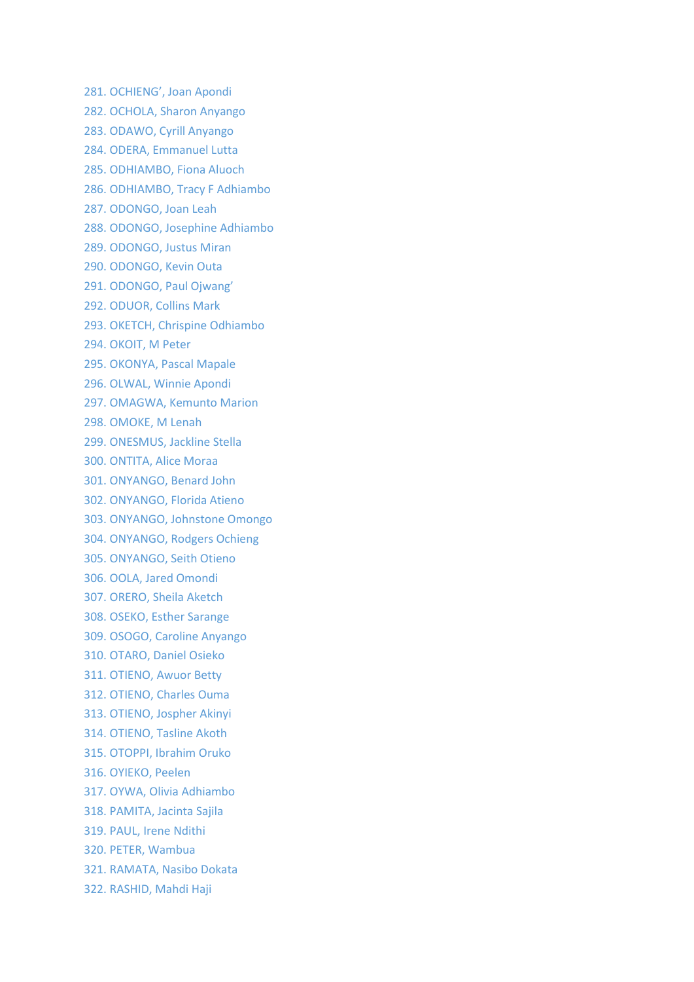281. OCHIENG', Joan Apondi 282. OCHOLA, Sharon Anyango 283. ODAWO, Cyrill Anyango 284. ODERA, Emmanuel Lutta 285. ODHIAMBO, Fiona Aluoch 286. ODHIAMBO, Tracy F Adhiambo 287. ODONGO, Joan Leah 288. ODONGO, Josephine Adhiambo 289. ODONGO, Justus Miran 290. ODONGO, Kevin Outa 291. ODONGO, Paul Ojwang' 292. ODUOR, Collins Mark 293. OKETCH, Chrispine Odhiambo 294. OKOIT, M Peter 295. OKONYA, Pascal Mapale 296. OLWAL, Winnie Apondi 297. OMAGWA, Kemunto Marion 298. OMOKE, M Lenah 299. ONESMUS, Jackline Stella 300. ONTITA, Alice Moraa 301. ONYANGO, Benard John 302. ONYANGO, Florida Atieno 303. ONYANGO, Johnstone Omongo 304. ONYANGO, Rodgers Ochieng 305. ONYANGO, Seith Otieno 306. OOLA, Jared Omondi 307. ORERO, Sheila Aketch 308. OSEKO, Esther Sarange 309. OSOGO, Caroline Anyango 310. OTARO, Daniel Osieko 311. OTIENO, Awuor Betty 312. OTIENO, Charles Ouma 313. OTIENO, Jospher Akinyi 314. OTIENO, Tasline Akoth 315. OTOPPI, Ibrahim Oruko 316. OYIEKO, Peelen 317. OYWA, Olivia Adhiambo 318. PAMITA, Jacinta Sajila 319. PAUL, Irene Ndithi 320. PETER, Wambua 321. RAMATA, Nasibo Dokata 322. RASHID, Mahdi Haji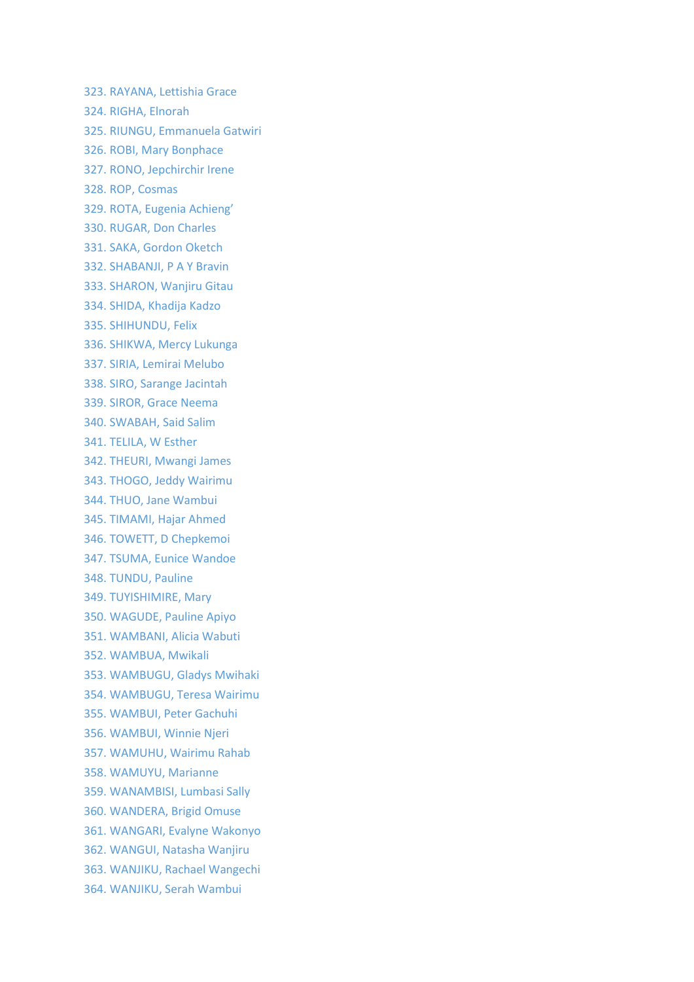323. RAYANA, Lettishia Grace 324. RIGHA, Elnorah 325. RIUNGU, Emmanuela Gatwiri 326. ROBI, Mary Bonphace 327. RONO, Jepchirchir Irene 328. ROP, Cosmas 329. ROTA, Eugenia Achieng' 330. RUGAR, Don Charles 331. SAKA, Gordon Oketch 332. SHABANJI, P A Y Bravin 333. SHARON, Wanjiru Gitau 334. SHIDA, Khadija Kadzo 335. SHIHUNDU, Felix 336. SHIKWA, Mercy Lukunga 337. SIRIA, Lemirai Melubo 338. SIRO, Sarange Jacintah 339. SIROR, Grace Neema 340. SWABAH, Said Salim 341. TELILA, W Esther 342. THEURI, Mwangi James 343. THOGO, Jeddy Wairimu 344. THUO, Jane Wambui 345. TIMAMI, Hajar Ahmed 346. TOWETT, D Chepkemoi 347. TSUMA, Eunice Wandoe 348. TUNDU, Pauline 349. TUYISHIMIRE, Mary 350. WAGUDE, Pauline Apiyo 351. WAMBANI, Alicia Wabuti 352. WAMBUA, Mwikali 353. WAMBUGU, Gladys Mwihaki 354. WAMBUGU, Teresa Wairimu 355. WAMBUI, Peter Gachuhi 356. WAMBUI, Winnie Njeri 357. WAMUHU, Wairimu Rahab 358. WAMUYU, Marianne 359. WANAMBISI, Lumbasi Sally 360. WANDERA, Brigid Omuse 361. WANGARI, Evalyne Wakonyo 362. WANGUI, Natasha Wanjiru 363. WANJIKU, Rachael Wangechi 364. WANJIKU, Serah Wambui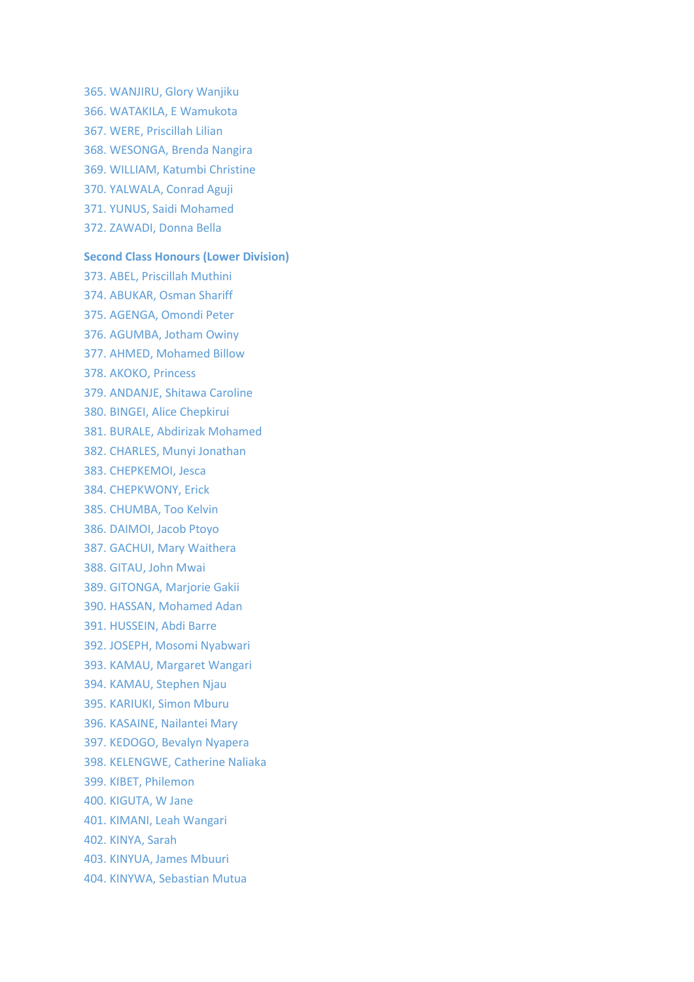365. WANJIRU, Glory Wanjiku 366. WATAKILA, E Wamukota 367. WERE, Priscillah Lilian 368. WESONGA, Brenda Nangira 369. WILLIAM, Katumbi Christine 370. YALWALA, Conrad Aguji 371. YUNUS, Saidi Mohamed 372. ZAWADI, Donna Bella

#### **Second Class Honours (Lower Division)**

373. ABEL, Priscillah Muthini 374. ABUKAR, Osman Shariff 375. AGENGA, Omondi Peter 376. AGUMBA, Jotham Owiny 377. AHMED, Mohamed Billow 378. AKOKO, Princess 379. ANDANJE, Shitawa Caroline 380. BINGEI, Alice Chepkirui 381. BURALE, Abdirizak Mohamed 382. CHARLES, Munyi Jonathan 383. CHEPKEMOI, Jesca 384. CHEPKWONY, Erick 385. CHUMBA, Too Kelvin 386. DAIMOI, Jacob Ptoyo 387. GACHUI, Mary Waithera 388. GITAU, John Mwai 389. GITONGA, Marjorie Gakii 390. HASSAN, Mohamed Adan 391. HUSSEIN, Abdi Barre 392. JOSEPH, Mosomi Nyabwari 393. KAMAU, Margaret Wangari 394. KAMAU, Stephen Njau 395. KARIUKI, Simon Mburu 396. KASAINE, Nailantei Mary 397. KEDOGO, Bevalyn Nyapera 398. KELENGWE, Catherine Naliaka 399. KIBET, Philemon 400. KIGUTA, W Jane 401. KIMANI, Leah Wangari

402. KINYA, Sarah

403. KINYUA, James Mbuuri

404. KINYWA, Sebastian Mutua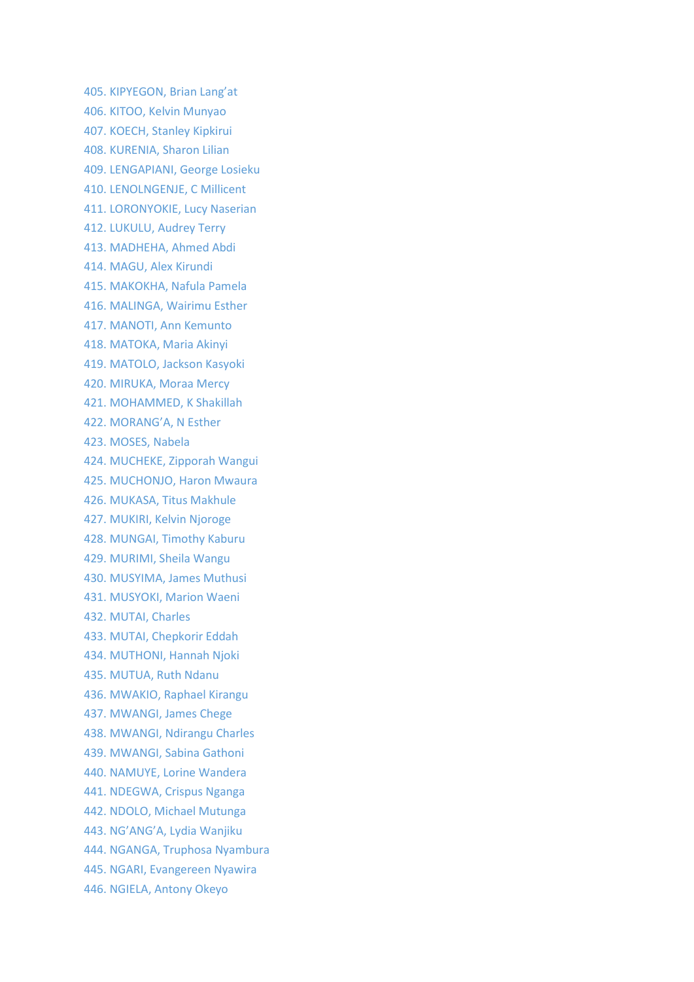405. KIPYEGON, Brian Lang'at 406. KITOO, Kelvin Munyao 407. KOECH, Stanley Kipkirui 408. KURENIA, Sharon Lilian 409. LENGAPIANI, George Losieku 410. LENOLNGENJE, C Millicent 411. LORONYOKIE, Lucy Naserian 412. LUKULU, Audrey Terry 413. MADHEHA, Ahmed Abdi 414. MAGU, Alex Kirundi 415. MAKOKHA, Nafula Pamela 416. MALINGA, Wairimu Esther 417. MANOTI, Ann Kemunto 418. MATOKA, Maria Akinyi 419. MATOLO, Jackson Kasyoki 420. MIRUKA, Moraa Mercy 421. MOHAMMED, K Shakillah 422. MORANG'A, N Esther 423. MOSES, Nabela 424. MUCHEKE, Zipporah Wangui 425. MUCHONJO, Haron Mwaura 426. MUKASA, Titus Makhule 427. MUKIRI, Kelvin Njoroge 428. MUNGAI, Timothy Kaburu 429. MURIMI, Sheila Wangu 430. MUSYIMA, James Muthusi 431. MUSYOKI, Marion Waeni 432. MUTAI, Charles 433. MUTAI, Chepkorir Eddah 434. MUTHONI, Hannah Njoki 435. MUTUA, Ruth Ndanu 436. MWAKIO, Raphael Kirangu 437. MWANGI, James Chege 438. MWANGI, Ndirangu Charles 439. MWANGI, Sabina Gathoni 440. NAMUYE, Lorine Wandera 441. NDEGWA, Crispus Nganga 442. NDOLO, Michael Mutunga 443. NG'ANG'A, Lydia Wanjiku 444. NGANGA, Truphosa Nyambura 445. NGARI, Evangereen Nyawira 446. NGIELA, Antony Okeyo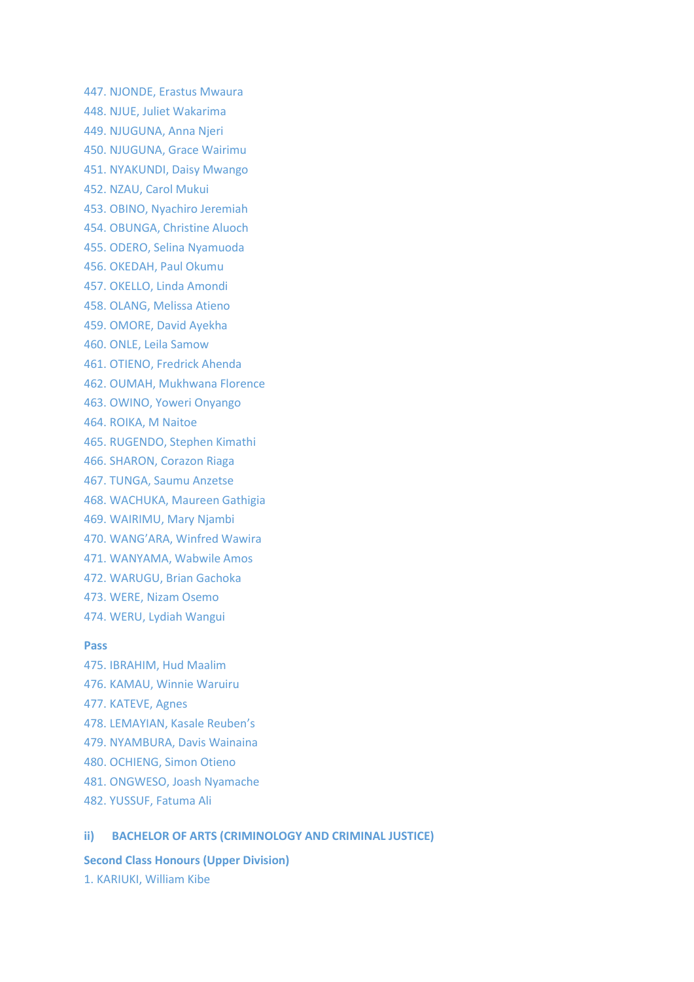447. NJONDE, Erastus Mwaura

448. NJUE, Juliet Wakarima

449. NJUGUNA, Anna Njeri

450. NJUGUNA, Grace Wairimu

451. NYAKUNDI, Daisy Mwango

452. NZAU, Carol Mukui

453. OBINO, Nyachiro Jeremiah

454. OBUNGA, Christine Aluoch

455. ODERO, Selina Nyamuoda

456. OKEDAH, Paul Okumu

457. OKELLO, Linda Amondi

458. OLANG, Melissa Atieno

459. OMORE, David Ayekha

460. ONLE, Leila Samow

461. OTIENO, Fredrick Ahenda

462. OUMAH, Mukhwana Florence

463. OWINO, Yoweri Onyango

464. ROIKA, M Naitoe

465. RUGENDO, Stephen Kimathi

466. SHARON, Corazon Riaga

467. TUNGA, Saumu Anzetse

468. WACHUKA, Maureen Gathigia

469. WAIRIMU, Mary Njambi

470. WANG'ARA, Winfred Wawira

471. WANYAMA, Wabwile Amos

472. WARUGU, Brian Gachoka

473. WERE, Nizam Osemo

474. WERU, Lydiah Wangui

#### **Pass**

475. IBRAHIM, Hud Maalim 476. KAMAU, Winnie Waruiru 477. KATEVE, Agnes 478. LEMAYIAN, Kasale Reuben's 479. NYAMBURA, Davis Wainaina 480. OCHIENG, Simon Otieno 481. ONGWESO, Joash Nyamache 482. YUSSUF, Fatuma Ali

# **ii) BACHELOR OF ARTS (CRIMINOLOGY AND CRIMINAL JUSTICE)**

**Second Class Honours (Upper Division)**

1. KARIUKI, William Kibe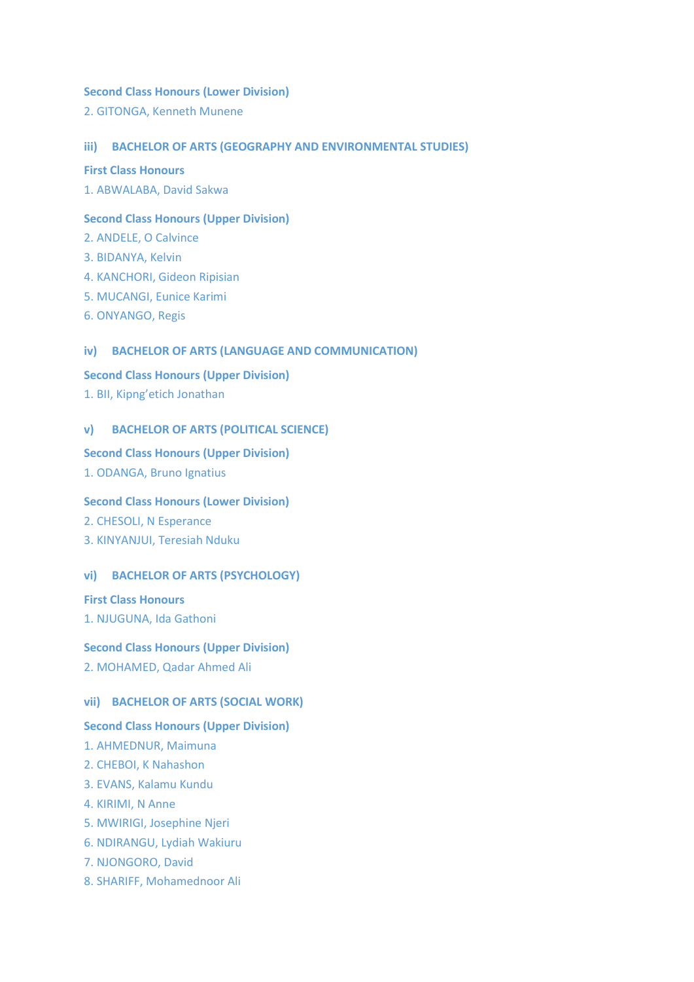#### **Second Class Honours (Lower Division)**

2. GITONGA, Kenneth Munene

## **iii) BACHELOR OF ARTS (GEOGRAPHY AND ENVIRONMENTAL STUDIES)**

## **First Class Honours**

1. ABWALABA, David Sakwa

#### **Second Class Honours (Upper Division)**

- 2. ANDELE, O Calvince 3. BIDANYA, Kelvin 4. KANCHORI, Gideon Ripisian
- 5. MUCANGI, Eunice Karimi
- 6. ONYANGO, Regis

#### **iv) BACHELOR OF ARTS (LANGUAGE AND COMMUNICATION)**

#### **Second Class Honours (Upper Division)**

1. BII, Kipng'etich Jonathan

#### **v) BACHELOR OF ARTS (POLITICAL SCIENCE)**

#### **Second Class Honours (Upper Division)**

1. ODANGA, Bruno Ignatius

#### **Second Class Honours (Lower Division)**

2. CHESOLI, N Esperance

3. KINYANJUI, Teresiah Nduku

#### **vi) BACHELOR OF ARTS (PSYCHOLOGY)**

#### **First Class Honours**

1. NJUGUNA, Ida Gathoni

# **Second Class Honours (Upper Division)**

2. MOHAMED, Qadar Ahmed Ali

## **vii) BACHELOR OF ARTS (SOCIAL WORK)**

#### **Second Class Honours (Upper Division)**

- 1. AHMEDNUR, Maimuna
- 2. CHEBOI, K Nahashon
- 3. EVANS, Kalamu Kundu
- 4. KIRIMI, N Anne
- 5. MWIRIGI, Josephine Njeri
- 6. NDIRANGU, Lydiah Wakiuru
- 7. NJONGORO, David
- 8. SHARIFF, Mohamednoor Ali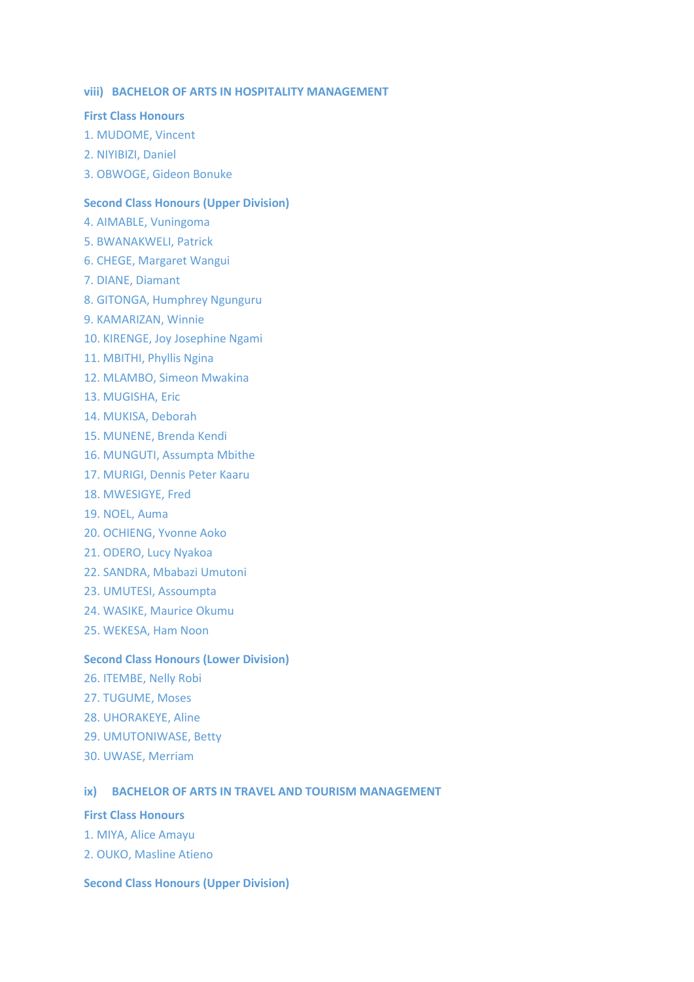#### **viii) BACHELOR OF ARTS IN HOSPITALITY MANAGEMENT**

## **First Class Honours**

- 1. MUDOME, Vincent
- 2. NIYIBIZI, Daniel
- 3. OBWOGE, Gideon Bonuke

#### **Second Class Honours (Upper Division)**

4. AIMABLE, Vuningoma

- 5. BWANAKWELI, Patrick
- 6. CHEGE, Margaret Wangui
- 7. DIANE, Diamant
- 8. GITONGA, Humphrey Ngunguru
- 9. KAMARIZAN, Winnie
- 10. KIRENGE, Joy Josephine Ngami
- 11. MBITHI, Phyllis Ngina
- 12. MLAMBO, Simeon Mwakina
- 13. MUGISHA, Eric
- 14. MUKISA, Deborah
- 15. MUNENE, Brenda Kendi
- 16. MUNGUTI, Assumpta Mbithe
- 17. MURIGI, Dennis Peter Kaaru
- 18. MWESIGYE, Fred
- 19. NOEL, Auma
- 20. OCHIENG, Yvonne Aoko
- 21. ODERO, Lucy Nyakoa
- 22. SANDRA, Mbabazi Umutoni
- 23. UMUTESI, Assoumpta
- 24. WASIKE, Maurice Okumu
- 25. WEKESA, Ham Noon

#### **Second Class Honours (Lower Division)**

- 26. ITEMBE, Nelly Robi
- 27. TUGUME, Moses
- 28. UHORAKEYE, Aline
- 29. UMUTONIWASE, Betty
- 30. UWASE, Merriam

#### **ix) BACHELOR OF ARTS IN TRAVEL AND TOURISM MANAGEMENT**

#### **First Class Honours**

- 1. MIYA, Alice Amayu
- 2. OUKO, Masline Atieno

#### **Second Class Honours (Upper Division)**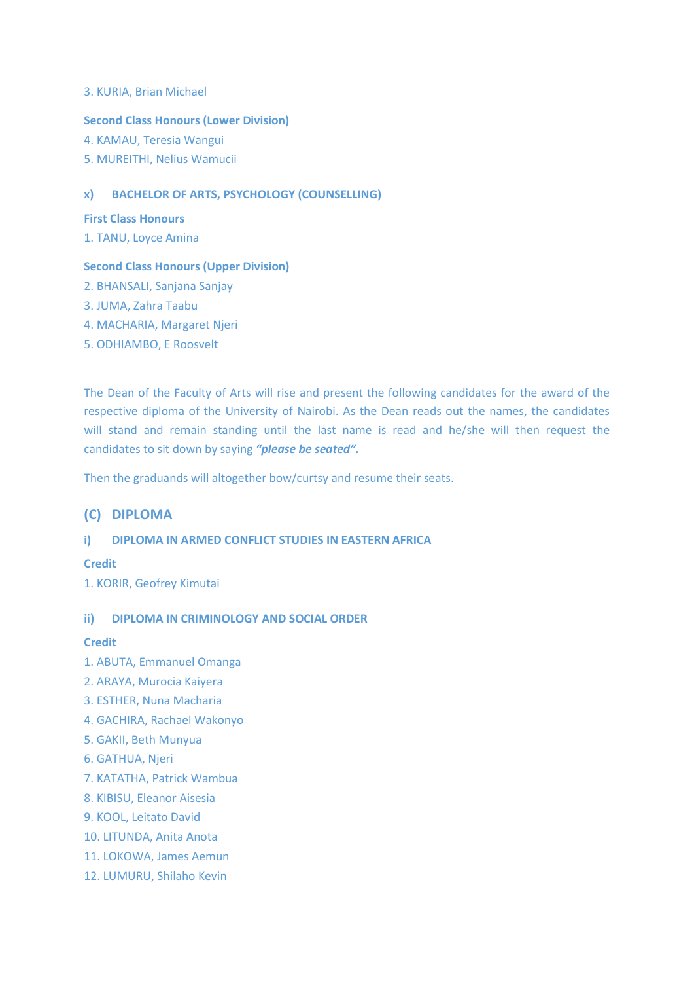#### 3. KURIA, Brian Michael

# **Second Class Honours (Lower Division)**

4. KAMAU, Teresia Wangui

5. MUREITHI, Nelius Wamucii

## **x) BACHELOR OF ARTS, PSYCHOLOGY (COUNSELLING)**

#### **First Class Honours**

1. TANU, Loyce Amina

# **Second Class Honours (Upper Division)**

- 2. BHANSALI, Sanjana Sanjay
- 3. JUMA, Zahra Taabu
- 4. MACHARIA, Margaret Njeri
- 5. ODHIAMBO, E Roosvelt

The Dean of the Faculty of Arts will rise and present the following candidates for the award of the respective diploma of the University of Nairobi. As the Dean reads out the names, the candidates will stand and remain standing until the last name is read and he/she will then request the candidates to sit down by saying *"please be seated".*

Then the graduands will altogether bow/curtsy and resume their seats.

# **(C) DIPLOMA**

#### **i) DIPLOMA IN ARMED CONFLICT STUDIES IN EASTERN AFRICA**

**Credit** 

1. KORIR, Geofrey Kimutai

## **ii) DIPLOMA IN CRIMINOLOGY AND SOCIAL ORDER**

#### **Credit**

- 1. ABUTA, Emmanuel Omanga
- 2. ARAYA, Murocia Kaiyera
- 3. ESTHER, Nuna Macharia
- 4. GACHIRA, Rachael Wakonyo
- 5. GAKII, Beth Munyua
- 6. GATHUA, Njeri
- 7. KATATHA, Patrick Wambua
- 8. KIBISU, Eleanor Aisesia
- 9. KOOL, Leitato David
- 10. LITUNDA, Anita Anota
- 11. LOKOWA, James Aemun
- 12. LUMURU, Shilaho Kevin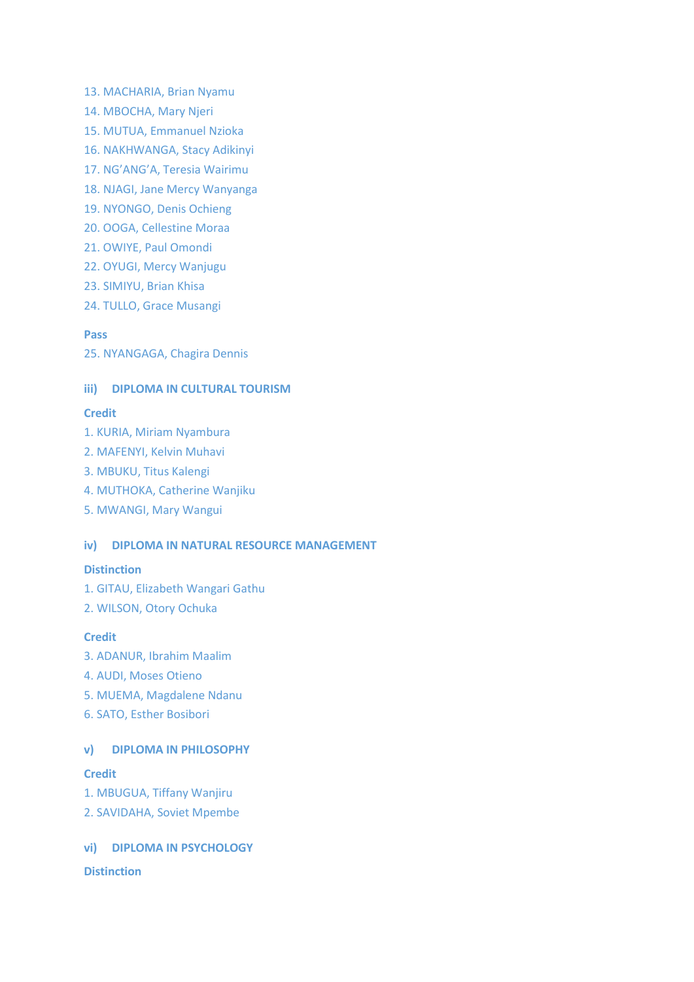- 13. MACHARIA, Brian Nyamu
- 14. MBOCHA, Mary Njeri
- 15. MUTUA, Emmanuel Nzioka
- 16. NAKHWANGA, Stacy Adikinyi
- 17. NG'ANG'A, Teresia Wairimu
- 18. NJAGI, Jane Mercy Wanyanga
- 19. NYONGO, Denis Ochieng
- 20. OOGA, Cellestine Moraa
- 21. OWIYE, Paul Omondi
- 22. OYUGI, Mercy Wanjugu
- 23. SIMIYU, Brian Khisa
- 24. TULLO, Grace Musangi

# **Pass**

25. NYANGAGA, Chagira Dennis

# **iii) DIPLOMA IN CULTURAL TOURISM**

# **Credit**

- 1. KURIA, Miriam Nyambura
- 2. MAFENYI, Kelvin Muhavi
- 3. MBUKU, Titus Kalengi
- 4. MUTHOKA, Catherine Wanjiku
- 5. MWANGI, Mary Wangui

## **iv) DIPLOMA IN NATURAL RESOURCE MANAGEMENT**

# **Distinction**

- 1. GITAU, Elizabeth Wangari Gathu
- 2. WILSON, Otory Ochuka

#### **Credit**

- 3. ADANUR, Ibrahim Maalim
- 4. AUDI, Moses Otieno
- 5. MUEMA, Magdalene Ndanu
- 6. SATO, Esther Bosibori

# **v) DIPLOMA IN PHILOSOPHY**

# **Credit**

1. MBUGUA, Tiffany Wanjiru

2. SAVIDAHA, Soviet Mpembe

# **vi) DIPLOMA IN PSYCHOLOGY**

**Distinction**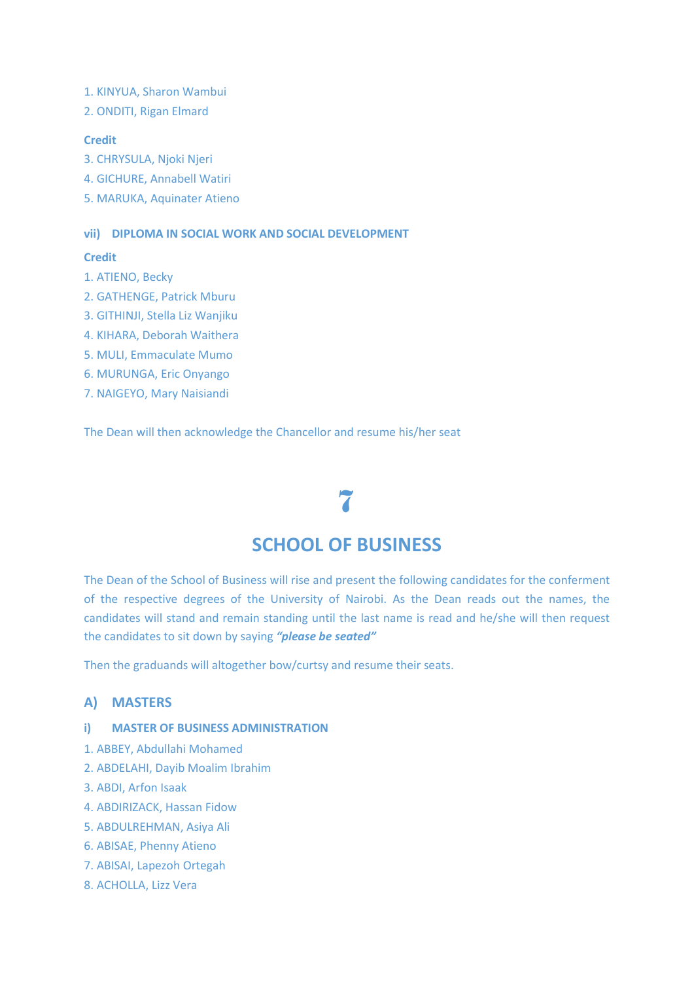- 1. KINYUA, Sharon Wambui
- 2. ONDITI, Rigan Elmard

#### **Credit**

- 3. CHRYSULA, Njoki Njeri
- 4. GICHURE, Annabell Watiri
- 5. MARUKA, Aquinater Atieno

#### **vii) DIPLOMA IN SOCIAL WORK AND SOCIAL DEVELOPMENT**

#### **Credit**

- 1. ATIENO, Becky
- 2. GATHENGE, Patrick Mburu
- 3. GITHINJI, Stella Liz Wanjiku
- 4. KIHARA, Deborah Waithera
- 5. MULI, Emmaculate Mumo
- 6. MURUNGA, Eric Onyango
- 7. NAIGEYO, Mary Naisiandi

The Dean will then acknowledge the Chancellor and resume his/her seat

# 7 **SCHOOL OF BUSINESS**

The Dean of the School of Business will rise and present the following candidates for the conferment of the respective degrees of the University of Nairobi. As the Dean reads out the names, the candidates will stand and remain standing until the last name is read and he/she will then request the candidates to sit down by saying *"please be seated"*

Then the graduands will altogether bow/curtsy and resume their seats.

# **A) MASTERS**

#### **i) MASTER OF BUSINESS ADMINISTRATION**

- 1. ABBEY, Abdullahi Mohamed
- 2. ABDELAHI, Dayib Moalim Ibrahim
- 3. ABDI, Arfon Isaak
- 4. ABDIRIZACK, Hassan Fidow
- 5. ABDULREHMAN, Asiya Ali
- 6. ABISAE, Phenny Atieno
- 7. ABISAI, Lapezoh Ortegah
- 8. ACHOLLA, Lizz Vera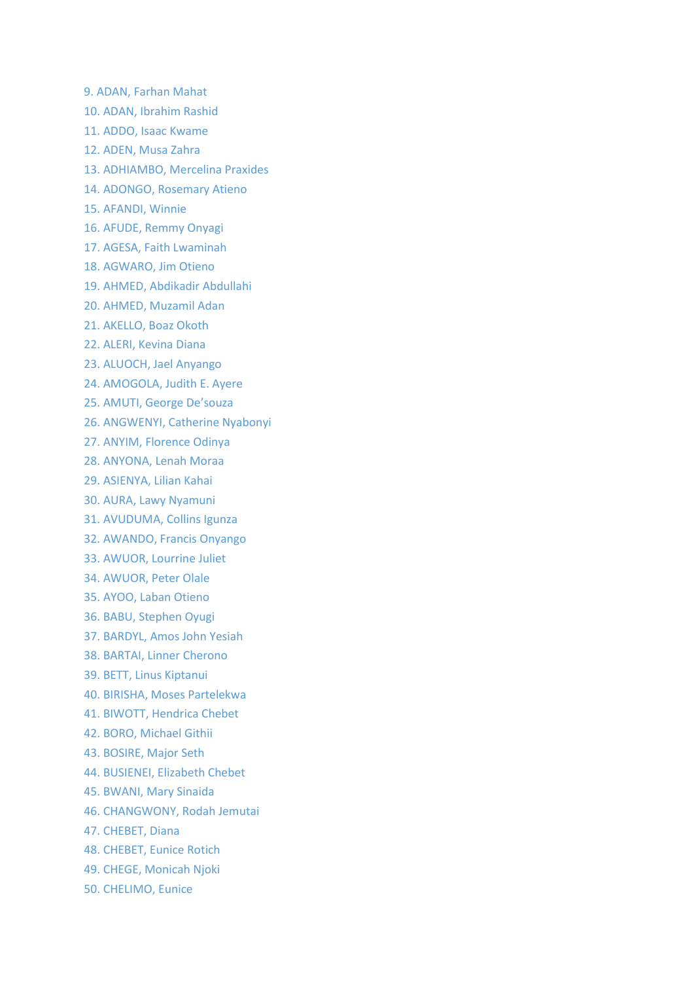9. ADAN, Farhan Mahat

- 10. ADAN, Ibrahim Rashid
- 11. ADDO, Isaac Kwame
- 12. ADEN, Musa Zahra
- 13. ADHIAMBO, Mercelina Praxides
- 14. ADONGO, Rosemary Atieno
- 15. AFANDI, Winnie
- 16. AFUDE, Remmy Onyagi
- 17. AGESA, Faith Lwaminah
- 18. AGWARO, Jim Otieno
- 19. AHMED, Abdikadir Abdullahi
- 20. AHMED, Muzamil Adan
- 21. AKELLO, Boaz Okoth
- 22. ALERI, Kevina Diana
- 23. ALUOCH, Jael Anyango
- 24. AMOGOLA, Judith E. Ayere
- 25. AMUTI, George De'souza
- 26. ANGWENYI, Catherine Nyabonyi
- 27. ANYIM, Florence Odinya
- 28. ANYONA, Lenah Moraa
- 29. ASIENYA, Lilian Kahai
- 30. AURA, Lawy Nyamuni
- 31. AVUDUMA, Collins Igunza
- 32. AWANDO, Francis Onyango
- 33. AWUOR, Lourrine Juliet
- 34. AWUOR, Peter Olale
- 35. AYOO, Laban Otieno
- 36. BABU, Stephen Oyugi
- 37. BARDYL, Amos John Yesiah
- 38. BARTAI, Linner Cherono
- 39. BETT, Linus Kiptanui
- 40. BIRISHA, Moses Partelekwa
- 41. BIWOTT, Hendrica Chebet
- 42. BORO, Michael Githii
- 43. BOSIRE, Major Seth
- 44. BUSIENEI, Elizabeth Chebet
- 45. BWANI, Mary Sinaida
- 46. CHANGWONY, Rodah Jemutai
- 47. CHEBET, Diana
- 48. CHEBET, Eunice Rotich
- 49. CHEGE, Monicah Njoki
- 50. CHELIMO, Eunice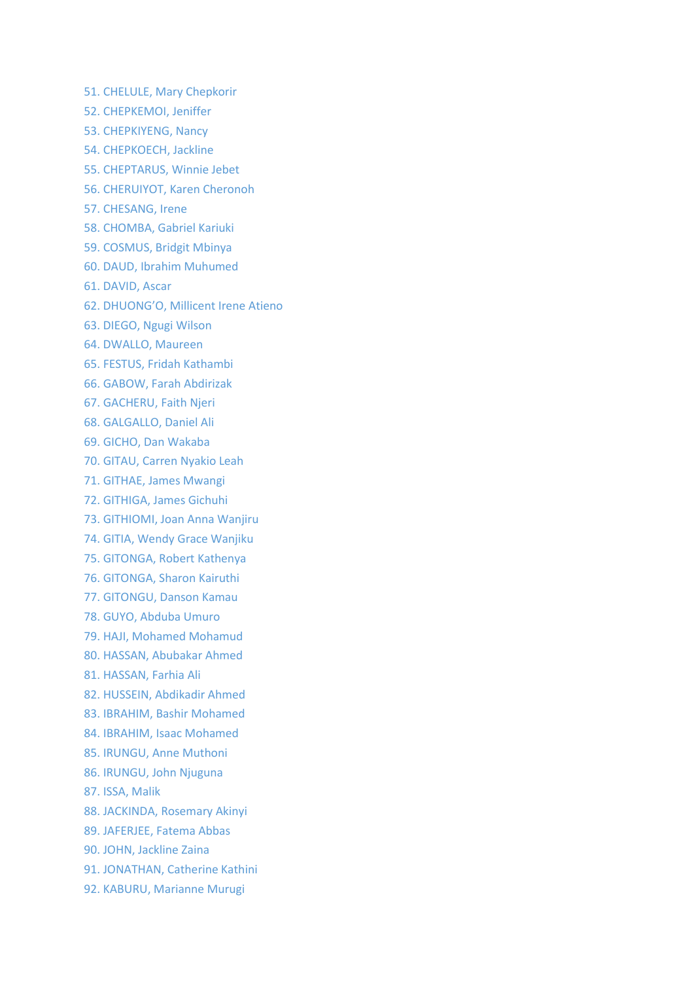51. CHELULE, Mary Chepkorir

52. CHEPKEMOI, Jeniffer

53. CHEPKIYENG, Nancy

54. CHEPKOECH, Jackline

55. CHEPTARUS, Winnie Jebet

56. CHERUIYOT, Karen Cheronoh

57. CHESANG, Irene

58. CHOMBA, Gabriel Kariuki

59. COSMUS, Bridgit Mbinya

60. DAUD, Ibrahim Muhumed

61. DAVID, Ascar

62. DHUONG'O, Millicent Irene Atieno

63. DIEGO, Ngugi Wilson

64. DWALLO, Maureen

65. FESTUS, Fridah Kathambi

66. GABOW, Farah Abdirizak

67. GACHERU, Faith Njeri

68. GALGALLO, Daniel Ali

69. GICHO, Dan Wakaba

70. GITAU, Carren Nyakio Leah

71. GITHAE, James Mwangi

72. GITHIGA, James Gichuhi

73. GITHIOMI, Joan Anna Wanjiru

74. GITIA, Wendy Grace Wanjiku

75. GITONGA, Robert Kathenya

76. GITONGA, Sharon Kairuthi

77. GITONGU, Danson Kamau

78. GUYO, Abduba Umuro

79. HAJI, Mohamed Mohamud

80. HASSAN, Abubakar Ahmed

81. HASSAN, Farhia Ali

82. HUSSEIN, Abdikadir Ahmed

83. IBRAHIM, Bashir Mohamed

84. IBRAHIM, Isaac Mohamed

85. IRUNGU, Anne Muthoni

86. IRUNGU, John Njuguna

87. ISSA, Malik

88. JACKINDA, Rosemary Akinyi

89. JAFERJEE, Fatema Abbas

90. JOHN, Jackline Zaina

91. JONATHAN, Catherine Kathini

92. KABURU, Marianne Murugi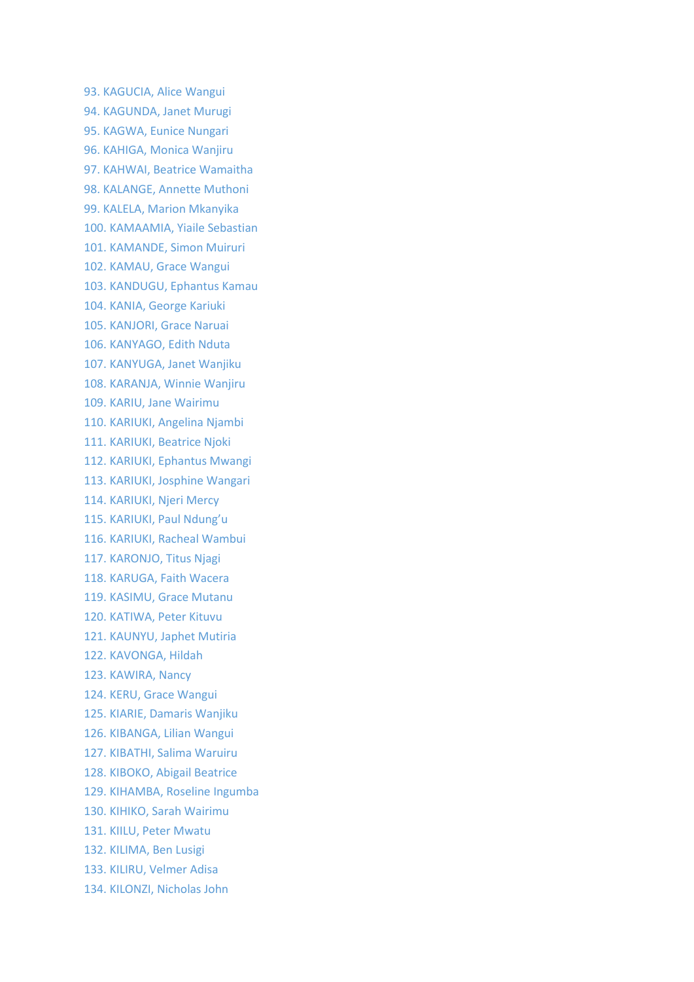93. KAGUCIA, Alice Wangui 94. KAGUNDA, Janet Murugi 95. KAGWA, Eunice Nungari 96. KAHIGA, Monica Wanjiru 97. KAHWAI, Beatrice Wamaitha 98. KALANGE, Annette Muthoni 99. KALELA, Marion Mkanyika 100. KAMAAMIA, Yiaile Sebastian 101. KAMANDE, Simon Muiruri 102. KAMAU, Grace Wangui 103. KANDUGU, Ephantus Kamau 104. KANIA, George Kariuki 105. KANJORI, Grace Naruai 106. KANYAGO, Edith Nduta 107. KANYUGA, Janet Wanjiku 108. KARANJA, Winnie Wanjiru 109. KARIU, Jane Wairimu 110. KARIUKI, Angelina Njambi 111. KARIUKI, Beatrice Njoki 112. KARIUKI, Ephantus Mwangi 113. KARIUKI, Josphine Wangari 114. KARIUKI, Njeri Mercy 115. KARIUKI, Paul Ndung'u 116. KARIUKI, Racheal Wambui 117. KARONJO, Titus Njagi 118. KARUGA, Faith Wacera 119. KASIMU, Grace Mutanu 120. KATIWA, Peter Kituvu 121. KAUNYU, Japhet Mutiria 122. KAVONGA, Hildah 123. KAWIRA, Nancy 124. KERU, Grace Wangui 125. KIARIE, Damaris Wanjiku 126. KIBANGA, Lilian Wangui 127. KIBATHI, Salima Waruiru 128. KIBOKO, Abigail Beatrice 129. KIHAMBA, Roseline Ingumba 130. KIHIKO, Sarah Wairimu 131. KIILU, Peter Mwatu 132. KILIMA, Ben Lusigi 133. KILIRU, Velmer Adisa 134. KILONZI, Nicholas John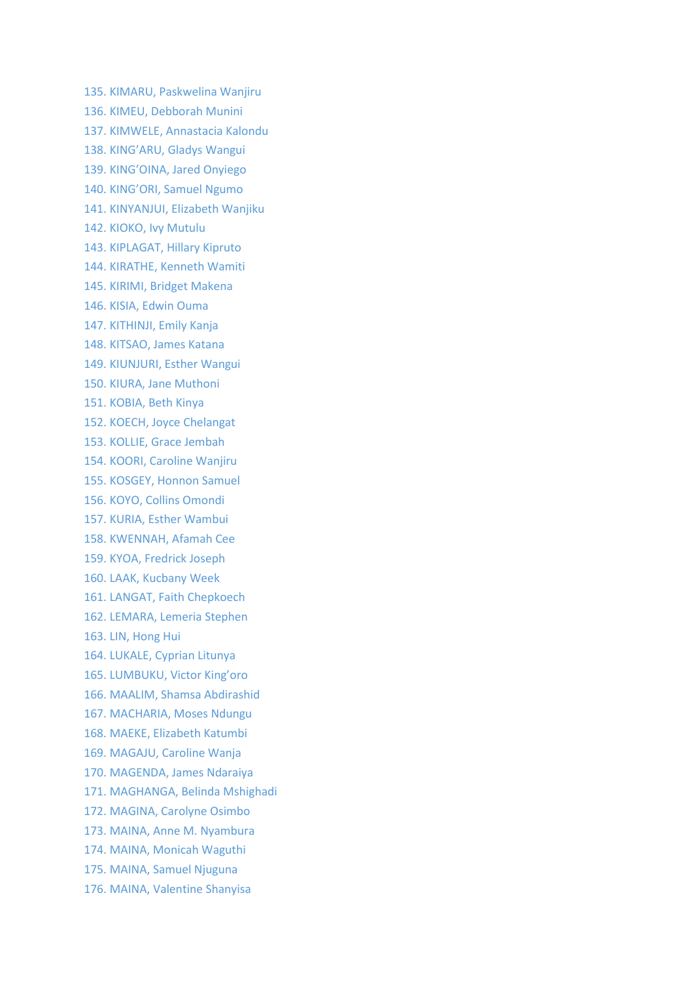135. KIMARU, Paskwelina Wanjiru 136. KIMEU, Debborah Munini 137. KIMWELE, Annastacia Kalondu 138. KING'ARU, Gladys Wangui 139. KING'OINA, Jared Onyiego 140. KING'ORI, Samuel Ngumo 141. KINYANJUI, Elizabeth Wanjiku 142. KIOKO, Ivy Mutulu 143. KIPLAGAT, Hillary Kipruto 144. KIRATHE, Kenneth Wamiti 145. KIRIMI, Bridget Makena 146. KISIA, Edwin Ouma 147. KITHINJI, Emily Kanja 148. KITSAO, James Katana 149. KIUNJURI, Esther Wangui 150. KIURA, Jane Muthoni 151. KOBIA, Beth Kinya 152. KOECH, Joyce Chelangat 153. KOLLIE, Grace Jembah 154. KOORI, Caroline Wanjiru 155. KOSGEY, Honnon Samuel 156. KOYO, Collins Omondi 157. KURIA, Esther Wambui 158. KWENNAH, Afamah Cee 159. KYOA, Fredrick Joseph 160. LAAK, Kucbany Week 161. LANGAT, Faith Chepkoech 162. LEMARA, Lemeria Stephen 163. LIN, Hong Hui 164. LUKALE, Cyprian Litunya 165. LUMBUKU, Victor King'oro 166. MAALIM, Shamsa Abdirashid 167. MACHARIA, Moses Ndungu 168. MAEKE, Elizabeth Katumbi 169. MAGAJU, Caroline Wanja 170. MAGENDA, James Ndaraiya 171. MAGHANGA, Belinda Mshighadi 172. MAGINA, Carolyne Osimbo 173. MAINA, Anne M. Nyambura 174. MAINA, Monicah Waguthi 175. MAINA, Samuel Njuguna 176. MAINA, Valentine Shanyisa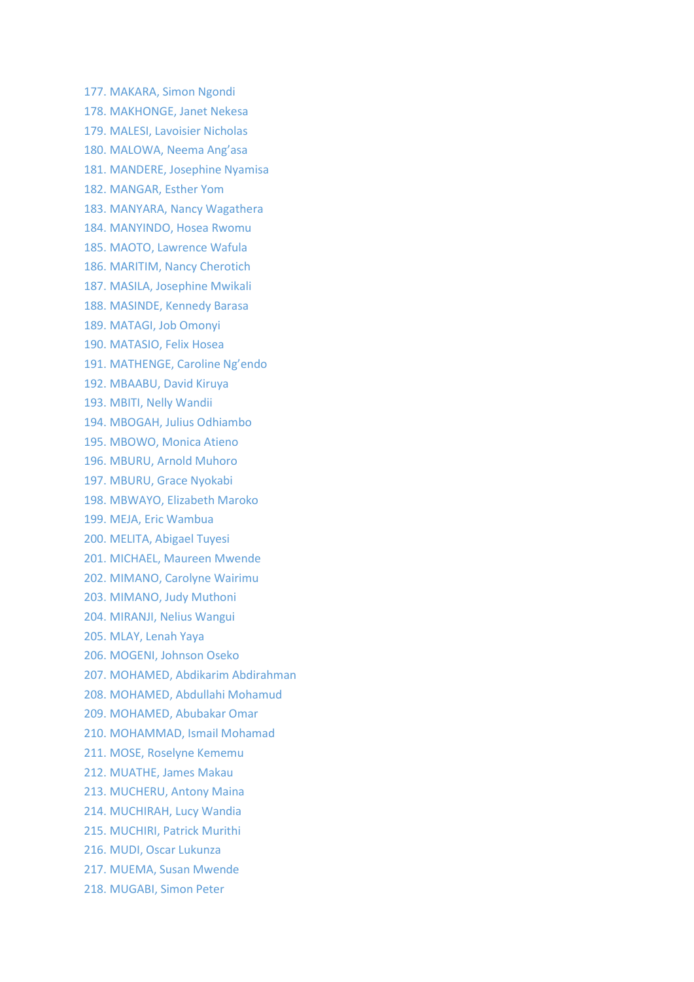177. MAKARA, Simon Ngondi 178. MAKHONGE, Janet Nekesa 179. MALESI, Lavoisier Nicholas 180. MALOWA, Neema Ang'asa 181. MANDERE, Josephine Nyamisa 182. MANGAR, Esther Yom 183. MANYARA, Nancy Wagathera 184. MANYINDO, Hosea Rwomu 185. MAOTO, Lawrence Wafula 186. MARITIM, Nancy Cherotich 187. MASILA, Josephine Mwikali 188. MASINDE, Kennedy Barasa 189. MATAGI, Job Omonyi 190. MATASIO, Felix Hosea 191. MATHENGE, Caroline Ng'endo 192. MBAABU, David Kiruya 193. MBITI, Nelly Wandii 194. MBOGAH, Julius Odhiambo 195. MBOWO, Monica Atieno 196. MBURU, Arnold Muhoro 197. MBURU, Grace Nyokabi 198. MBWAYO, Elizabeth Maroko 199. MEJA, Eric Wambua 200. MELITA, Abigael Tuyesi 201. MICHAEL, Maureen Mwende 202. MIMANO, Carolyne Wairimu 203. MIMANO, Judy Muthoni 204. MIRANJI, Nelius Wangui 205. MLAY, Lenah Yaya 206. MOGENI, Johnson Oseko 207. MOHAMED, Abdikarim Abdirahman 208. MOHAMED, Abdullahi Mohamud 209. MOHAMED, Abubakar Omar 210. MOHAMMAD, Ismail Mohamad 211. MOSE, Roselyne Kememu 212. MUATHE, James Makau 213. MUCHERU, Antony Maina 214. MUCHIRAH, Lucy Wandia 215. MUCHIRI, Patrick Murithi 216. MUDI, Oscar Lukunza 217. MUEMA, Susan Mwende 218. MUGABI, Simon Peter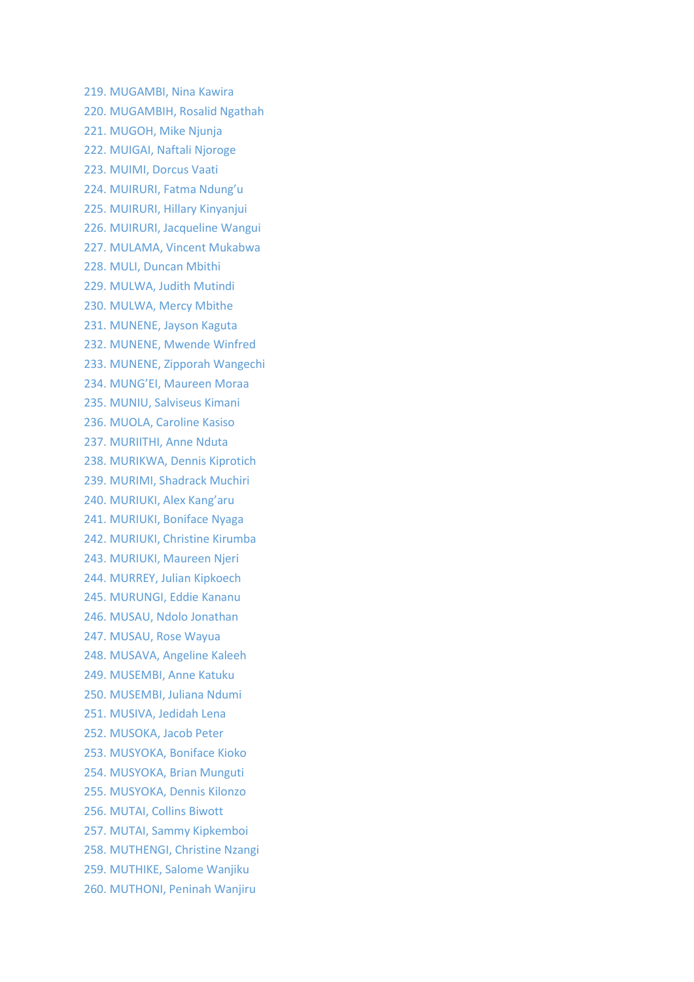219. MUGAMBI, Nina Kawira 220. MUGAMBIH, Rosalid Ngathah 221. MUGOH, Mike Njunja 222. MUIGAI, Naftali Njoroge 223. MUIMI, Dorcus Vaati 224. MUIRURI, Fatma Ndung'u 225. MUIRURI, Hillary Kinyanjui 226. MUIRURI, Jacqueline Wangui 227. MULAMA, Vincent Mukabwa 228. MULI, Duncan Mbithi 229. MULWA, Judith Mutindi 230. MULWA, Mercy Mbithe 231. MUNENE, Jayson Kaguta 232. MUNENE, Mwende Winfred 233. MUNENE, Zipporah Wangechi 234. MUNG'EI, Maureen Moraa 235. MUNIU, Salviseus Kimani 236. MUOLA, Caroline Kasiso 237. MURIITHI, Anne Nduta 238. MURIKWA, Dennis Kiprotich 239. MURIMI, Shadrack Muchiri 240. MURIUKI, Alex Kang'aru 241. MURIUKI, Boniface Nyaga 242. MURIUKI, Christine Kirumba 243. MURIUKI, Maureen Njeri 244. MURREY, Julian Kipkoech 245. MURUNGI, Eddie Kananu 246. MUSAU, Ndolo Jonathan 247. MUSAU, Rose Wayua 248. MUSAVA, Angeline Kaleeh 249. MUSEMBI, Anne Katuku 250. MUSEMBI, Juliana Ndumi 251. MUSIVA, Jedidah Lena 252. MUSOKA, Jacob Peter 253. MUSYOKA, Boniface Kioko 254. MUSYOKA, Brian Munguti 255. MUSYOKA, Dennis Kilonzo 256. MUTAI, Collins Biwott 257. MUTAI, Sammy Kipkemboi 258. MUTHENGI, Christine Nzangi 259. MUTHIKE, Salome Wanjiku 260. MUTHONI, Peninah Wanjiru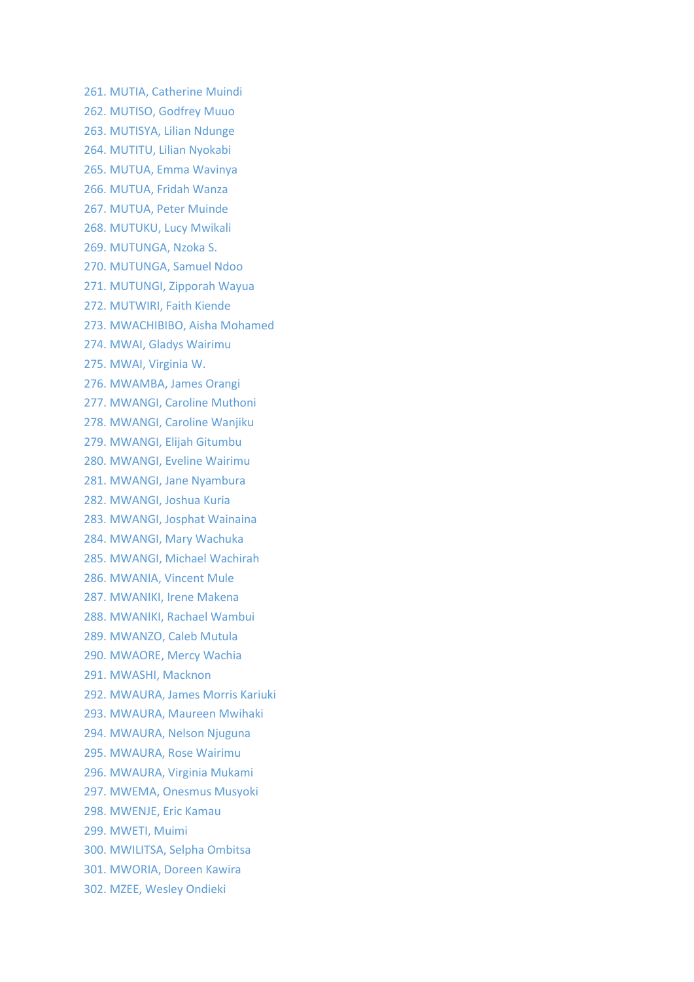261. MUTIA, Catherine Muindi

262. MUTISO, Godfrey Muuo

263. MUTISYA, Lilian Ndunge

264. MUTITU, Lilian Nyokabi

265. MUTUA, Emma Wavinya

266. MUTUA, Fridah Wanza

267. MUTUA, Peter Muinde

268. MUTUKU, Lucy Mwikali

269. MUTUNGA, Nzoka S.

270. MUTUNGA, Samuel Ndoo

271. MUTUNGI, Zipporah Wayua

272. MUTWIRI, Faith Kiende

273. MWACHIBIBO, Aisha Mohamed

274. MWAI, Gladys Wairimu

275. MWAI, Virginia W.

276. MWAMBA, James Orangi

277. MWANGI, Caroline Muthoni

278. MWANGI, Caroline Wanjiku

279. MWANGI, Elijah Gitumbu

280. MWANGI, Eveline Wairimu

281. MWANGI, Jane Nyambura

282. MWANGI, Joshua Kuria

283. MWANGI, Josphat Wainaina

284. MWANGI, Mary Wachuka

285. MWANGI, Michael Wachirah

286. MWANIA, Vincent Mule

287. MWANIKI, Irene Makena

288. MWANIKI, Rachael Wambui

289. MWANZO, Caleb Mutula

290. MWAORE, Mercy Wachia

291. MWASHI, Macknon

292. MWAURA, James Morris Kariuki

293. MWAURA, Maureen Mwihaki

294. MWAURA, Nelson Njuguna

295. MWAURA, Rose Wairimu

296. MWAURA, Virginia Mukami

297. MWEMA, Onesmus Musyoki

298. MWENJE, Eric Kamau

299. MWETI, Muimi

300. MWILITSA, Selpha Ombitsa

301. MWORIA, Doreen Kawira

302. MZEE, Wesley Ondieki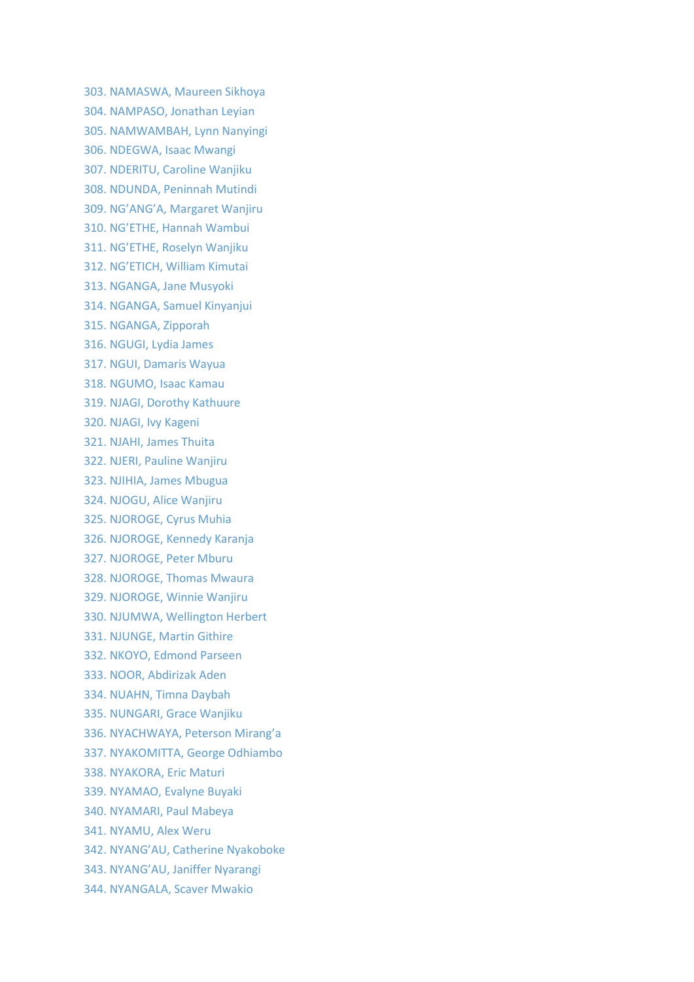303. NAMASWA, Maureen Sikhoya 304. NAMPASO, Jonathan Leyian 305. NAMWAMBAH, Lynn Nanyingi 306. NDEGWA, Isaac Mwangi 307. NDERITU, Caroline Wanjiku 308. NDUNDA, Peninnah Mutindi 309. NG'ANG'A, Margaret Wanjiru 310. NG'ETHE, Hannah Wambui 311. NG'ETHE, Roselyn Wanjiku 312. NG'ETICH, William Kimutai 313. NGANGA, Jane Musyoki 314. NGANGA, Samuel Kinyanjui 315. NGANGA, Zipporah 316. NGUGI, Lydia James 317. NGUI, Damaris Wayua 318. NGUMO, Isaac Kamau 319. NJAGI, Dorothy Kathuure 320. NJAGI, Ivy Kageni 321. NJAHI, James Thuita 322. NJERI, Pauline Wanjiru 323. NJIHIA, James Mbugua 324. NJOGU, Alice Wanjiru 325. NJOROGE, Cyrus Muhia 326. NJOROGE, Kennedy Karanja 327. NJOROGE, Peter Mburu 328. NJOROGE, Thomas Mwaura 329. NJOROGE, Winnie Wanjiru 330. NJUMWA, Wellington Herbert 331. NJUNGE, Martin Githire 332. NKOYO, Edmond Parseen 333. NOOR, Abdirizak Aden 334. NUAHN, Timna Daybah 335. NUNGARI, Grace Wanjiku 336. NYACHWAYA, Peterson Mirang'a 337. NYAKOMITTA, George Odhiambo 338. NYAKORA, Eric Maturi 339. NYAMAO, Evalyne Buyaki 340. NYAMARI, Paul Mabeya 341. NYAMU, Alex Weru 342. NYANG'AU, Catherine Nyakoboke 343. NYANG'AU, Janiffer Nyarangi

344. NYANGALA, Scaver Mwakio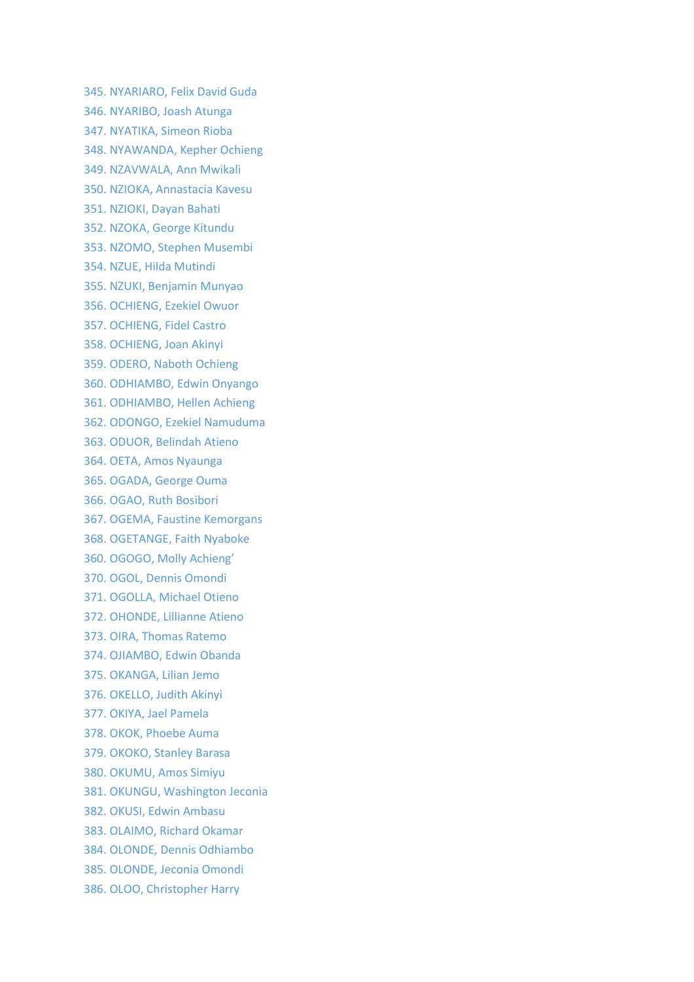345. NYARIARO, Felix David Guda 346. NYARIBO, Joash Atunga 347. NYATIKA, Simeon Rioba 348. NYAWANDA, Kepher Ochieng 349. NZAVWALA, Ann Mwikali 350. NZIOKA, Annastacia Kavesu 351. NZIOKI, Dayan Bahati 352. NZOKA, George Kitundu 353. NZOMO, Stephen Musembi 354. NZUE, Hilda Mutindi 355. NZUKI, Benjamin Munyao 356. OCHIENG, Ezekiel Owuor 357. OCHIENG, Fidel Castro 358. OCHIENG, Joan Akinyi 359. ODERO, Naboth Ochieng 360. ODHIAMBO, Edwin Onyango 361. ODHIAMBO, Hellen Achieng 362. ODONGO, Ezekiel Namuduma 363. ODUOR, Belindah Atieno 364. OETA, Amos Nyaunga 365. OGADA, George Ouma 366. OGAO, Ruth Bosibori 367. OGEMA, Faustine Kemorgans 368. OGETANGE, Faith Nyaboke 360. OGOGO, Molly Achieng' 370. OGOL, Dennis Omondi 371. OGOLLA, Michael Otieno 372. OHONDE, Lillianne Atieno 373. OIRA, Thomas Ratemo 374. OJIAMBO, Edwin Obanda 375. OKANGA, Lilian Jemo 376. OKELLO, Judith Akinyi 377. OKIYA, Jael Pamela 378. OKOK, Phoebe Auma 379. OKOKO, Stanley Barasa 380. OKUMU, Amos Simiyu 381. OKUNGU, Washington Jeconia 382. OKUSI, Edwin Ambasu 383. OLAIMO, Richard Okamar 384. OLONDE, Dennis Odhiambo 385. OLONDE, Jeconia Omondi 386. OLOO, Christopher Harry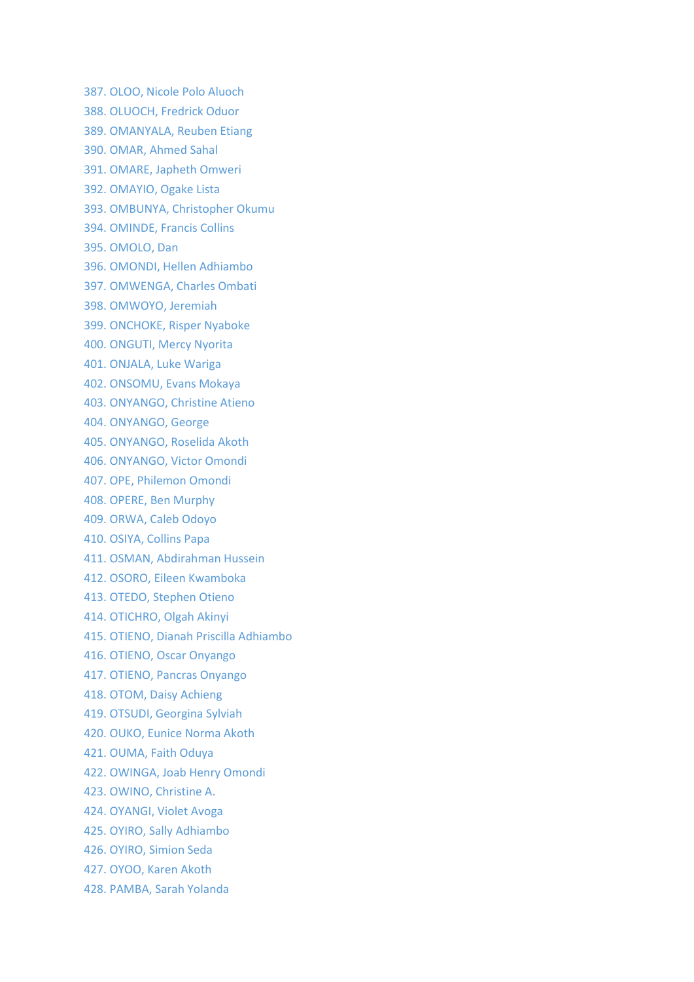387. OLOO, Nicole Polo Aluoch

388. OLUOCH, Fredrick Oduor

389. OMANYALA, Reuben Etiang

390. OMAR, Ahmed Sahal

391. OMARE, Japheth Omweri

392. OMAYIO, Ogake Lista

393. OMBUNYA, Christopher Okumu

394. OMINDE, Francis Collins

395. OMOLO, Dan

396. OMONDI, Hellen Adhiambo

397. OMWENGA, Charles Ombati

398. OMWOYO, Jeremiah

399. ONCHOKE, Risper Nyaboke

400. ONGUTI, Mercy Nyorita

401. ONJALA, Luke Wariga

402. ONSOMU, Evans Mokaya

403. ONYANGO, Christine Atieno

404. ONYANGO, George

405. ONYANGO, Roselida Akoth

406. ONYANGO, Victor Omondi

407. OPE, Philemon Omondi

408. OPERE, Ben Murphy

409. ORWA, Caleb Odoyo

410. OSIYA, Collins Papa

411. OSMAN, Abdirahman Hussein

412. OSORO, Eileen Kwamboka

413. OTEDO, Stephen Otieno

414. OTICHRO, Olgah Akinyi

415. OTIENO, Dianah Priscilla Adhiambo

416. OTIENO, Oscar Onyango

417. OTIENO, Pancras Onyango

418. OTOM, Daisy Achieng

419. OTSUDI, Georgina Sylviah

420. OUKO, Eunice Norma Akoth

421. OUMA, Faith Oduya

422. OWINGA, Joab Henry Omondi

423. OWINO, Christine A.

424. OYANGI, Violet Avoga

425. OYIRO, Sally Adhiambo

426. OYIRO, Simion Seda

427. OYOO, Karen Akoth

428. PAMBA, Sarah Yolanda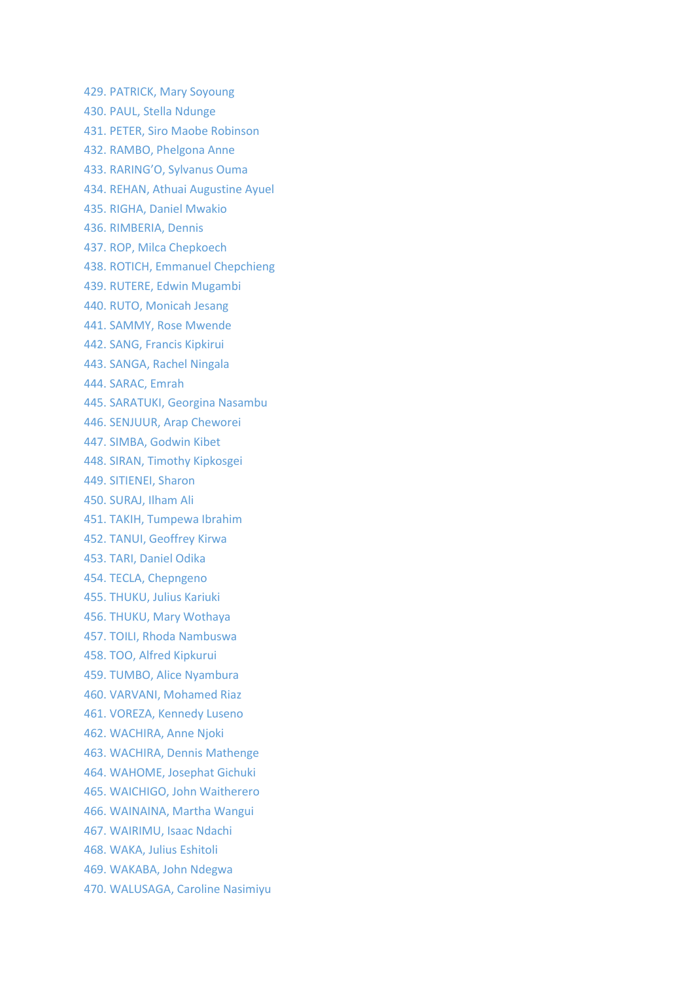429. PATRICK, Mary Soyoung

430. PAUL, Stella Ndunge

431. PETER, Siro Maobe Robinson

432. RAMBO, Phelgona Anne

433. RARING'O, Sylvanus Ouma

434. REHAN, Athuai Augustine Ayuel

435. RIGHA, Daniel Mwakio

436. RIMBERIA, Dennis

437. ROP, Milca Chepkoech

438. ROTICH, Emmanuel Chepchieng

439. RUTERE, Edwin Mugambi

440. RUTO, Monicah Jesang

441. SAMMY, Rose Mwende

442. SANG, Francis Kipkirui

443. SANGA, Rachel Ningala

444. SARAC, Emrah

445. SARATUKI, Georgina Nasambu

446. SENJUUR, Arap Cheworei

447. SIMBA, Godwin Kibet

448. SIRAN, Timothy Kipkosgei

449. SITIENEI, Sharon

450. SURAJ, Ilham Ali

451. TAKIH, Tumpewa Ibrahim

452. TANUI, Geoffrey Kirwa

453. TARI, Daniel Odika

454. TECLA, Chepngeno

455. THUKU, Julius Kariuki

456. THUKU, Mary Wothaya

457. TOILI, Rhoda Nambuswa

458. TOO, Alfred Kipkurui

459. TUMBO, Alice Nyambura

460. VARVANI, Mohamed Riaz

461. VOREZA, Kennedy Luseno

462. WACHIRA, Anne Njoki

463. WACHIRA, Dennis Mathenge

464. WAHOME, Josephat Gichuki

465. WAICHIGO, John Waitherero

466. WAINAINA, Martha Wangui

467. WAIRIMU, Isaac Ndachi

468. WAKA, Julius Eshitoli

469. WAKABA, John Ndegwa

470. WALUSAGA, Caroline Nasimiyu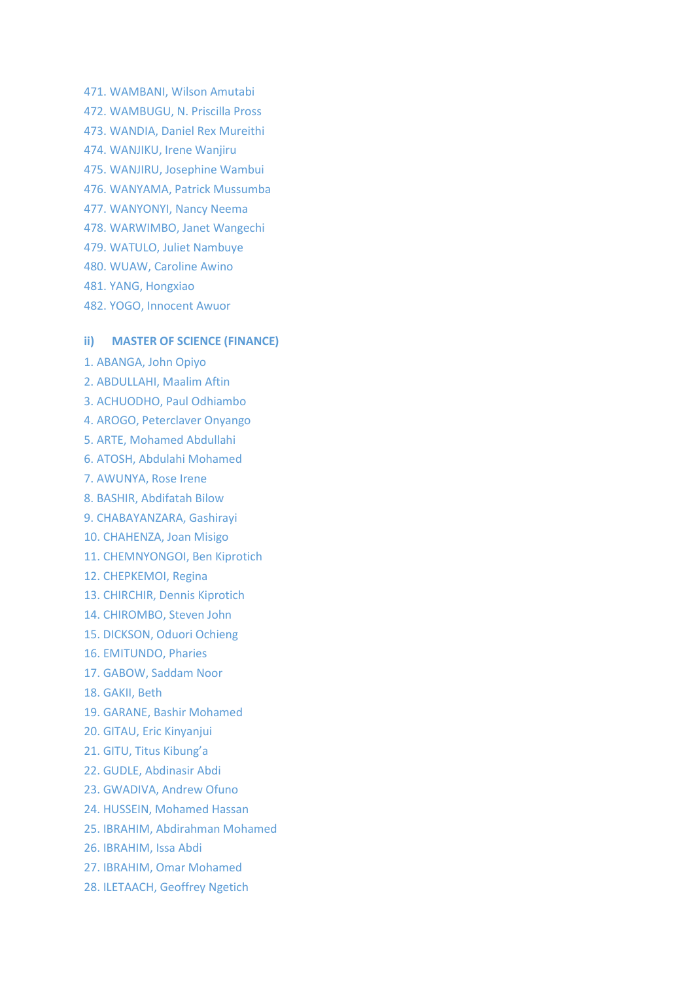471. WAMBANI, Wilson Amutabi 472. WAMBUGU, N. Priscilla Pross 473. WANDIA, Daniel Rex Mureithi 474. WANJIKU, Irene Wanjiru 475. WANJIRU, Josephine Wambui 476. WANYAMA, Patrick Mussumba 477. WANYONYI, Nancy Neema 478. WARWIMBO, Janet Wangechi 479. WATULO, Juliet Nambuye 480. WUAW, Caroline Awino 481. YANG, Hongxiao 482. YOGO, Innocent Awuor

# **ii) MASTER OF SCIENCE (FINANCE)**

- 1. ABANGA, John Opiyo
- 2. ABDULLAHI, Maalim Aftin
- 3. ACHUODHO, Paul Odhiambo
- 4. AROGO, Peterclaver Onyango
- 5. ARTE, Mohamed Abdullahi
- 6. ATOSH, Abdulahi Mohamed
- 7. AWUNYA, Rose Irene
- 8. BASHIR, Abdifatah Bilow
- 9. CHABAYANZARA, Gashirayi
- 10. CHAHENZA, Joan Misigo
- 11. CHEMNYONGOI, Ben Kiprotich
- 12. CHEPKEMOI, Regina
- 13. CHIRCHIR, Dennis Kiprotich
- 14. CHIROMBO, Steven John
- 15. DICKSON, Oduori Ochieng
- 16. EMITUNDO, Pharies
- 17. GABOW, Saddam Noor
- 18. GAKII, Beth
- 19. GARANE, Bashir Mohamed
- 20. GITAU, Eric Kinyanjui
- 21. GITU, Titus Kibung'a
- 22. GUDLE, Abdinasir Abdi
- 23. GWADIVA, Andrew Ofuno
- 24. HUSSEIN, Mohamed Hassan
- 25. IBRAHIM, Abdirahman Mohamed
- 26. IBRAHIM, Issa Abdi
- 27. IBRAHIM, Omar Mohamed
- 28. ILETAACH, Geoffrey Ngetich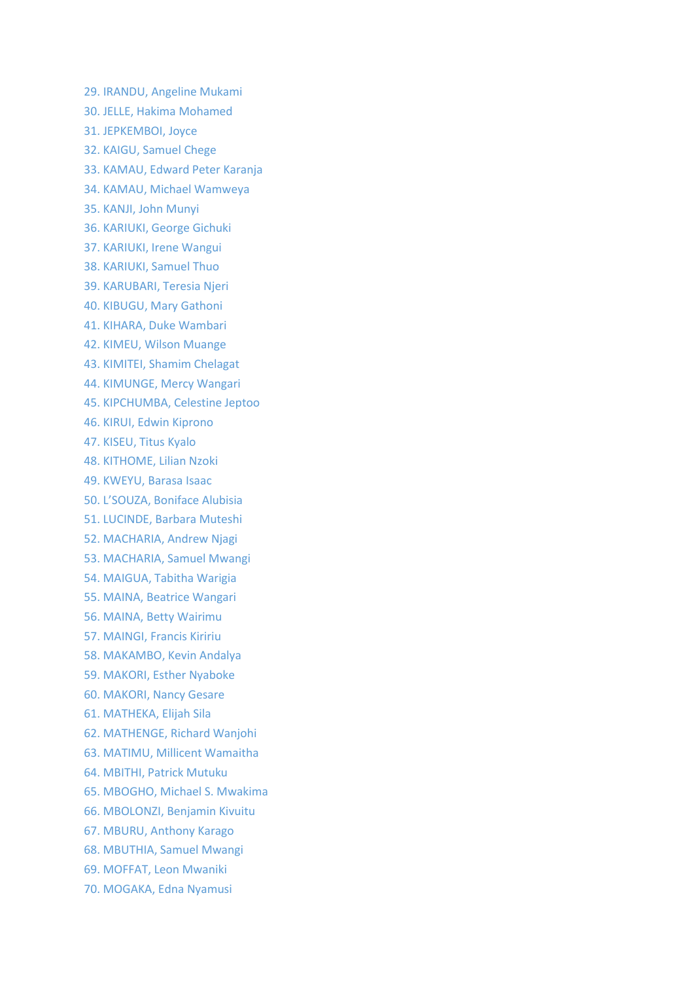29. IRANDU, Angeline Mukami

30. JELLE, Hakima Mohamed

31. JEPKEMBOI, Joyce

32. KAIGU, Samuel Chege

33. KAMAU, Edward Peter Karanja

34. KAMAU, Michael Wamweya

35. KANJI, John Munyi

36. KARIUKI, George Gichuki

37. KARIUKI, Irene Wangui

38. KARIUKI, Samuel Thuo

39. KARUBARI, Teresia Njeri

40. KIBUGU, Mary Gathoni

41. KIHARA, Duke Wambari

42. KIMEU, Wilson Muange

43. KIMITEI, Shamim Chelagat

44. KIMUNGE, Mercy Wangari

45. KIPCHUMBA, Celestine Jeptoo

46. KIRUI, Edwin Kiprono

47. KISEU, Titus Kyalo

48. KITHOME, Lilian Nzoki

49. KWEYU, Barasa Isaac

50. L'SOUZA, Boniface Alubisia

51. LUCINDE, Barbara Muteshi

52. MACHARIA, Andrew Njagi

53. MACHARIA, Samuel Mwangi

54. MAIGUA, Tabitha Warigia

55. MAINA, Beatrice Wangari

56. MAINA, Betty Wairimu

57. MAINGI, Francis Kiririu

58. MAKAMBO, Kevin Andalya

59. MAKORI, Esther Nyaboke

60. MAKORI, Nancy Gesare

61. MATHEKA, Elijah Sila

62. MATHENGE, Richard Wanjohi

63. MATIMU, Millicent Wamaitha

64. MBITHI, Patrick Mutuku

65. MBOGHO, Michael S. Mwakima

66. MBOLONZI, Benjamin Kivuitu

67. MBURU, Anthony Karago

68. MBUTHIA, Samuel Mwangi

69. MOFFAT, Leon Mwaniki

70. MOGAKA, Edna Nyamusi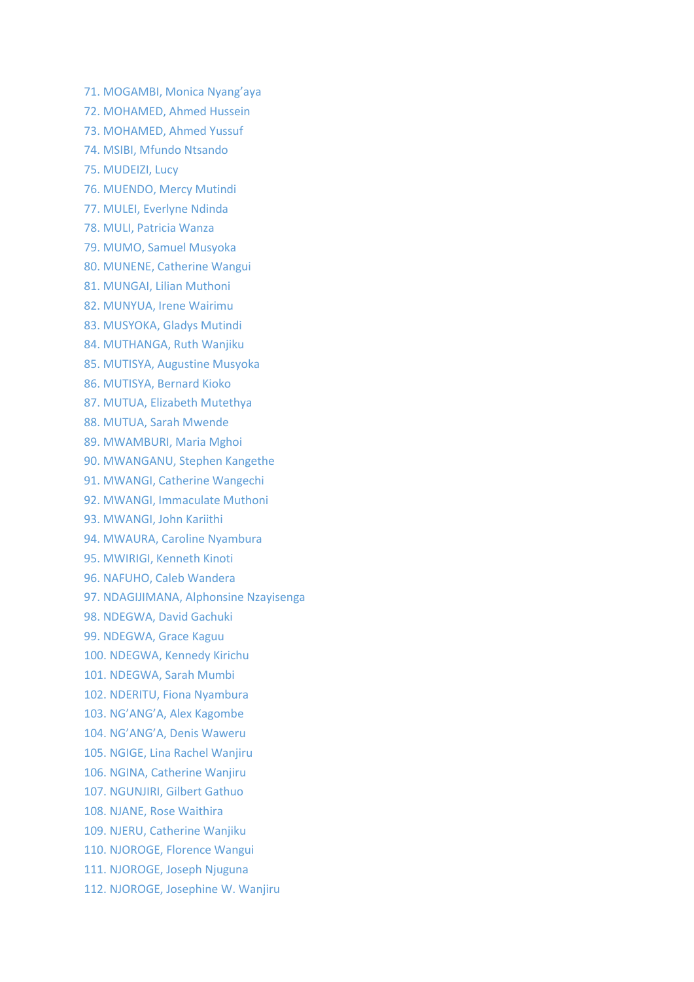71. MOGAMBI, Monica Nyang'aya

72. MOHAMED, Ahmed Hussein

73. MOHAMED, Ahmed Yussuf

74. MSIBI, Mfundo Ntsando

75. MUDEIZI, Lucy

76. MUENDO, Mercy Mutindi

77. MULEI, Everlyne Ndinda

78. MULI, Patricia Wanza

79. MUMO, Samuel Musyoka

80. MUNENE, Catherine Wangui

81. MUNGAI, Lilian Muthoni

82. MUNYUA, Irene Wairimu

83. MUSYOKA, Gladys Mutindi

84. MUTHANGA, Ruth Wanjiku

85. MUTISYA, Augustine Musyoka

86. MUTISYA, Bernard Kioko

87. MUTUA, Elizabeth Mutethya

88. MUTUA, Sarah Mwende

89. MWAMBURI, Maria Mghoi

90. MWANGANU, Stephen Kangethe

91. MWANGI, Catherine Wangechi

92. MWANGI, Immaculate Muthoni

93. MWANGI, John Kariithi

94. MWAURA, Caroline Nyambura

95. MWIRIGI, Kenneth Kinoti

96. NAFUHO, Caleb Wandera

97. NDAGIJIMANA, Alphonsine Nzayisenga

98. NDEGWA, David Gachuki

99. NDEGWA, Grace Kaguu

100. NDEGWA, Kennedy Kirichu

101. NDEGWA, Sarah Mumbi

102. NDERITU, Fiona Nyambura

103. NG'ANG'A, Alex Kagombe

104. NG'ANG'A, Denis Waweru

105. NGIGE, Lina Rachel Wanjiru

106. NGINA, Catherine Wanjiru

107. NGUNJIRI, Gilbert Gathuo

108. NJANE, Rose Waithira

109. NJERU, Catherine Wanjiku

110. NJOROGE, Florence Wangui

111. NJOROGE, Joseph Njuguna

112. NJOROGE, Josephine W. Wanjiru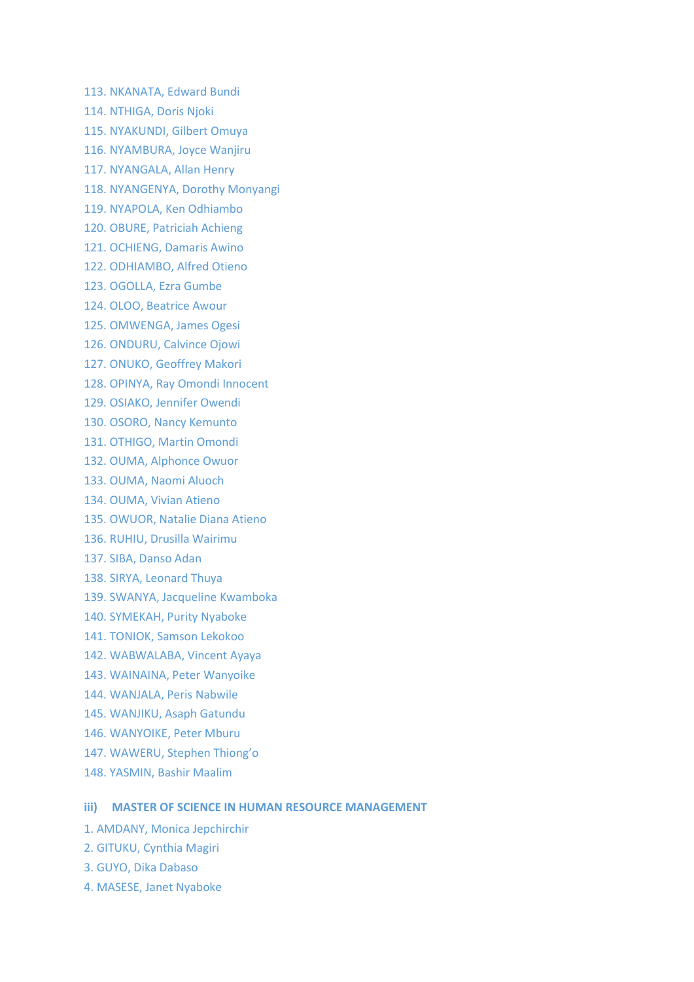113. NKANATA, Edward Bundi

- 114. NTHIGA, Doris Njoki
- 115. NYAKUNDI, Gilbert Omuya
- 116. NYAMBURA, Joyce Wanjiru
- 117. NYANGALA, Allan Henry
- 118. NYANGENYA, Dorothy Monyangi
- 119. NYAPOLA, Ken Odhiambo
- 120. OBURE, Patriciah Achieng
- 121. OCHIENG, Damaris Awino
- 122. ODHIAMBO, Alfred Otieno
- 123. OGOLLA, Ezra Gumbe
- 124. OLOO, Beatrice Awour
- 125. OMWENGA, James Ogesi
- 126. ONDURU, Calvince Ojowi
- 127. ONUKO, Geoffrey Makori
- 128. OPINYA, Ray Omondi Innocent
- 129. OSIAKO, Jennifer Owendi
- 130. OSORO, Nancy Kemunto
- 131. OTHIGO, Martin Omondi
- 132. OUMA, Alphonce Owuor
- 133. OUMA, Naomi Aluoch
- 134. OUMA, Vivian Atieno
- 135. OWUOR, Natalie Diana Atieno
- 136. RUHIU, Drusilla Wairimu
- 137. SIBA, Danso Adan
- 138. SIRYA, Leonard Thuya
- 139. SWANYA, Jacqueline Kwamboka
- 140. SYMEKAH, Purity Nyaboke
- 141. TONIOK, Samson Lekokoo
- 142. WABWALABA, Vincent Ayaya
- 143. WAINAINA, Peter Wanyoike
- 144. WANJALA, Peris Nabwile
- 145. WANJIKU, Asaph Gatundu
- 146. WANYOIKE, Peter Mburu
- 147. WAWERU, Stephen Thiong'o
- 148. YASMIN, Bashir Maalim

## **iii) MASTER OF SCIENCE IN HUMAN RESOURCE MANAGEMENT**

- 1. AMDANY, Monica Jepchirchir
- 2. GITUKU, Cynthia Magiri
- 3. GUYO, Dika Dabaso
- 4. MASESE, Janet Nyaboke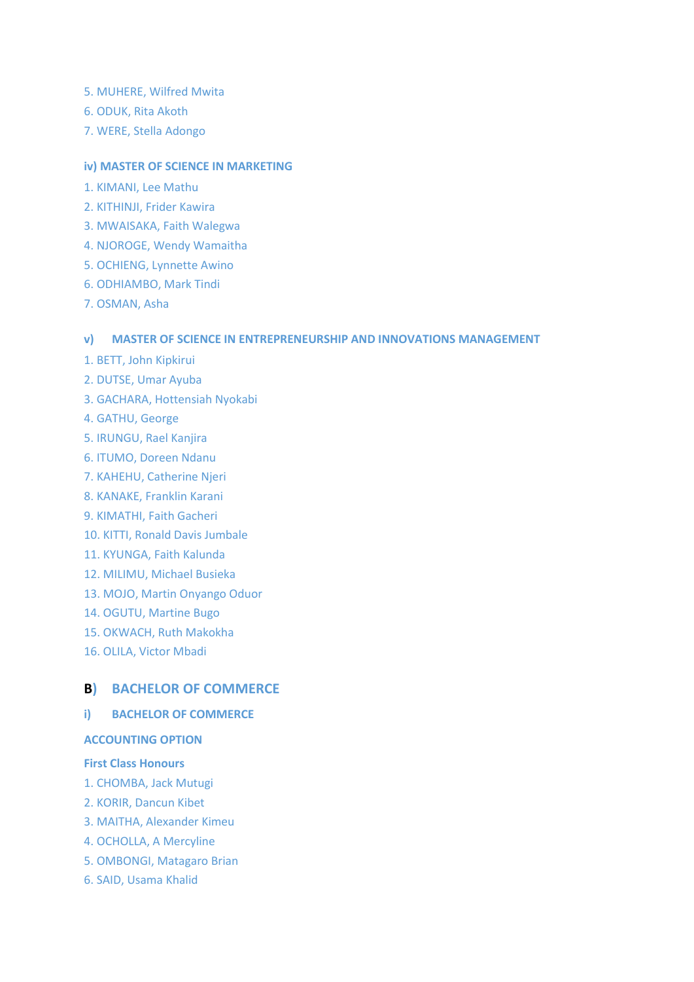- 5. MUHERE, Wilfred Mwita
- 6. ODUK, Rita Akoth
- 7. WERE, Stella Adongo

# **iv) MASTER OF SCIENCE IN MARKETING**

- 1. KIMANI, Lee Mathu
- 2. KITHINJI, Frider Kawira
- 3. MWAISAKA, Faith Walegwa
- 4. NJOROGE, Wendy Wamaitha
- 5. OCHIENG, Lynnette Awino
- 6. ODHIAMBO, Mark Tindi
- 7. OSMAN, Asha

# **v) MASTER OF SCIENCE IN ENTREPRENEURSHIP AND INNOVATIONS MANAGEMENT**

- 1. BETT, John Kipkirui
- 2. DUTSE, Umar Ayuba
- 3. GACHARA, Hottensiah Nyokabi
- 4. GATHU, George
- 5. IRUNGU, Rael Kanjira
- 6. ITUMO, Doreen Ndanu
- 7. KAHEHU, Catherine Njeri
- 8. KANAKE, Franklin Karani
- 9. KIMATHI, Faith Gacheri
- 10. KITTI, Ronald Davis Jumbale
- 11. KYUNGA, Faith Kalunda
- 12. MILIMU, Michael Busieka
- 13. MOJO, Martin Onyango Oduor
- 14. OGUTU, Martine Bugo
- 15. OKWACH, Ruth Makokha
- 16. OLILA, Victor Mbadi

# **B) BACHELOR OF COMMERCE**

**i) BACHELOR OF COMMERCE** 

# **ACCOUNTING OPTION**

# **First Class Honours**

- 1. CHOMBA, Jack Mutugi
- 2. KORIR, Dancun Kibet
- 3. MAITHA, Alexander Kimeu
- 4. OCHOLLA, A Mercyline
- 5. OMBONGI, Matagaro Brian
- 6. SAID, Usama Khalid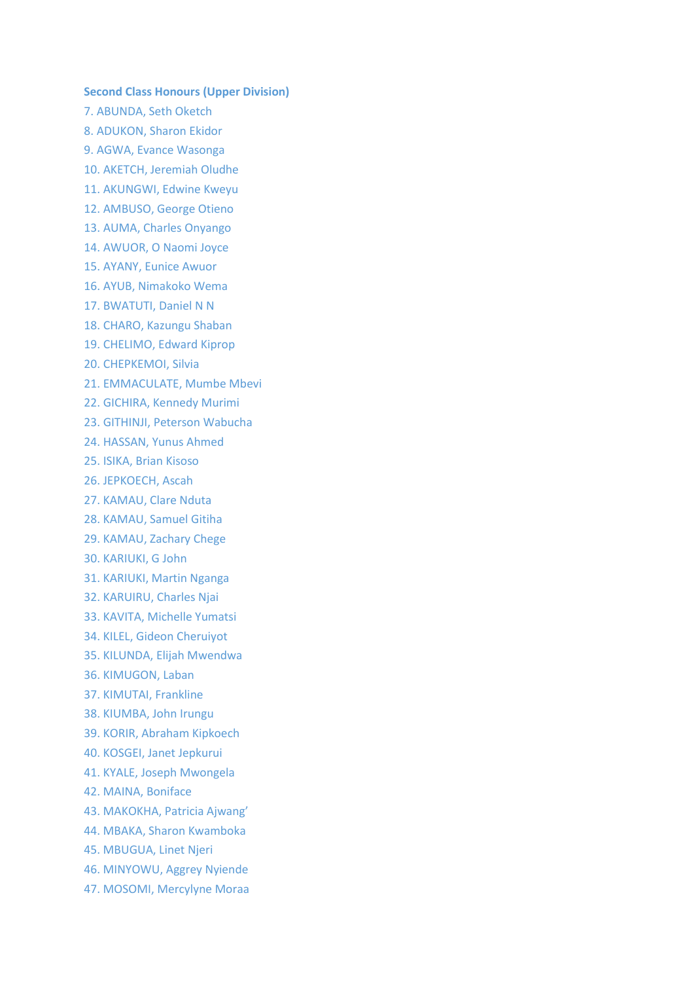7. ABUNDA, Seth Oketch

8. ADUKON, Sharon Ekidor

9. AGWA, Evance Wasonga

10. AKETCH, Jeremiah Oludhe

11. AKUNGWI, Edwine Kweyu

12. AMBUSO, George Otieno

13. AUMA, Charles Onyango

14. AWUOR, O Naomi Joyce

15. AYANY, Eunice Awuor

16. AYUB, Nimakoko Wema

17. BWATUTI, Daniel N N

18. CHARO, Kazungu Shaban

19. CHELIMO, Edward Kiprop

20. CHEPKEMOI, Silvia

21. EMMACULATE, Mumbe Mbevi

22. GICHIRA, Kennedy Murimi

23. GITHINJI, Peterson Wabucha

24. HASSAN, Yunus Ahmed

25. ISIKA, Brian Kisoso

26. JEPKOECH, Ascah

27. KAMAU, Clare Nduta

28. KAMAU, Samuel Gitiha

29. KAMAU, Zachary Chege

30. KARIUKI, G John

31. KARIUKI, Martin Nganga

32. KARUIRU, Charles Njai

33. KAVITA, Michelle Yumatsi

34. KILEL, Gideon Cheruiyot

35. KILUNDA, Elijah Mwendwa

36. KIMUGON, Laban

37. KIMUTAI, Frankline

38. KIUMBA, John Irungu

39. KORIR, Abraham Kipkoech

40. KOSGEI, Janet Jepkurui

41. KYALE, Joseph Mwongela

42. MAINA, Boniface

43. MAKOKHA, Patricia Ajwang'

44. MBAKA, Sharon Kwamboka

45. MBUGUA, Linet Njeri

46. MINYOWU, Aggrey Nyiende

47. MOSOMI, Mercylyne Moraa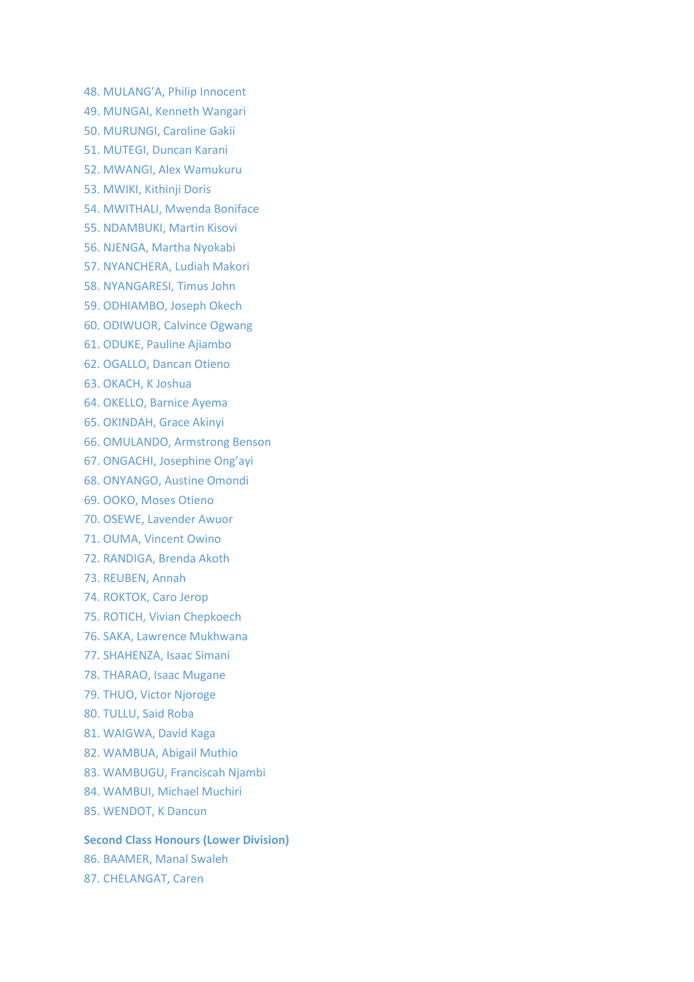48. MULANG'A, Philip Innocent

49. MUNGAI, Kenneth Wangari

50. MURUNGI, Caroline Gakii

51. MUTEGI, Duncan Karani

52. MWANGI, Alex Wamukuru

53. MWIKI, Kithinji Doris

54. MWITHALI, Mwenda Boniface

55. NDAMBUKI, Martin Kisovi

56. NJENGA, Martha Nyokabi

57. NYANCHERA, Ludiah Makori

58. NYANGARESI, Timus John

59. ODHIAMBO, Joseph Okech

60. ODIWUOR, Calvince Ogwang

61. ODUKE, Pauline Ajiambo

62. OGALLO, Dancan Otieno

63. OKACH, K Joshua

64. OKELLO, Barnice Ayema

65. OKINDAH, Grace Akinyi

66. OMULANDO, Armstrong Benson

67. ONGACHI, Josephine Ong'ayi

68. ONYANGO, Austine Omondi

69. OOKO, Moses Otieno

70. OSEWE, Lavender Awuor

71. OUMA, Vincent Owino

72. RANDIGA, Brenda Akoth

73. REUBEN, Annah

74. ROKTOK, Caro Jerop

75. ROTICH, Vivian Chepkoech

76. SAKA, Lawrence Mukhwana

77. SHAHENZA, Isaac Simani

78. THARAO, Isaac Mugane

79. THUO, Victor Njoroge

80. TULLU, Said Roba

81. WAIGWA, David Kaga

82. WAMBUA, Abigail Muthio

83. WAMBUGU, Franciscah Njambi

84. WAMBUI, Michael Muchiri

85. WENDOT, K Dancun

**Second Class Honours (Lower Division)**

86. BAAMER, Manal Swaleh

87. CHELANGAT, Caren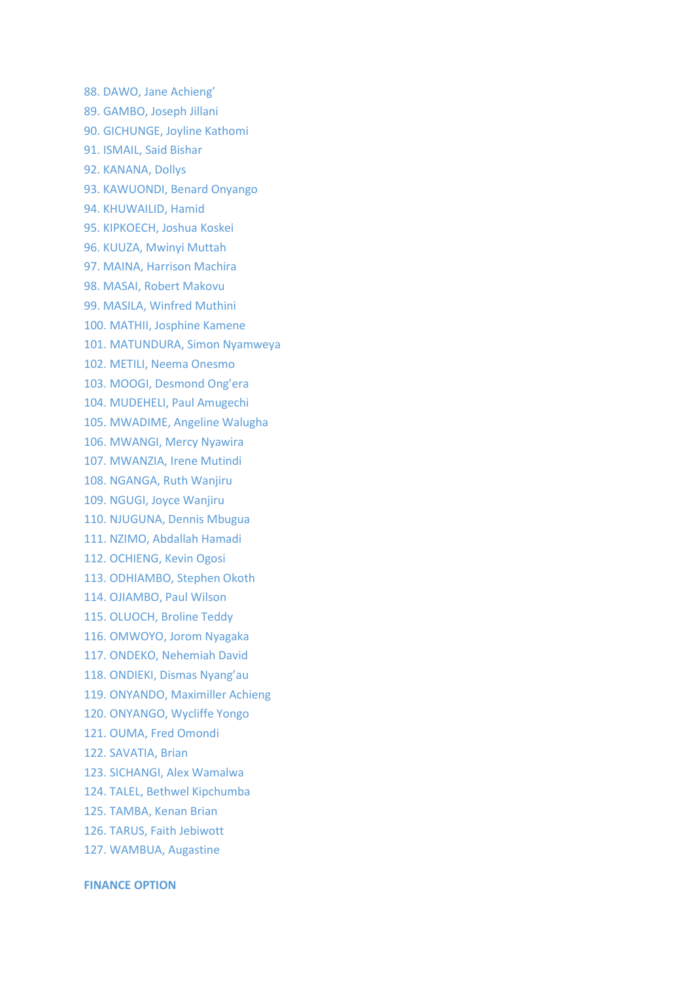88. DAWO, Jane Achieng' 89. GAMBO, Joseph Jillani 90. GICHUNGE, Joyline Kathomi 91. ISMAIL, Said Bishar 92. KANANA, Dollys 93. KAWUONDI, Benard Onyango 94. KHUWAILID, Hamid 95. KIPKOECH, Joshua Koskei 96. KUUZA, Mwinyi Muttah 97. MAINA, Harrison Machira 98. MASAI, Robert Makovu 99. MASILA, Winfred Muthini 100. MATHII, Josphine Kamene 101. MATUNDURA, Simon Nyamweya 102. METILI, Neema Onesmo 103. MOOGI, Desmond Ong'era 104. MUDEHELI, Paul Amugechi 105. MWADIME, Angeline Walugha 106. MWANGI, Mercy Nyawira 107. MWANZIA, Irene Mutindi 108. NGANGA, Ruth Wanjiru 109. NGUGI, Joyce Wanjiru 110. NJUGUNA, Dennis Mbugua 111. NZIMO, Abdallah Hamadi 112. OCHIENG, Kevin Ogosi 113. ODHIAMBO, Stephen Okoth 114. OJIAMBO, Paul Wilson 115. OLUOCH, Broline Teddy 116. OMWOYO, Jorom Nyagaka 117. ONDEKO, Nehemiah David 118. ONDIEKI, Dismas Nyang'au 119. ONYANDO, Maximiller Achieng 120. ONYANGO, Wycliffe Yongo 121. OUMA, Fred Omondi 122. SAVATIA, Brian 123. SICHANGI, Alex Wamalwa 124. TALEL, Bethwel Kipchumba 125. TAMBA, Kenan Brian 126. TARUS, Faith Jebiwott 127. WAMBUA, Augastine

**FINANCE OPTION**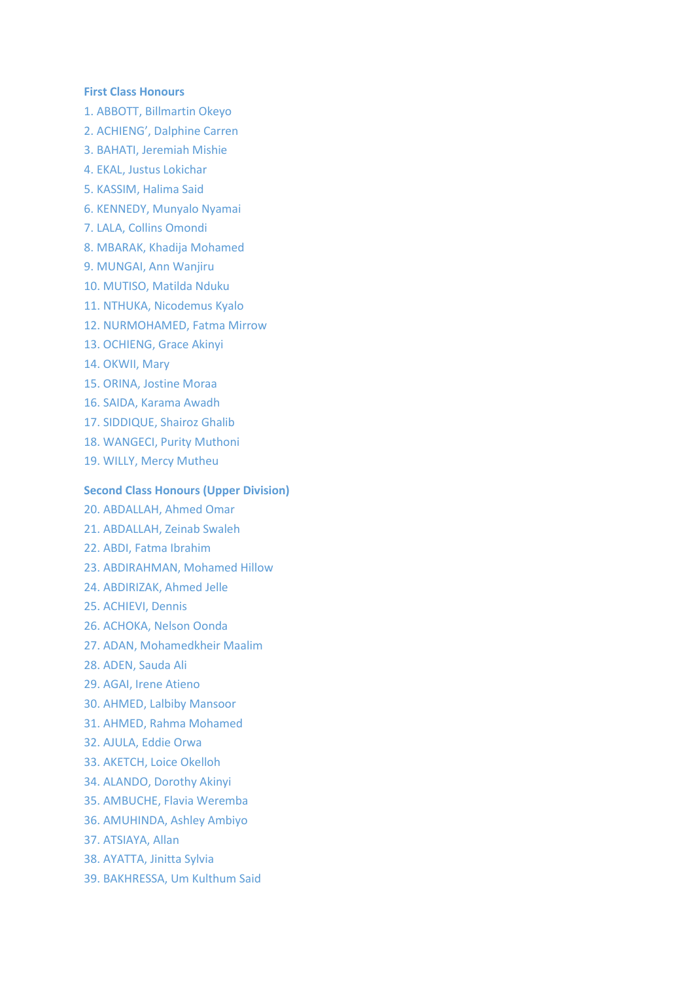#### **First Class Honours**

- 1. ABBOTT, Billmartin Okeyo
- 2. ACHIENG', Dalphine Carren
- 3. BAHATI, Jeremiah Mishie
- 4. EKAL, Justus Lokichar
- 5. KASSIM, Halima Said
- 6. KENNEDY, Munyalo Nyamai
- 7. LALA, Collins Omondi
- 8. MBARAK, Khadija Mohamed
- 9. MUNGAI, Ann Wanjiru
- 10. MUTISO, Matilda Nduku
- 11. NTHUKA, Nicodemus Kyalo
- 12. NURMOHAMED, Fatma Mirrow
- 13. OCHIENG, Grace Akinyi
- 14. OKWII, Mary
- 15. ORINA, Jostine Moraa
- 16. SAIDA, Karama Awadh
- 17. SIDDIQUE, Shairoz Ghalib
- 18. WANGECI, Purity Muthoni
- 19. WILLY, Mercy Mutheu

#### **Second Class Honours (Upper Division)**

- 20. ABDALLAH, Ahmed Omar
- 21. ABDALLAH, Zeinab Swaleh
- 22. ABDI, Fatma Ibrahim
- 23. ABDIRAHMAN, Mohamed Hillow
- 24. ABDIRIZAK, Ahmed Jelle
- 25. ACHIEVI, Dennis
- 26. ACHOKA, Nelson Oonda
- 27. ADAN, Mohamedkheir Maalim
- 28. ADEN, Sauda Ali
- 29. AGAI, Irene Atieno
- 30. AHMED, Lalbiby Mansoor
- 31. AHMED, Rahma Mohamed
- 32. AJULA, Eddie Orwa
- 33. AKETCH, Loice Okelloh
- 34. ALANDO, Dorothy Akinyi
- 35. AMBUCHE, Flavia Weremba
- 36. AMUHINDA, Ashley Ambiyo
- 37. ATSIAYA, Allan
- 38. AYATTA, Jinitta Sylvia
- 39. BAKHRESSA, Um Kulthum Said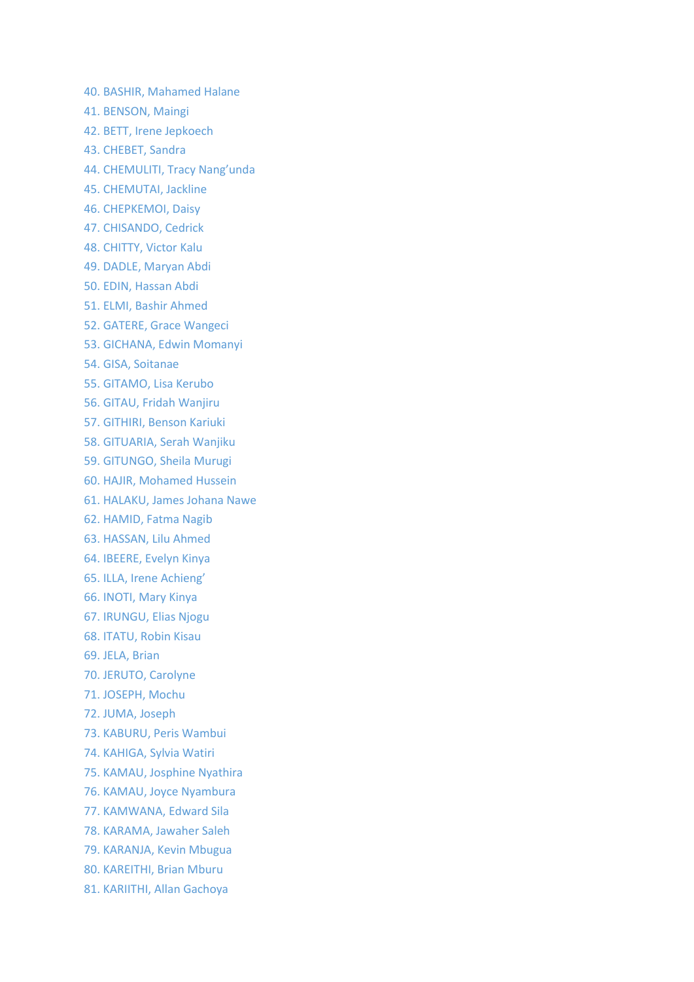40. BASHIR, Mahamed Halane

- 41. BENSON, Maingi
- 42. BETT, Irene Jepkoech
- 43. CHEBET, Sandra
- 44. CHEMULITI, Tracy Nang'unda
- 45. CHEMUTAI, Jackline
- 46. CHEPKEMOI, Daisy
- 47. CHISANDO, Cedrick
- 48. CHITTY, Victor Kalu
- 49. DADLE, Maryan Abdi
- 50. EDIN, Hassan Abdi
- 51. ELMI, Bashir Ahmed
- 52. GATERE, Grace Wangeci
- 53. GICHANA, Edwin Momanyi
- 54. GISA, Soitanae
- 55. GITAMO, Lisa Kerubo
- 56. GITAU, Fridah Wanjiru
- 57. GITHIRI, Benson Kariuki
- 58. GITUARIA, Serah Wanjiku
- 59. GITUNGO, Sheila Murugi
- 60. HAJIR, Mohamed Hussein
- 61. HALAKU, James Johana Nawe
- 62. HAMID, Fatma Nagib
- 63. HASSAN, Lilu Ahmed
- 64. IBEERE, Evelyn Kinya
- 65. ILLA, Irene Achieng'
- 66. INOTI, Mary Kinya
- 67. IRUNGU, Elias Njogu
- 68. ITATU, Robin Kisau
- 69. JELA, Brian
- 70. JERUTO, Carolyne
- 71. JOSEPH, Mochu
- 72. JUMA, Joseph
- 73. KABURU, Peris Wambui
- 74. KAHIGA, Sylvia Watiri
- 75. KAMAU, Josphine Nyathira
- 76. KAMAU, Joyce Nyambura
- 77. KAMWANA, Edward Sila
- 78. KARAMA, Jawaher Saleh
- 79. KARANJA, Kevin Mbugua
- 80. KAREITHI, Brian Mburu
- 81. KARIITHI, Allan Gachoya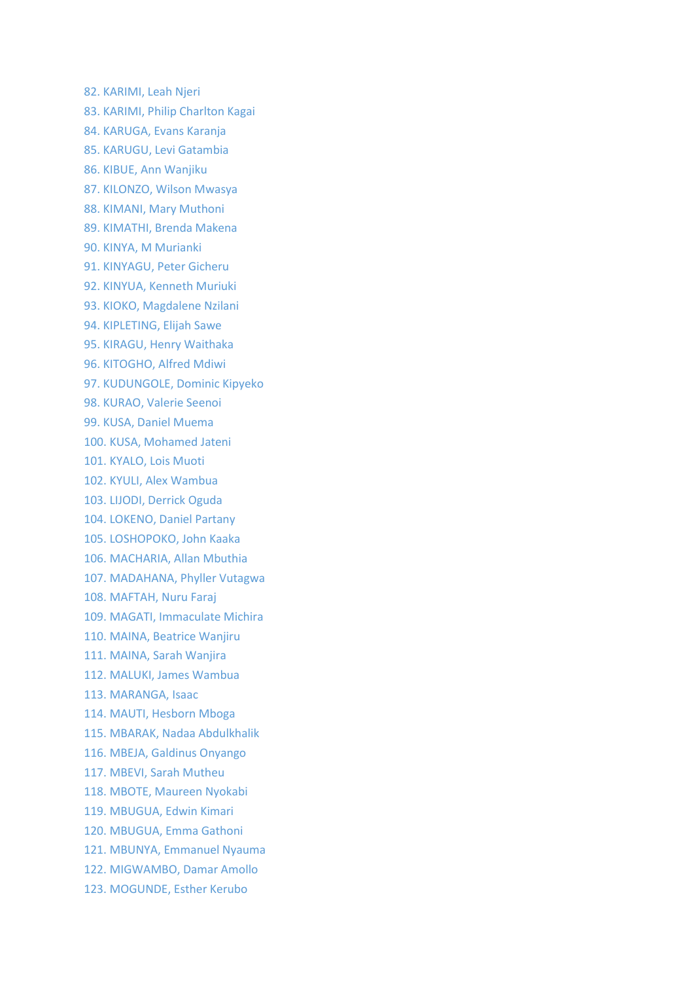82. KARIMI, Leah Njeri 83. KARIMI, Philip Charlton Kagai 84. KARUGA, Evans Karanja 85. KARUGU, Levi Gatambia 86. KIBUE, Ann Wanjiku 87. KILONZO, Wilson Mwasya 88. KIMANI, Mary Muthoni 89. KIMATHI, Brenda Makena 90. KINYA, M Murianki 91. KINYAGU, Peter Gicheru 92. KINYUA, Kenneth Muriuki 93. KIOKO, Magdalene Nzilani 94. KIPLETING, Elijah Sawe 95. KIRAGU, Henry Waithaka 96. KITOGHO, Alfred Mdiwi 97. KUDUNGOLE, Dominic Kipyeko 98. KURAO, Valerie Seenoi 99. KUSA, Daniel Muema 100. KUSA, Mohamed Jateni 101. KYALO, Lois Muoti 102. KYULI, Alex Wambua 103. LIJODI, Derrick Oguda 104. LOKENO, Daniel Partany 105. LOSHOPOKO, John Kaaka 106. MACHARIA, Allan Mbuthia 107. MADAHANA, Phyller Vutagwa 108. MAFTAH, Nuru Faraj 109. MAGATI, Immaculate Michira 110. MAINA, Beatrice Wanjiru 111. MAINA, Sarah Wanjira 112. MALUKI, James Wambua 113. MARANGA, Isaac 114. MAUTI, Hesborn Mboga 115. MBARAK, Nadaa Abdulkhalik 116. MBEJA, Galdinus Onyango 117. MBEVI, Sarah Mutheu 118. MBOTE, Maureen Nyokabi 119. MBUGUA, Edwin Kimari 120. MBUGUA, Emma Gathoni 121. MBUNYA, Emmanuel Nyauma 122. MIGWAMBO, Damar Amollo 123. MOGUNDE, Esther Kerubo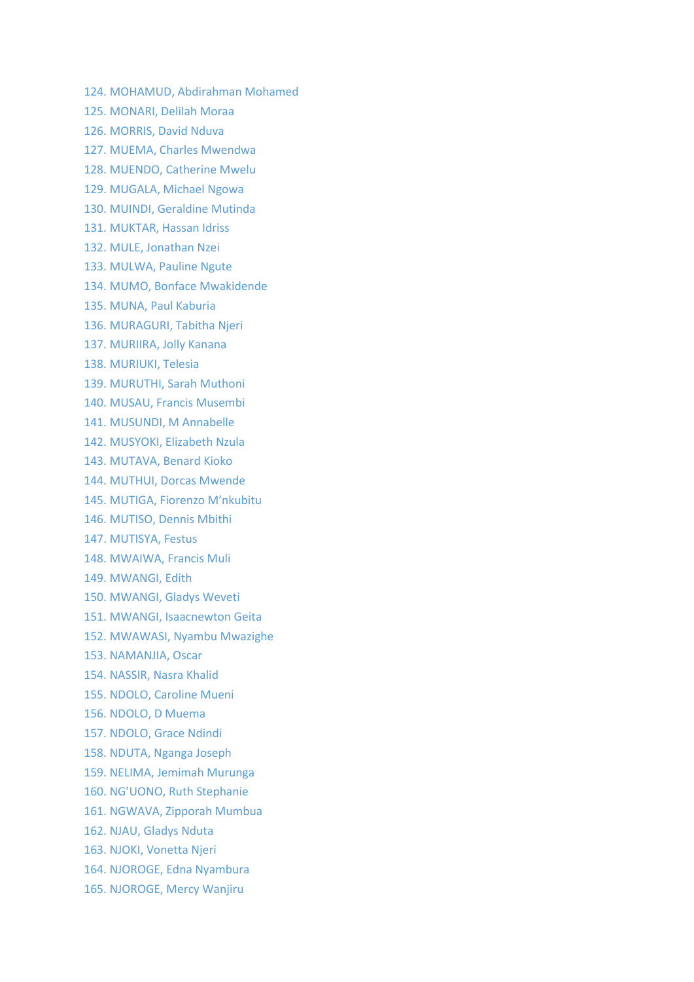124. MOHAMUD, Abdirahman Mohamed

125. MONARI, Delilah Moraa

126. MORRIS, David Nduva

127. MUEMA, Charles Mwendwa

128. MUENDO, Catherine Mwelu

129. MUGALA, Michael Ngowa

130. MUINDI, Geraldine Mutinda

131. MUKTAR, Hassan Idriss

132. MULE, Jonathan Nzei

133. MULWA, Pauline Ngute

134. MUMO, Bonface Mwakidende

135. MUNA, Paul Kaburia

136. MURAGURI, Tabitha Njeri

137. MURIIRA, Jolly Kanana

138. MURIUKI, Telesia

139. MURUTHI, Sarah Muthoni

140. MUSAU, Francis Musembi

141. MUSUNDI, M Annabelle

142. MUSYOKI, Elizabeth Nzula

143. MUTAVA, Benard Kioko

144. MUTHUI, Dorcas Mwende

145. MUTIGA, Fiorenzo M'nkubitu

146. MUTISO, Dennis Mbithi

147. MUTISYA, Festus

148. MWAIWA, Francis Muli

149. MWANGI, Edith

150. MWANGI, Gladys Weveti

151. MWANGI, Isaacnewton Geita

152. MWAWASI, Nyambu Mwazighe

153. NAMANJIA, Oscar

154. NASSIR, Nasra Khalid

155. NDOLO, Caroline Mueni

156. NDOLO, D Muema

157. NDOLO, Grace Ndindi

158. NDUTA, Nganga Joseph

159. NELIMA, Jemimah Murunga

160. NG'UONO, Ruth Stephanie

161. NGWAVA, Zipporah Mumbua

162. NJAU, Gladys Nduta

163. NJOKI, Vonetta Njeri

164. NJOROGE, Edna Nyambura

165. NJOROGE, Mercy Wanjiru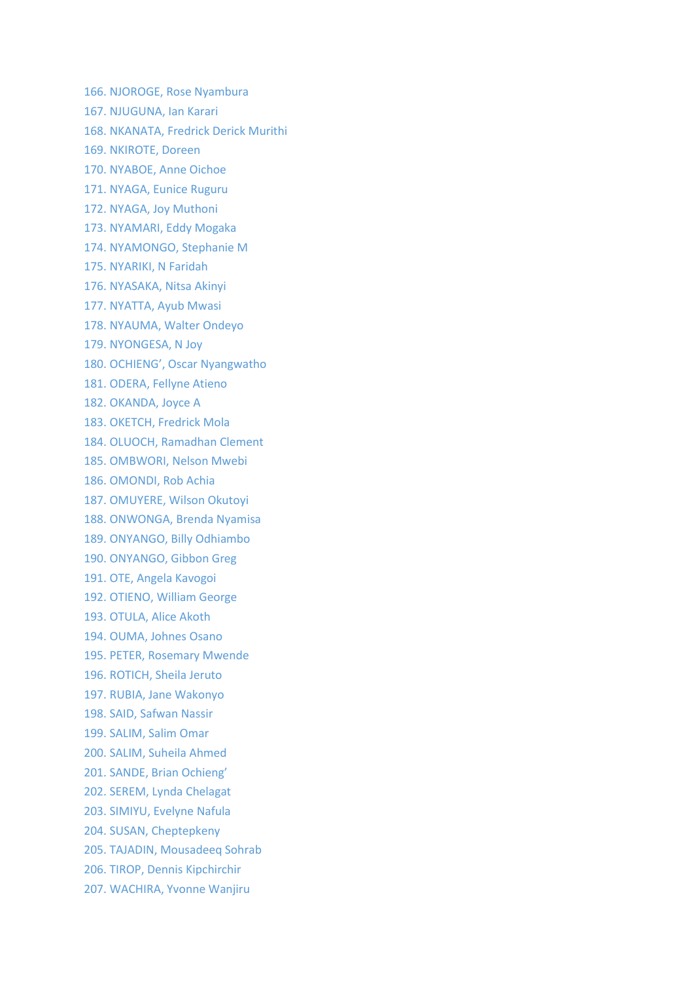166. NJOROGE, Rose Nyambura

167. NJUGUNA, Ian Karari

168. NKANATA, Fredrick Derick Murithi

169. NKIROTE, Doreen

170. NYABOE, Anne Oichoe

171. NYAGA, Eunice Ruguru

172. NYAGA, Joy Muthoni

173. NYAMARI, Eddy Mogaka

174. NYAMONGO, Stephanie M

175. NYARIKI, N Faridah

176. NYASAKA, Nitsa Akinyi

177. NYATTA, Ayub Mwasi

178. NYAUMA, Walter Ondeyo

179. NYONGESA, N Joy

180. OCHIENG', Oscar Nyangwatho

181. ODERA, Fellyne Atieno

182. OKANDA, Joyce A

183. OKETCH, Fredrick Mola

184. OLUOCH, Ramadhan Clement

185. OMBWORI, Nelson Mwebi

186. OMONDI, Rob Achia

187. OMUYERE, Wilson Okutoyi

188. ONWONGA, Brenda Nyamisa

189. ONYANGO, Billy Odhiambo

190. ONYANGO, Gibbon Greg

191. OTE, Angela Kavogoi

192. OTIENO, William George

193. OTULA, Alice Akoth

194. OUMA, Johnes Osano

195. PETER, Rosemary Mwende

196. ROTICH, Sheila Jeruto

197. RUBIA, Jane Wakonyo

198. SAID, Safwan Nassir

199. SALIM, Salim Omar

200. SALIM, Suheila Ahmed

201. SANDE, Brian Ochieng'

202. SEREM, Lynda Chelagat

203. SIMIYU, Evelyne Nafula

204. SUSAN, Cheptepkeny

205. TAJADIN, Mousadeeq Sohrab

206. TIROP, Dennis Kipchirchir

207. WACHIRA, Yvonne Wanjiru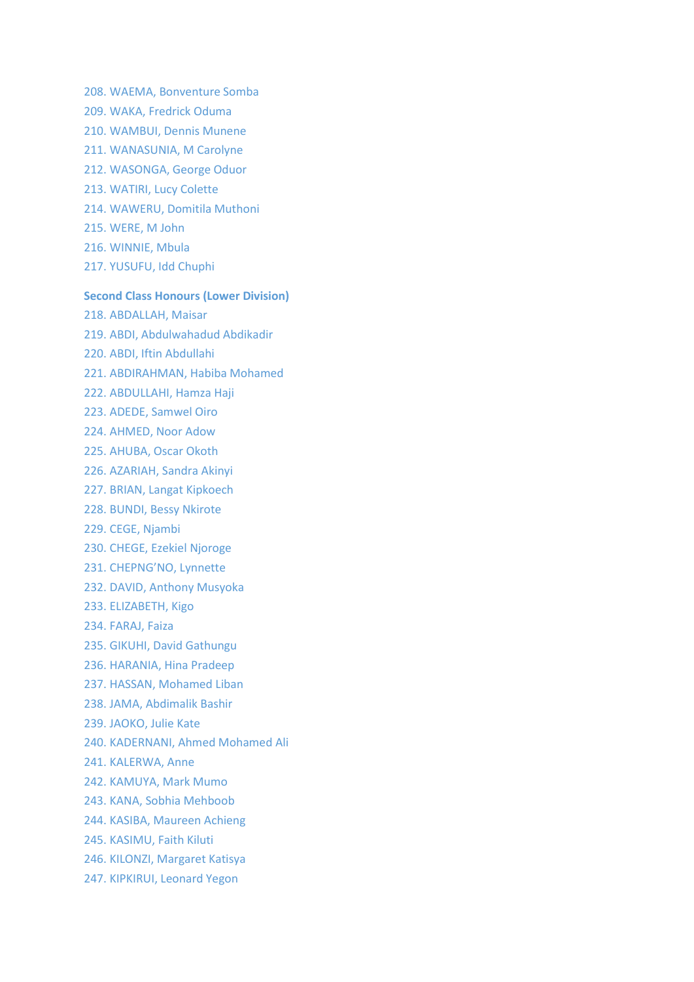- 208. WAEMA, Bonventure Somba 209. WAKA, Fredrick Oduma 210. WAMBUI, Dennis Munene 211. WANASUNIA, M Carolyne 212. WASONGA, George Oduor 213. WATIRI, Lucy Colette 214. WAWERU, Domitila Muthoni 215. WERE, M John 216. WINNIE, Mbula
- 217. YUSUFU, Idd Chuphi

218. ABDALLAH, Maisar 219. ABDI, Abdulwahadud Abdikadir

- 220. ABDI, Iftin Abdullahi
- 221. ABDIRAHMAN, Habiba Mohamed
- 222. ABDULLAHI, Hamza Haji
- 223. ADEDE, Samwel Oiro
- 224. AHMED, Noor Adow
- 225. AHUBA, Oscar Okoth
- 226. AZARIAH, Sandra Akinyi
- 227. BRIAN, Langat Kipkoech
- 228. BUNDI, Bessy Nkirote
- 229. CEGE, Njambi
- 230. CHEGE, Ezekiel Njoroge
- 231. CHEPNG'NO, Lynnette
- 232. DAVID, Anthony Musyoka
- 233. ELIZABETH, Kigo
- 234. FARAJ, Faiza
- 235. GIKUHI, David Gathungu
- 236. HARANIA, Hina Pradeep
- 237. HASSAN, Mohamed Liban
- 238. JAMA, Abdimalik Bashir
- 239. JAOKO, Julie Kate
- 240. KADERNANI, Ahmed Mohamed Ali
- 241. KALERWA, Anne
- 242. KAMUYA, Mark Mumo
- 243. KANA, Sobhia Mehboob
- 244. KASIBA, Maureen Achieng
- 245. KASIMU, Faith Kiluti
- 246. KILONZI, Margaret Katisya
- 247. KIPKIRUI, Leonard Yegon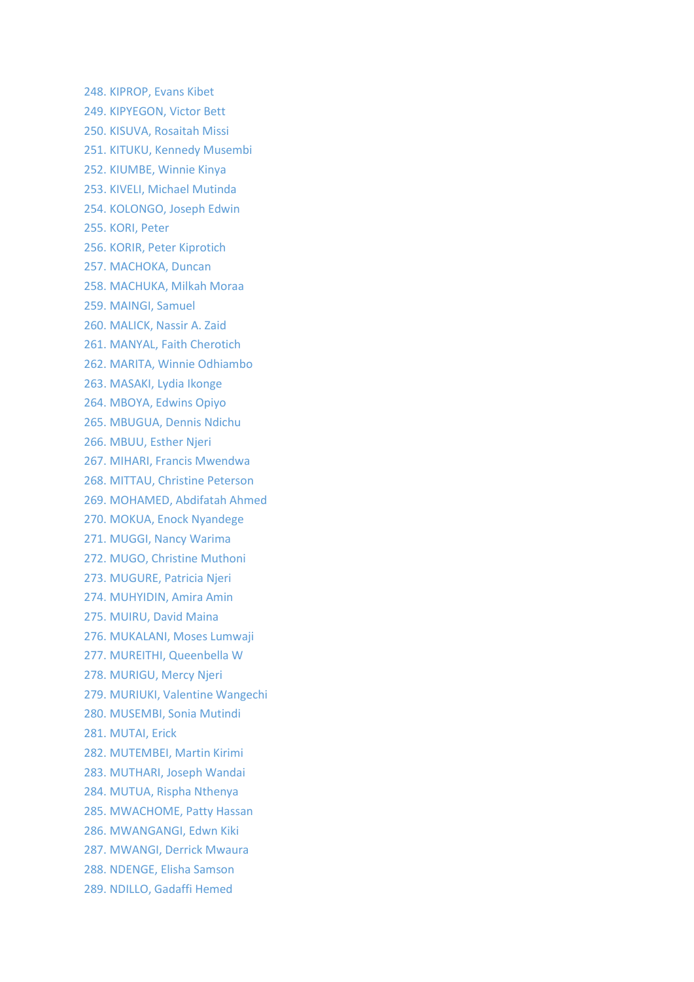248. KIPROP, Evans Kibet 249. KIPYEGON, Victor Bett 250. KISUVA, Rosaitah Missi 251. KITUKU, Kennedy Musembi 252. KIUMBE, Winnie Kinya 253. KIVELI, Michael Mutinda 254. KOLONGO, Joseph Edwin 255. KORI, Peter 256. KORIR, Peter Kiprotich 257. MACHOKA, Duncan 258. MACHUKA, Milkah Moraa 259. MAINGI, Samuel 260. MALICK, Nassir A. Zaid 261. MANYAL, Faith Cherotich 262. MARITA, Winnie Odhiambo 263. MASAKI, Lydia Ikonge 264. MBOYA, Edwins Opiyo 265. MBUGUA, Dennis Ndichu 266. MBUU, Esther Njeri 267. MIHARI, Francis Mwendwa 268. MITTAU, Christine Peterson 269. MOHAMED, Abdifatah Ahmed 270. MOKUA, Enock Nyandege 271. MUGGI, Nancy Warima 272. MUGO, Christine Muthoni 273. MUGURE, Patricia Njeri 274. MUHYIDIN, Amira Amin 275. MUIRU, David Maina 276. MUKALANI, Moses Lumwaji 277. MUREITHI, Queenbella W 278. MURIGU, Mercy Njeri 279. MURIUKI, Valentine Wangechi 280. MUSEMBI, Sonia Mutindi 281. MUTAI, Erick 282. MUTEMBEI, Martin Kirimi 283. MUTHARI, Joseph Wandai 284. MUTUA, Rispha Nthenya 285. MWACHOME, Patty Hassan 286. MWANGANGI, Edwn Kiki 287. MWANGI, Derrick Mwaura 288. NDENGE, Elisha Samson 289. NDILLO, Gadaffi Hemed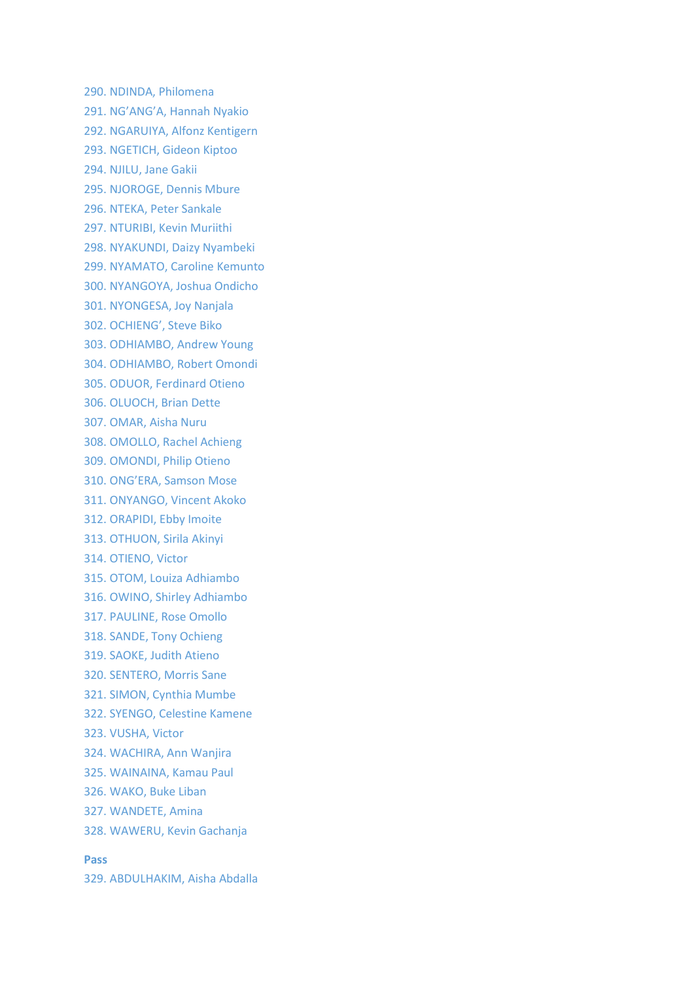290. NDINDA, Philomena 291. NG'ANG'A, Hannah Nyakio 292. NGARUIYA, Alfonz Kentigern 293. NGETICH, Gideon Kiptoo 294. NJILU, Jane Gakii 295. NJOROGE, Dennis Mbure 296. NTEKA, Peter Sankale 297. NTURIBI, Kevin Muriithi 298. NYAKUNDI, Daizy Nyambeki 299. NYAMATO, Caroline Kemunto 300. NYANGOYA, Joshua Ondicho 301. NYONGESA, Joy Nanjala 302. OCHIENG', Steve Biko 303. ODHIAMBO, Andrew Young 304. ODHIAMBO, Robert Omondi 305. ODUOR, Ferdinard Otieno 306. OLUOCH, Brian Dette 307. OMAR, Aisha Nuru 308. OMOLLO, Rachel Achieng 309. OMONDI, Philip Otieno 310. ONG'ERA, Samson Mose 311. ONYANGO, Vincent Akoko 312. ORAPIDI, Ebby Imoite 313. OTHUON, Sirila Akinyi 314. OTIENO, Victor 315. OTOM, Louiza Adhiambo 316. OWINO, Shirley Adhiambo 317. PAULINE, Rose Omollo 318. SANDE, Tony Ochieng 319. SAOKE, Judith Atieno 320. SENTERO, Morris Sane 321. SIMON, Cynthia Mumbe 322. SYENGO, Celestine Kamene 323. VUSHA, Victor 324. WACHIRA, Ann Wanjira 325. WAINAINA, Kamau Paul 326. WAKO, Buke Liban 327. WANDETE, Amina 328. WAWERU, Kevin Gachanja

# **Pass**

329. ABDULHAKIM, Aisha Abdalla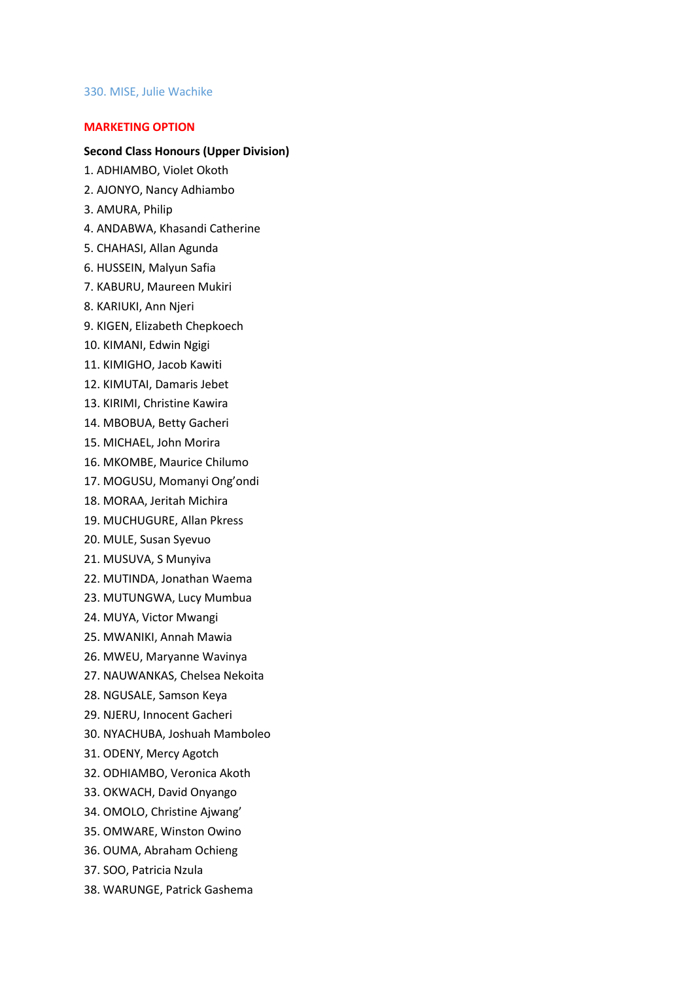#### 330. MISE, Julie Wachike

#### **MARKETING OPTION**

#### **Second Class Honours (Upper Division)**

- 1. ADHIAMBO, Violet Okoth
- 2. AJONYO, Nancy Adhiambo
- 3. AMURA, Philip
- 4. ANDABWA, Khasandi Catherine
- 5. CHAHASI, Allan Agunda
- 6. HUSSEIN, Malyun Safia
- 7. KABURU, Maureen Mukiri
- 8. KARIUKI, Ann Njeri
- 9. KIGEN, Elizabeth Chepkoech
- 10. KIMANI, Edwin Ngigi
- 11. KIMIGHO, Jacob Kawiti
- 12. KIMUTAI, Damaris Jebet
- 13. KIRIMI, Christine Kawira
- 14. MBOBUA, Betty Gacheri
- 15. MICHAEL, John Morira
- 16. MKOMBE, Maurice Chilumo
- 17. MOGUSU, Momanyi Ong'ondi
- 18. MORAA, Jeritah Michira
- 19. MUCHUGURE, Allan Pkress
- 20. MULE, Susan Syevuo
- 21. MUSUVA, S Munyiva
- 22. MUTINDA, Jonathan Waema
- 23. MUTUNGWA, Lucy Mumbua
- 24. MUYA, Victor Mwangi
- 25. MWANIKI, Annah Mawia
- 26. MWEU, Maryanne Wavinya
- 27. NAUWANKAS, Chelsea Nekoita
- 28. NGUSALE, Samson Keya
- 29. NJERU, Innocent Gacheri
- 30. NYACHUBA, Joshuah Mamboleo
- 31. ODENY, Mercy Agotch
- 32. ODHIAMBO, Veronica Akoth
- 33. OKWACH, David Onyango
- 34. OMOLO, Christine Ajwang'
- 35. OMWARE, Winston Owino
- 36. OUMA, Abraham Ochieng
- 37. SOO, Patricia Nzula
- 38. WARUNGE, Patrick Gashema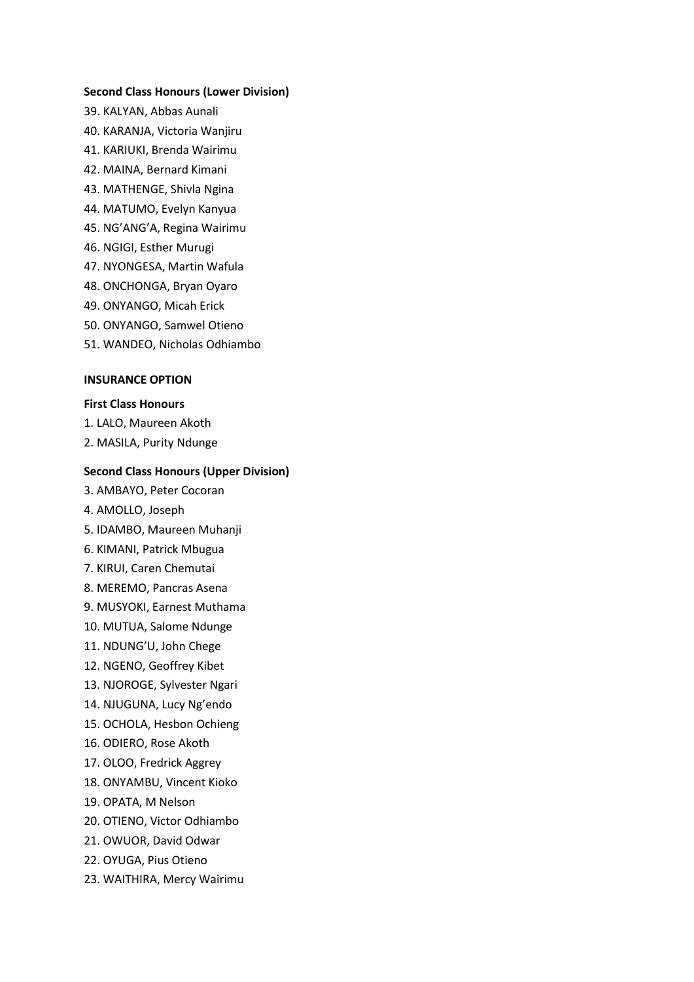- 39. KALYAN, Abbas Aunali
- 40. KARANJA, Victoria Wanjiru
- 41. KARIUKI, Brenda Wairimu
- 42. MAINA, Bernard Kimani
- 43. MATHENGE, Shivla Ngina
- 44. MATUMO, Evelyn Kanyua
- 45. NG'ANG'A, Regina Wairimu
- 46. NGIGI, Esther Murugi
- 47. NYONGESA, Martin Wafula
- 48. ONCHONGA, Bryan Oyaro
- 49. ONYANGO, Micah Erick
- 50. ONYANGO, Samwel Otieno
- 51. WANDEO, Nicholas Odhiambo

#### **INSURANCE OPTION**

# **First Class Honours**

- 1. LALO, Maureen Akoth
- 2. MASILA, Purity Ndunge

# **Second Class Honours (Upper Division)**

- 3. AMBAYO, Peter Cocoran
- 4. AMOLLO, Joseph
- 5. IDAMBO, Maureen Muhanji
- 6. KIMANI, Patrick Mbugua
- 7. KIRUI, Caren Chemutai
- 8. MEREMO, Pancras Asena
- 9. MUSYOKI, Earnest Muthama
- 10. MUTUA, Salome Ndunge
- 11. NDUNG'U, John Chege
- 12. NGENO, Geoffrey Kibet
- 13. NJOROGE, Sylvester Ngari
- 14. NJUGUNA, Lucy Ng'endo
- 15. OCHOLA, Hesbon Ochieng
- 16. ODIERO, Rose Akoth
- 17. OLOO, Fredrick Aggrey
- 18. ONYAMBU, Vincent Kioko
- 19. OPATA, M Nelson
- 20. OTIENO, Victor Odhiambo
- 21. OWUOR, David Odwar
- 22. OYUGA, Pius Otieno
- 23. WAITHIRA, Mercy Wairimu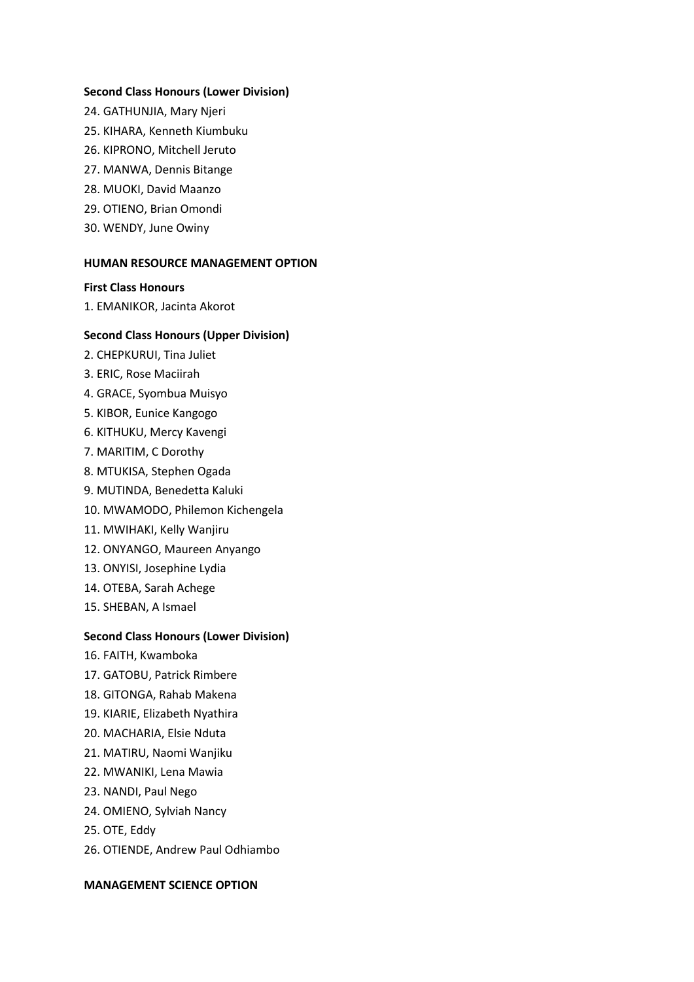- 24. GATHUNJIA, Mary Njeri
- 25. KIHARA, Kenneth Kiumbuku
- 26. KIPRONO, Mitchell Jeruto
- 27. MANWA, Dennis Bitange
- 28. MUOKI, David Maanzo
- 29. OTIENO, Brian Omondi
- 30. WENDY, June Owiny

# **HUMAN RESOURCE MANAGEMENT OPTION**

#### **First Class Honours**

1. EMANIKOR, Jacinta Akorot

# **Second Class Honours (Upper Division)**

- 2. CHEPKURUI, Tina Juliet
- 3. ERIC, Rose Maciirah
- 4. GRACE, Syombua Muisyo
- 5. KIBOR, Eunice Kangogo
- 6. KITHUKU, Mercy Kavengi
- 7. MARITIM, C Dorothy
- 8. MTUKISA, Stephen Ogada
- 9. MUTINDA, Benedetta Kaluki
- 10. MWAMODO, Philemon Kichengela
- 11. MWIHAKI, Kelly Wanjiru
- 12. ONYANGO, Maureen Anyango
- 13. ONYISI, Josephine Lydia
- 14. OTEBA, Sarah Achege
- 15. SHEBAN, A Ismael

# **Second Class Honours (Lower Division)**

- 16. FAITH, Kwamboka
- 17. GATOBU, Patrick Rimbere
- 18. GITONGA, Rahab Makena
- 19. KIARIE, Elizabeth Nyathira
- 20. MACHARIA, Elsie Nduta
- 21. MATIRU, Naomi Wanjiku
- 22. MWANIKI, Lena Mawia
- 23. NANDI, Paul Nego
- 24. OMIENO, Sylviah Nancy
- 25. OTE, Eddy
- 26. OTIENDE, Andrew Paul Odhiambo

#### **MANAGEMENT SCIENCE OPTION**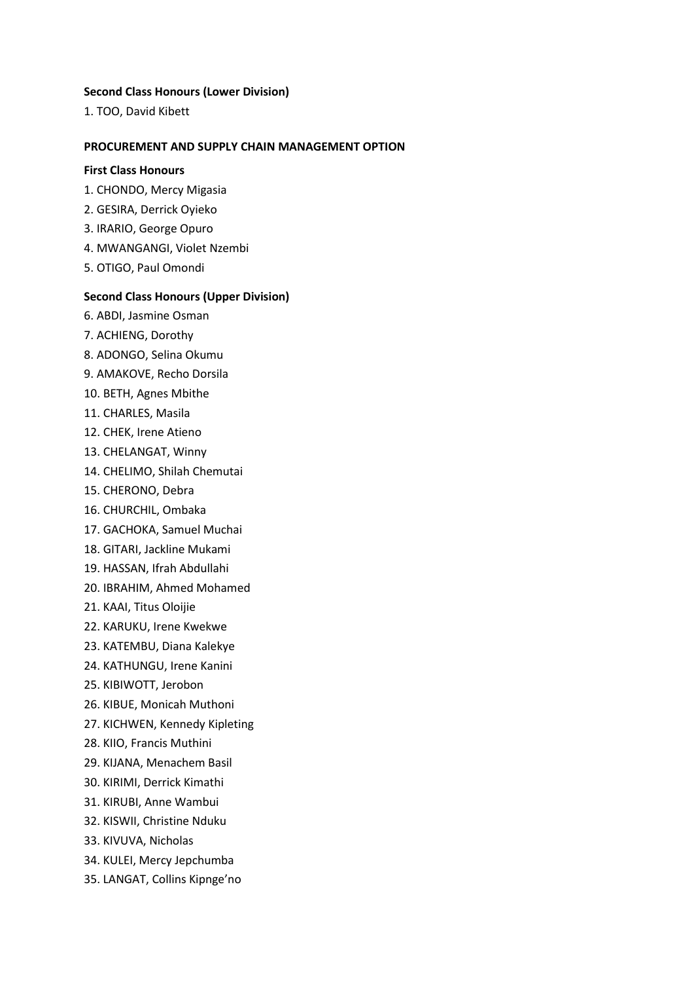1. TOO, David Kibett

# **PROCUREMENT AND SUPPLY CHAIN MANAGEMENT OPTION**

# **First Class Honours**

- 1. CHONDO, Mercy Migasia
- 2. GESIRA, Derrick Oyieko
- 3. IRARIO, George Opuro
- 4. MWANGANGI, Violet Nzembi
- 5. OTIGO, Paul Omondi

#### **Second Class Honours (Upper Division)**

- 6. ABDI, Jasmine Osman
- 7. ACHIENG, Dorothy
- 8. ADONGO, Selina Okumu
- 9. AMAKOVE, Recho Dorsila
- 10. BETH, Agnes Mbithe
- 11. CHARLES, Masila
- 12. CHEK, Irene Atieno
- 13. CHELANGAT, Winny
- 14. CHELIMO, Shilah Chemutai
- 15. CHERONO, Debra
- 16. CHURCHIL, Ombaka
- 17. GACHOKA, Samuel Muchai
- 18. GITARI, Jackline Mukami
- 19. HASSAN, Ifrah Abdullahi
- 20. IBRAHIM, Ahmed Mohamed
- 21. KAAI, Titus Oloijie
- 22. KARUKU, Irene Kwekwe
- 23. KATEMBU, Diana Kalekye
- 24. KATHUNGU, Irene Kanini
- 25. KIBIWOTT, Jerobon
- 26. KIBUE, Monicah Muthoni
- 27. KICHWEN, Kennedy Kipleting
- 28. KIIO, Francis Muthini
- 29. KIJANA, Menachem Basil
- 30. KIRIMI, Derrick Kimathi
- 31. KIRUBI, Anne Wambui
- 32. KISWII, Christine Nduku
- 33. KIVUVA, Nicholas
- 34. KULEI, Mercy Jepchumba
- 35. LANGAT, Collins Kipnge'no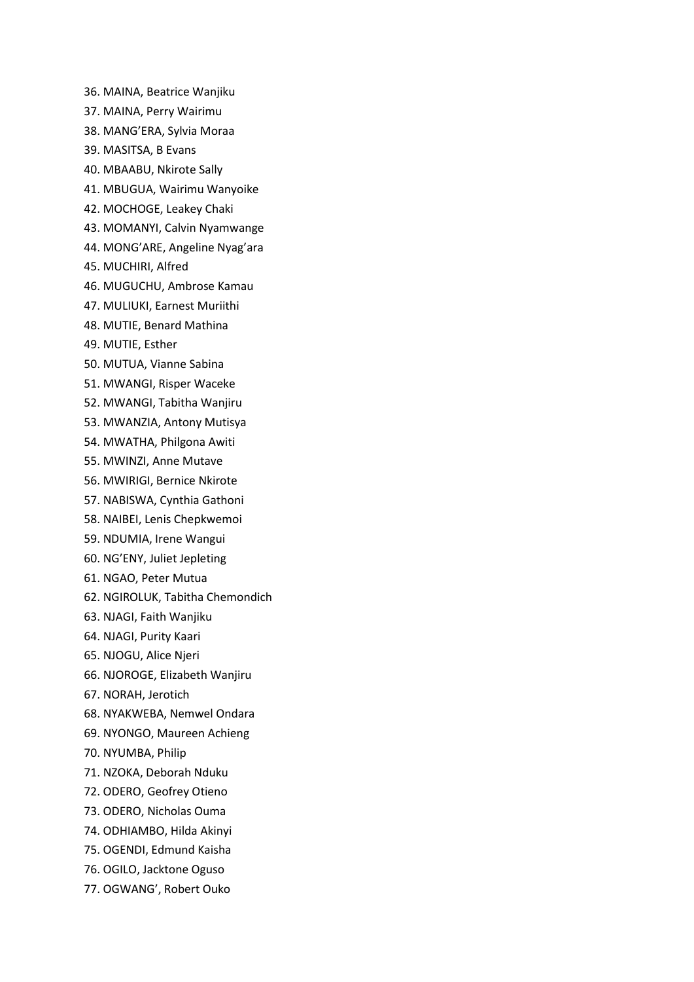- 36. MAINA, Beatrice Wanjiku
- 37. MAINA, Perry Wairimu
- 38. MANG'ERA, Sylvia Moraa
- 39. MASITSA, B Evans
- 40. MBAABU, Nkirote Sally
- 41. MBUGUA, Wairimu Wanyoike
- 42. MOCHOGE, Leakey Chaki
- 43. MOMANYI, Calvin Nyamwange
- 44. MONG'ARE, Angeline Nyag'ara
- 45. MUCHIRI, Alfred
- 46. MUGUCHU, Ambrose Kamau
- 47. MULIUKI, Earnest Muriithi
- 48. MUTIE, Benard Mathina
- 49. MUTIE, Esther
- 50. MUTUA, Vianne Sabina
- 51. MWANGI, Risper Waceke
- 52. MWANGI, Tabitha Wanjiru
- 53. MWANZIA, Antony Mutisya
- 54. MWATHA, Philgona Awiti
- 55. MWINZI, Anne Mutave
- 56. MWIRIGI, Bernice Nkirote
- 57. NABISWA, Cynthia Gathoni
- 58. NAIBEI, Lenis Chepkwemoi
- 59. NDUMIA, Irene Wangui
- 60. NG'ENY, Juliet Jepleting
- 61. NGAO, Peter Mutua
- 62. NGIROLUK, Tabitha Chemondich
- 63. NJAGI, Faith Wanjiku
- 64. NJAGI, Purity Kaari
- 65. NJOGU, Alice Njeri
- 66. NJOROGE, Elizabeth Wanjiru
- 67. NORAH, Jerotich
- 68. NYAKWEBA, Nemwel Ondara
- 69. NYONGO, Maureen Achieng
- 70. NYUMBA, Philip
- 71. NZOKA, Deborah Nduku
- 72. ODERO, Geofrey Otieno
- 73. ODERO, Nicholas Ouma
- 74. ODHIAMBO, Hilda Akinyi
- 75. OGENDI, Edmund Kaisha
- 76. OGILO, Jacktone Oguso
- 77. OGWANG', Robert Ouko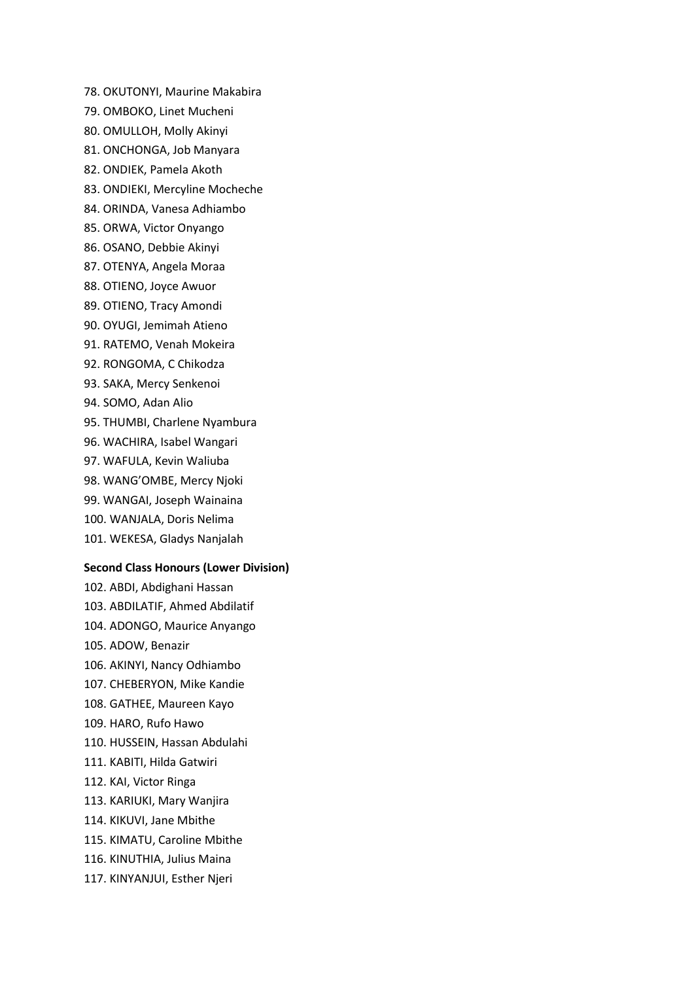- 78. OKUTONYI, Maurine Makabira
- 79. OMBOKO, Linet Mucheni
- 80. OMULLOH, Molly Akinyi
- 81. ONCHONGA, Job Manyara
- 82. ONDIEK, Pamela Akoth
- 83. ONDIEKI, Mercyline Mocheche
- 84. ORINDA, Vanesa Adhiambo
- 85. ORWA, Victor Onyango
- 86. OSANO, Debbie Akinyi
- 87. OTENYA, Angela Moraa
- 88. OTIENO, Joyce Awuor
- 89. OTIENO, Tracy Amondi
- 90. OYUGI, Jemimah Atieno
- 91. RATEMO, Venah Mokeira
- 92. RONGOMA, C Chikodza
- 93. SAKA, Mercy Senkenoi
- 94. SOMO, Adan Alio
- 95. THUMBI, Charlene Nyambura
- 96. WACHIRA, Isabel Wangari
- 97. WAFULA, Kevin Waliuba
- 98. WANG'OMBE, Mercy Njoki
- 99. WANGAI, Joseph Wainaina
- 100. WANJALA, Doris Nelima
- 101. WEKESA, Gladys Nanjalah

102. ABDI, Abdighani Hassan 103. ABDILATIF, Ahmed Abdilatif 104. ADONGO, Maurice Anyango 105. ADOW, Benazir 106. AKINYI, Nancy Odhiambo 107. CHEBERYON, Mike Kandie 108. GATHEE, Maureen Kayo 109. HARO, Rufo Hawo 110. HUSSEIN, Hassan Abdulahi 111. KABITI, Hilda Gatwiri 112. KAI, Victor Ringa 113. KARIUKI, Mary Wanjira 114. KIKUVI, Jane Mbithe 115. KIMATU, Caroline Mbithe 116. KINUTHIA, Julius Maina 117. KINYANJUI, Esther Njeri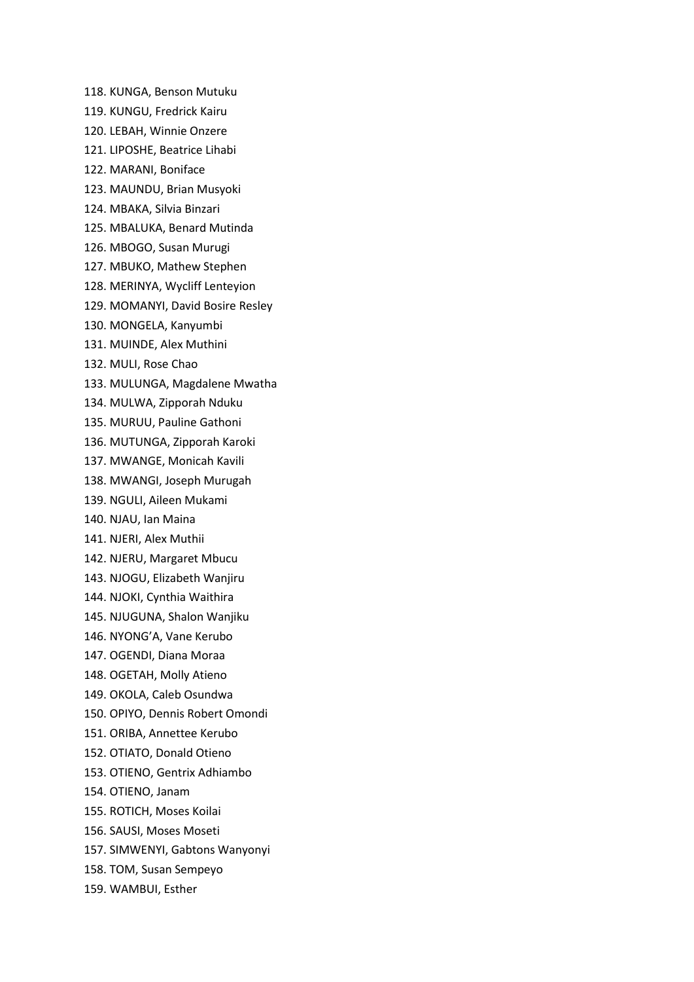118. KUNGA, Benson Mutuku

119. KUNGU, Fredrick Kairu

120. LEBAH, Winnie Onzere

121. LIPOSHE, Beatrice Lihabi

122. MARANI, Boniface

123. MAUNDU, Brian Musyoki

124. MBAKA, Silvia Binzari

125. MBALUKA, Benard Mutinda

126. MBOGO, Susan Murugi

127. MBUKO, Mathew Stephen

128. MERINYA, Wycliff Lenteyion

129. MOMANYI, David Bosire Resley

130. MONGELA, Kanyumbi

131. MUINDE, Alex Muthini

132. MULI, Rose Chao

133. MULUNGA, Magdalene Mwatha

134. MULWA, Zipporah Nduku

135. MURUU, Pauline Gathoni

136. MUTUNGA, Zipporah Karoki

137. MWANGE, Monicah Kavili

138. MWANGI, Joseph Murugah

139. NGULI, Aileen Mukami

140. NJAU, Ian Maina

141. NJERI, Alex Muthii

142. NJERU, Margaret Mbucu

143. NJOGU, Elizabeth Wanjiru

144. NJOKI, Cynthia Waithira

145. NJUGUNA, Shalon Wanjiku

146. NYONG'A, Vane Kerubo

147. OGENDI, Diana Moraa

148. OGETAH, Molly Atieno

149. OKOLA, Caleb Osundwa

150. OPIYO, Dennis Robert Omondi

151. ORIBA, Annettee Kerubo

152. OTIATO, Donald Otieno

153. OTIENO, Gentrix Adhiambo

154. OTIENO, Janam

155. ROTICH, Moses Koilai

156. SAUSI, Moses Moseti

157. SIMWENYI, Gabtons Wanyonyi

158. TOM, Susan Sempeyo

159. WAMBUI, Esther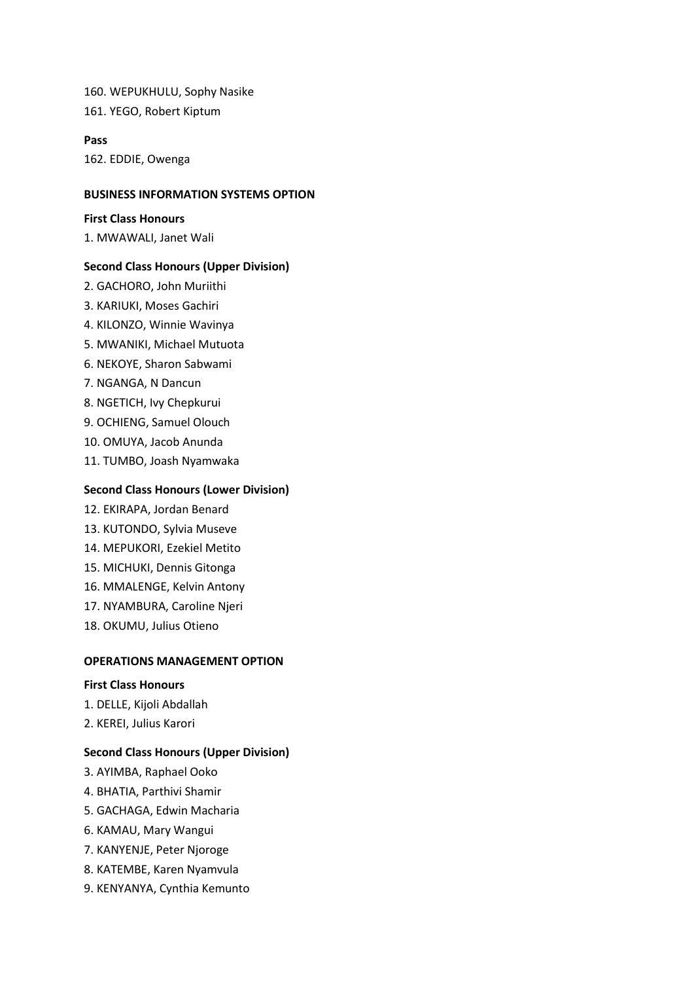160. WEPUKHULU, Sophy Nasike 161. YEGO, Robert Kiptum

#### **Pass**

162. EDDIE, Owenga

#### **BUSINESS INFORMATION SYSTEMS OPTION**

#### **First Class Honours**

1. MWAWALI, Janet Wali

## **Second Class Honours (Upper Division)**

- 2. GACHORO, John Muriithi
- 3. KARIUKI, Moses Gachiri
- 4. KILONZO, Winnie Wavinya
- 5. MWANIKI, Michael Mutuota
- 6. NEKOYE, Sharon Sabwami
- 7. NGANGA, N Dancun
- 8. NGETICH, Ivy Chepkurui
- 9. OCHIENG, Samuel Olouch
- 10. OMUYA, Jacob Anunda
- 11. TUMBO, Joash Nyamwaka

# **Second Class Honours (Lower Division)**

- 12. EKIRAPA, Jordan Benard
- 13. KUTONDO, Sylvia Museve
- 14. MEPUKORI, Ezekiel Metito
- 15. MICHUKI, Dennis Gitonga
- 16. MMALENGE, Kelvin Antony
- 17. NYAMBURA, Caroline Njeri
- 18. OKUMU, Julius Otieno

#### **OPERATIONS MANAGEMENT OPTION**

# **First Class Honours**

- 1. DELLE, Kijoli Abdallah
- 2. KEREI, Julius Karori

### **Second Class Honours (Upper Division)**

- 3. AYIMBA, Raphael Ooko
- 4. BHATIA, Parthivi Shamir
- 5. GACHAGA, Edwin Macharia
- 6. KAMAU, Mary Wangui
- 7. KANYENJE, Peter Njoroge
- 8. KATEMBE, Karen Nyamvula
- 9. KENYANYA, Cynthia Kemunto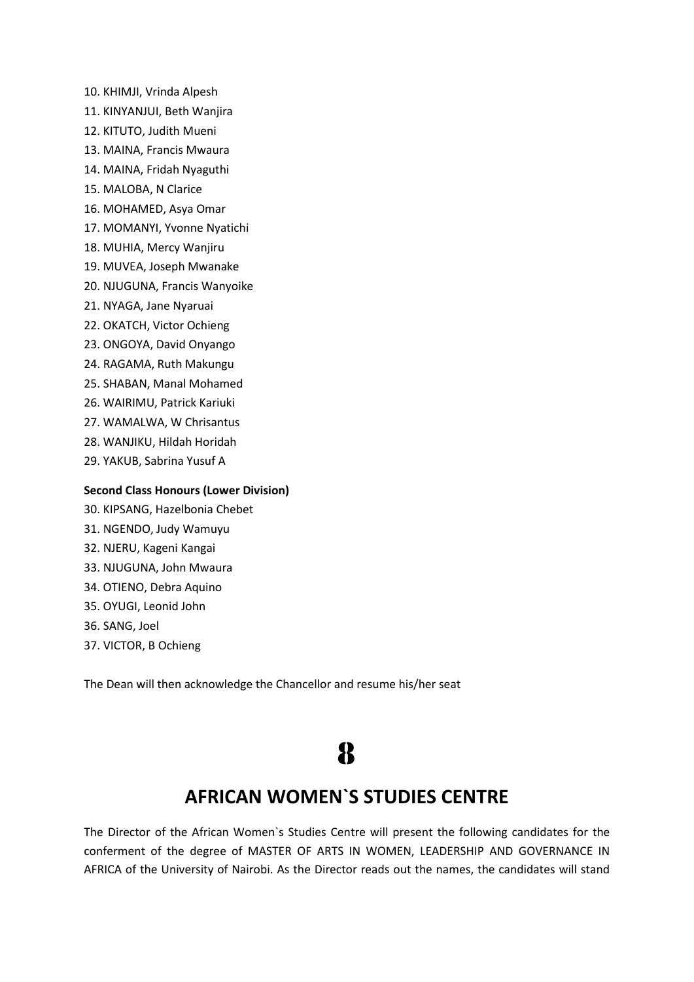- 10. KHIMJI, Vrinda Alpesh
- 11. KINYANJUI, Beth Wanjira
- 12. KITUTO, Judith Mueni
- 13. MAINA, Francis Mwaura
- 14. MAINA, Fridah Nyaguthi
- 15. MALOBA, N Clarice
- 16. MOHAMED, Asya Omar
- 17. MOMANYI, Yvonne Nyatichi
- 18. MUHIA, Mercy Wanjiru
- 19. MUVEA, Joseph Mwanake
- 20. NJUGUNA, Francis Wanyoike
- 21. NYAGA, Jane Nyaruai
- 22. OKATCH, Victor Ochieng
- 23. ONGOYA, David Onyango
- 24. RAGAMA, Ruth Makungu
- 25. SHABAN, Manal Mohamed
- 26. WAIRIMU, Patrick Kariuki
- 27. WAMALWA, W Chrisantus
- 28. WANJIKU, Hildah Horidah
- 29. YAKUB, Sabrina Yusuf A

- 30. KIPSANG, Hazelbonia Chebet
- 31. NGENDO, Judy Wamuyu
- 32. NJERU, Kageni Kangai
- 33. NJUGUNA, John Mwaura
- 34. OTIENO, Debra Aquino
- 35. OYUGI, Leonid John
- 36. SANG, Joel
- 37. VICTOR, B Ochieng

The Dean will then acknowledge the Chancellor and resume his/her seat

# 8

# **AFRICAN WOMEN`S STUDIES CENTRE**

The Director of the African Women`s Studies Centre will present the following candidates for the conferment of the degree of MASTER OF ARTS IN WOMEN, LEADERSHIP AND GOVERNANCE IN AFRICA of the University of Nairobi. As the Director reads out the names, the candidates will stand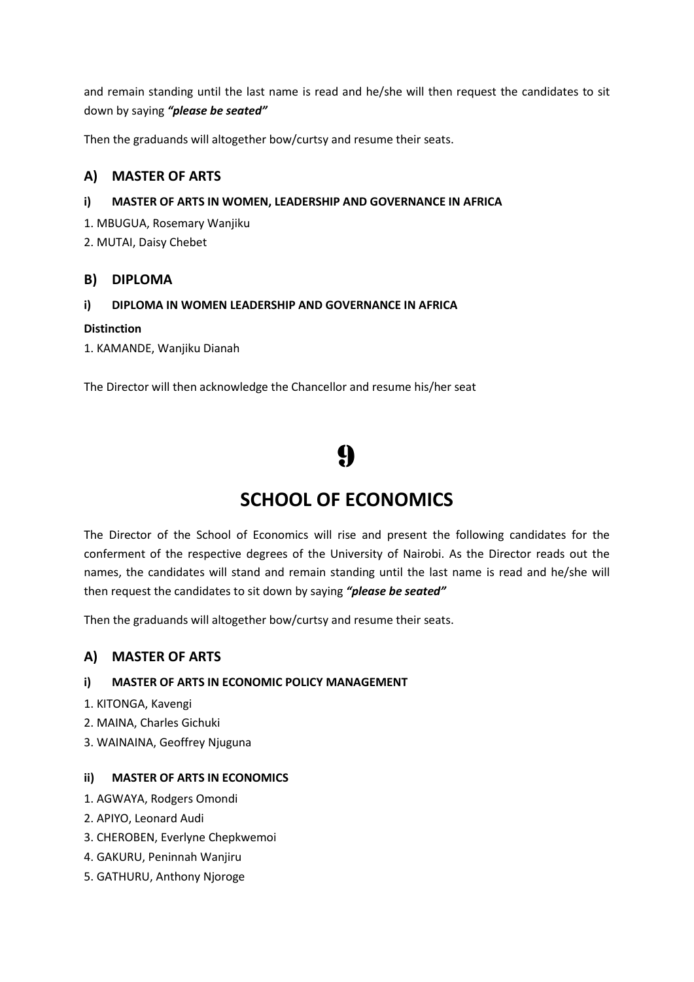and remain standing until the last name is read and he/she will then request the candidates to sit down by saying *"please be seated"*

Then the graduands will altogether bow/curtsy and resume their seats.

## **A) MASTER OF ARTS**

## **i) MASTER OF ARTS IN WOMEN, LEADERSHIP AND GOVERNANCE IN AFRICA**

1. MBUGUA, Rosemary Wanjiku 2. MUTAI, Daisy Chebet

## **B) DIPLOMA**

## **i) DIPLOMA IN WOMEN LEADERSHIP AND GOVERNANCE IN AFRICA**

## **Distinction**

1. KAMANDE, Wanjiku Dianah

The Director will then acknowledge the Chancellor and resume his/her seat

# **9**

## **SCHOOL OF ECONOMICS**

The Director of the School of Economics will rise and present the following candidates for the conferment of the respective degrees of the University of Nairobi. As the Director reads out the names, the candidates will stand and remain standing until the last name is read and he/she will then request the candidates to sit down by saying *"please be seated"*

Then the graduands will altogether bow/curtsy and resume their seats.

## **A) MASTER OF ARTS**

## **i) MASTER OF ARTS IN ECONOMIC POLICY MANAGEMENT**

- 1. KITONGA, Kavengi
- 2. MAINA, Charles Gichuki
- 3. WAINAINA, Geoffrey Njuguna

## **ii) MASTER OF ARTS IN ECONOMICS**

- 1. AGWAYA, Rodgers Omondi
- 2. APIYO, Leonard Audi
- 3. CHEROBEN, Everlyne Chepkwemoi
- 4. GAKURU, Peninnah Wanjiru
- 5. GATHURU, Anthony Njoroge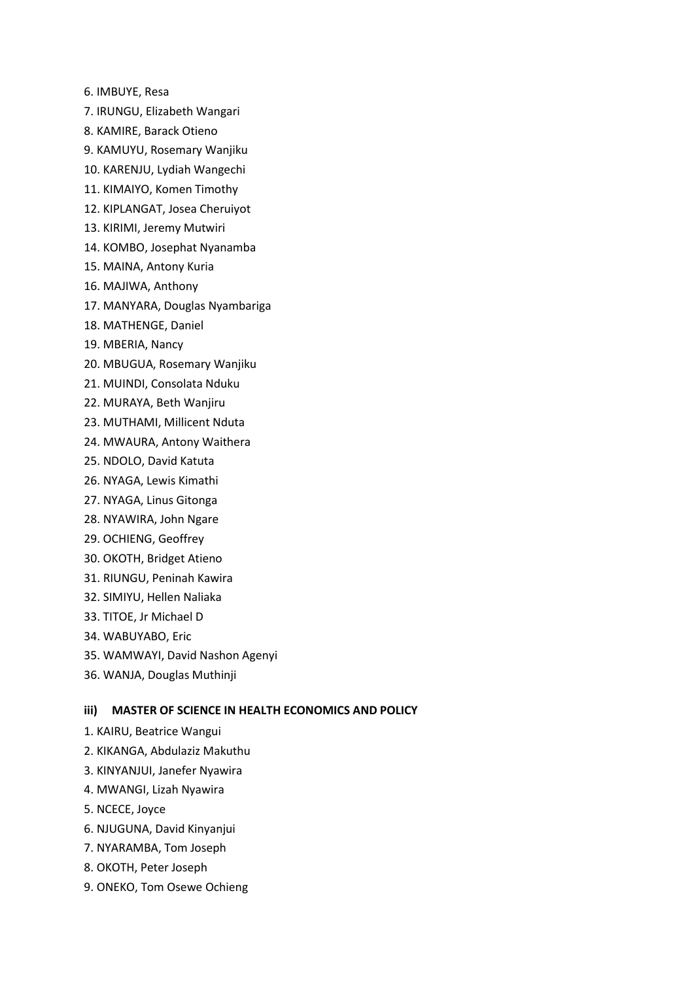- 6. IMBUYE, Resa
- 7. IRUNGU, Elizabeth Wangari
- 8. KAMIRE, Barack Otieno
- 9. KAMUYU, Rosemary Wanjiku
- 10. KARENJU, Lydiah Wangechi
- 11. KIMAIYO, Komen Timothy
- 12. KIPLANGAT, Josea Cheruiyot
- 13. KIRIMI, Jeremy Mutwiri
- 14. KOMBO, Josephat Nyanamba
- 15. MAINA, Antony Kuria
- 16. MAJIWA, Anthony
- 17. MANYARA, Douglas Nyambariga
- 18. MATHENGE, Daniel
- 19. MBERIA, Nancy
- 20. MBUGUA, Rosemary Wanjiku
- 21. MUINDI, Consolata Nduku
- 22. MURAYA, Beth Wanjiru
- 23. MUTHAMI, Millicent Nduta
- 24. MWAURA, Antony Waithera
- 25. NDOLO, David Katuta
- 26. NYAGA, Lewis Kimathi
- 27. NYAGA, Linus Gitonga
- 28. NYAWIRA, John Ngare
- 29. OCHIENG, Geoffrey
- 30. OKOTH, Bridget Atieno
- 31. RIUNGU, Peninah Kawira
- 32. SIMIYU, Hellen Naliaka
- 33. TITOE, Jr Michael D
- 34. WABUYABO, Eric
- 35. WAMWAYI, David Nashon Agenyi
- 36. WANJA, Douglas Muthinji

### **iii) MASTER OF SCIENCE IN HEALTH ECONOMICS AND POLICY**

- 1. KAIRU, Beatrice Wangui
- 2. KIKANGA, Abdulaziz Makuthu
- 3. KINYANJUI, Janefer Nyawira
- 4. MWANGI, Lizah Nyawira
- 5. NCECE, Joyce
- 6. NJUGUNA, David Kinyanjui
- 7. NYARAMBA, Tom Joseph
- 8. OKOTH, Peter Joseph
- 9. ONEKO, Tom Osewe Ochieng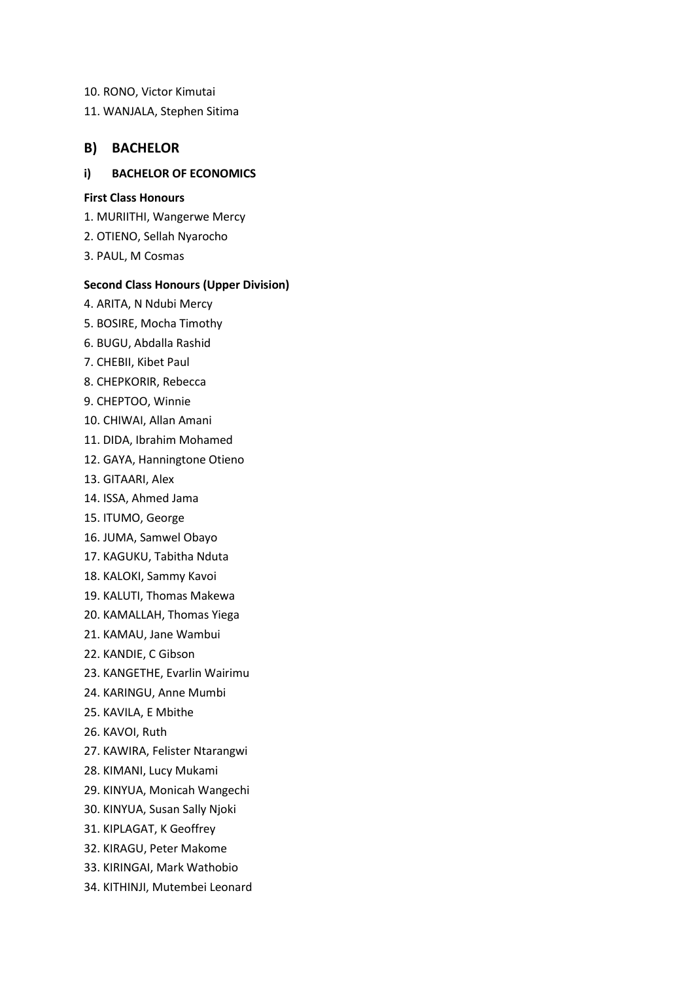- 10. RONO, Victor Kimutai
- 11. WANJALA, Stephen Sitima

## **B) BACHELOR**

## **i) BACHELOR OF ECONOMICS**

## **First Class Honours**

- 1. MURIITHI, Wangerwe Mercy
- 2. OTIENO, Sellah Nyarocho
- 3. PAUL, M Cosmas

### **Second Class Honours (Upper Division)**

- 4. ARITA, N Ndubi Mercy
- 5. BOSIRE, Mocha Timothy
- 6. BUGU, Abdalla Rashid
- 7. CHEBII, Kibet Paul
- 8. CHEPKORIR, Rebecca
- 9. CHEPTOO, Winnie
- 10. CHIWAI, Allan Amani
- 11. DIDA, Ibrahim Mohamed
- 12. GAYA, Hanningtone Otieno
- 13. GITAARI, Alex
- 14. ISSA, Ahmed Jama
- 15. ITUMO, George
- 16. JUMA, Samwel Obayo
- 17. KAGUKU, Tabitha Nduta
- 18. KALOKI, Sammy Kavoi
- 19. KALUTI, Thomas Makewa
- 20. KAMALLAH, Thomas Yiega
- 21. KAMAU, Jane Wambui
- 22. KANDIE, C Gibson
- 23. KANGETHE, Evarlin Wairimu
- 24. KARINGU, Anne Mumbi
- 25. KAVILA, E Mbithe
- 26. KAVOI, Ruth
- 27. KAWIRA, Felister Ntarangwi
- 28. KIMANI, Lucy Mukami
- 29. KINYUA, Monicah Wangechi
- 30. KINYUA, Susan Sally Njoki
- 31. KIPLAGAT, K Geoffrey
- 32. KIRAGU, Peter Makome
- 33. KIRINGAI, Mark Wathobio
- 34. KITHINJI, Mutembei Leonard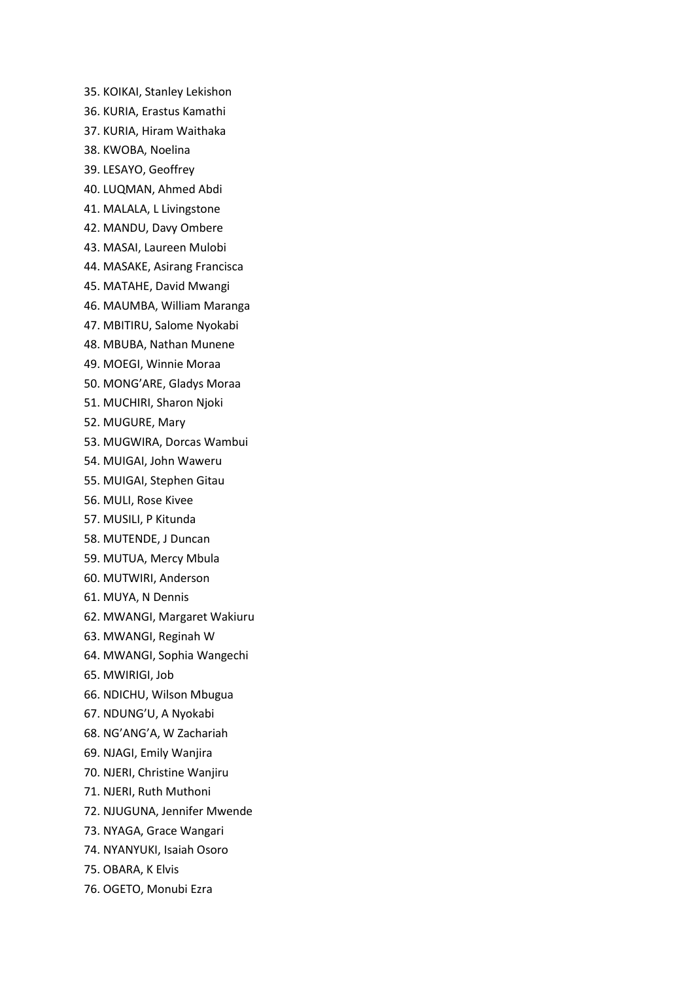- 35. KOIKAI, Stanley Lekishon
- 36. KURIA, Erastus Kamathi
- 37. KURIA, Hiram Waithaka
- 38. KWOBA, Noelina
- 39. LESAYO, Geoffrey
- 40. LUQMAN, Ahmed Abdi
- 41. MALALA, L Livingstone
- 42. MANDU, Davy Ombere
- 43. MASAI, Laureen Mulobi
- 44. MASAKE, Asirang Francisca
- 45. MATAHE, David Mwangi
- 46. MAUMBA, William Maranga
- 47. MBITIRU, Salome Nyokabi
- 48. MBUBA, Nathan Munene
- 49. MOEGI, Winnie Moraa
- 50. MONG'ARE, Gladys Moraa
- 51. MUCHIRI, Sharon Njoki
- 52. MUGURE, Mary
- 53. MUGWIRA, Dorcas Wambui
- 54. MUIGAI, John Waweru
- 55. MUIGAI, Stephen Gitau
- 56. MULI, Rose Kivee
- 57. MUSILI, P Kitunda
- 58. MUTENDE, J Duncan
- 59. MUTUA, Mercy Mbula
- 60. MUTWIRI, Anderson
- 61. MUYA, N Dennis
- 62. MWANGI, Margaret Wakiuru
- 63. MWANGI, Reginah W
- 64. MWANGI, Sophia Wangechi
- 65. MWIRIGI, Job
- 66. NDICHU, Wilson Mbugua
- 67. NDUNG'U, A Nyokabi
- 68. NG'ANG'A, W Zachariah
- 69. NJAGI, Emily Wanjira
- 70. NJERI, Christine Wanjiru
- 71. NJERI, Ruth Muthoni
- 72. NJUGUNA, Jennifer Mwende
- 73. NYAGA, Grace Wangari
- 74. NYANYUKI, Isaiah Osoro
- 75. OBARA, K Elvis
- 76. OGETO, Monubi Ezra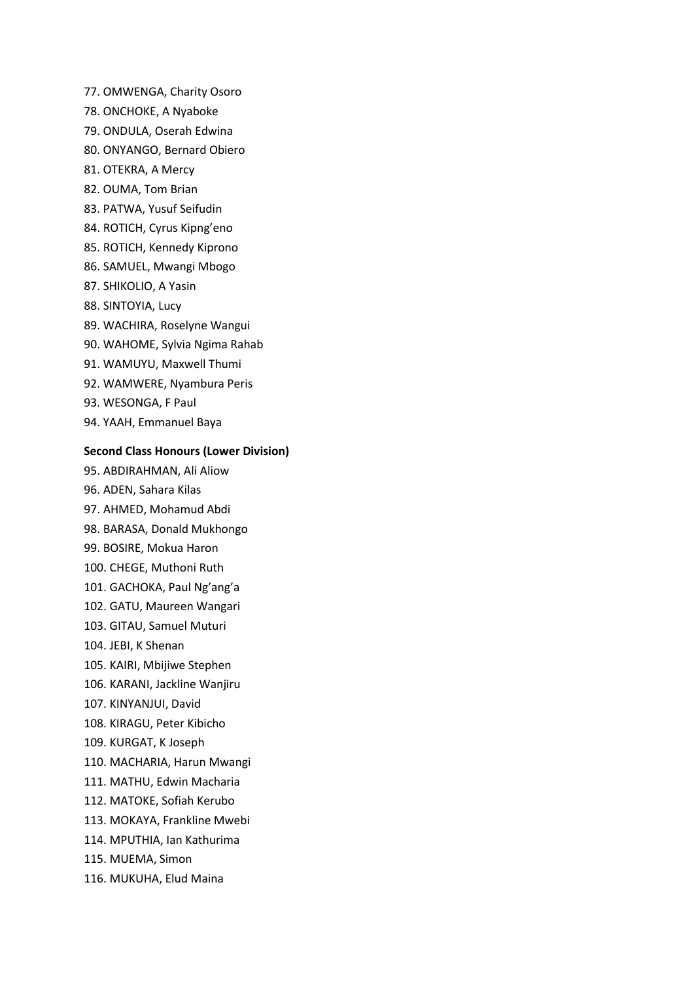- 77. OMWENGA, Charity Osoro
- 78. ONCHOKE, A Nyaboke
- 79. ONDULA, Oserah Edwina
- 80. ONYANGO, Bernard Obiero
- 81. OTEKRA, A Mercy
- 82. OUMA, Tom Brian
- 83. PATWA, Yusuf Seifudin
- 84. ROTICH, Cyrus Kipng'eno
- 85. ROTICH, Kennedy Kiprono
- 86. SAMUEL, Mwangi Mbogo
- 87. SHIKOLIO, A Yasin
- 88. SINTOYIA, Lucy
- 89. WACHIRA, Roselyne Wangui
- 90. WAHOME, Sylvia Ngima Rahab
- 91. WAMUYU, Maxwell Thumi
- 92. WAMWERE, Nyambura Peris
- 93. WESONGA, F Paul
- 94. YAAH, Emmanuel Baya

#### **Second Class Honours (Lower Division)**

95. ABDIRAHMAN, Ali Aliow

- 96. ADEN, Sahara Kilas
- 97. AHMED, Mohamud Abdi
- 98. BARASA, Donald Mukhongo
- 99. BOSIRE, Mokua Haron
- 100. CHEGE, Muthoni Ruth
- 101. GACHOKA, Paul Ng'ang'a
- 102. GATU, Maureen Wangari
- 103. GITAU, Samuel Muturi
- 104. JEBI, K Shenan
- 105. KAIRI, Mbijiwe Stephen
- 106. KARANI, Jackline Wanjiru
- 107. KINYANJUI, David
- 108. KIRAGU, Peter Kibicho
- 109. KURGAT, K Joseph
- 110. MACHARIA, Harun Mwangi
- 111. MATHU, Edwin Macharia
- 112. MATOKE, Sofiah Kerubo
- 113. MOKAYA, Frankline Mwebi
- 114. MPUTHIA, Ian Kathurima
- 115. MUEMA, Simon
- 116. MUKUHA, Elud Maina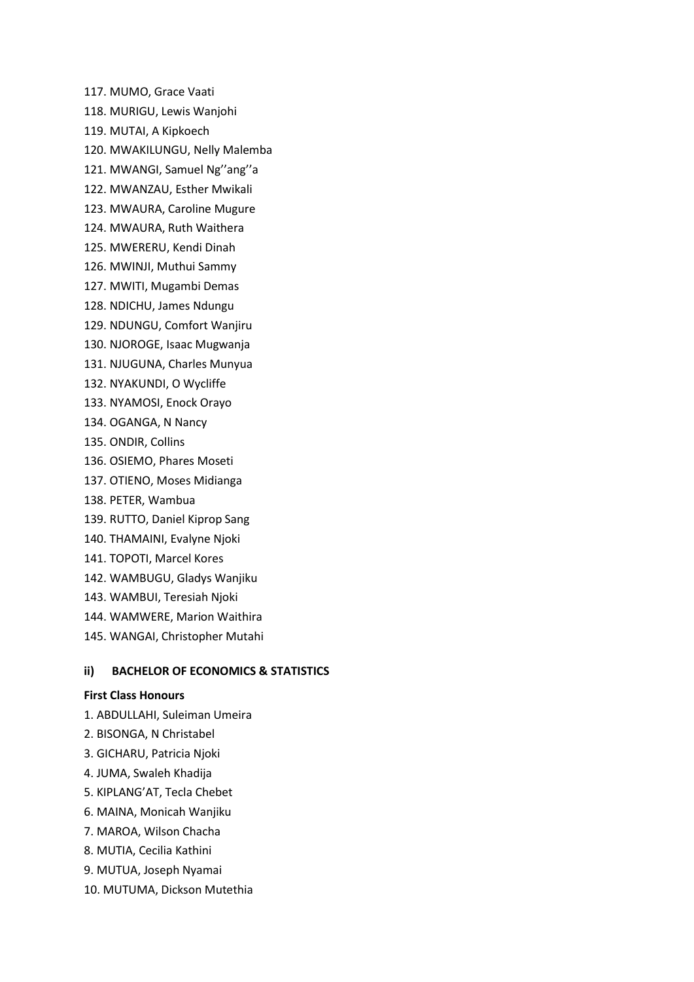117. MUMO, Grace Vaati

118. MURIGU, Lewis Wanjohi

- 119. MUTAI, A Kipkoech
- 120. MWAKILUNGU, Nelly Malemba
- 121. MWANGI, Samuel Ng''ang''a
- 122. MWANZAU, Esther Mwikali
- 123. MWAURA, Caroline Mugure
- 124. MWAURA, Ruth Waithera
- 125. MWERERU, Kendi Dinah
- 126. MWINJI, Muthui Sammy
- 127. MWITI, Mugambi Demas
- 128. NDICHU, James Ndungu
- 129. NDUNGU, Comfort Wanjiru
- 130. NJOROGE, Isaac Mugwanja
- 131. NJUGUNA, Charles Munyua
- 132. NYAKUNDI, O Wycliffe
- 133. NYAMOSI, Enock Orayo
- 134. OGANGA, N Nancy
- 135. ONDIR, Collins
- 136. OSIEMO, Phares Moseti
- 137. OTIENO, Moses Midianga
- 138. PETER, Wambua
- 139. RUTTO, Daniel Kiprop Sang
- 140. THAMAINI, Evalyne Njoki
- 141. TOPOTI, Marcel Kores
- 142. WAMBUGU, Gladys Wanjiku
- 143. WAMBUI, Teresiah Njoki
- 144. WAMWERE, Marion Waithira
- 145. WANGAI, Christopher Mutahi

## **ii) BACHELOR OF ECONOMICS & STATISTICS**

## **First Class Honours**

- 1. ABDULLAHI, Suleiman Umeira
- 2. BISONGA, N Christabel
- 3. GICHARU, Patricia Njoki
- 4. JUMA, Swaleh Khadija
- 5. KIPLANG'AT, Tecla Chebet
- 6. MAINA, Monicah Wanjiku
- 7. MAROA, Wilson Chacha
- 8. MUTIA, Cecilia Kathini
- 9. MUTUA, Joseph Nyamai
- 10. MUTUMA, Dickson Mutethia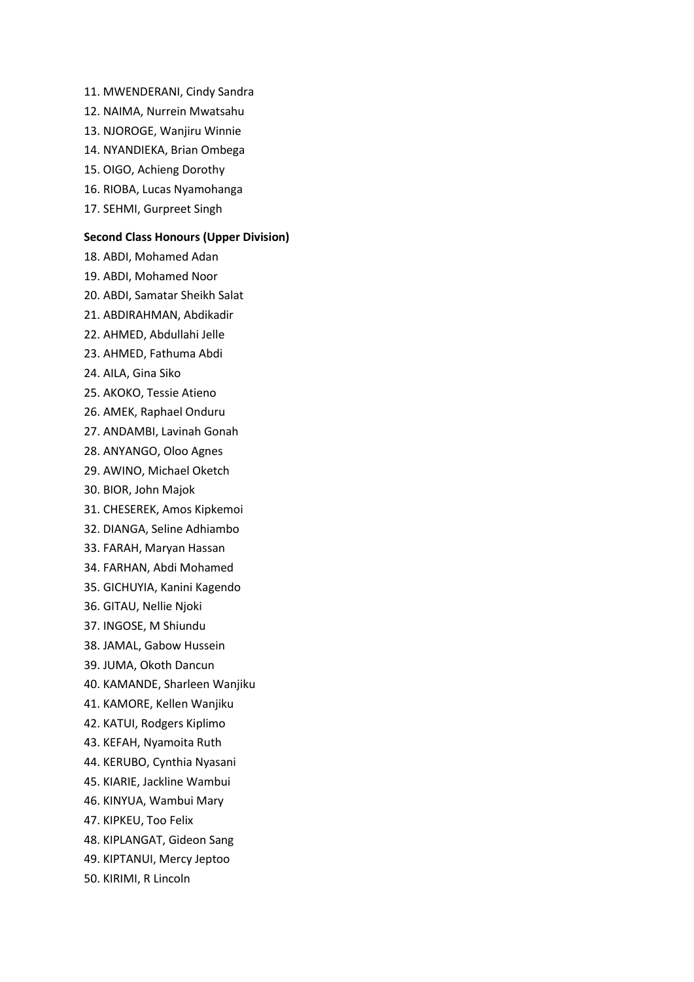- 11. MWENDERANI, Cindy Sandra
- 12. NAIMA, Nurrein Mwatsahu
- 13. NJOROGE, Wanjiru Winnie
- 14. NYANDIEKA, Brian Ombega
- 15. OIGO, Achieng Dorothy
- 16. RIOBA, Lucas Nyamohanga
- 17. SEHMI, Gurpreet Singh

## **Second Class Honours (Upper Division)**

- 18. ABDI, Mohamed Adan
- 19. ABDI, Mohamed Noor
- 20. ABDI, Samatar Sheikh Salat
- 21. ABDIRAHMAN, Abdikadir
- 22. AHMED, Abdullahi Jelle
- 23. AHMED, Fathuma Abdi
- 24. AILA, Gina Siko
- 25. AKOKO, Tessie Atieno
- 26. AMEK, Raphael Onduru
- 27. ANDAMBI, Lavinah Gonah
- 28. ANYANGO, Oloo Agnes
- 29. AWINO, Michael Oketch
- 30. BIOR, John Majok
- 31. CHESEREK, Amos Kipkemoi
- 32. DIANGA, Seline Adhiambo
- 33. FARAH, Maryan Hassan
- 34. FARHAN, Abdi Mohamed
- 35. GICHUYIA, Kanini Kagendo
- 36. GITAU, Nellie Njoki
- 37. INGOSE, M Shiundu
- 38. JAMAL, Gabow Hussein
- 39. JUMA, Okoth Dancun
- 40. KAMANDE, Sharleen Wanjiku
- 41. KAMORE, Kellen Wanjiku
- 42. KATUI, Rodgers Kiplimo
- 43. KEFAH, Nyamoita Ruth
- 44. KERUBO, Cynthia Nyasani
- 45. KIARIE, Jackline Wambui
- 46. KINYUA, Wambui Mary
- 47. KIPKEU, Too Felix
- 48. KIPLANGAT, Gideon Sang
- 49. KIPTANUI, Mercy Jeptoo
- 50. KIRIMI, R Lincoln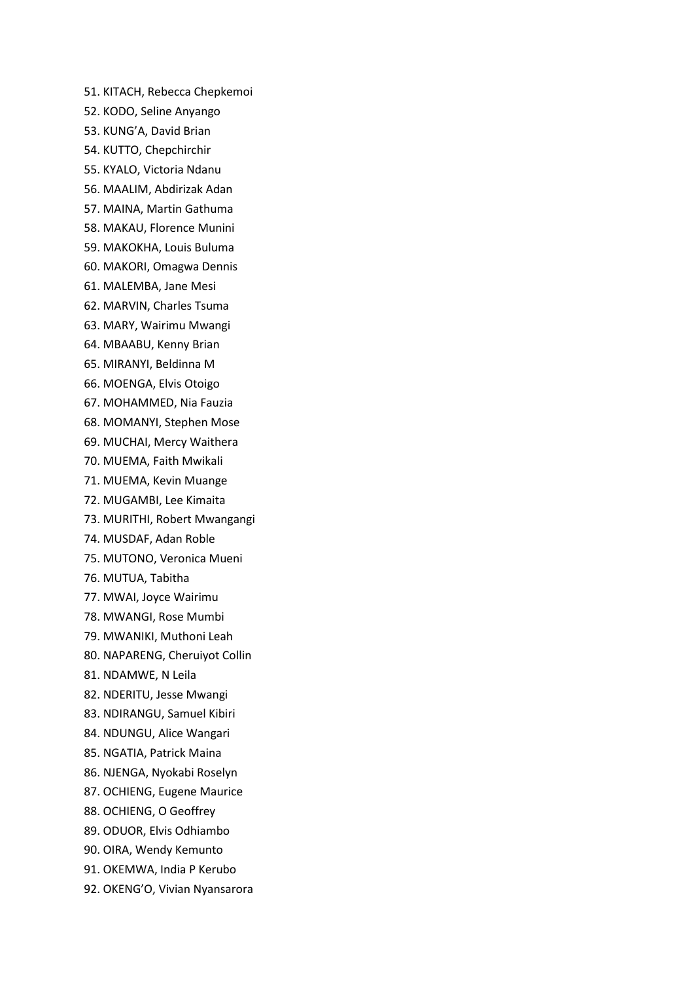- 51. KITACH, Rebecca Chepkemoi
- 52. KODO, Seline Anyango
- 53. KUNG'A, David Brian
- 54. KUTTO, Chepchirchir
- 55. KYALO, Victoria Ndanu
- 56. MAALIM, Abdirizak Adan
- 57. MAINA, Martin Gathuma
- 58. MAKAU, Florence Munini
- 59. MAKOKHA, Louis Buluma
- 60. MAKORI, Omagwa Dennis
- 61. MALEMBA, Jane Mesi
- 62. MARVIN, Charles Tsuma
- 63. MARY, Wairimu Mwangi
- 64. MBAABU, Kenny Brian
- 65. MIRANYI, Beldinna M
- 66. MOENGA, Elvis Otoigo
- 67. MOHAMMED, Nia Fauzia
- 68. MOMANYI, Stephen Mose
- 69. MUCHAI, Mercy Waithera
- 70. MUEMA, Faith Mwikali
- 71. MUEMA, Kevin Muange
- 72. MUGAMBI, Lee Kimaita
- 73. MURITHI, Robert Mwangangi
- 74. MUSDAF, Adan Roble
- 75. MUTONO, Veronica Mueni
- 76. MUTUA, Tabitha
- 77. MWAI, Joyce Wairimu
- 78. MWANGI, Rose Mumbi
- 79. MWANIKI, Muthoni Leah
- 80. NAPARENG, Cheruiyot Collin
- 81. NDAMWE, N Leila
- 82. NDERITU, Jesse Mwangi
- 83. NDIRANGU, Samuel Kibiri
- 84. NDUNGU, Alice Wangari
- 85. NGATIA, Patrick Maina
- 86. NJENGA, Nyokabi Roselyn
- 87. OCHIENG, Eugene Maurice
- 88. OCHIENG, O Geoffrey
- 89. ODUOR, Elvis Odhiambo
- 90. OIRA, Wendy Kemunto
- 91. OKEMWA, India P Kerubo
- 92. OKENG'O, Vivian Nyansarora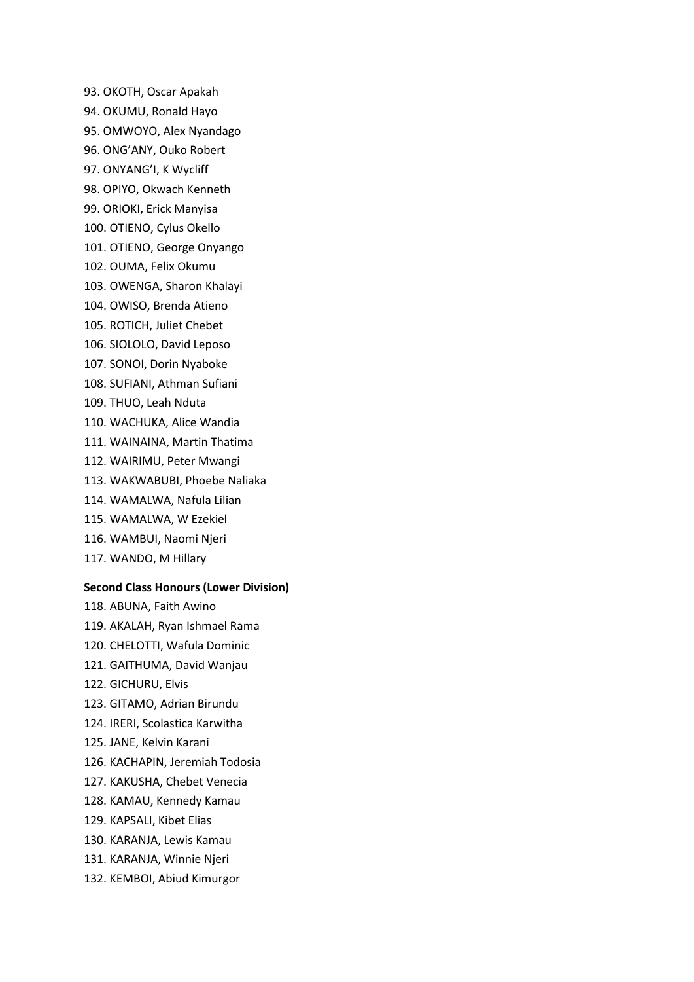93. OKOTH, Oscar Apakah

94. OKUMU, Ronald Hayo

95. OMWOYO, Alex Nyandago

96. ONG'ANY, Ouko Robert

97. ONYANG'I, K Wycliff

98. OPIYO, Okwach Kenneth

99. ORIOKI, Erick Manyisa

100. OTIENO, Cylus Okello

101. OTIENO, George Onyango

102. OUMA, Felix Okumu

103. OWENGA, Sharon Khalayi

104. OWISO, Brenda Atieno

105. ROTICH, Juliet Chebet

106. SIOLOLO, David Leposo

107. SONOI, Dorin Nyaboke

108. SUFIANI, Athman Sufiani

109. THUO, Leah Nduta

110. WACHUKA, Alice Wandia

111. WAINAINA, Martin Thatima

112. WAIRIMU, Peter Mwangi

113. WAKWABUBI, Phoebe Naliaka

114. WAMALWA, Nafula Lilian

115. WAMALWA, W Ezekiel

116. WAMBUI, Naomi Njeri

117. WANDO, M Hillary

#### **Second Class Honours (Lower Division)**

118. ABUNA, Faith Awino 119. AKALAH, Ryan Ishmael Rama 120. CHELOTTI, Wafula Dominic 121. GAITHUMA, David Wanjau 122. GICHURU, Elvis 123. GITAMO, Adrian Birundu 124. IRERI, Scolastica Karwitha 125. JANE, Kelvin Karani 126. KACHAPIN, Jeremiah Todosia 127. KAKUSHA, Chebet Venecia 128. KAMAU, Kennedy Kamau 129. KAPSALI, Kibet Elias

130. KARANJA, Lewis Kamau

131. KARANJA, Winnie Njeri

132. KEMBOI, Abiud Kimurgor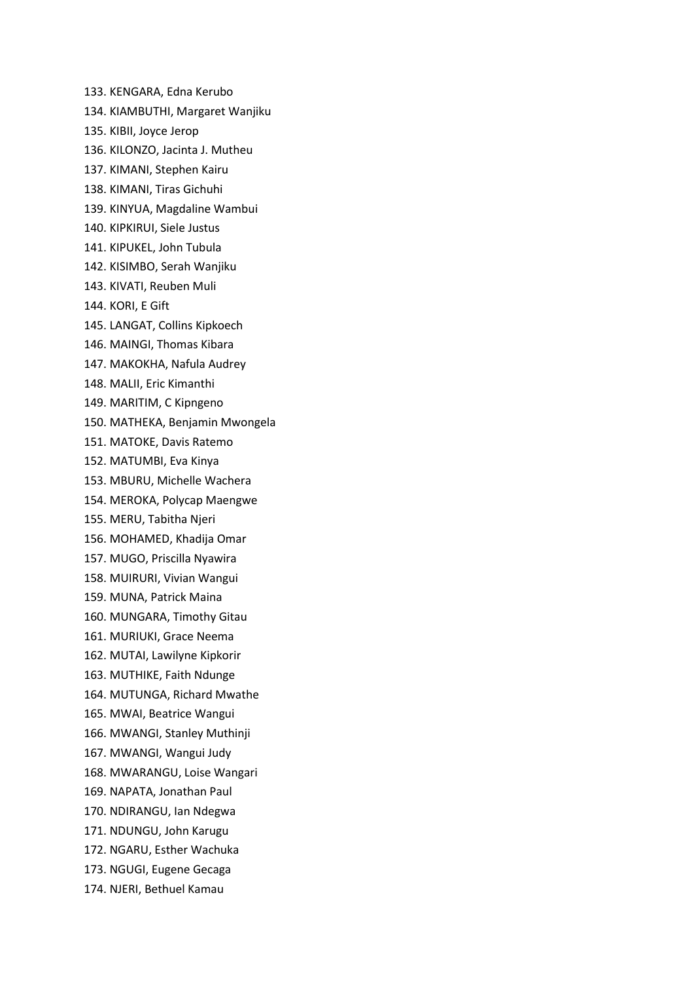133. KENGARA, Edna Kerubo 134. KIAMBUTHI, Margaret Wanjiku 135. KIBII, Joyce Jerop 136. KILONZO, Jacinta J. Mutheu 137. KIMANI, Stephen Kairu 138. KIMANI, Tiras Gichuhi 139. KINYUA, Magdaline Wambui 140. KIPKIRUI, Siele Justus 141. KIPUKEL, John Tubula 142. KISIMBO, Serah Wanjiku 143. KIVATI, Reuben Muli 144. KORI, E Gift 145. LANGAT, Collins Kipkoech 146. MAINGI, Thomas Kibara 147. MAKOKHA, Nafula Audrey 148. MALII, Eric Kimanthi 149. MARITIM, C Kipngeno 150. MATHEKA, Benjamin Mwongela 151. MATOKE, Davis Ratemo 152. MATUMBI, Eva Kinya 153. MBURU, Michelle Wachera 154. MEROKA, Polycap Maengwe 155. MERU, Tabitha Njeri 156. MOHAMED, Khadija Omar 157. MUGO, Priscilla Nyawira 158. MUIRURI, Vivian Wangui 159. MUNA, Patrick Maina 160. MUNGARA, Timothy Gitau 161. MURIUKI, Grace Neema 162. MUTAI, Lawilyne Kipkorir 163. MUTHIKE, Faith Ndunge 164. MUTUNGA, Richard Mwathe 165. MWAI, Beatrice Wangui 166. MWANGI, Stanley Muthinji 167. MWANGI, Wangui Judy 168. MWARANGU, Loise Wangari 169. NAPATA, Jonathan Paul 170. NDIRANGU, Ian Ndegwa 171. NDUNGU, John Karugu 172. NGARU, Esther Wachuka

173. NGUGI, Eugene Gecaga

174. NJERI, Bethuel Kamau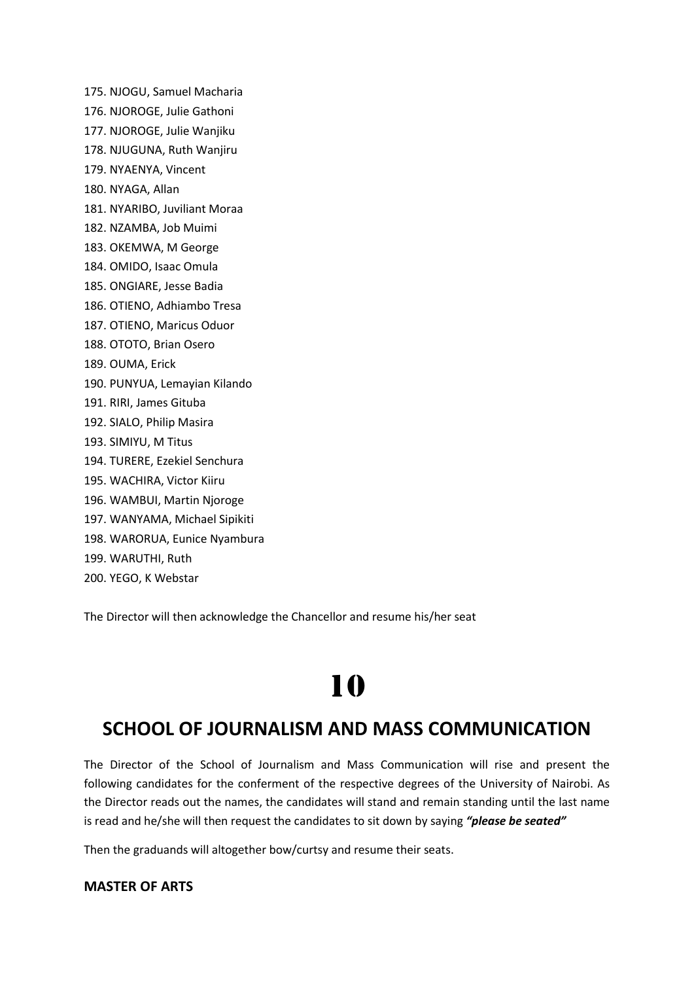- 175. NJOGU, Samuel Macharia
- 176. NJOROGE, Julie Gathoni
- 177. NJOROGE, Julie Wanjiku
- 178. NJUGUNA, Ruth Wanjiru
- 179. NYAENYA, Vincent
- 180. NYAGA, Allan
- 181. NYARIBO, Juviliant Moraa
- 182. NZAMBA, Job Muimi
- 183. OKEMWA, M George
- 184. OMIDO, Isaac Omula
- 185. ONGIARE, Jesse Badia
- 186. OTIENO, Adhiambo Tresa
- 187. OTIENO, Maricus Oduor
- 188. OTOTO, Brian Osero
- 189. OUMA, Erick
- 190. PUNYUA, Lemayian Kilando
- 191. RIRI, James Gituba
- 192. SIALO, Philip Masira
- 193. SIMIYU, M Titus
- 194. TURERE, Ezekiel Senchura
- 195. WACHIRA, Victor Kiiru
- 196. WAMBUI, Martin Njoroge
- 197. WANYAMA, Michael Sipikiti
- 198. WARORUA, Eunice Nyambura
- 199. WARUTHI, Ruth
- 200. YEGO, K Webstar

The Director will then acknowledge the Chancellor and resume his/her seat

# 10

## **SCHOOL OF JOURNALISM AND MASS COMMUNICATION**

The Director of the School of Journalism and Mass Communication will rise and present the following candidates for the conferment of the respective degrees of the University of Nairobi. As the Director reads out the names, the candidates will stand and remain standing until the last name is read and he/she will then request the candidates to sit down by saying *"please be seated"*

Then the graduands will altogether bow/curtsy and resume their seats.

## **MASTER OF ARTS**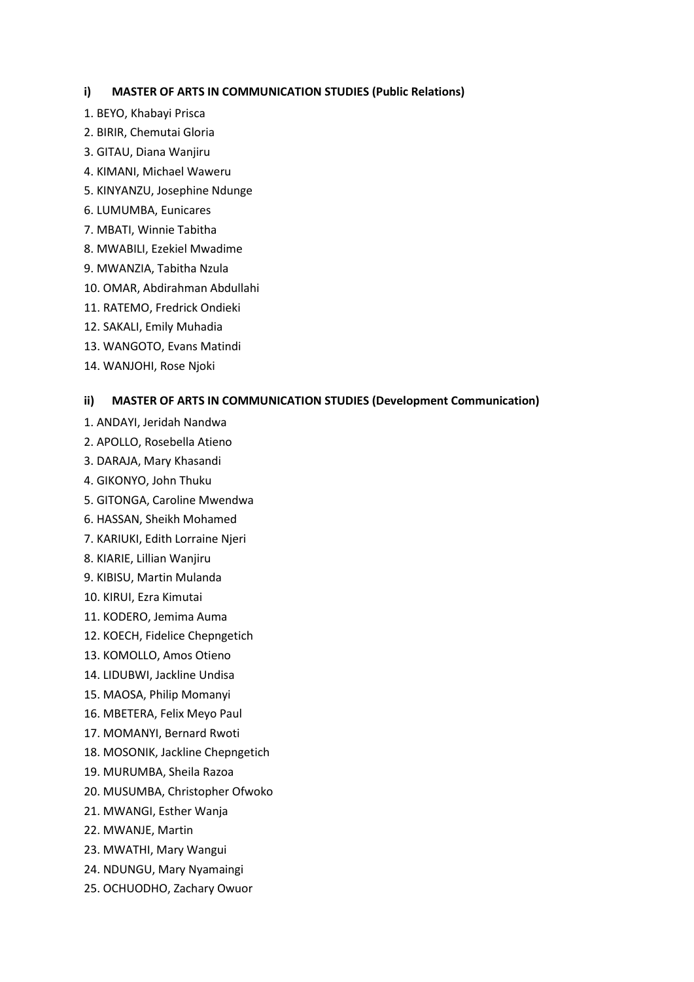## **i) MASTER OF ARTS IN COMMUNICATION STUDIES (Public Relations)**

- 1. BEYO, Khabayi Prisca
- 2. BIRIR, Chemutai Gloria
- 3. GITAU, Diana Wanjiru
- 4. KIMANI, Michael Waweru
- 5. KINYANZU, Josephine Ndunge
- 6. LUMUMBA, Eunicares
- 7. MBATI, Winnie Tabitha
- 8. MWABILI, Ezekiel Mwadime
- 9. MWANZIA, Tabitha Nzula
- 10. OMAR, Abdirahman Abdullahi
- 11. RATEMO, Fredrick Ondieki
- 12. SAKALI, Emily Muhadia
- 13. WANGOTO, Evans Matindi
- 14. WANJOHI, Rose Njoki

## **ii) MASTER OF ARTS IN COMMUNICATION STUDIES (Development Communication)**

- 1. ANDAYI, Jeridah Nandwa
- 2. APOLLO, Rosebella Atieno
- 3. DARAJA, Mary Khasandi
- 4. GIKONYO, John Thuku
- 5. GITONGA, Caroline Mwendwa
- 6. HASSAN, Sheikh Mohamed
- 7. KARIUKI, Edith Lorraine Njeri
- 8. KIARIE, Lillian Wanjiru
- 9. KIBISU, Martin Mulanda
- 10. KIRUI, Ezra Kimutai
- 11. KODERO, Jemima Auma
- 12. KOECH, Fidelice Chepngetich
- 13. KOMOLLO, Amos Otieno
- 14. LIDUBWI, Jackline Undisa
- 15. MAOSA, Philip Momanyi
- 16. MBETERA, Felix Meyo Paul
- 17. MOMANYI, Bernard Rwoti
- 18. MOSONIK, Jackline Chepngetich
- 19. MURUMBA, Sheila Razoa
- 20. MUSUMBA, Christopher Ofwoko
- 21. MWANGI, Esther Wanja
- 22. MWANJE, Martin
- 23. MWATHI, Mary Wangui
- 24. NDUNGU, Mary Nyamaingi
- 25. OCHUODHO, Zachary Owuor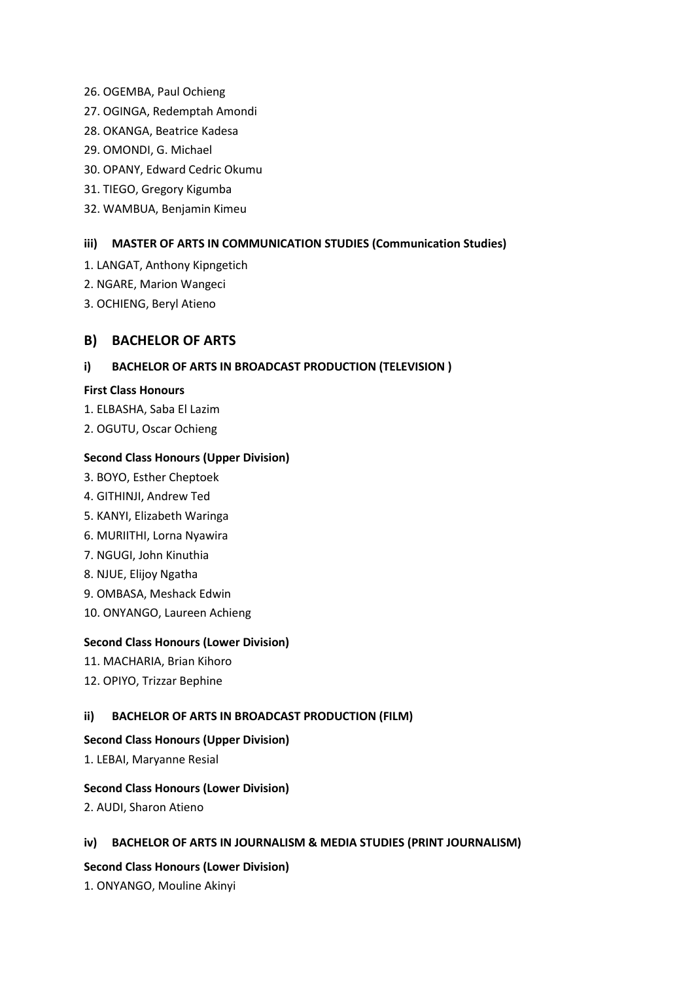- 26. OGEMBA, Paul Ochieng
- 27. OGINGA, Redemptah Amondi
- 28. OKANGA, Beatrice Kadesa
- 29. OMONDI, G. Michael
- 30. OPANY, Edward Cedric Okumu
- 31. TIEGO, Gregory Kigumba
- 32. WAMBUA, Benjamin Kimeu

## **iii) MASTER OF ARTS IN COMMUNICATION STUDIES (Communication Studies)**

- 1. LANGAT, Anthony Kipngetich
- 2. NGARE, Marion Wangeci
- 3. OCHIENG, Beryl Atieno

## **B) BACHELOR OF ARTS**

## **i) BACHELOR OF ARTS IN BROADCAST PRODUCTION (TELEVISION )**

## **First Class Honours**

- 1. ELBASHA, Saba El Lazim
- 2. OGUTU, Oscar Ochieng

## **Second Class Honours (Upper Division)**

- 3. BOYO, Esther Cheptoek
- 4. GITHINJI, Andrew Ted
- 5. KANYI, Elizabeth Waringa
- 6. MURIITHI, Lorna Nyawira
- 7. NGUGI, John Kinuthia
- 8. NJUE, Elijoy Ngatha
- 9. OMBASA, Meshack Edwin
- 10. ONYANGO, Laureen Achieng

## **Second Class Honours (Lower Division)**

- 11. MACHARIA, Brian Kihoro
- 12. OPIYO, Trizzar Bephine

## **ii) BACHELOR OF ARTS IN BROADCAST PRODUCTION (FILM)**

## **Second Class Honours (Upper Division)**

1. LEBAI, Maryanne Resial

## **Second Class Honours (Lower Division)**

2. AUDI, Sharon Atieno

## **iv) BACHELOR OF ARTS IN JOURNALISM & MEDIA STUDIES (PRINT JOURNALISM)**

## **Second Class Honours (Lower Division)**

1. ONYANGO, Mouline Akinyi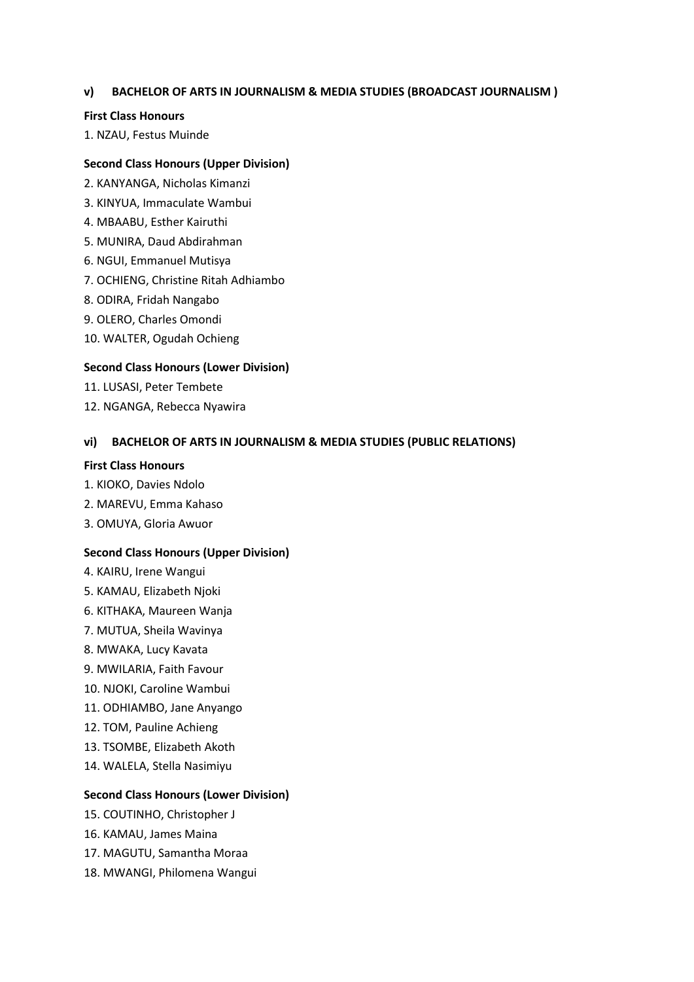## **v) BACHELOR OF ARTS IN JOURNALISM & MEDIA STUDIES (BROADCAST JOURNALISM )**

#### **First Class Honours**

1. NZAU, Festus Muinde

## **Second Class Honours (Upper Division)**

- 2. KANYANGA, Nicholas Kimanzi
- 3. KINYUA, Immaculate Wambui
- 4. MBAABU, Esther Kairuthi
- 5. MUNIRA, Daud Abdirahman
- 6. NGUI, Emmanuel Mutisya
- 7. OCHIENG, Christine Ritah Adhiambo
- 8. ODIRA, Fridah Nangabo
- 9. OLERO, Charles Omondi
- 10. WALTER, Ogudah Ochieng

### **Second Class Honours (Lower Division)**

- 11. LUSASI, Peter Tembete
- 12. NGANGA, Rebecca Nyawira

### **vi) BACHELOR OF ARTS IN JOURNALISM & MEDIA STUDIES (PUBLIC RELATIONS)**

#### **First Class Honours**

- 1. KIOKO, Davies Ndolo
- 2. MAREVU, Emma Kahaso
- 3. OMUYA, Gloria Awuor

#### **Second Class Honours (Upper Division)**

- 4. KAIRU, Irene Wangui
- 5. KAMAU, Elizabeth Njoki
- 6. KITHAKA, Maureen Wanja
- 7. MUTUA, Sheila Wavinya
- 8. MWAKA, Lucy Kavata
- 9. MWILARIA, Faith Favour
- 10. NJOKI, Caroline Wambui
- 11. ODHIAMBO, Jane Anyango
- 12. TOM, Pauline Achieng
- 13. TSOMBE, Elizabeth Akoth
- 14. WALELA, Stella Nasimiyu

## **Second Class Honours (Lower Division)**

- 15. COUTINHO, Christopher J
- 16. KAMAU, James Maina
- 17. MAGUTU, Samantha Moraa
- 18. MWANGI, Philomena Wangui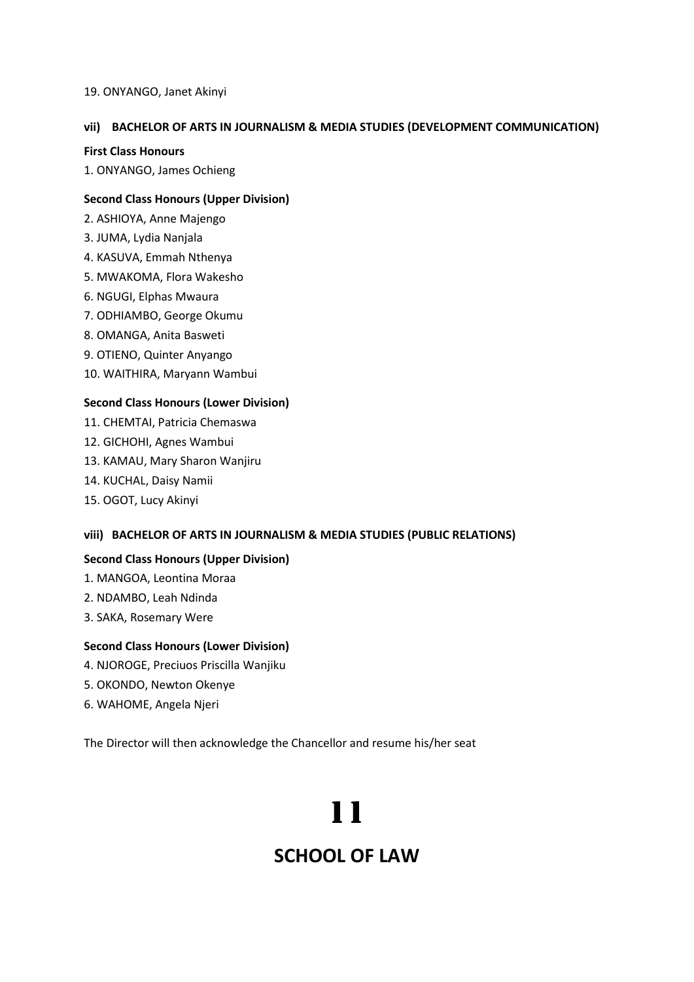## 19. ONYANGO, Janet Akinyi

## **vii) BACHELOR OF ARTS IN JOURNALISM & MEDIA STUDIES (DEVELOPMENT COMMUNICATION)**

#### **First Class Honours**

1. ONYANGO, James Ochieng

## **Second Class Honours (Upper Division)**

- 2. ASHIOYA, Anne Majengo
- 3. JUMA, Lydia Nanjala
- 4. KASUVA, Emmah Nthenya
- 5. MWAKOMA, Flora Wakesho
- 6. NGUGI, Elphas Mwaura
- 7. ODHIAMBO, George Okumu
- 8. OMANGA, Anita Basweti
- 9. OTIENO, Quinter Anyango
- 10. WAITHIRA, Maryann Wambui

## **Second Class Honours (Lower Division)**

- 11. CHEMTAI, Patricia Chemaswa
- 12. GICHOHI, Agnes Wambui
- 13. KAMAU, Mary Sharon Wanjiru
- 14. KUCHAL, Daisy Namii
- 15. OGOT, Lucy Akinyi

## **viii) BACHELOR OF ARTS IN JOURNALISM & MEDIA STUDIES (PUBLIC RELATIONS)**

## **Second Class Honours (Upper Division)**

- 1. MANGOA, Leontina Moraa
- 2. NDAMBO, Leah Ndinda
- 3. SAKA, Rosemary Were

## **Second Class Honours (Lower Division)**

- 4. NJOROGE, Preciuos Priscilla Wanjiku
- 5. OKONDO, Newton Okenye
- 6. WAHOME, Angela Njeri

The Director will then acknowledge the Chancellor and resume his/her seat

# 11

## **SCHOOL OF LAW**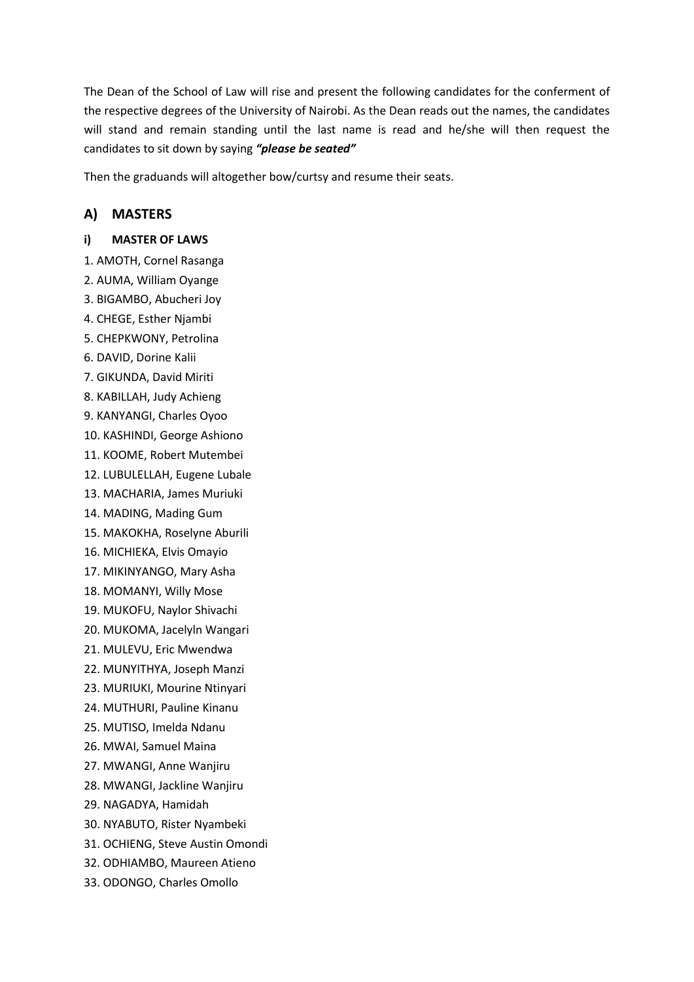The Dean of the School of Law will rise and present the following candidates for the conferment of the respective degrees of the University of Nairobi. As the Dean reads out the names, the candidates will stand and remain standing until the last name is read and he/she will then request the candidates to sit down by saying *"please be seated"*

Then the graduands will altogether bow/curtsy and resume their seats.

## **A) MASTERS**

## **i) MASTER OF LAWS**

- 1. AMOTH, Cornel Rasanga
- 2. AUMA, William Oyange
- 3. BIGAMBO, Abucheri Joy
- 4. CHEGE, Esther Njambi
- 5. CHEPKWONY, Petrolina
- 6. DAVID, Dorine Kalii
- 7. GIKUNDA, David Miriti
- 8. KABILLAH, Judy Achieng
- 9. KANYANGI, Charles Oyoo
- 10. KASHINDI, George Ashiono
- 11. KOOME, Robert Mutembei
- 12. LUBULELLAH, Eugene Lubale
- 13. MACHARIA, James Muriuki
- 14. MADING, Mading Gum
- 15. MAKOKHA, Roselyne Aburili
- 16. MICHIEKA, Elvis Omayio
- 17. MIKINYANGO, Mary Asha
- 18. MOMANYI, Willy Mose
- 19. MUKOFU, Naylor Shivachi
- 20. MUKOMA, Jacelyln Wangari
- 21. MULEVU, Eric Mwendwa
- 22. MUNYITHYA, Joseph Manzi
- 23. MURIUKI, Mourine Ntinyari
- 24. MUTHURI, Pauline Kinanu
- 25. MUTISO, Imelda Ndanu
- 26. MWAI, Samuel Maina
- 27. MWANGI, Anne Wanjiru
- 28. MWANGI, Jackline Wanjiru
- 29. NAGADYA, Hamidah
- 30. NYABUTO, Rister Nyambeki
- 31. OCHIENG, Steve Austin Omondi
- 32. ODHIAMBO, Maureen Atieno
- 33. ODONGO, Charles Omollo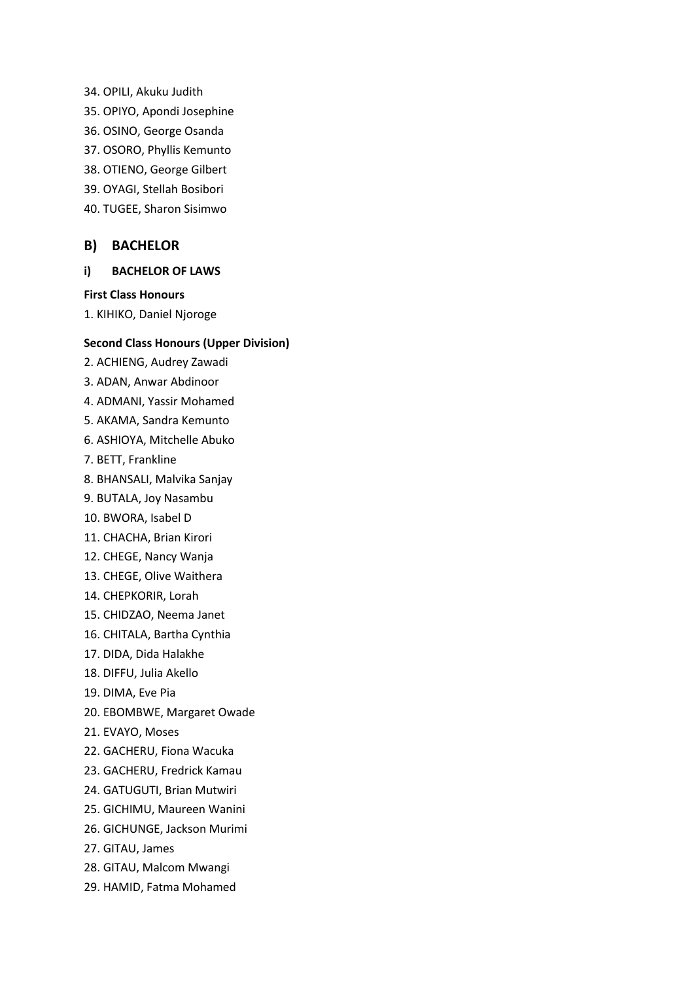- 34. OPILI, Akuku Judith
- 35. OPIYO, Apondi Josephine
- 36. OSINO, George Osanda
- 37. OSORO, Phyllis Kemunto
- 38. OTIENO, George Gilbert
- 39. OYAGI, Stellah Bosibori
- 40. TUGEE, Sharon Sisimwo

## **B) BACHELOR**

- **i) BACHELOR OF LAWS**
- **First Class Honours**
- 1. KIHIKO, Daniel Njoroge

### **Second Class Honours (Upper Division)**

- 2. ACHIENG, Audrey Zawadi
- 3. ADAN, Anwar Abdinoor
- 4. ADMANI, Yassir Mohamed
- 5. AKAMA, Sandra Kemunto
- 6. ASHIOYA, Mitchelle Abuko
- 7. BETT, Frankline
- 8. BHANSALI, Malvika Sanjay
- 9. BUTALA, Joy Nasambu
- 10. BWORA, Isabel D
- 11. CHACHA, Brian Kirori
- 12. CHEGE, Nancy Wanja
- 13. CHEGE, Olive Waithera
- 14. CHEPKORIR, Lorah
- 15. CHIDZAO, Neema Janet
- 16. CHITALA, Bartha Cynthia
- 17. DIDA, Dida Halakhe
- 18. DIFFU, Julia Akello
- 19. DIMA, Eve Pia
- 20. EBOMBWE, Margaret Owade
- 21. EVAYO, Moses
- 22. GACHERU, Fiona Wacuka
- 23. GACHERU, Fredrick Kamau
- 24. GATUGUTI, Brian Mutwiri
- 25. GICHIMU, Maureen Wanini
- 26. GICHUNGE, Jackson Murimi
- 27. GITAU, James
- 28. GITAU, Malcom Mwangi
- 29. HAMID, Fatma Mohamed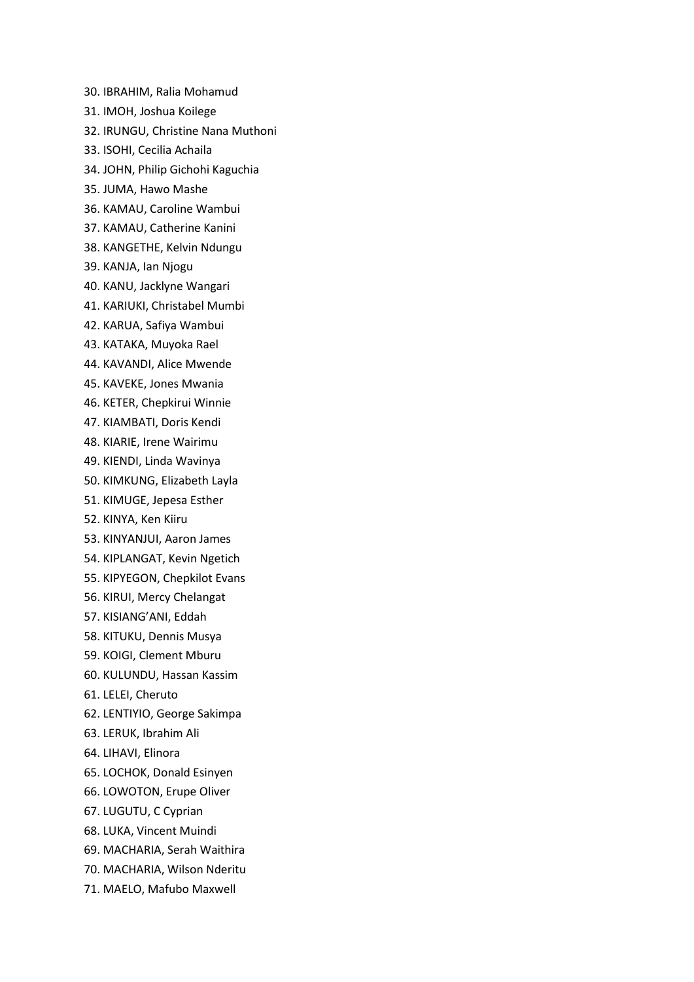- 30. IBRAHIM, Ralia Mohamud
- 31. IMOH, Joshua Koilege
- 32. IRUNGU, Christine Nana Muthoni
- 33. ISOHI, Cecilia Achaila
- 34. JOHN, Philip Gichohi Kaguchia
- 35. JUMA, Hawo Mashe
- 36. KAMAU, Caroline Wambui
- 37. KAMAU, Catherine Kanini
- 38. KANGETHE, Kelvin Ndungu
- 39. KANJA, Ian Njogu
- 40. KANU, Jacklyne Wangari
- 41. KARIUKI, Christabel Mumbi
- 42. KARUA, Safiya Wambui
- 43. KATAKA, Muyoka Rael
- 44. KAVANDI, Alice Mwende
- 45. KAVEKE, Jones Mwania
- 46. KETER, Chepkirui Winnie
- 47. KIAMBATI, Doris Kendi
- 48. KIARIE, Irene Wairimu
- 49. KIENDI, Linda Wavinya
- 50. KIMKUNG, Elizabeth Layla
- 51. KIMUGE, Jepesa Esther
- 52. KINYA, Ken Kiiru
- 53. KINYANJUI, Aaron James
- 54. KIPLANGAT, Kevin Ngetich
- 55. KIPYEGON, Chepkilot Evans
- 56. KIRUI, Mercy Chelangat
- 57. KISIANG'ANI, Eddah
- 58. KITUKU, Dennis Musya
- 59. KOIGI, Clement Mburu
- 60. KULUNDU, Hassan Kassim
- 61. LELEI, Cheruto
- 62. LENTIYIO, George Sakimpa
- 63. LERUK, Ibrahim Ali
- 64. LIHAVI, Elinora
- 65. LOCHOK, Donald Esinyen
- 66. LOWOTON, Erupe Oliver
- 67. LUGUTU, C Cyprian
- 68. LUKA, Vincent Muindi
- 69. MACHARIA, Serah Waithira
- 70. MACHARIA, Wilson Nderitu
- 71. MAELO, Mafubo Maxwell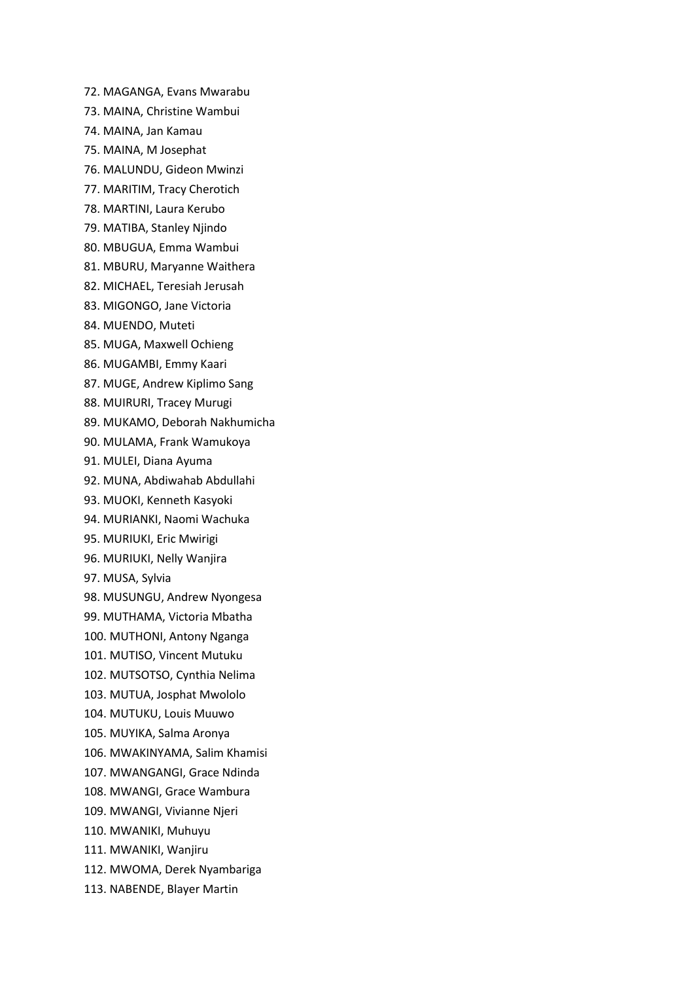72. MAGANGA, Evans Mwarabu

73. MAINA, Christine Wambui

74. MAINA, Jan Kamau

75. MAINA, M Josephat

76. MALUNDU, Gideon Mwinzi

77. MARITIM, Tracy Cherotich

78. MARTINI, Laura Kerubo

79. MATIBA, Stanley Njindo

80. MBUGUA, Emma Wambui

81. MBURU, Maryanne Waithera

82. MICHAEL, Teresiah Jerusah

83. MIGONGO, Jane Victoria

84. MUENDO, Muteti

85. MUGA, Maxwell Ochieng

86. MUGAMBI, Emmy Kaari

87. MUGE, Andrew Kiplimo Sang

88. MUIRURI, Tracey Murugi

89. MUKAMO, Deborah Nakhumicha

90. MULAMA, Frank Wamukoya

91. MULEI, Diana Ayuma

92. MUNA, Abdiwahab Abdullahi

93. MUOKI, Kenneth Kasyoki

94. MURIANKI, Naomi Wachuka

95. MURIUKI, Eric Mwirigi

96. MURIUKI, Nelly Wanjira

97. MUSA, Sylvia

98. MUSUNGU, Andrew Nyongesa

99. MUTHAMA, Victoria Mbatha

100. MUTHONI, Antony Nganga

101. MUTISO, Vincent Mutuku

102. MUTSOTSO, Cynthia Nelima

103. MUTUA, Josphat Mwololo

104. MUTUKU, Louis Muuwo

105. MUYIKA, Salma Aronya

106. MWAKINYAMA, Salim Khamisi

107. MWANGANGI, Grace Ndinda

108. MWANGI, Grace Wambura

109. MWANGI, Vivianne Njeri

110. MWANIKI, Muhuyu

111. MWANIKI, Wanjiru

112. MWOMA, Derek Nyambariga

113. NABENDE, Blayer Martin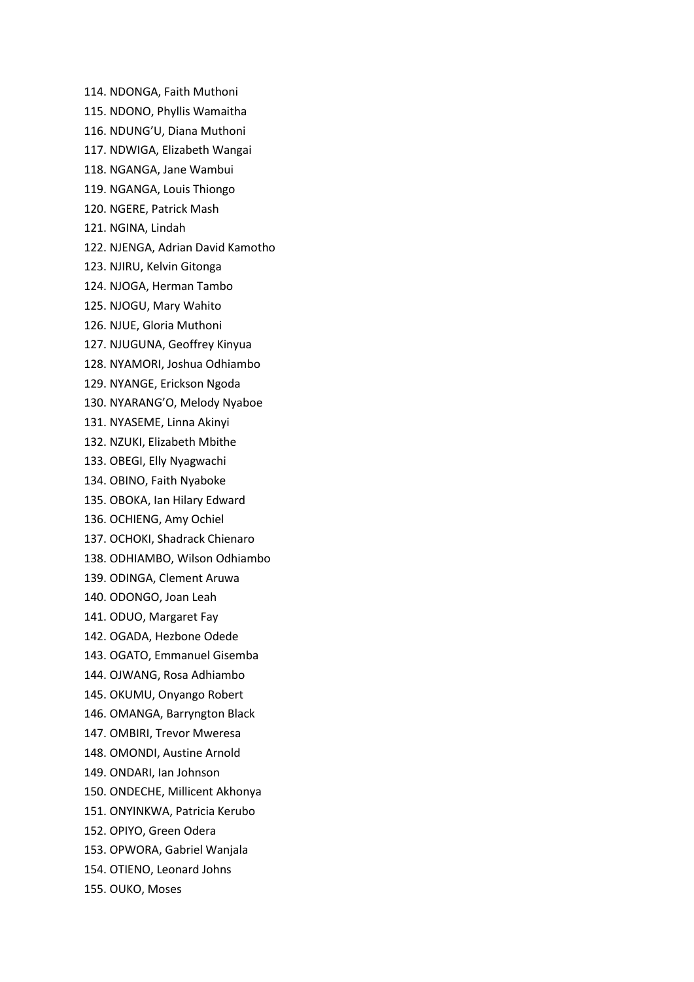114. NDONGA, Faith Muthoni

- 115. NDONO, Phyllis Wamaitha
- 116. NDUNG'U, Diana Muthoni
- 117. NDWIGA, Elizabeth Wangai
- 118. NGANGA, Jane Wambui
- 119. NGANGA, Louis Thiongo
- 120. NGERE, Patrick Mash
- 121. NGINA, Lindah
- 122. NJENGA, Adrian David Kamotho
- 123. NJIRU, Kelvin Gitonga
- 124. NJOGA, Herman Tambo
- 125. NJOGU, Mary Wahito
- 126. NJUE, Gloria Muthoni
- 127. NJUGUNA, Geoffrey Kinyua
- 128. NYAMORI, Joshua Odhiambo
- 129. NYANGE, Erickson Ngoda
- 130. NYARANG'O, Melody Nyaboe
- 131. NYASEME, Linna Akinyi
- 132. NZUKI, Elizabeth Mbithe
- 133. OBEGI, Elly Nyagwachi
- 134. OBINO, Faith Nyaboke
- 135. OBOKA, Ian Hilary Edward
- 136. OCHIENG, Amy Ochiel
- 137. OCHOKI, Shadrack Chienaro
- 138. ODHIAMBO, Wilson Odhiambo
- 139. ODINGA, Clement Aruwa
- 140. ODONGO, Joan Leah
- 141. ODUO, Margaret Fay
- 142. OGADA, Hezbone Odede
- 143. OGATO, Emmanuel Gisemba
- 144. OJWANG, Rosa Adhiambo
- 145. OKUMU, Onyango Robert
- 146. OMANGA, Barryngton Black
- 147. OMBIRI, Trevor Mweresa
- 148. OMONDI, Austine Arnold
- 149. ONDARI, Ian Johnson
- 150. ONDECHE, Millicent Akhonya
- 151. ONYINKWA, Patricia Kerubo
- 152. OPIYO, Green Odera
- 153. OPWORA, Gabriel Wanjala
- 154. OTIENO, Leonard Johns
- 155. OUKO, Moses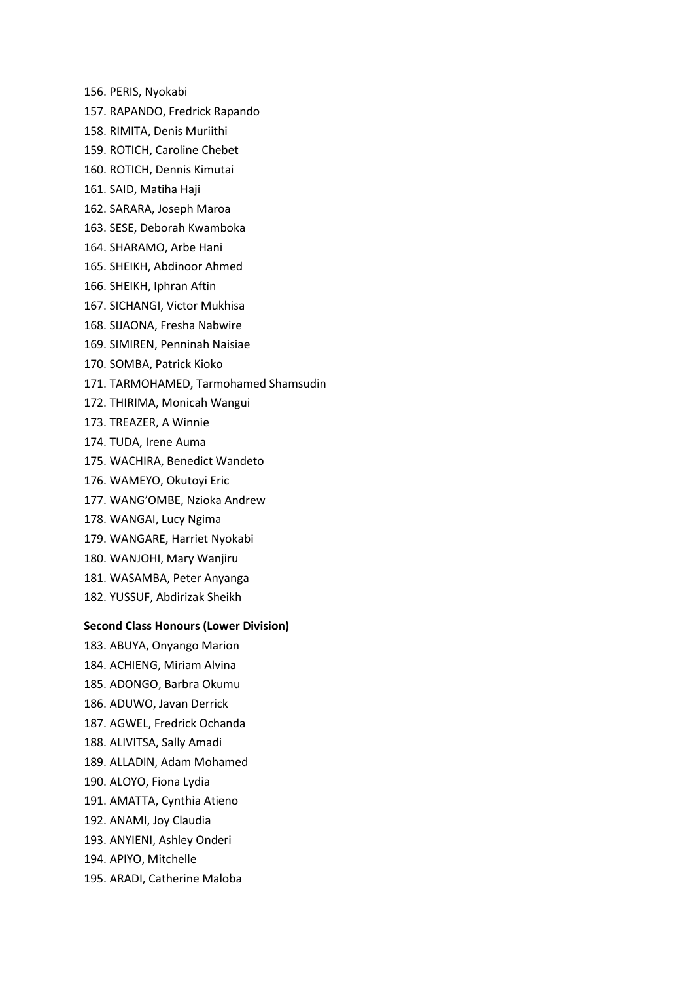- 156. PERIS, Nyokabi
- 157. RAPANDO, Fredrick Rapando
- 158. RIMITA, Denis Muriithi
- 159. ROTICH, Caroline Chebet
- 160. ROTICH, Dennis Kimutai
- 161. SAID, Matiha Haji
- 162. SARARA, Joseph Maroa
- 163. SESE, Deborah Kwamboka
- 164. SHARAMO, Arbe Hani
- 165. SHEIKH, Abdinoor Ahmed
- 166. SHEIKH, Iphran Aftin
- 167. SICHANGI, Victor Mukhisa
- 168. SIJAONA, Fresha Nabwire
- 169. SIMIREN, Penninah Naisiae
- 170. SOMBA, Patrick Kioko
- 171. TARMOHAMED, Tarmohamed Shamsudin
- 172. THIRIMA, Monicah Wangui
- 173. TREAZER, A Winnie
- 174. TUDA, Irene Auma
- 175. WACHIRA, Benedict Wandeto
- 176. WAMEYO, Okutoyi Eric
- 177. WANG'OMBE, Nzioka Andrew
- 178. WANGAI, Lucy Ngima
- 179. WANGARE, Harriet Nyokabi
- 180. WANJOHI, Mary Wanjiru
- 181. WASAMBA, Peter Anyanga
- 182. YUSSUF, Abdirizak Sheikh

#### **Second Class Honours (Lower Division)**

183. ABUYA, Onyango Marion

- 184. ACHIENG, Miriam Alvina
- 185. ADONGO, Barbra Okumu
- 186. ADUWO, Javan Derrick
- 187. AGWEL, Fredrick Ochanda
- 188. ALIVITSA, Sally Amadi
- 189. ALLADIN, Adam Mohamed
- 190. ALOYO, Fiona Lydia
- 191. AMATTA, Cynthia Atieno
- 192. ANAMI, Joy Claudia
- 193. ANYIENI, Ashley Onderi
- 194. APIYO, Mitchelle
- 195. ARADI, Catherine Maloba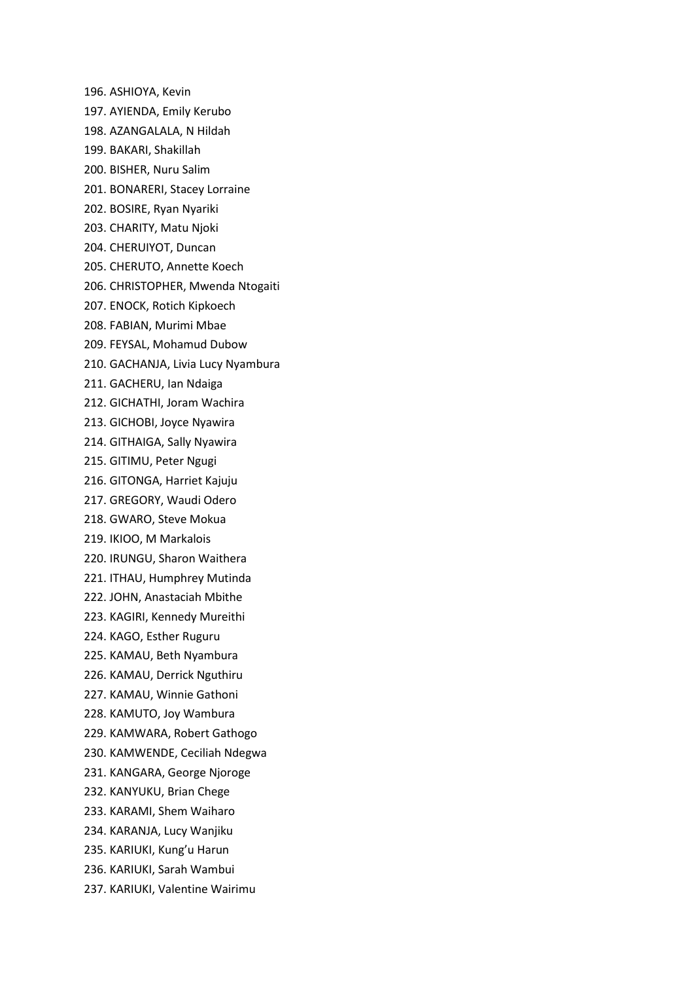196. ASHIOYA, Kevin

- 197. AYIENDA, Emily Kerubo
- 198. AZANGALALA, N Hildah
- 199. BAKARI, Shakillah
- 200. BISHER, Nuru Salim
- 201. BONARERI, Stacey Lorraine
- 202. BOSIRE, Ryan Nyariki
- 203. CHARITY, Matu Njoki
- 204. CHERUIYOT, Duncan
- 205. CHERUTO, Annette Koech
- 206. CHRISTOPHER, Mwenda Ntogaiti
- 207. ENOCK, Rotich Kipkoech
- 208. FABIAN, Murimi Mbae
- 209. FEYSAL, Mohamud Dubow
- 210. GACHANJA, Livia Lucy Nyambura
- 211. GACHERU, Ian Ndaiga
- 212. GICHATHI, Joram Wachira
- 213. GICHOBI, Joyce Nyawira
- 214. GITHAIGA, Sally Nyawira
- 215. GITIMU, Peter Ngugi
- 216. GITONGA, Harriet Kajuju
- 217. GREGORY, Waudi Odero
- 218. GWARO, Steve Mokua
- 219. IKIOO, M Markalois
- 220. IRUNGU, Sharon Waithera
- 221. ITHAU, Humphrey Mutinda
- 222. JOHN, Anastaciah Mbithe
- 223. KAGIRI, Kennedy Mureithi
- 224. KAGO, Esther Ruguru
- 225. KAMAU, Beth Nyambura
- 226. KAMAU, Derrick Nguthiru
- 227. KAMAU, Winnie Gathoni
- 228. KAMUTO, Joy Wambura
- 229. KAMWARA, Robert Gathogo
- 230. KAMWENDE, Ceciliah Ndegwa
- 231. KANGARA, George Njoroge
- 232. KANYUKU, Brian Chege
- 233. KARAMI, Shem Waiharo
- 234. KARANJA, Lucy Wanjiku
- 235. KARIUKI, Kung'u Harun
- 236. KARIUKI, Sarah Wambui
- 237. KARIUKI, Valentine Wairimu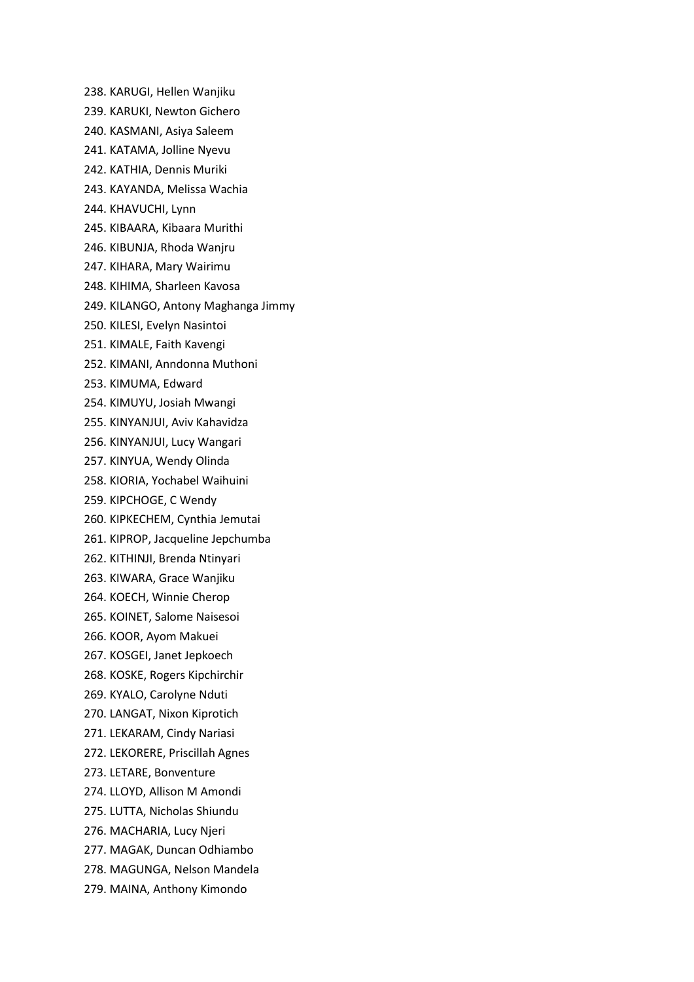238. KARUGI, Hellen Wanjiku

- 239. KARUKI, Newton Gichero
- 240. KASMANI, Asiya Saleem
- 241. KATAMA, Jolline Nyevu
- 242. KATHIA, Dennis Muriki
- 243. KAYANDA, Melissa Wachia
- 244. KHAVUCHI, Lynn
- 245. KIBAARA, Kibaara Murithi
- 246. KIBUNJA, Rhoda Wanjru
- 247. KIHARA, Mary Wairimu
- 248. KIHIMA, Sharleen Kavosa
- 249. KILANGO, Antony Maghanga Jimmy
- 250. KILESI, Evelyn Nasintoi
- 251. KIMALE, Faith Kavengi
- 252. KIMANI, Anndonna Muthoni
- 253. KIMUMA, Edward
- 254. KIMUYU, Josiah Mwangi
- 255. KINYANJUI, Aviv Kahavidza
- 256. KINYANJUI, Lucy Wangari
- 257. KINYUA, Wendy Olinda
- 258. KIORIA, Yochabel Waihuini
- 259. KIPCHOGE, C Wendy
- 260. KIPKECHEM, Cynthia Jemutai
- 261. KIPROP, Jacqueline Jepchumba
- 262. KITHINJI, Brenda Ntinyari
- 263. KIWARA, Grace Wanjiku
- 264. KOECH, Winnie Cherop
- 265. KOINET, Salome Naisesoi
- 266. KOOR, Ayom Makuei
- 267. KOSGEI, Janet Jepkoech
- 268. KOSKE, Rogers Kipchirchir
- 269. KYALO, Carolyne Nduti
- 270. LANGAT, Nixon Kiprotich
- 271. LEKARAM, Cindy Nariasi
- 272. LEKORERE, Priscillah Agnes
- 273. LETARE, Bonventure
- 274. LLOYD, Allison M Amondi
- 275. LUTTA, Nicholas Shiundu
- 276. MACHARIA, Lucy Njeri
- 277. MAGAK, Duncan Odhiambo
- 278. MAGUNGA, Nelson Mandela
- 279. MAINA, Anthony Kimondo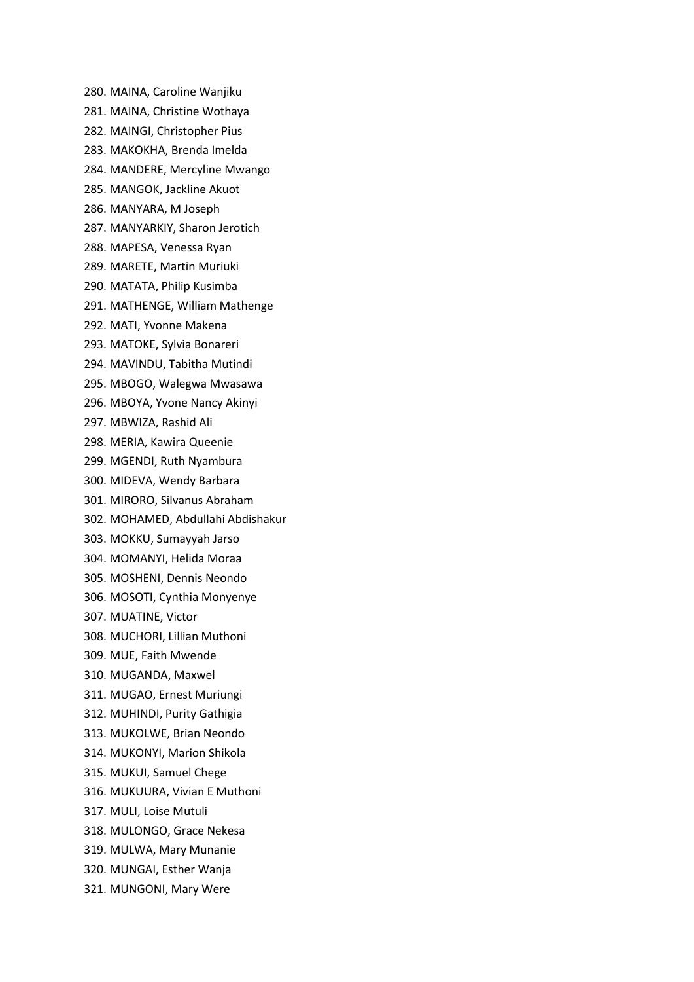280. MAINA, Caroline Wanjiku 281. MAINA, Christine Wothaya 282. MAINGI, Christopher Pius 283. MAKOKHA, Brenda Imelda 284. MANDERE, Mercyline Mwango 285. MANGOK, Jackline Akuot 286. MANYARA, M Joseph 287. MANYARKIY, Sharon Jerotich 288. MAPESA, Venessa Ryan 289. MARETE, Martin Muriuki 290. MATATA, Philip Kusimba 291. MATHENGE, William Mathenge 292. MATI, Yvonne Makena 293. MATOKE, Sylvia Bonareri 294. MAVINDU, Tabitha Mutindi 295. MBOGO, Walegwa Mwasawa 296. MBOYA, Yvone Nancy Akinyi 297. MBWIZA, Rashid Ali 298. MERIA, Kawira Queenie 299. MGENDI, Ruth Nyambura 300. MIDEVA, Wendy Barbara 301. MIRORO, Silvanus Abraham 302. MOHAMED, Abdullahi Abdishakur 303. MOKKU, Sumayyah Jarso 304. MOMANYI, Helida Moraa 305. MOSHENI, Dennis Neondo 306. MOSOTI, Cynthia Monyenye 307. MUATINE, Victor 308. MUCHORI, Lillian Muthoni 309. MUE, Faith Mwende 310. MUGANDA, Maxwel 311. MUGAO, Ernest Muriungi 312. MUHINDI, Purity Gathigia 313. MUKOLWE, Brian Neondo 314. MUKONYI, Marion Shikola 315. MUKUI, Samuel Chege 316. MUKUURA, Vivian E Muthoni 317. MULI, Loise Mutuli 318. MULONGO, Grace Nekesa 319. MULWA, Mary Munanie 320. MUNGAI, Esther Wanja

321. MUNGONI, Mary Were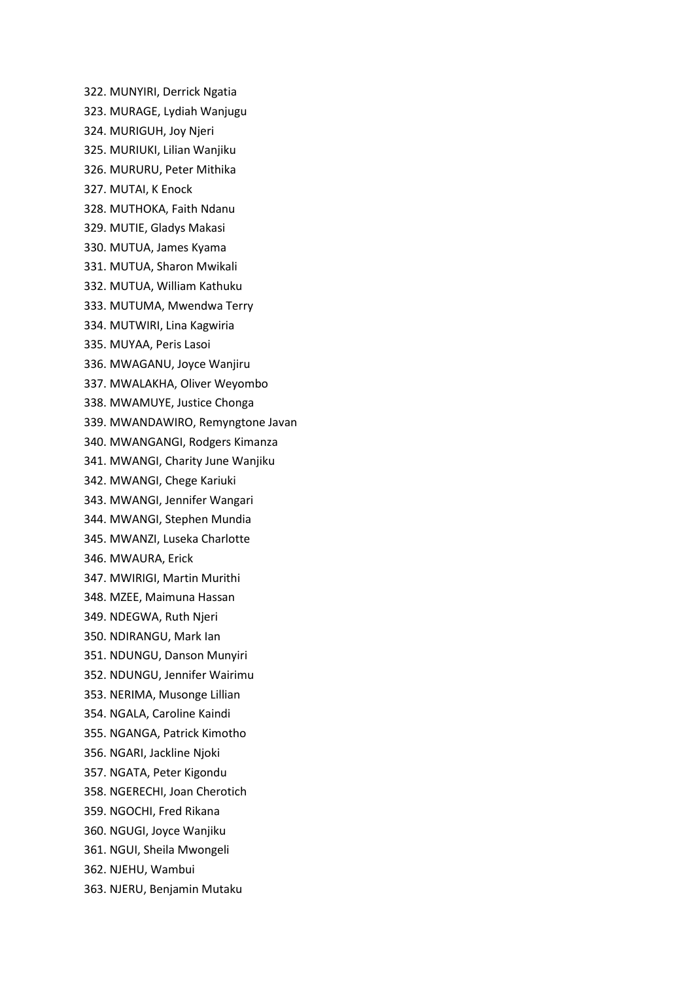322. MUNYIRI, Derrick Ngatia

- 323. MURAGE, Lydiah Wanjugu
- 324. MURIGUH, Joy Njeri
- 325. MURIUKI, Lilian Wanjiku
- 326. MURURU, Peter Mithika
- 327. MUTAI, K Enock
- 328. MUTHOKA, Faith Ndanu
- 329. MUTIE, Gladys Makasi
- 330. MUTUA, James Kyama
- 331. MUTUA, Sharon Mwikali
- 332. MUTUA, William Kathuku
- 333. MUTUMA, Mwendwa Terry
- 334. MUTWIRI, Lina Kagwiria
- 335. MUYAA, Peris Lasoi
- 336. MWAGANU, Joyce Wanjiru
- 337. MWALAKHA, Oliver Weyombo
- 338. MWAMUYE, Justice Chonga
- 339. MWANDAWIRO, Remyngtone Javan
- 340. MWANGANGI, Rodgers Kimanza
- 341. MWANGI, Charity June Wanjiku
- 342. MWANGI, Chege Kariuki
- 343. MWANGI, Jennifer Wangari
- 344. MWANGI, Stephen Mundia
- 345. MWANZI, Luseka Charlotte
- 346. MWAURA, Erick
- 347. MWIRIGI, Martin Murithi
- 348. MZEE, Maimuna Hassan
- 349. NDEGWA, Ruth Njeri
- 350. NDIRANGU, Mark Ian
- 351. NDUNGU, Danson Munyiri
- 352. NDUNGU, Jennifer Wairimu
- 353. NERIMA, Musonge Lillian
- 354. NGALA, Caroline Kaindi
- 355. NGANGA, Patrick Kimotho
- 356. NGARI, Jackline Njoki
- 357. NGATA, Peter Kigondu
- 358. NGERECHI, Joan Cherotich
- 359. NGOCHI, Fred Rikana
- 360. NGUGI, Joyce Wanjiku
- 361. NGUI, Sheila Mwongeli
- 362. NJEHU, Wambui
- 363. NJERU, Benjamin Mutaku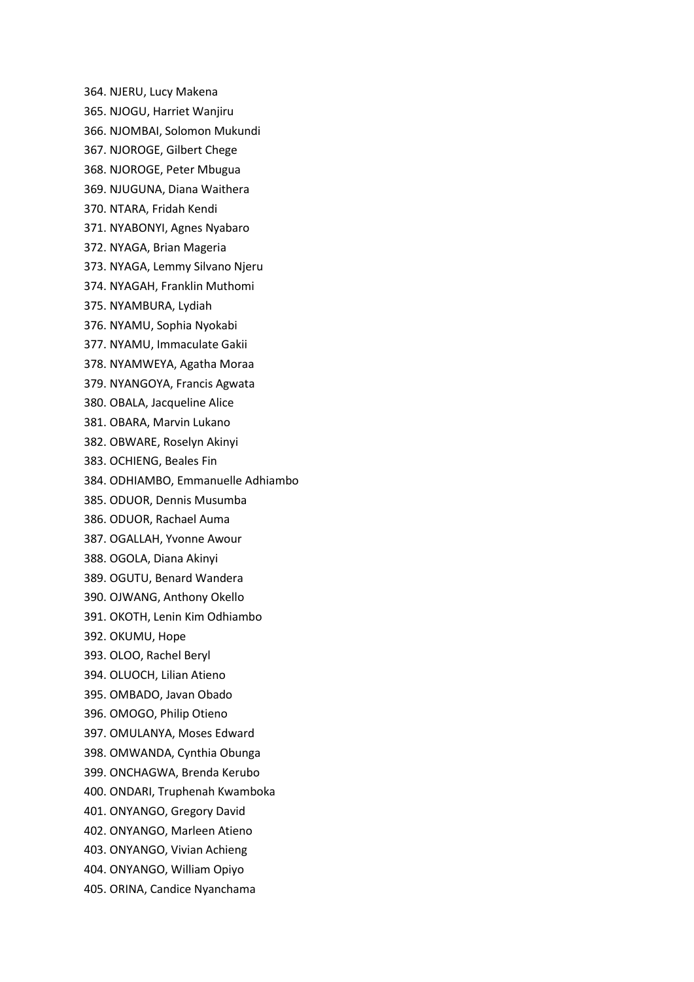364. NJERU, Lucy Makena 365. NJOGU, Harriet Wanjiru 366. NJOMBAI, Solomon Mukundi 367. NJOROGE, Gilbert Chege 368. NJOROGE, Peter Mbugua 369. NJUGUNA, Diana Waithera 370. NTARA, Fridah Kendi 371. NYABONYI, Agnes Nyabaro 372. NYAGA, Brian Mageria 373. NYAGA, Lemmy Silvano Njeru 374. NYAGAH, Franklin Muthomi 375. NYAMBURA, Lydiah 376. NYAMU, Sophia Nyokabi 377. NYAMU, Immaculate Gakii 378. NYAMWEYA, Agatha Moraa 379. NYANGOYA, Francis Agwata 380. OBALA, Jacqueline Alice 381. OBARA, Marvin Lukano 382. OBWARE, Roselyn Akinyi 383. OCHIENG, Beales Fin 384. ODHIAMBO, Emmanuelle Adhiambo 385. ODUOR, Dennis Musumba 386. ODUOR, Rachael Auma 387. OGALLAH, Yvonne Awour 388. OGOLA, Diana Akinyi 389. OGUTU, Benard Wandera 390. OJWANG, Anthony Okello 391. OKOTH, Lenin Kim Odhiambo 392. OKUMU, Hope 393. OLOO, Rachel Beryl 394. OLUOCH, Lilian Atieno 395. OMBADO, Javan Obado 396. OMOGO, Philip Otieno 397. OMULANYA, Moses Edward 398. OMWANDA, Cynthia Obunga 399. ONCHAGWA, Brenda Kerubo 400. ONDARI, Truphenah Kwamboka 401. ONYANGO, Gregory David 402. ONYANGO, Marleen Atieno 403. ONYANGO, Vivian Achieng 404. ONYANGO, William Opiyo

405. ORINA, Candice Nyanchama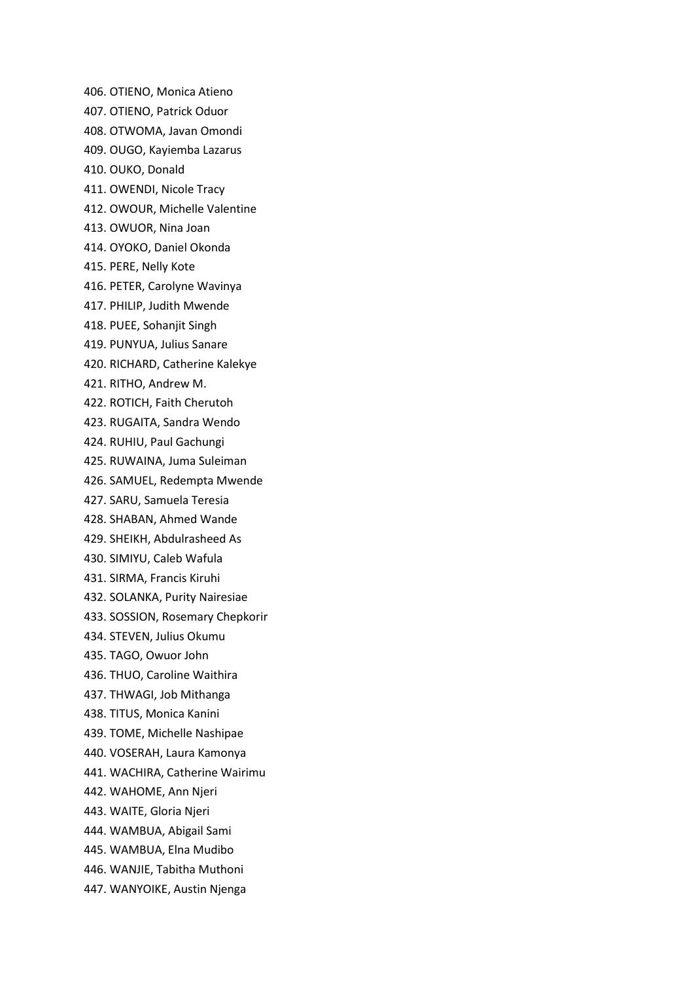406. OTIENO, Monica Atieno

407. OTIENO, Patrick Oduor

408. OTWOMA, Javan Omondi

409. OUGO, Kayiemba Lazarus

410. OUKO, Donald

411. OWENDI, Nicole Tracy

412. OWOUR, Michelle Valentine

413. OWUOR, Nina Joan

414. OYOKO, Daniel Okonda

415. PERE, Nelly Kote

416. PETER, Carolyne Wavinya

417. PHILIP, Judith Mwende

418. PUEE, Sohanjit Singh

419. PUNYUA, Julius Sanare

420. RICHARD, Catherine Kalekye

421. RITHO, Andrew M.

422. ROTICH, Faith Cherutoh

423. RUGAITA, Sandra Wendo

424. RUHIU, Paul Gachungi

425. RUWAINA, Juma Suleiman

426. SAMUEL, Redempta Mwende

427. SARU, Samuela Teresia

428. SHABAN, Ahmed Wande

429. SHEIKH, Abdulrasheed As

430. SIMIYU, Caleb Wafula

431. SIRMA, Francis Kiruhi

432. SOLANKA, Purity Nairesiae

433. SOSSION, Rosemary Chepkorir

434. STEVEN, Julius Okumu

435. TAGO, Owuor John

436. THUO, Caroline Waithira

437. THWAGI, Job Mithanga

438. TITUS, Monica Kanini

439. TOME, Michelle Nashipae

440. VOSERAH, Laura Kamonya

441. WACHIRA, Catherine Wairimu

442. WAHOME, Ann Njeri

443. WAITE, Gloria Njeri

444. WAMBUA, Abigail Sami

445. WAMBUA, Elna Mudibo

446. WANJIE, Tabitha Muthoni

447. WANYOIKE, Austin Njenga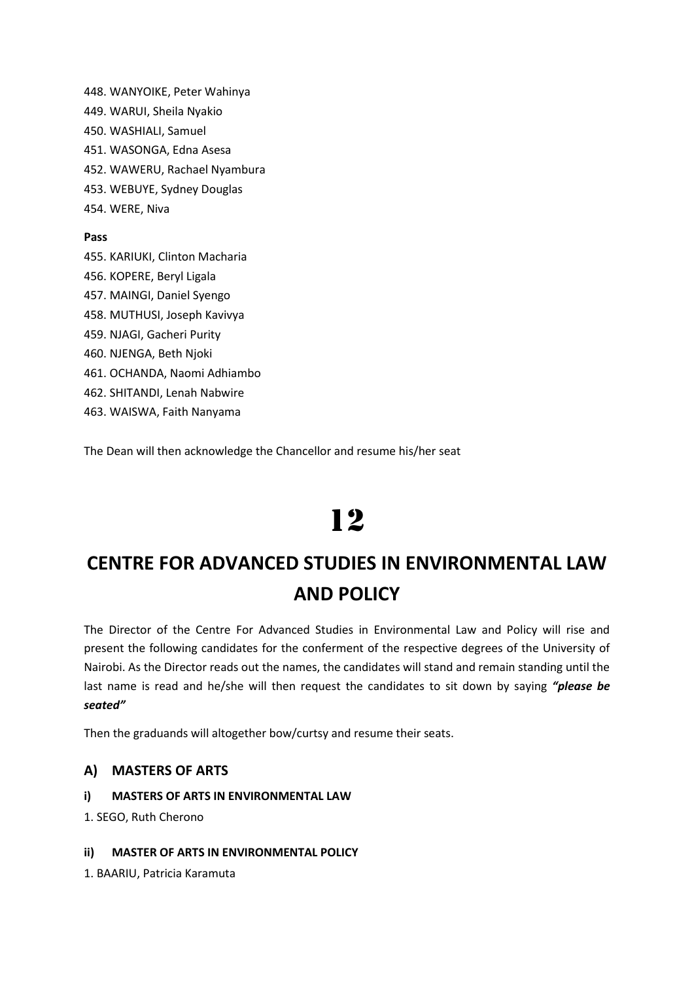448. WANYOIKE, Peter Wahinya 449. WARUI, Sheila Nyakio 450. WASHIALI, Samuel 451. WASONGA, Edna Asesa 452. WAWERU, Rachael Nyambura 453. WEBUYE, Sydney Douglas 454. WERE, Niva

## **Pass**

455. KARIUKI, Clinton Macharia 456. KOPERE, Beryl Ligala 457. MAINGI, Daniel Syengo 458. MUTHUSI, Joseph Kavivya 459. NJAGI, Gacheri Purity 460. NJENGA, Beth Njoki 461. OCHANDA, Naomi Adhiambo 462. SHITANDI, Lenah Nabwire 463. WAISWA, Faith Nanyama

The Dean will then acknowledge the Chancellor and resume his/her seat

# 12

## **CENTRE FOR ADVANCED STUDIES IN ENVIRONMENTAL LAW AND POLICY**

The Director of the Centre For Advanced Studies in Environmental Law and Policy will rise and present the following candidates for the conferment of the respective degrees of the University of Nairobi. As the Director reads out the names, the candidates will stand and remain standing until the last name is read and he/she will then request the candidates to sit down by saying *"please be seated"*

Then the graduands will altogether bow/curtsy and resume their seats.

## **A) MASTERS OF ARTS**

## **i) MASTERS OF ARTS IN ENVIRONMENTAL LAW**

1. SEGO, Ruth Cherono

## **ii) MASTER OF ARTS IN ENVIRONMENTAL POLICY**

1. BAARIU, Patricia Karamuta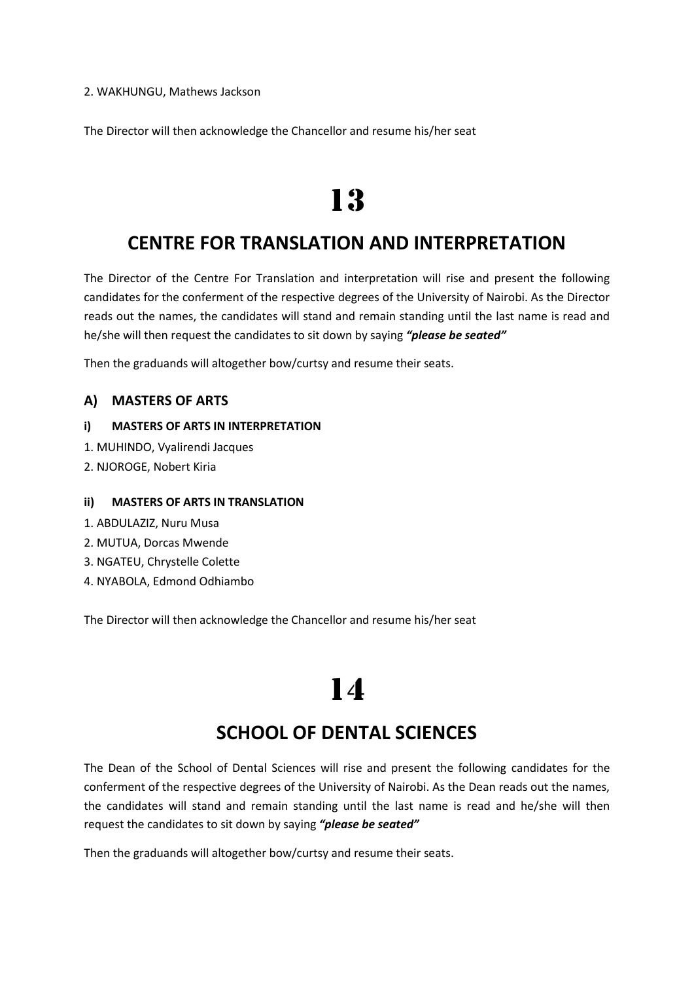#### 2. WAKHUNGU, Mathews Jackson

The Director will then acknowledge the Chancellor and resume his/her seat

# 13

## **CENTRE FOR TRANSLATION AND INTERPRETATION**

The Director of the Centre For Translation and interpretation will rise and present the following candidates for the conferment of the respective degrees of the University of Nairobi. As the Director reads out the names, the candidates will stand and remain standing until the last name is read and he/she will then request the candidates to sit down by saying *"please be seated"*

Then the graduands will altogether bow/curtsy and resume their seats.

## **A) MASTERS OF ARTS**

## **i) MASTERS OF ARTS IN INTERPRETATION**

- 1. MUHINDO, Vyalirendi Jacques
- 2. NJOROGE, Nobert Kiria

## **ii) MASTERS OF ARTS IN TRANSLATION**

- 1. ABDULAZIZ, Nuru Musa
- 2. MUTUA, Dorcas Mwende
- 3. NGATEU, Chrystelle Colette
- 4. NYABOLA, Edmond Odhiambo

The Director will then acknowledge the Chancellor and resume his/her seat

# 14

## **SCHOOL OF DENTAL SCIENCES**

The Dean of the School of Dental Sciences will rise and present the following candidates for the conferment of the respective degrees of the University of Nairobi. As the Dean reads out the names, the candidates will stand and remain standing until the last name is read and he/she will then request the candidates to sit down by saying *"please be seated"*

Then the graduands will altogether bow/curtsy and resume their seats.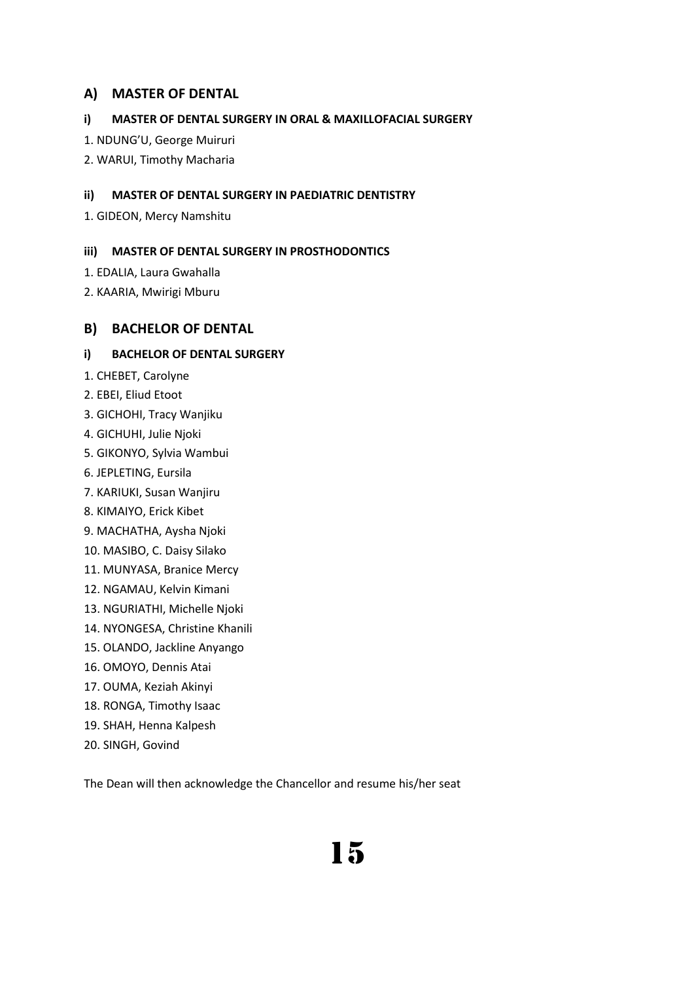## **A) MASTER OF DENTAL**

## **i) MASTER OF DENTAL SURGERY IN ORAL & MAXILLOFACIAL SURGERY**

- 1. NDUNG'U, George Muiruri
- 2. WARUI, Timothy Macharia

## **ii) MASTER OF DENTAL SURGERY IN PAEDIATRIC DENTISTRY**

1. GIDEON, Mercy Namshitu

## **iii) MASTER OF DENTAL SURGERY IN PROSTHODONTICS**

- 1. EDALIA, Laura Gwahalla
- 2. KAARIA, Mwirigi Mburu

## **B) BACHELOR OF DENTAL**

## **i) BACHELOR OF DENTAL SURGERY**

- 1. CHEBET, Carolyne
- 2. EBEI, Eliud Etoot
- 3. GICHOHI, Tracy Wanjiku
- 4. GICHUHI, Julie Njoki
- 5. GIKONYO, Sylvia Wambui
- 6. JEPLETING, Eursila
- 7. KARIUKI, Susan Wanjiru
- 8. KIMAIYO, Erick Kibet
- 9. MACHATHA, Aysha Njoki
- 10. MASIBO, C. Daisy Silako
- 11. MUNYASA, Branice Mercy
- 12. NGAMAU, Kelvin Kimani
- 13. NGURIATHI, Michelle Njoki
- 14. NYONGESA, Christine Khanili
- 15. OLANDO, Jackline Anyango
- 16. OMOYO, Dennis Atai
- 17. OUMA, Keziah Akinyi
- 18. RONGA, Timothy Isaac
- 19. SHAH, Henna Kalpesh
- 20. SINGH, Govind

The Dean will then acknowledge the Chancellor and resume his/her seat

# 15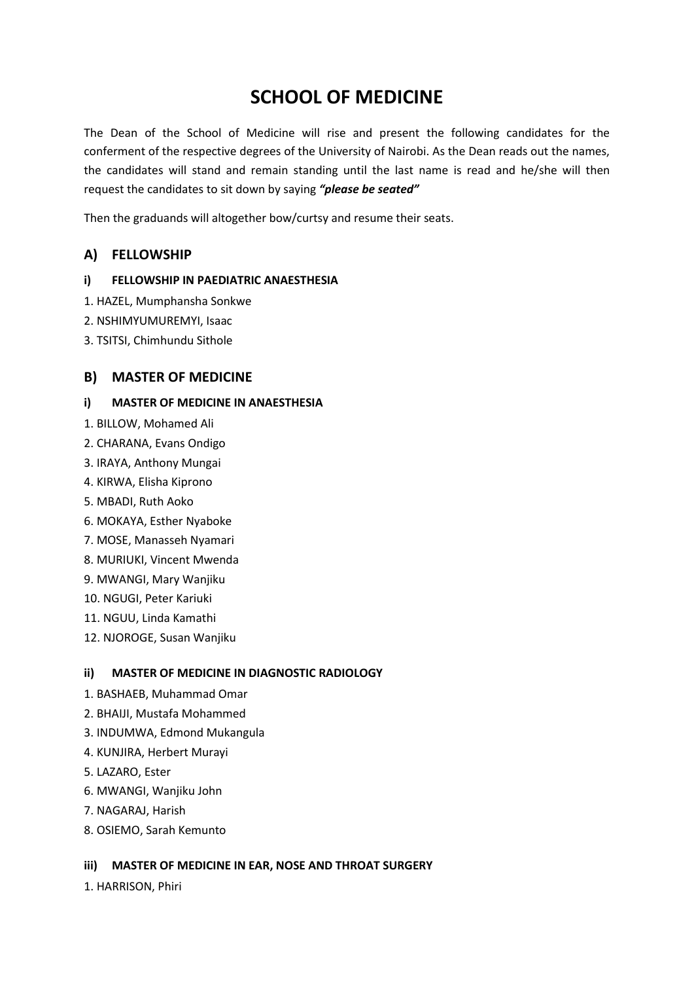## **SCHOOL OF MEDICINE**

The Dean of the School of Medicine will rise and present the following candidates for the conferment of the respective degrees of the University of Nairobi. As the Dean reads out the names, the candidates will stand and remain standing until the last name is read and he/she will then request the candidates to sit down by saying *"please be seated"*

Then the graduands will altogether bow/curtsy and resume their seats.

## **A) FELLOWSHIP**

## **i) FELLOWSHIP IN PAEDIATRIC ANAESTHESIA**

- 1. HAZEL, Mumphansha Sonkwe
- 2. NSHIMYUMUREMYI, Isaac
- 3. TSITSI, Chimhundu Sithole

## **B) MASTER OF MEDICINE**

## **i) MASTER OF MEDICINE IN ANAESTHESIA**

- 1. BILLOW, Mohamed Ali
- 2. CHARANA, Evans Ondigo
- 3. IRAYA, Anthony Mungai
- 4. KIRWA, Elisha Kiprono
- 5. MBADI, Ruth Aoko
- 6. MOKAYA, Esther Nyaboke
- 7. MOSE, Manasseh Nyamari
- 8. MURIUKI, Vincent Mwenda
- 9. MWANGI, Mary Wanjiku
- 10. NGUGI, Peter Kariuki
- 11. NGUU, Linda Kamathi
- 12. NJOROGE, Susan Wanjiku

## **ii) MASTER OF MEDICINE IN DIAGNOSTIC RADIOLOGY**

- 1. BASHAEB, Muhammad Omar
- 2. BHAIJI, Mustafa Mohammed
- 3. INDUMWA, Edmond Mukangula
- 4. KUNJIRA, Herbert Murayi
- 5. LAZARO, Ester
- 6. MWANGI, Wanjiku John
- 7. NAGARAJ, Harish
- 8. OSIEMO, Sarah Kemunto

## **iii) MASTER OF MEDICINE IN EAR, NOSE AND THROAT SURGERY**

1. HARRISON, Phiri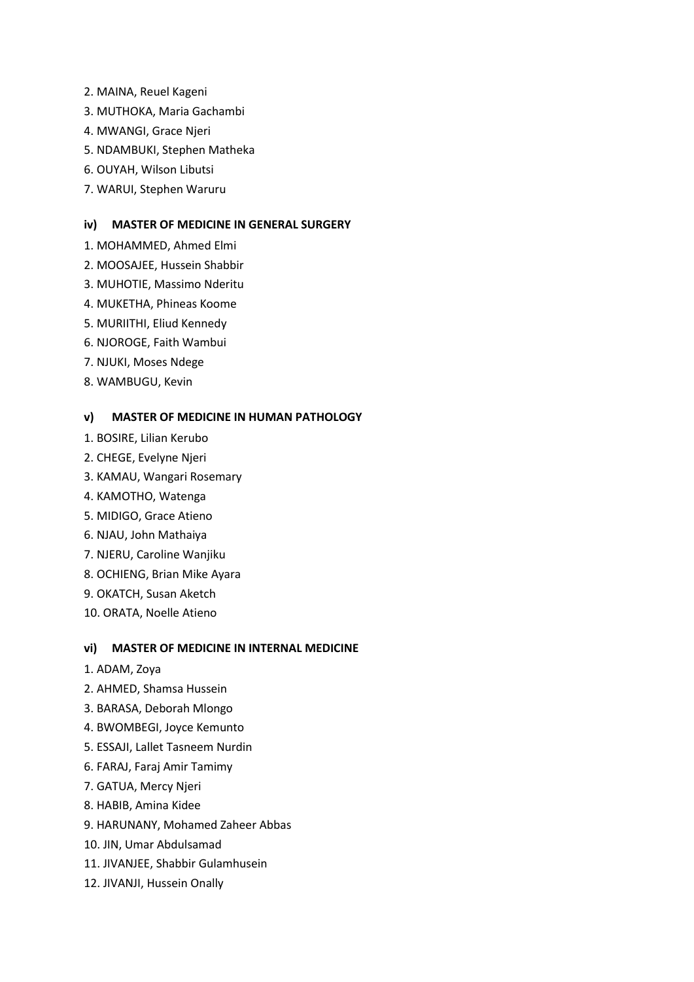- 2. MAINA, Reuel Kageni
- 3. MUTHOKA, Maria Gachambi
- 4. MWANGI, Grace Njeri
- 5. NDAMBUKI, Stephen Matheka
- 6. OUYAH, Wilson Libutsi
- 7. WARUI, Stephen Waruru

## **iv) MASTER OF MEDICINE IN GENERAL SURGERY**

- 1. MOHAMMED, Ahmed Elmi
- 2. MOOSAJEE, Hussein Shabbir
- 3. MUHOTIE, Massimo Nderitu
- 4. MUKETHA, Phineas Koome
- 5. MURIITHI, Eliud Kennedy
- 6. NJOROGE, Faith Wambui
- 7. NJUKI, Moses Ndege
- 8. WAMBUGU, Kevin

## **v) MASTER OF MEDICINE IN HUMAN PATHOLOGY**

- 1. BOSIRE, Lilian Kerubo
- 2. CHEGE, Evelyne Njeri
- 3. KAMAU, Wangari Rosemary
- 4. KAMOTHO, Watenga
- 5. MIDIGO, Grace Atieno
- 6. NJAU, John Mathaiya
- 7. NJERU, Caroline Wanjiku
- 8. OCHIENG, Brian Mike Ayara
- 9. OKATCH, Susan Aketch
- 10. ORATA, Noelle Atieno

## **vi) MASTER OF MEDICINE IN INTERNAL MEDICINE**

- 1. ADAM, Zoya
- 2. AHMED, Shamsa Hussein
- 3. BARASA, Deborah Mlongo
- 4. BWOMBEGI, Joyce Kemunto
- 5. ESSAJI, Lallet Tasneem Nurdin
- 6. FARAJ, Faraj Amir Tamimy
- 7. GATUA, Mercy Njeri
- 8. HABIB, Amina Kidee
- 9. HARUNANY, Mohamed Zaheer Abbas
- 10. JIN, Umar Abdulsamad
- 11. JIVANJEE, Shabbir Gulamhusein
- 12. JIVANJI, Hussein Onally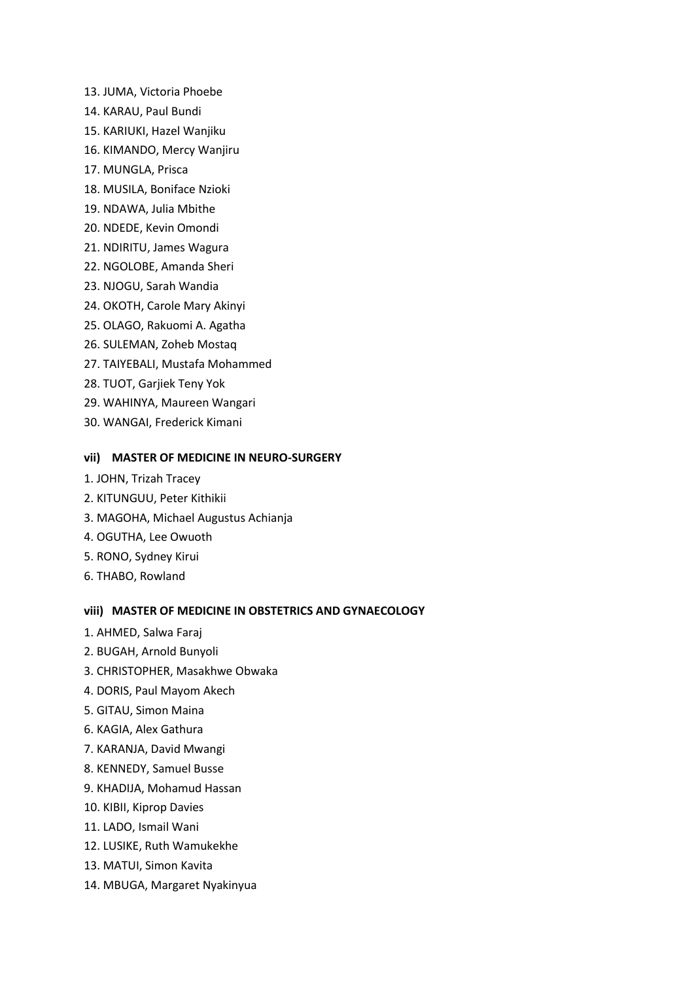- 13. JUMA, Victoria Phoebe
- 14. KARAU, Paul Bundi
- 15. KARIUKI, Hazel Wanjiku
- 16. KIMANDO, Mercy Wanjiru
- 17. MUNGLA, Prisca
- 18. MUSILA, Boniface Nzioki
- 19. NDAWA, Julia Mbithe
- 20. NDEDE, Kevin Omondi
- 21. NDIRITU, James Wagura
- 22. NGOLOBE, Amanda Sheri
- 23. NJOGU, Sarah Wandia
- 24. OKOTH, Carole Mary Akinyi
- 25. OLAGO, Rakuomi A. Agatha
- 26. SULEMAN, Zoheb Mostaq
- 27. TAIYEBALI, Mustafa Mohammed
- 28. TUOT, Garjiek Teny Yok
- 29. WAHINYA, Maureen Wangari
- 30. WANGAI, Frederick Kimani

#### **vii) MASTER OF MEDICINE IN NEURO-SURGERY**

- 1. JOHN, Trizah Tracey
- 2. KITUNGUU, Peter Kithikii
- 3. MAGOHA, Michael Augustus Achianja
- 4. OGUTHA, Lee Owuoth
- 5. RONO, Sydney Kirui
- 6. THABO, Rowland

#### **viii) MASTER OF MEDICINE IN OBSTETRICS AND GYNAECOLOGY**

- 1. AHMED, Salwa Faraj
- 2. BUGAH, Arnold Bunyoli
- 3. CHRISTOPHER, Masakhwe Obwaka
- 4. DORIS, Paul Mayom Akech
- 5. GITAU, Simon Maina
- 6. KAGIA, Alex Gathura
- 7. KARANJA, David Mwangi
- 8. KENNEDY, Samuel Busse
- 9. KHADIJA, Mohamud Hassan
- 10. KIBII, Kiprop Davies
- 11. LADO, Ismail Wani
- 12. LUSIKE, Ruth Wamukekhe
- 13. MATUI, Simon Kavita
- 14. MBUGA, Margaret Nyakinyua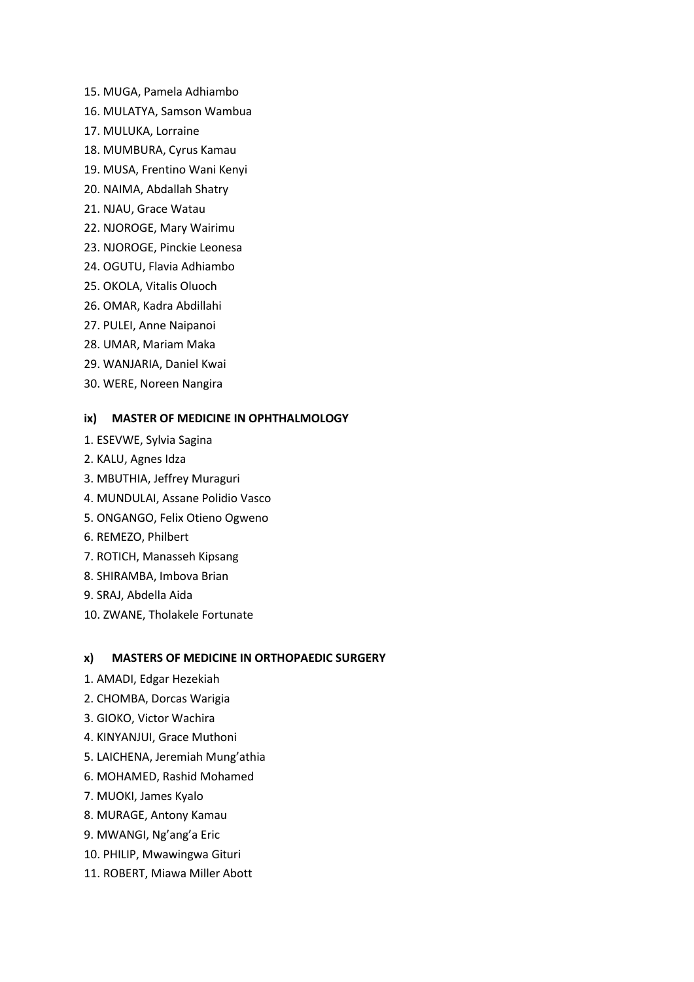- 15. MUGA, Pamela Adhiambo
- 16. MULATYA, Samson Wambua
- 17. MULUKA, Lorraine
- 18. MUMBURA, Cyrus Kamau
- 19. MUSA, Frentino Wani Kenyi
- 20. NAIMA, Abdallah Shatry
- 21. NJAU, Grace Watau
- 22. NJOROGE, Mary Wairimu
- 23. NJOROGE, Pinckie Leonesa
- 24. OGUTU, Flavia Adhiambo
- 25. OKOLA, Vitalis Oluoch
- 26. OMAR, Kadra Abdillahi
- 27. PULEI, Anne Naipanoi
- 28. UMAR, Mariam Maka
- 29. WANJARIA, Daniel Kwai
- 30. WERE, Noreen Nangira

#### **ix) MASTER OF MEDICINE IN OPHTHALMOLOGY**

- 1. ESEVWE, Sylvia Sagina
- 2. KALU, Agnes Idza
- 3. MBUTHIA, Jeffrey Muraguri
- 4. MUNDULAI, Assane Polidio Vasco
- 5. ONGANGO, Felix Otieno Ogweno
- 6. REMEZO, Philbert
- 7. ROTICH, Manasseh Kipsang
- 8. SHIRAMBA, Imbova Brian
- 9. SRAJ, Abdella Aida
- 10. ZWANE, Tholakele Fortunate

#### **x) MASTERS OF MEDICINE IN ORTHOPAEDIC SURGERY**

- 1. AMADI, Edgar Hezekiah
- 2. CHOMBA, Dorcas Warigia
- 3. GIOKO, Victor Wachira
- 4. KINYANJUI, Grace Muthoni
- 5. LAICHENA, Jeremiah Mung'athia
- 6. MOHAMED, Rashid Mohamed
- 7. MUOKI, James Kyalo
- 8. MURAGE, Antony Kamau
- 9. MWANGI, Ng'ang'a Eric
- 10. PHILIP, Mwawingwa Gituri
- 11. ROBERT, Miawa Miller Abott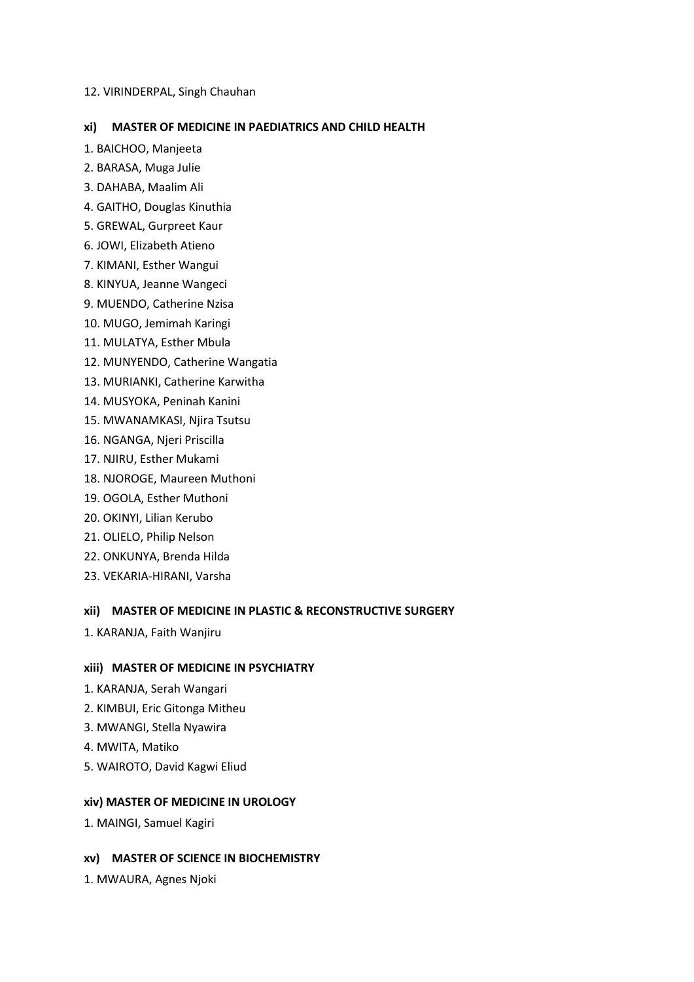## 12. VIRINDERPAL, Singh Chauhan

## **xi) MASTER OF MEDICINE IN PAEDIATRICS AND CHILD HEALTH**

- 1. BAICHOO, Manjeeta
- 2. BARASA, Muga Julie
- 3. DAHABA, Maalim Ali
- 4. GAITHO, Douglas Kinuthia
- 5. GREWAL, Gurpreet Kaur
- 6. JOWI, Elizabeth Atieno
- 7. KIMANI, Esther Wangui
- 8. KINYUA, Jeanne Wangeci
- 9. MUENDO, Catherine Nzisa
- 10. MUGO, Jemimah Karingi
- 11. MULATYA, Esther Mbula
- 12. MUNYENDO, Catherine Wangatia
- 13. MURIANKI, Catherine Karwitha
- 14. MUSYOKA, Peninah Kanini
- 15. MWANAMKASI, Njira Tsutsu
- 16. NGANGA, Njeri Priscilla
- 17. NJIRU, Esther Mukami
- 18. NJOROGE, Maureen Muthoni
- 19. OGOLA, Esther Muthoni
- 20. OKINYI, Lilian Kerubo
- 21. OLIELO, Philip Nelson
- 22. ONKUNYA, Brenda Hilda
- 23. VEKARIA-HIRANI, Varsha

#### **xii) MASTER OF MEDICINE IN PLASTIC & RECONSTRUCTIVE SURGERY**

1. KARANJA, Faith Wanjiru

#### **xiii) MASTER OF MEDICINE IN PSYCHIATRY**

- 1. KARANJA, Serah Wangari
- 2. KIMBUI, Eric Gitonga Mitheu
- 3. MWANGI, Stella Nyawira
- 4. MWITA, Matiko
- 5. WAIROTO, David Kagwi Eliud

#### **xiv) MASTER OF MEDICINE IN UROLOGY**

1. MAINGI, Samuel Kagiri

## **xv) MASTER OF SCIENCE IN BIOCHEMISTRY**

1. MWAURA, Agnes Njoki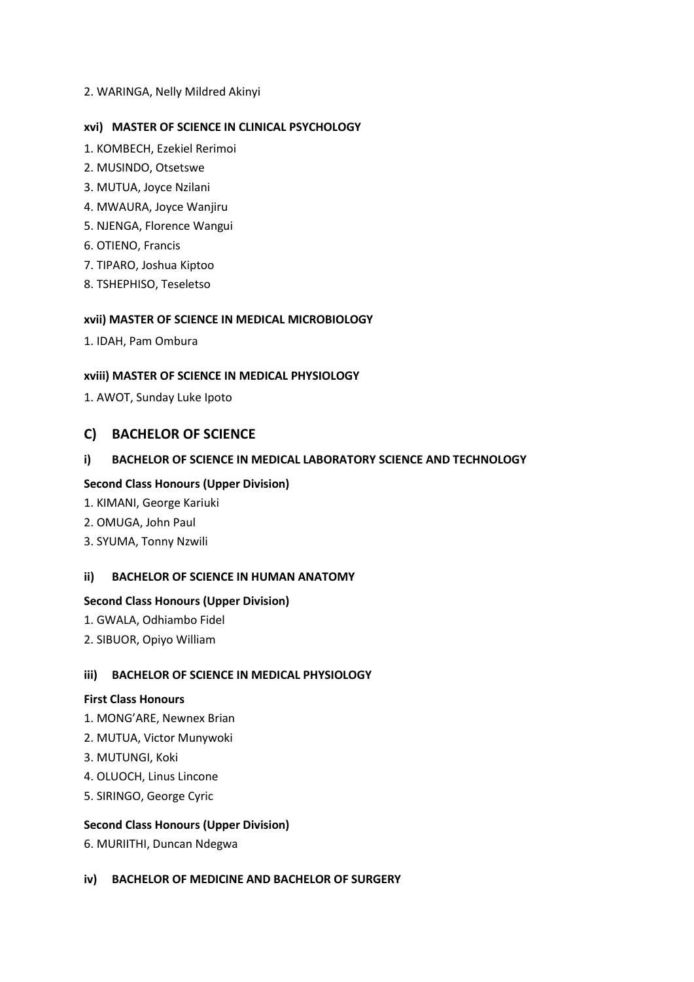## 2. WARINGA, Nelly Mildred Akinyi

## **xvi) MASTER OF SCIENCE IN CLINICAL PSYCHOLOGY**

- 1. KOMBECH, Ezekiel Rerimoi
- 2. MUSINDO, Otsetswe
- 3. MUTUA, Joyce Nzilani
- 4. MWAURA, Joyce Wanjiru
- 5. NJENGA, Florence Wangui
- 6. OTIENO, Francis
- 7. TIPARO, Joshua Kiptoo
- 8. TSHEPHISO, Teseletso

## **xvii) MASTER OF SCIENCE IN MEDICAL MICROBIOLOGY**

1. IDAH, Pam Ombura

## **xviii) MASTER OF SCIENCE IN MEDICAL PHYSIOLOGY**

1. AWOT, Sunday Luke Ipoto

## **C) BACHELOR OF SCIENCE**

## **i) BACHELOR OF SCIENCE IN MEDICAL LABORATORY SCIENCE AND TECHNOLOGY**

## **Second Class Honours (Upper Division)**

- 1. KIMANI, George Kariuki
- 2. OMUGA, John Paul
- 3. SYUMA, Tonny Nzwili

## **ii) BACHELOR OF SCIENCE IN HUMAN ANATOMY**

## **Second Class Honours (Upper Division)**

- 1. GWALA, Odhiambo Fidel
- 2. SIBUOR, Opiyo William

## **iii) BACHELOR OF SCIENCE IN MEDICAL PHYSIOLOGY**

## **First Class Honours**

- 1. MONG'ARE, Newnex Brian
- 2. MUTUA, Victor Munywoki
- 3. MUTUNGI, Koki
- 4. OLUOCH, Linus Lincone
- 5. SIRINGO, George Cyric

## **Second Class Honours (Upper Division)**

6. MURIITHI, Duncan Ndegwa

## **iv) BACHELOR OF MEDICINE AND BACHELOR OF SURGERY**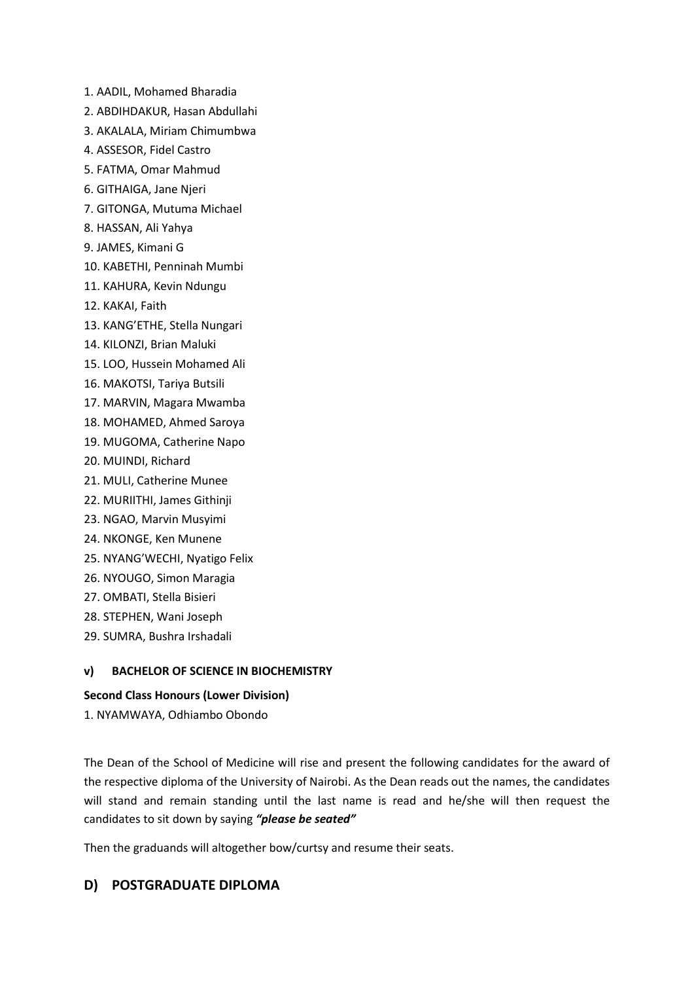- 1. AADIL, Mohamed Bharadia
- 2. ABDIHDAKUR, Hasan Abdullahi
- 3. AKALALA, Miriam Chimumbwa
- 4. ASSESOR, Fidel Castro
- 5. FATMA, Omar Mahmud
- 6. GITHAIGA, Jane Njeri
- 7. GITONGA, Mutuma Michael
- 8. HASSAN, Ali Yahya
- 9. JAMES, Kimani G
- 10. KABETHI, Penninah Mumbi
- 11. KAHURA, Kevin Ndungu
- 12. KAKAI, Faith
- 13. KANG'ETHE, Stella Nungari
- 14. KILONZI, Brian Maluki
- 15. LOO, Hussein Mohamed Ali
- 16. MAKOTSI, Tariya Butsili
- 17. MARVIN, Magara Mwamba
- 18. MOHAMED, Ahmed Saroya
- 19. MUGOMA, Catherine Napo
- 20. MUINDI, Richard
- 21. MULI, Catherine Munee
- 22. MURIITHI, James Githinji
- 23. NGAO, Marvin Musyimi
- 24. NKONGE, Ken Munene
- 25. NYANG'WECHI, Nyatigo Felix
- 26. NYOUGO, Simon Maragia
- 27. OMBATI, Stella Bisieri
- 28. STEPHEN, Wani Joseph
- 29. SUMRA, Bushra Irshadali

## **v) BACHELOR OF SCIENCE IN BIOCHEMISTRY**

#### **Second Class Honours (Lower Division)**

1. NYAMWAYA, Odhiambo Obondo

The Dean of the School of Medicine will rise and present the following candidates for the award of the respective diploma of the University of Nairobi. As the Dean reads out the names, the candidates will stand and remain standing until the last name is read and he/she will then request the candidates to sit down by saying *"please be seated"*

Then the graduands will altogether bow/curtsy and resume their seats.

## **D) POSTGRADUATE DIPLOMA**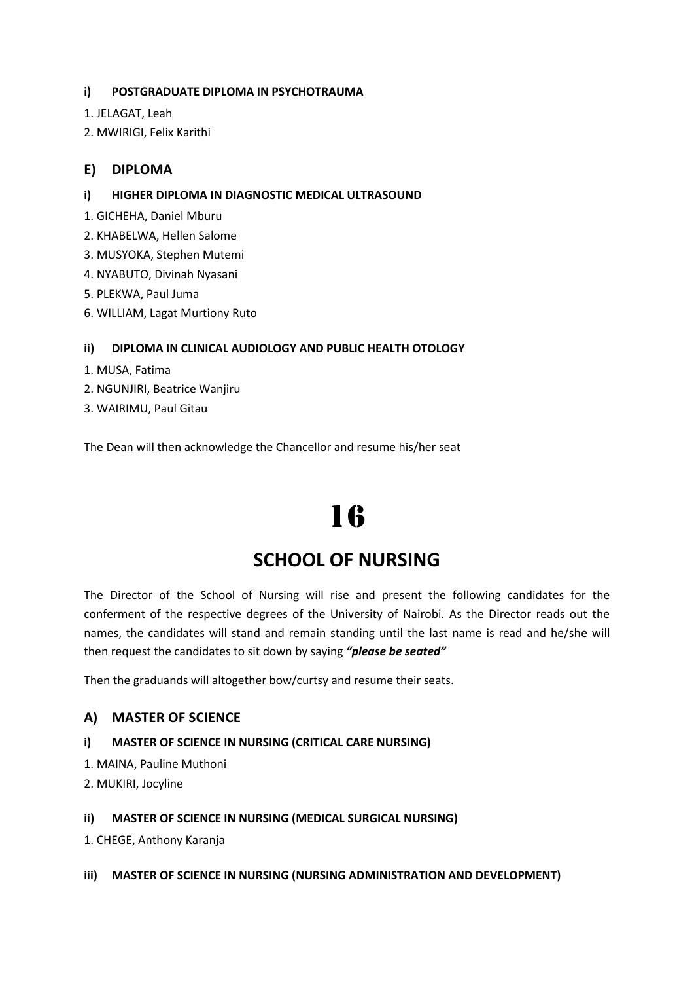## **i) POSTGRADUATE DIPLOMA IN PSYCHOTRAUMA**

- 1. JELAGAT, Leah
- 2. MWIRIGI, Felix Karithi

## **E) DIPLOMA**

## **i) HIGHER DIPLOMA IN DIAGNOSTIC MEDICAL ULTRASOUND**

- 1. GICHEHA, Daniel Mburu
- 2. KHABELWA, Hellen Salome
- 3. MUSYOKA, Stephen Mutemi
- 4. NYABUTO, Divinah Nyasani
- 5. PLEKWA, Paul Juma
- 6. WILLIAM, Lagat Murtiony Ruto

## **ii) DIPLOMA IN CLINICAL AUDIOLOGY AND PUBLIC HEALTH OTOLOGY**

- 1. MUSA, Fatima
- 2. NGUNJIRI, Beatrice Wanjiru
- 3. WAIRIMU, Paul Gitau

The Dean will then acknowledge the Chancellor and resume his/her seat

# 16

## **SCHOOL OF NURSING**

The Director of the School of Nursing will rise and present the following candidates for the conferment of the respective degrees of the University of Nairobi. As the Director reads out the names, the candidates will stand and remain standing until the last name is read and he/she will then request the candidates to sit down by saying *"please be seated"*

Then the graduands will altogether bow/curtsy and resume their seats.

## **A) MASTER OF SCIENCE**

## **i) MASTER OF SCIENCE IN NURSING (CRITICAL CARE NURSING)**

- 1. MAINA, Pauline Muthoni
- 2. MUKIRI, Jocyline

## **ii) MASTER OF SCIENCE IN NURSING (MEDICAL SURGICAL NURSING)**

1. CHEGE, Anthony Karanja

## **iii) MASTER OF SCIENCE IN NURSING (NURSING ADMINISTRATION AND DEVELOPMENT)**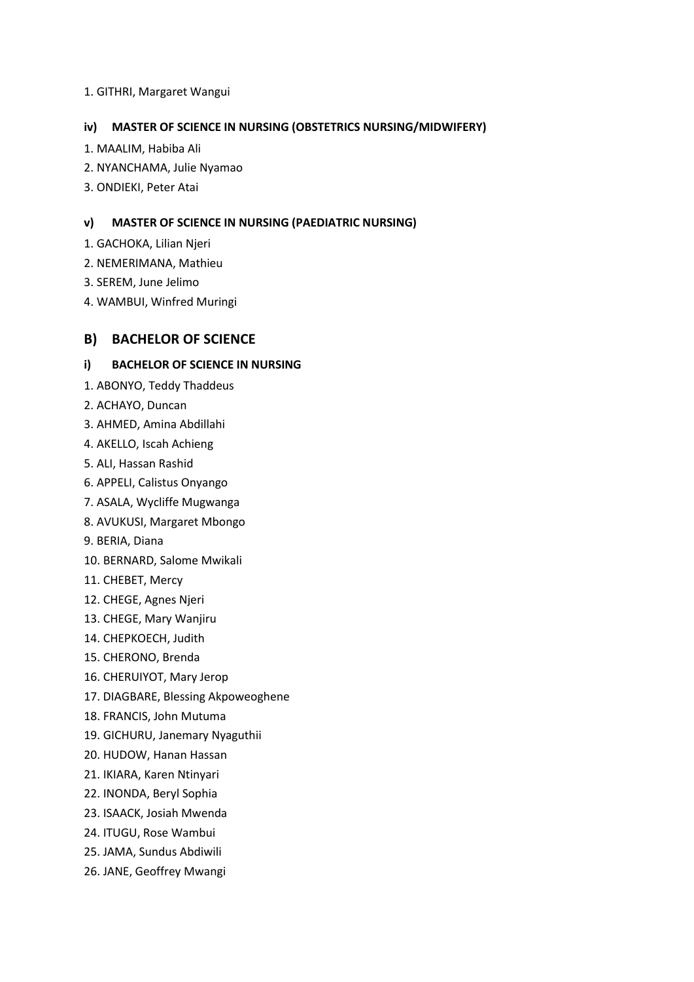## 1. GITHRI, Margaret Wangui

## **iv) MASTER OF SCIENCE IN NURSING (OBSTETRICS NURSING/MIDWIFERY)**

- 1. MAALIM, Habiba Ali
- 2. NYANCHAMA, Julie Nyamao
- 3. ONDIEKI, Peter Atai

## **v) MASTER OF SCIENCE IN NURSING (PAEDIATRIC NURSING)**

- 1. GACHOKA, Lilian Njeri
- 2. NEMERIMANA, Mathieu
- 3. SEREM, June Jelimo
- 4. WAMBUI, Winfred Muringi

## **B) BACHELOR OF SCIENCE**

## **i) BACHELOR OF SCIENCE IN NURSING**

- 1. ABONYO, Teddy Thaddeus
- 2. ACHAYO, Duncan
- 3. AHMED, Amina Abdillahi
- 4. AKELLO, Iscah Achieng
- 5. ALI, Hassan Rashid
- 6. APPELI, Calistus Onyango
- 7. ASALA, Wycliffe Mugwanga
- 8. AVUKUSI, Margaret Mbongo
- 9. BERIA, Diana
- 10. BERNARD, Salome Mwikali
- 11. CHEBET, Mercy
- 12. CHEGE, Agnes Njeri
- 13. CHEGE, Mary Wanjiru
- 14. CHEPKOECH, Judith
- 15. CHERONO, Brenda
- 16. CHERUIYOT, Mary Jerop
- 17. DIAGBARE, Blessing Akpoweoghene
- 18. FRANCIS, John Mutuma
- 19. GICHURU, Janemary Nyaguthii
- 20. HUDOW, Hanan Hassan
- 21. IKIARA, Karen Ntinyari
- 22. INONDA, Beryl Sophia
- 23. ISAACK, Josiah Mwenda
- 24. ITUGU, Rose Wambui
- 25. JAMA, Sundus Abdiwili
- 26. JANE, Geoffrey Mwangi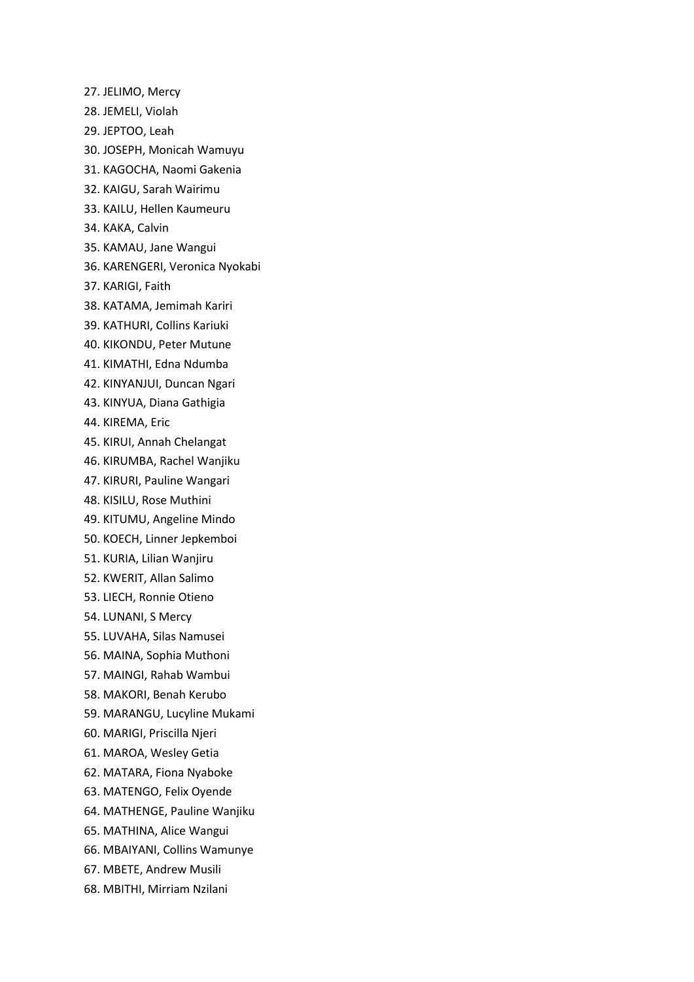27. JELIMO, Mercy 28. JEMELI, Violah 29. JEPTOO, Leah 30. JOSEPH, Monicah Wamuyu 31. KAGOCHA, Naomi Gakenia 32. KAIGU, Sarah Wairimu 33. KAILU, Hellen Kaumeuru 34. KAKA, Calvin 35. KAMAU, Jane Wangui 36. KARENGERI, Veronica Nyokabi 37. KARIGI, Faith 38. KATAMA, Jemimah Kariri 39. KATHURI, Collins Kariuki 40. KIKONDU, Peter Mutune 41. KIMATHI, Edna Ndumba 42. KINYANJUI, Duncan Ngari 43. KINYUA, Diana Gathigia 44. KIREMA, Eric 45. KIRUI, Annah Chelangat 46. KIRUMBA, Rachel Wanjiku 47. KIRURI, Pauline Wangari 48. KISILU, Rose Muthini 49. KITUMU, Angeline Mindo 50. KOECH, Linner Jepkemboi 51. KURIA, Lilian Wanjiru 52. KWERIT, Allan Salimo 53. LIECH, Ronnie Otieno 54. LUNANI, S Mercy 55. LUVAHA, Silas Namusei 56. MAINA, Sophia Muthoni 57. MAINGI, Rahab Wambui 58. MAKORI, Benah Kerubo 59. MARANGU, Lucyline Mukami 60. MARIGI, Priscilla Njeri 61. MAROA, Wesley Getia 62. MATARA, Fiona Nyaboke 63. MATENGO, Felix Oyende 64. MATHENGE, Pauline Wanjiku

65. MATHINA, Alice Wangui

66. MBAIYANI, Collins Wamunye

67. MBETE, Andrew Musili

68. MBITHI, Mirriam Nzilani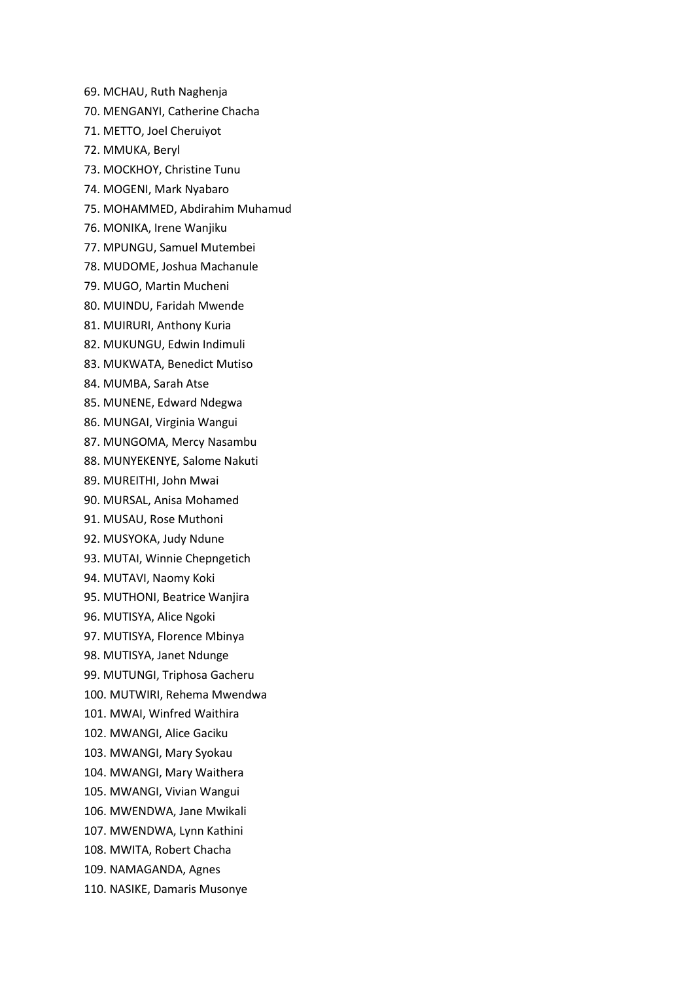69. MCHAU, Ruth Naghenja 70. MENGANYI, Catherine Chacha 71. METTO, Joel Cheruiyot 72. MMUKA, Beryl 73. MOCKHOY, Christine Tunu 74. MOGENI, Mark Nyabaro 75. MOHAMMED, Abdirahim Muhamud 76. MONIKA, Irene Wanjiku 77. MPUNGU, Samuel Mutembei 78. MUDOME, Joshua Machanule 79. MUGO, Martin Mucheni 80. MUINDU, Faridah Mwende 81. MUIRURI, Anthony Kuria 82. MUKUNGU, Edwin Indimuli 83. MUKWATA, Benedict Mutiso 84. MUMBA, Sarah Atse 85. MUNENE, Edward Ndegwa 86. MUNGAI, Virginia Wangui 87. MUNGOMA, Mercy Nasambu 88. MUNYEKENYE, Salome Nakuti 89. MUREITHI, John Mwai 90. MURSAL, Anisa Mohamed 91. MUSAU, Rose Muthoni 92. MUSYOKA, Judy Ndune 93. MUTAI, Winnie Chepngetich 94. MUTAVI, Naomy Koki 95. MUTHONI, Beatrice Wanjira 96. MUTISYA, Alice Ngoki 97. MUTISYA, Florence Mbinya 98. MUTISYA, Janet Ndunge 99. MUTUNGI, Triphosa Gacheru 100. MUTWIRI, Rehema Mwendwa 101. MWAI, Winfred Waithira 102. MWANGI, Alice Gaciku 103. MWANGI, Mary Syokau 104. MWANGI, Mary Waithera 105. MWANGI, Vivian Wangui 106. MWENDWA, Jane Mwikali 107. MWENDWA, Lynn Kathini 108. MWITA, Robert Chacha

- 109. NAMAGANDA, Agnes
- 110. NASIKE, Damaris Musonye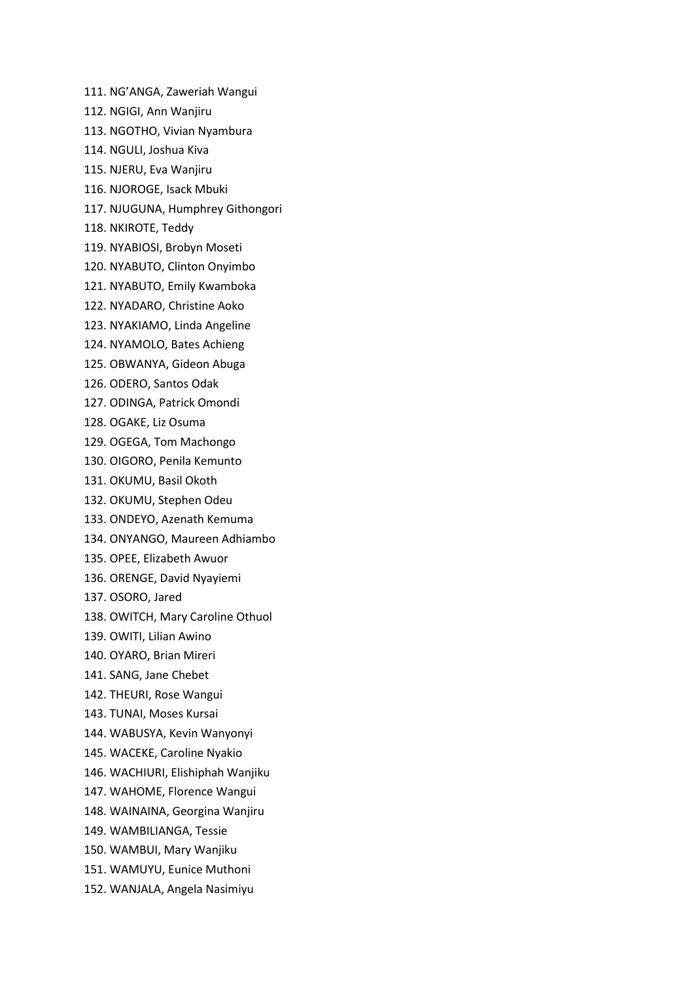111. NG'ANGA, Zaweriah Wangui

- 112. NGIGI, Ann Wanjiru
- 113. NGOTHO, Vivian Nyambura
- 114. NGULI, Joshua Kiva
- 115. NJERU, Eva Wanjiru
- 116. NJOROGE, Isack Mbuki
- 117. NJUGUNA, Humphrey Githongori
- 118. NKIROTE, Teddy
- 119. NYABIOSI, Brobyn Moseti
- 120. NYABUTO, Clinton Onyimbo
- 121. NYABUTO, Emily Kwamboka
- 122. NYADARO, Christine Aoko
- 123. NYAKIAMO, Linda Angeline
- 124. NYAMOLO, Bates Achieng
- 125. OBWANYA, Gideon Abuga
- 126. ODERO, Santos Odak
- 127. ODINGA, Patrick Omondi
- 128. OGAKE, Liz Osuma
- 129. OGEGA, Tom Machongo
- 130. OIGORO, Penila Kemunto
- 131. OKUMU, Basil Okoth
- 132. OKUMU, Stephen Odeu
- 133. ONDEYO, Azenath Kemuma
- 134. ONYANGO, Maureen Adhiambo
- 135. OPEE, Elizabeth Awuor
- 136. ORENGE, David Nyayiemi
- 137. OSORO, Jared
- 138. OWITCH, Mary Caroline Othuol
- 139. OWITI, Lilian Awino
- 140. OYARO, Brian Mireri
- 141. SANG, Jane Chebet
- 142. THEURI, Rose Wangui
- 143. TUNAI, Moses Kursai
- 144. WABUSYA, Kevin Wanyonyi
- 145. WACEKE, Caroline Nyakio
- 146. WACHIURI, Elishiphah Wanjiku
- 147. WAHOME, Florence Wangui
- 148. WAINAINA, Georgina Wanjiru
- 149. WAMBILIANGA, Tessie
- 150. WAMBUI, Mary Wanjiku
- 151. WAMUYU, Eunice Muthoni
- 152. WANJALA, Angela Nasimiyu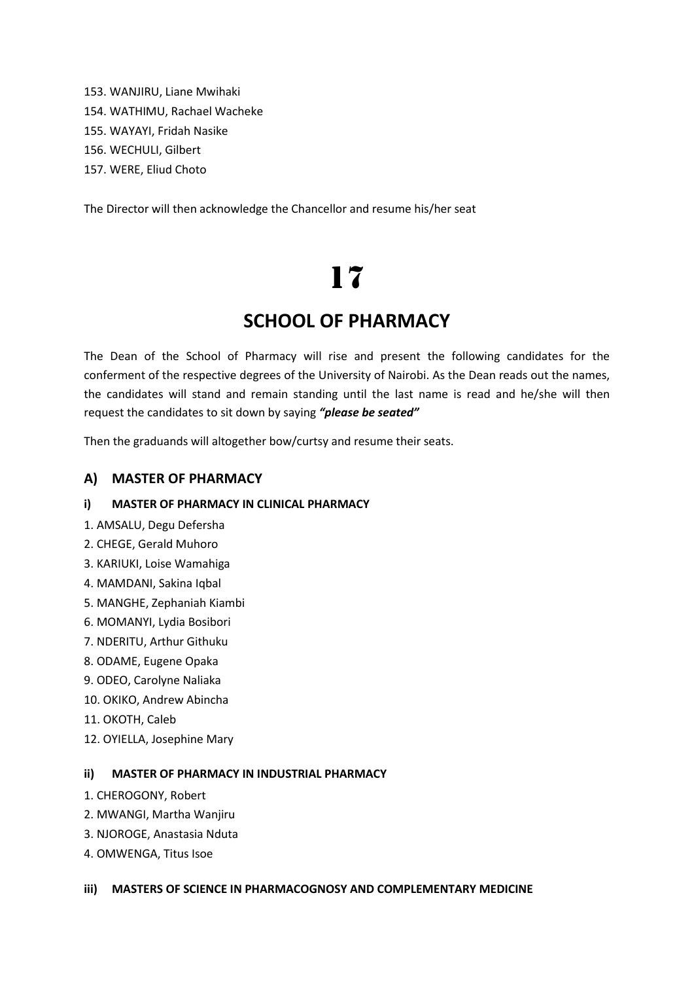153. WANJIRU, Liane Mwihaki 154. WATHIMU, Rachael Wacheke 155. WAYAYI, Fridah Nasike 156. WECHULI, Gilbert 157. WERE, Eliud Choto

The Director will then acknowledge the Chancellor and resume his/her seat

# 17

## **SCHOOL OF PHARMACY**

The Dean of the School of Pharmacy will rise and present the following candidates for the conferment of the respective degrees of the University of Nairobi. As the Dean reads out the names, the candidates will stand and remain standing until the last name is read and he/she will then request the candidates to sit down by saying *"please be seated"*

Then the graduands will altogether bow/curtsy and resume their seats.

## **A) MASTER OF PHARMACY**

## **i) MASTER OF PHARMACY IN CLINICAL PHARMACY**

- 1. AMSALU, Degu Defersha
- 2. CHEGE, Gerald Muhoro
- 3. KARIUKI, Loise Wamahiga
- 4. MAMDANI, Sakina Iqbal
- 5. MANGHE, Zephaniah Kiambi
- 6. MOMANYI, Lydia Bosibori
- 7. NDERITU, Arthur Githuku
- 8. ODAME, Eugene Opaka
- 9. ODEO, Carolyne Naliaka
- 10. OKIKO, Andrew Abincha
- 11. OKOTH, Caleb
- 12. OYIELLA, Josephine Mary

## **ii) MASTER OF PHARMACY IN INDUSTRIAL PHARMACY**

- 1. CHEROGONY, Robert
- 2. MWANGI, Martha Wanjiru
- 3. NJOROGE, Anastasia Nduta
- 4. OMWENGA, Titus Isoe

## **iii) MASTERS OF SCIENCE IN PHARMACOGNOSY AND COMPLEMENTARY MEDICINE**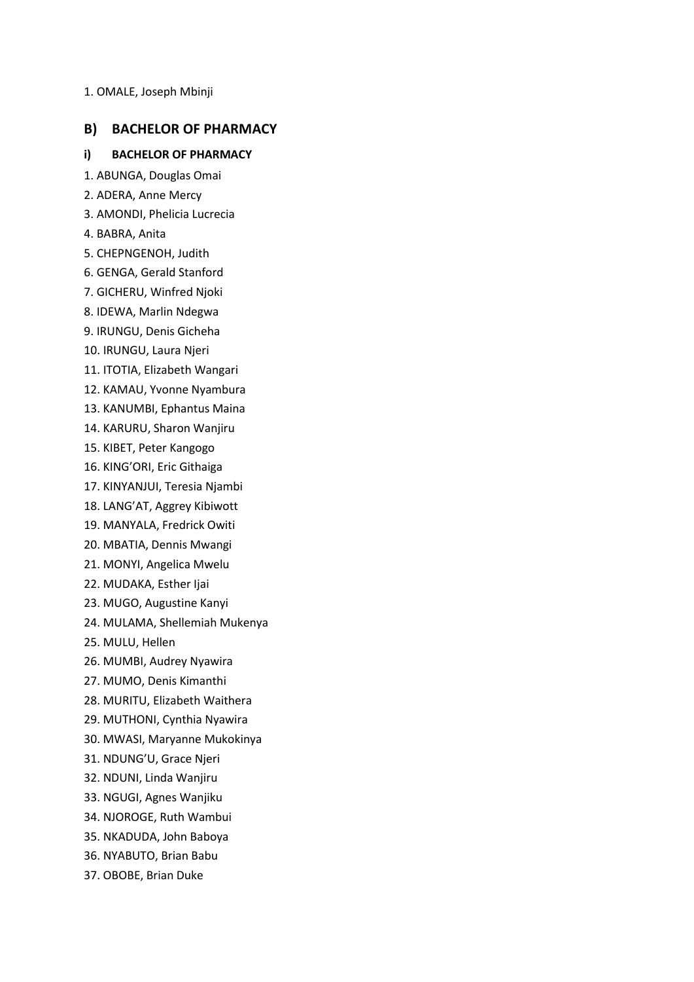#### 1. OMALE, Joseph Mbinji

## **B) BACHELOR OF PHARMACY**

#### **i) BACHELOR OF PHARMACY**

- 1. ABUNGA, Douglas Omai
- 2. ADERA, Anne Mercy
- 3. AMONDI, Phelicia Lucrecia
- 4. BABRA, Anita
- 5. CHEPNGENOH, Judith
- 6. GENGA, Gerald Stanford
- 7. GICHERU, Winfred Njoki
- 8. IDEWA, Marlin Ndegwa
- 9. IRUNGU, Denis Gicheha
- 10. IRUNGU, Laura Njeri
- 11. ITOTIA, Elizabeth Wangari
- 12. KAMAU, Yvonne Nyambura
- 13. KANUMBI, Ephantus Maina
- 14. KARURU, Sharon Wanjiru
- 15. KIBET, Peter Kangogo
- 16. KING'ORI, Eric Githaiga
- 17. KINYANJUI, Teresia Njambi
- 18. LANG'AT, Aggrey Kibiwott
- 19. MANYALA, Fredrick Owiti
- 20. MBATIA, Dennis Mwangi
- 21. MONYI, Angelica Mwelu
- 22. MUDAKA, Esther Ijai
- 23. MUGO, Augustine Kanyi
- 24. MULAMA, Shellemiah Mukenya
- 25. MULU, Hellen
- 26. MUMBI, Audrey Nyawira
- 27. MUMO, Denis Kimanthi
- 28. MURITU, Elizabeth Waithera
- 29. MUTHONI, Cynthia Nyawira
- 30. MWASI, Maryanne Mukokinya
- 31. NDUNG'U, Grace Njeri
- 32. NDUNI, Linda Wanjiru
- 33. NGUGI, Agnes Wanjiku
- 34. NJOROGE, Ruth Wambui
- 35. NKADUDA, John Baboya
- 36. NYABUTO, Brian Babu
- 37. OBOBE, Brian Duke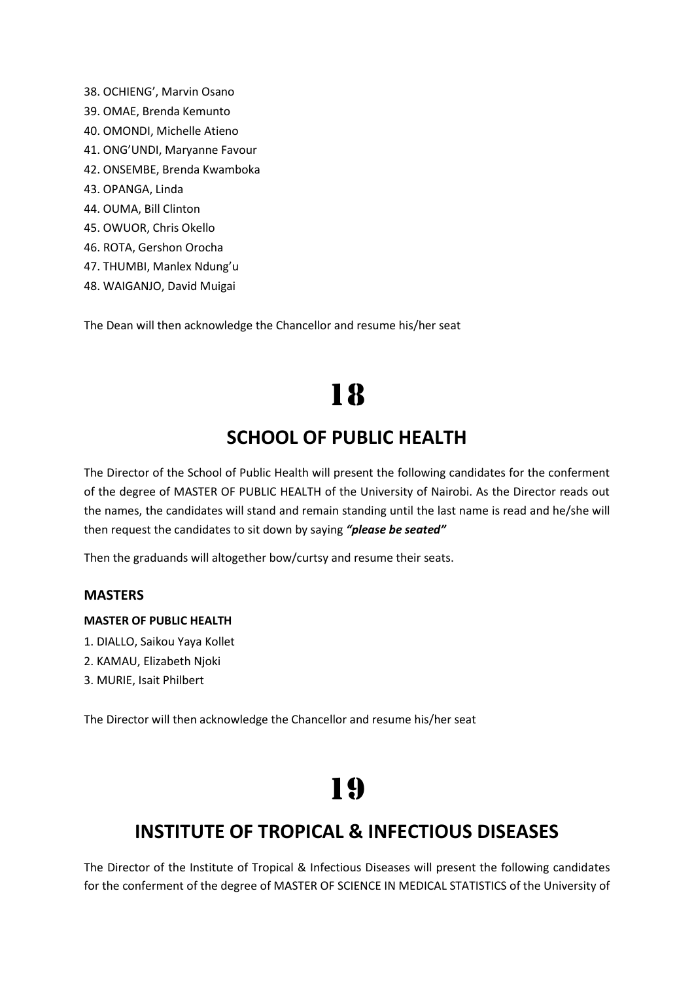- 38. OCHIENG', Marvin Osano
- 39. OMAE, Brenda Kemunto
- 40. OMONDI, Michelle Atieno
- 41. ONG'UNDI, Maryanne Favour
- 42. ONSEMBE, Brenda Kwamboka
- 43. OPANGA, Linda
- 44. OUMA, Bill Clinton
- 45. OWUOR, Chris Okello
- 46. ROTA, Gershon Orocha
- 47. THUMBI, Manlex Ndung'u
- 48. WAIGANJO, David Muigai

The Dean will then acknowledge the Chancellor and resume his/her seat

# 18

## **SCHOOL OF PUBLIC HEALTH**

The Director of the School of Public Health will present the following candidates for the conferment of the degree of MASTER OF PUBLIC HEALTH of the University of Nairobi. As the Director reads out the names, the candidates will stand and remain standing until the last name is read and he/she will then request the candidates to sit down by saying *"please be seated"*

Then the graduands will altogether bow/curtsy and resume their seats.

## **MASTERS**

## **MASTER OF PUBLIC HEALTH**

- 1. DIALLO, Saikou Yaya Kollet
- 2. KAMAU, Elizabeth Njoki
- 3. MURIE, Isait Philbert

The Director will then acknowledge the Chancellor and resume his/her seat

# 19

## **INSTITUTE OF TROPICAL & INFECTIOUS DISEASES**

The Director of the Institute of Tropical & Infectious Diseases will present the following candidates for the conferment of the degree of MASTER OF SCIENCE IN MEDICAL STATISTICS of the University of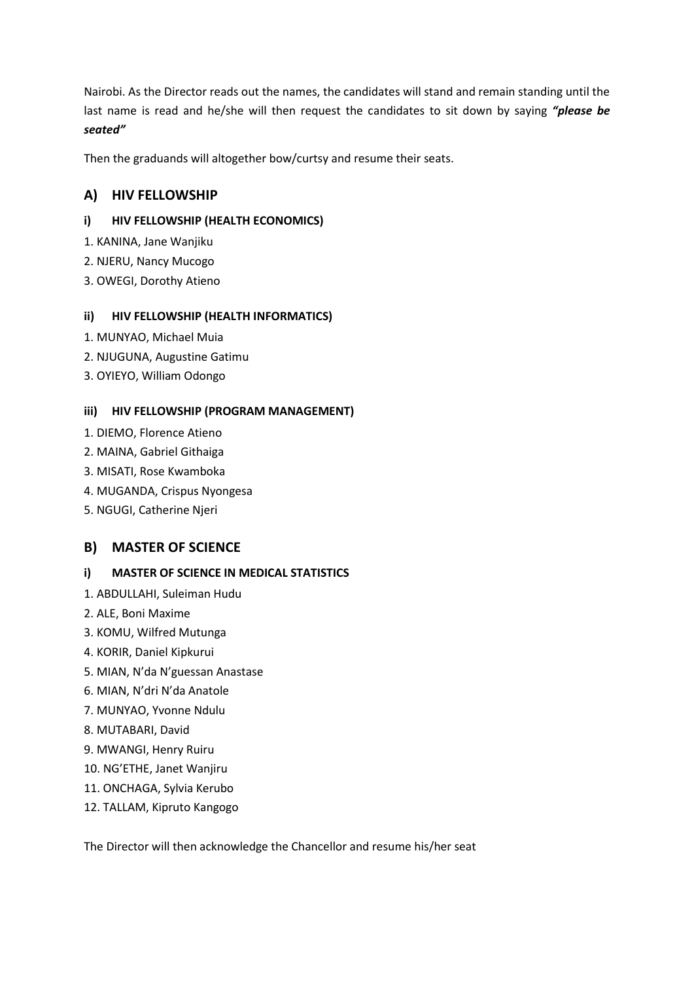Nairobi. As the Director reads out the names, the candidates will stand and remain standing until the last name is read and he/she will then request the candidates to sit down by saying *"please be seated"*

Then the graduands will altogether bow/curtsy and resume their seats.

## **A) HIV FELLOWSHIP**

## **i) HIV FELLOWSHIP (HEALTH ECONOMICS)**

- 1. KANINA, Jane Wanjiku
- 2. NJERU, Nancy Mucogo
- 3. OWEGI, Dorothy Atieno

## **ii) HIV FELLOWSHIP (HEALTH INFORMATICS)**

- 1. MUNYAO, Michael Muia
- 2. NJUGUNA, Augustine Gatimu
- 3. OYIEYO, William Odongo

## **iii) HIV FELLOWSHIP (PROGRAM MANAGEMENT)**

- 1. DIEMO, Florence Atieno
- 2. MAINA, Gabriel Githaiga
- 3. MISATI, Rose Kwamboka
- 4. MUGANDA, Crispus Nyongesa
- 5. NGUGI, Catherine Njeri

## **B) MASTER OF SCIENCE**

## **i) MASTER OF SCIENCE IN MEDICAL STATISTICS**

- 1. ABDULLAHI, Suleiman Hudu
- 2. ALE, Boni Maxime
- 3. KOMU, Wilfred Mutunga
- 4. KORIR, Daniel Kipkurui
- 5. MIAN, N'da N'guessan Anastase
- 6. MIAN, N'dri N'da Anatole
- 7. MUNYAO, Yvonne Ndulu
- 8. MUTABARI, David
- 9. MWANGI, Henry Ruiru
- 10. NG'ETHE, Janet Wanjiru
- 11. ONCHAGA, Sylvia Kerubo
- 12. TALLAM, Kipruto Kangogo

The Director will then acknowledge the Chancellor and resume his/her seat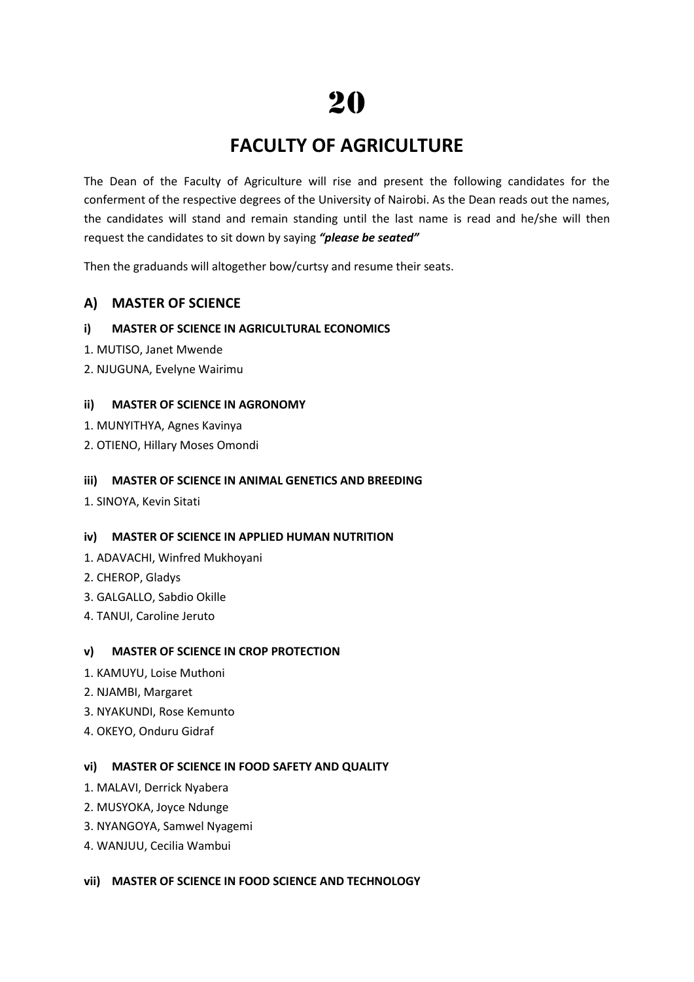## **FACULTY OF AGRICULTURE**

The Dean of the Faculty of Agriculture will rise and present the following candidates for the conferment of the respective degrees of the University of Nairobi. As the Dean reads out the names, the candidates will stand and remain standing until the last name is read and he/she will then request the candidates to sit down by saying *"please be seated"*

Then the graduands will altogether bow/curtsy and resume their seats.

## **A) MASTER OF SCIENCE**

## **i) MASTER OF SCIENCE IN AGRICULTURAL ECONOMICS**

- 1. MUTISO, Janet Mwende
- 2. NJUGUNA, Evelyne Wairimu

## **ii) MASTER OF SCIENCE IN AGRONOMY**

- 1. MUNYITHYA, Agnes Kavinya
- 2. OTIENO, Hillary Moses Omondi

## **iii) MASTER OF SCIENCE IN ANIMAL GENETICS AND BREEDING**

1. SINOYA, Kevin Sitati

## **iv) MASTER OF SCIENCE IN APPLIED HUMAN NUTRITION**

- 1. ADAVACHI, Winfred Mukhoyani
- 2. CHEROP, Gladys
- 3. GALGALLO, Sabdio Okille
- 4. TANUI, Caroline Jeruto

## **v) MASTER OF SCIENCE IN CROP PROTECTION**

- 1. KAMUYU, Loise Muthoni
- 2. NJAMBI, Margaret
- 3. NYAKUNDI, Rose Kemunto
- 4. OKEYO, Onduru Gidraf

## **vi) MASTER OF SCIENCE IN FOOD SAFETY AND QUALITY**

- 1. MALAVI, Derrick Nyabera
- 2. MUSYOKA, Joyce Ndunge
- 3. NYANGOYA, Samwel Nyagemi
- 4. WANJUU, Cecilia Wambui

## **vii) MASTER OF SCIENCE IN FOOD SCIENCE AND TECHNOLOGY**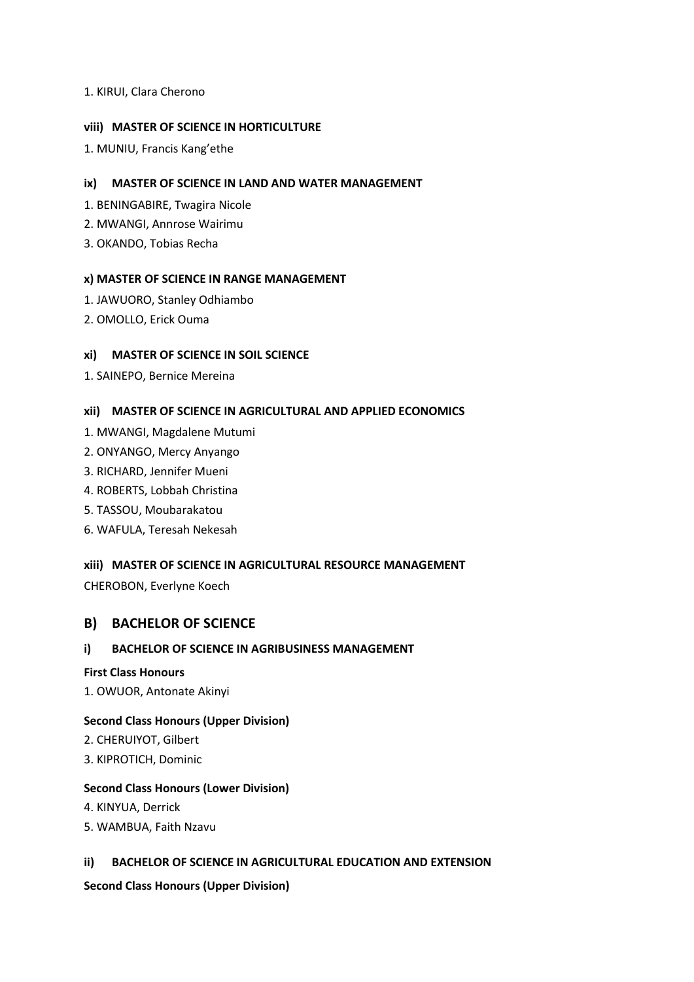#### 1. KIRUI, Clara Cherono

#### **viii) MASTER OF SCIENCE IN HORTICULTURE**

1. MUNIU, Francis Kang'ethe

#### **ix) MASTER OF SCIENCE IN LAND AND WATER MANAGEMENT**

- 1. BENINGABIRE, Twagira Nicole
- 2. MWANGI, Annrose Wairimu
- 3. OKANDO, Tobias Recha

#### **x) MASTER OF SCIENCE IN RANGE MANAGEMENT**

- 1. JAWUORO, Stanley Odhiambo
- 2. OMOLLO, Erick Ouma

## **xi) MASTER OF SCIENCE IN SOIL SCIENCE**

1. SAINEPO, Bernice Mereina

#### **xii) MASTER OF SCIENCE IN AGRICULTURAL AND APPLIED ECONOMICS**

- 1. MWANGI, Magdalene Mutumi
- 2. ONYANGO, Mercy Anyango
- 3. RICHARD, Jennifer Mueni
- 4. ROBERTS, Lobbah Christina
- 5. TASSOU, Moubarakatou
- 6. WAFULA, Teresah Nekesah

#### **xiii) MASTER OF SCIENCE IN AGRICULTURAL RESOURCE MANAGEMENT**

CHEROBON, Everlyne Koech

## **B) BACHELOR OF SCIENCE**

#### **i) BACHELOR OF SCIENCE IN AGRIBUSINESS MANAGEMENT**

#### **First Class Honours**

1. OWUOR, Antonate Akinyi

## **Second Class Honours (Upper Division)**

- 2. CHERUIYOT, Gilbert
- 3. KIPROTICH, Dominic

#### **Second Class Honours (Lower Division)**

- 4. KINYUA, Derrick
- 5. WAMBUA, Faith Nzavu

## **ii) BACHELOR OF SCIENCE IN AGRICULTURAL EDUCATION AND EXTENSION**

**Second Class Honours (Upper Division)**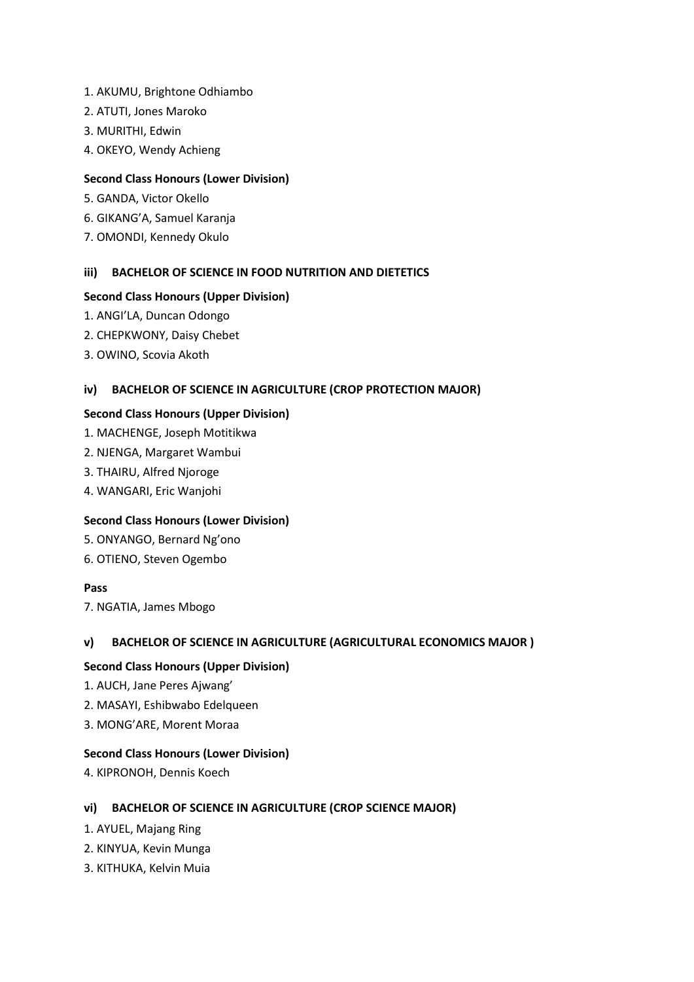- 1. AKUMU, Brightone Odhiambo
- 2. ATUTI, Jones Maroko
- 3. MURITHI, Edwin
- 4. OKEYO, Wendy Achieng

## **Second Class Honours (Lower Division)**

- 5. GANDA, Victor Okello
- 6. GIKANG'A, Samuel Karanja
- 7. OMONDI, Kennedy Okulo

## **iii) BACHELOR OF SCIENCE IN FOOD NUTRITION AND DIETETICS**

## **Second Class Honours (Upper Division)**

- 1. ANGI'LA, Duncan Odongo
- 2. CHEPKWONY, Daisy Chebet
- 3. OWINO, Scovia Akoth

## **iv) BACHELOR OF SCIENCE IN AGRICULTURE (CROP PROTECTION MAJOR)**

## **Second Class Honours (Upper Division)**

- 1. MACHENGE, Joseph Motitikwa
- 2. NJENGA, Margaret Wambui
- 3. THAIRU, Alfred Njoroge
- 4. WANGARI, Eric Wanjohi

## **Second Class Honours (Lower Division)**

- 5. ONYANGO, Bernard Ng'ono
- 6. OTIENO, Steven Ogembo

## **Pass**

7. NGATIA, James Mbogo

## **v) BACHELOR OF SCIENCE IN AGRICULTURE (AGRICULTURAL ECONOMICS MAJOR )**

## **Second Class Honours (Upper Division)**

- 1. AUCH, Jane Peres Ajwang'
- 2. MASAYI, Eshibwabo Edelqueen
- 3. MONG'ARE, Morent Moraa

## **Second Class Honours (Lower Division)**

4. KIPRONOH, Dennis Koech

## **vi) BACHELOR OF SCIENCE IN AGRICULTURE (CROP SCIENCE MAJOR)**

- 1. AYUEL, Majang Ring
- 2. KINYUA, Kevin Munga
- 3. KITHUKA, Kelvin Muia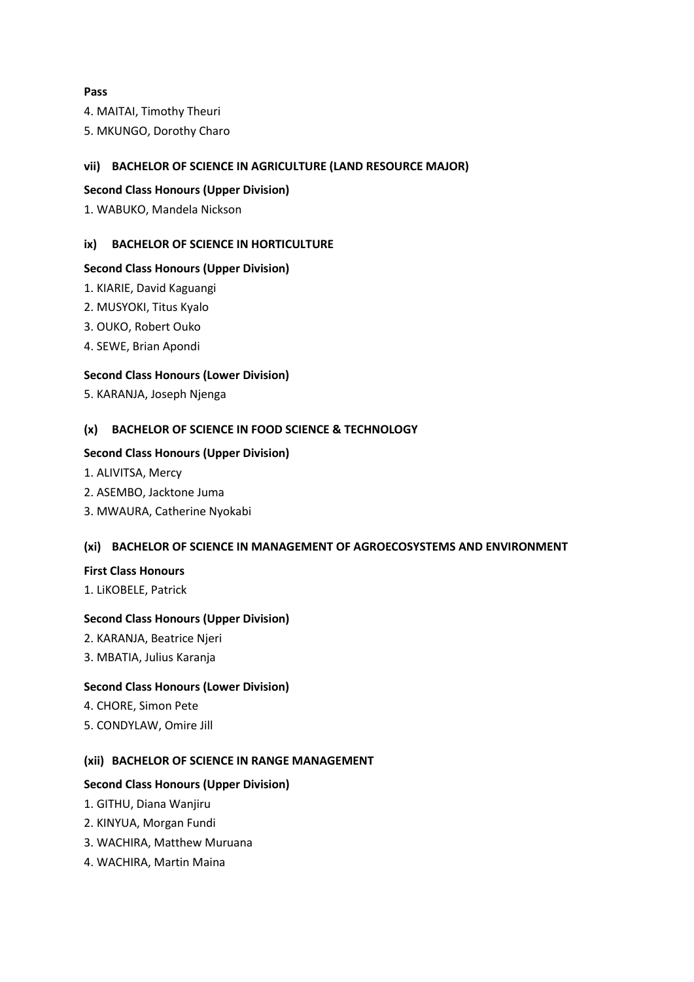**Pass** 4. MAITAI, Timothy Theuri 5. MKUNGO, Dorothy Charo

## **vii) BACHELOR OF SCIENCE IN AGRICULTURE (LAND RESOURCE MAJOR)**

## **Second Class Honours (Upper Division)**

1. WABUKO, Mandela Nickson

## **ix) BACHELOR OF SCIENCE IN HORTICULTURE**

## **Second Class Honours (Upper Division)**

- 1. KIARIE, David Kaguangi
- 2. MUSYOKI, Titus Kyalo
- 3. OUKO, Robert Ouko
- 4. SEWE, Brian Apondi

## **Second Class Honours (Lower Division)**

5. KARANJA, Joseph Njenga

## **(x) BACHELOR OF SCIENCE IN FOOD SCIENCE & TECHNOLOGY**

## **Second Class Honours (Upper Division)**

- 1. ALIVITSA, Mercy
- 2. ASEMBO, Jacktone Juma
- 3. MWAURA, Catherine Nyokabi

## **(xi) BACHELOR OF SCIENCE IN MANAGEMENT OF AGROECOSYSTEMS AND ENVIRONMENT**

## **First Class Honours**

1. LiKOBELE, Patrick

## **Second Class Honours (Upper Division)**

- 2. KARANJA, Beatrice Njeri
- 3. MBATIA, Julius Karanja

## **Second Class Honours (Lower Division)**

- 4. CHORE, Simon Pete
- 5. CONDYLAW, Omire Jill

## **(xii) BACHELOR OF SCIENCE IN RANGE MANAGEMENT**

## **Second Class Honours (Upper Division)**

- 1. GITHU, Diana Wanjiru
- 2. KINYUA, Morgan Fundi
- 3. WACHIRA, Matthew Muruana
- 4. WACHIRA, Martin Maina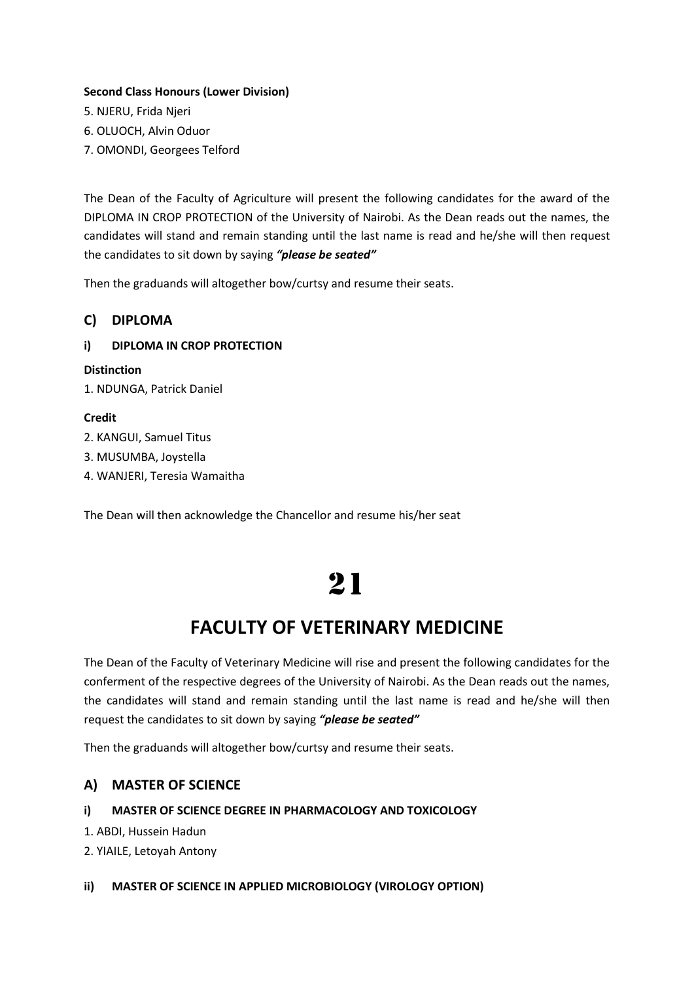## **Second Class Honours (Lower Division)**

5. NJERU, Frida Njeri

- 6. OLUOCH, Alvin Oduor
- 7. OMONDI, Georgees Telford

The Dean of the Faculty of Agriculture will present the following candidates for the award of the DIPLOMA IN CROP PROTECTION of the University of Nairobi. As the Dean reads out the names, the candidates will stand and remain standing until the last name is read and he/she will then request the candidates to sit down by saying *"please be seated"*

Then the graduands will altogether bow/curtsy and resume their seats.

## **C) DIPLOMA**

## **i) DIPLOMA IN CROP PROTECTION**

## **Distinction**

1. NDUNGA, Patrick Daniel

## **Credit**

2. KANGUI, Samuel Titus

3. MUSUMBA, Joystella

4. WANJERI, Teresia Wamaitha

The Dean will then acknowledge the Chancellor and resume his/her seat

# 21

## **FACULTY OF VETERINARY MEDICINE**

The Dean of the Faculty of Veterinary Medicine will rise and present the following candidates for the conferment of the respective degrees of the University of Nairobi. As the Dean reads out the names, the candidates will stand and remain standing until the last name is read and he/she will then request the candidates to sit down by saying *"please be seated"*

Then the graduands will altogether bow/curtsy and resume their seats.

## **A) MASTER OF SCIENCE**

## **i) MASTER OF SCIENCE DEGREE IN PHARMACOLOGY AND TOXICOLOGY**

- 1. ABDI, Hussein Hadun
- 2. YIAILE, Letoyah Antony

## **ii) MASTER OF SCIENCE IN APPLIED MICROBIOLOGY (VIROLOGY OPTION)**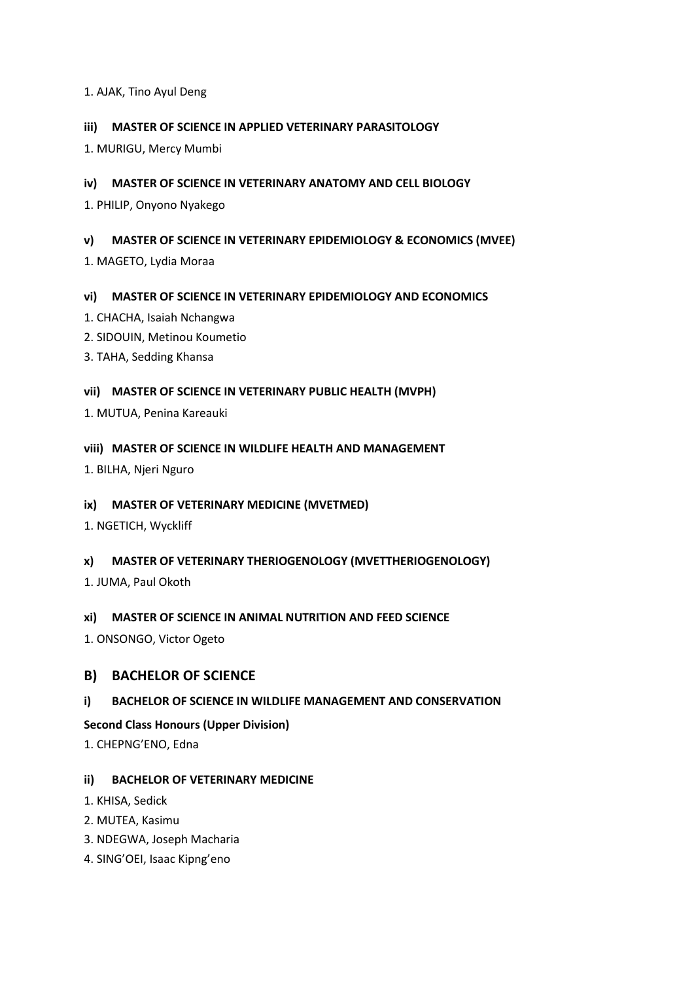## 1. AJAK, Tino Ayul Deng

## **iii) MASTER OF SCIENCE IN APPLIED VETERINARY PARASITOLOGY**

1. MURIGU, Mercy Mumbi

## **iv) MASTER OF SCIENCE IN VETERINARY ANATOMY AND CELL BIOLOGY**

1. PHILIP, Onyono Nyakego

## **v) MASTER OF SCIENCE IN VETERINARY EPIDEMIOLOGY & ECONOMICS (MVEE)**

1. MAGETO, Lydia Moraa

## **vi) MASTER OF SCIENCE IN VETERINARY EPIDEMIOLOGY AND ECONOMICS**

- 1. CHACHA, Isaiah Nchangwa
- 2. SIDOUIN, Metinou Koumetio
- 3. TAHA, Sedding Khansa

## **vii) MASTER OF SCIENCE IN VETERINARY PUBLIC HEALTH (MVPH)**

1. MUTUA, Penina Kareauki

## **viii) MASTER OF SCIENCE IN WILDLIFE HEALTH AND MANAGEMENT**

1. BILHA, Njeri Nguro

## **ix) MASTER OF VETERINARY MEDICINE (MVETMED)**

1. NGETICH, Wyckliff

## **x) MASTER OF VETERINARY THERIOGENOLOGY (MVETTHERIOGENOLOGY)**

1. JUMA, Paul Okoth

## **xi) MASTER OF SCIENCE IN ANIMAL NUTRITION AND FEED SCIENCE**

1. ONSONGO, Victor Ogeto

## **B) BACHELOR OF SCIENCE**

## **i) BACHELOR OF SCIENCE IN WILDLIFE MANAGEMENT AND CONSERVATION**

## **Second Class Honours (Upper Division)**

1. CHEPNG'ENO, Edna

## **ii) BACHELOR OF VETERINARY MEDICINE**

- 1. KHISA, Sedick
- 2. MUTEA, Kasimu
- 3. NDEGWA, Joseph Macharia
- 4. SING'OEI, Isaac Kipng'eno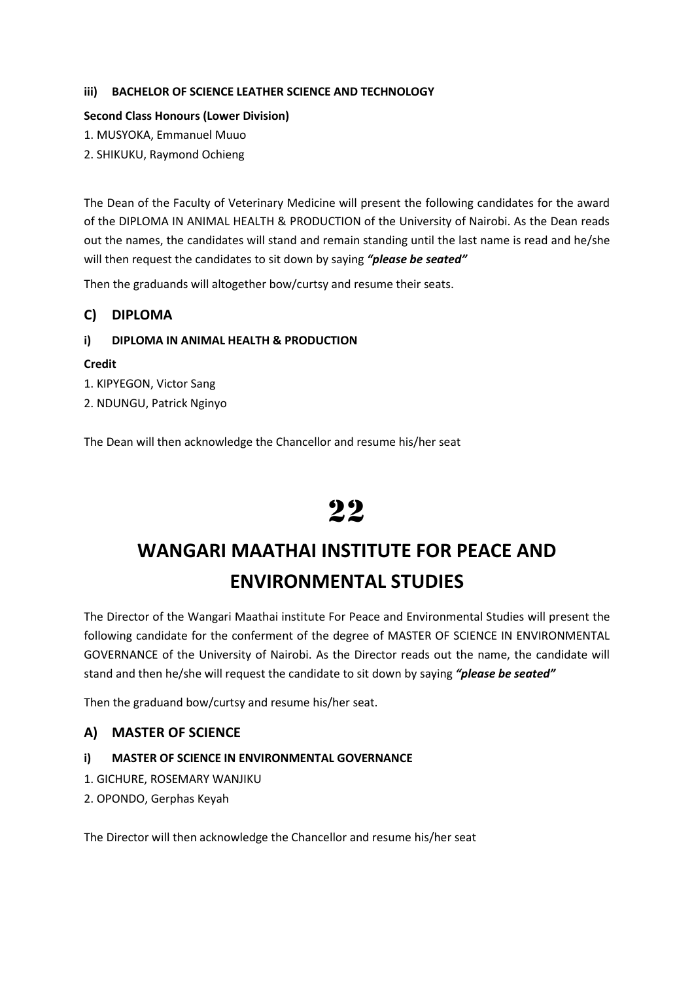## **iii) BACHELOR OF SCIENCE LEATHER SCIENCE AND TECHNOLOGY**

## **Second Class Honours (Lower Division)**

- 1. MUSYOKA, Emmanuel Muuo
- 2. SHIKUKU, Raymond Ochieng

The Dean of the Faculty of Veterinary Medicine will present the following candidates for the award of the DIPLOMA IN ANIMAL HEALTH & PRODUCTION of the University of Nairobi. As the Dean reads out the names, the candidates will stand and remain standing until the last name is read and he/she will then request the candidates to sit down by saying *"please be seated"*

Then the graduands will altogether bow/curtsy and resume their seats.

## **C) DIPLOMA**

## **i) DIPLOMA IN ANIMAL HEALTH & PRODUCTION**

## **Credit**

- 1. KIPYEGON, Victor Sang
- 2. NDUNGU, Patrick Nginyo

The Dean will then acknowledge the Chancellor and resume his/her seat

# 22

# **WANGARI MAATHAI INSTITUTE FOR PEACE AND ENVIRONMENTAL STUDIES**

The Director of the Wangari Maathai institute For Peace and Environmental Studies will present the following candidate for the conferment of the degree of MASTER OF SCIENCE IN ENVIRONMENTAL GOVERNANCE of the University of Nairobi. As the Director reads out the name, the candidate will stand and then he/she will request the candidate to sit down by saying *"please be seated"*

Then the graduand bow/curtsy and resume his/her seat.

## **A) MASTER OF SCIENCE**

## **i) MASTER OF SCIENCE IN ENVIRONMENTAL GOVERNANCE**

- 1. GICHURE, ROSEMARY WANJIKU
- 2. OPONDO, Gerphas Keyah

The Director will then acknowledge the Chancellor and resume his/her seat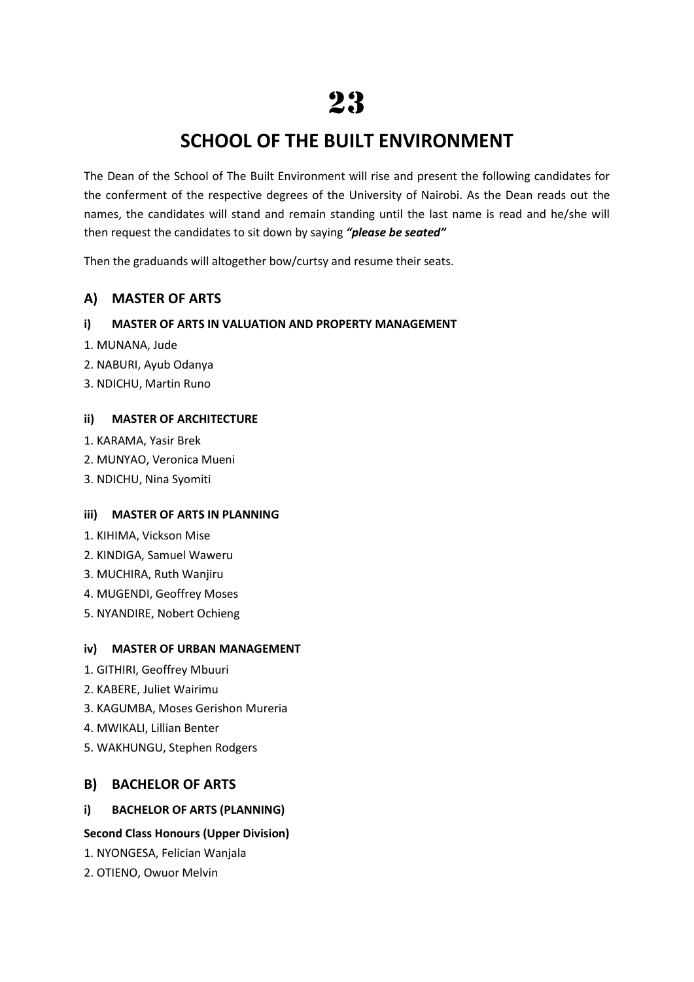## **SCHOOL OF THE BUILT ENVIRONMENT**

The Dean of the School of The Built Environment will rise and present the following candidates for the conferment of the respective degrees of the University of Nairobi. As the Dean reads out the names, the candidates will stand and remain standing until the last name is read and he/she will then request the candidates to sit down by saying *"please be seated"*

Then the graduands will altogether bow/curtsy and resume their seats.

## **A) MASTER OF ARTS**

## **i) MASTER OF ARTS IN VALUATION AND PROPERTY MANAGEMENT**

- 1. MUNANA, Jude
- 2. NABURI, Ayub Odanya
- 3. NDICHU, Martin Runo

## **ii) MASTER OF ARCHITECTURE**

- 1. KARAMA, Yasir Brek
- 2. MUNYAO, Veronica Mueni
- 3. NDICHU, Nina Syomiti

## **iii) MASTER OF ARTS IN PLANNING**

- 1. KIHIMA, Vickson Mise
- 2. KINDIGA, Samuel Waweru
- 3. MUCHIRA, Ruth Wanjiru
- 4. MUGENDI, Geoffrey Moses
- 5. NYANDIRE, Nobert Ochieng

## **iv) MASTER OF URBAN MANAGEMENT**

- 1. GITHIRI, Geoffrey Mbuuri
- 2. KABERE, Juliet Wairimu
- 3. KAGUMBA, Moses Gerishon Mureria
- 4. MWIKALI, Lillian Benter
- 5. WAKHUNGU, Stephen Rodgers

## **B) BACHELOR OF ARTS**

## **i) BACHELOR OF ARTS (PLANNING)**

## **Second Class Honours (Upper Division)**

- 1. NYONGESA, Felician Wanjala
- 2. OTIENO, Owuor Melvin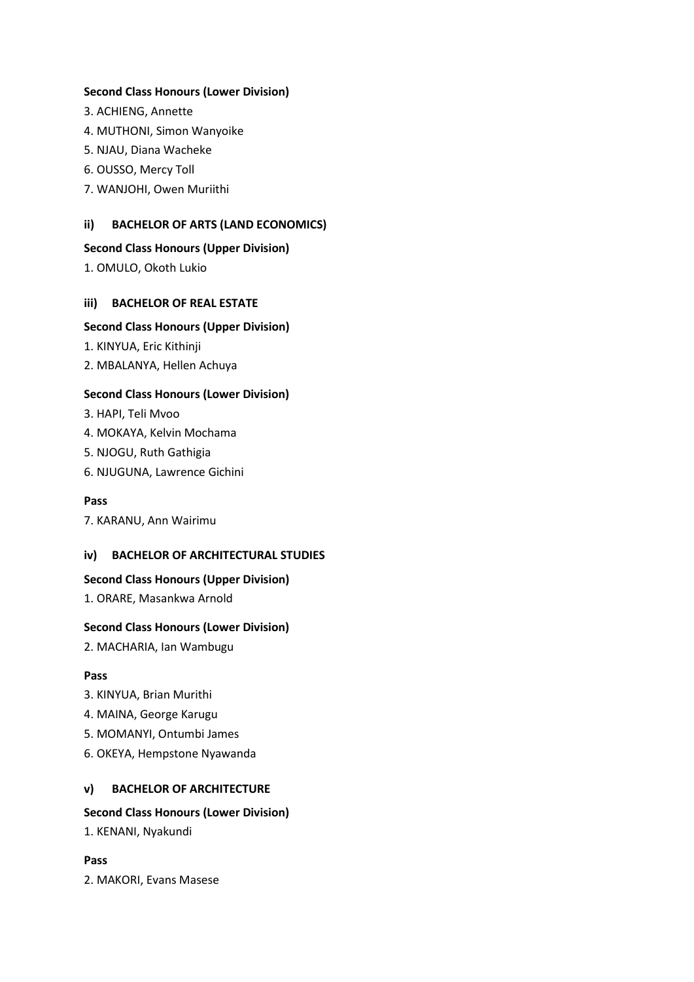## **Second Class Honours (Lower Division)**

- 3. ACHIENG, Annette
- 4. MUTHONI, Simon Wanyoike
- 5. NJAU, Diana Wacheke
- 6. OUSSO, Mercy Toll
- 7. WANJOHI, Owen Muriithi

## **ii) BACHELOR OF ARTS (LAND ECONOMICS)**

**Second Class Honours (Upper Division)**

1. OMULO, Okoth Lukio

## **iii) BACHELOR OF REAL ESTATE**

## **Second Class Honours (Upper Division)**

- 1. KINYUA, Eric Kithinji
- 2. MBALANYA, Hellen Achuya

## **Second Class Honours (Lower Division)**

- 3. HAPI, Teli Mvoo
- 4. MOKAYA, Kelvin Mochama
- 5. NJOGU, Ruth Gathigia
- 6. NJUGUNA, Lawrence Gichini

## **Pass**

7. KARANU, Ann Wairimu

## **iv) BACHELOR OF ARCHITECTURAL STUDIES**

## **Second Class Honours (Upper Division)**

1. ORARE, Masankwa Arnold

## **Second Class Honours (Lower Division)**

2. MACHARIA, Ian Wambugu

## **Pass**

- 3. KINYUA, Brian Murithi
- 4. MAINA, George Karugu
- 5. MOMANYI, Ontumbi James
- 6. OKEYA, Hempstone Nyawanda

## **v) BACHELOR OF ARCHITECTURE**

## **Second Class Honours (Lower Division)**

1. KENANI, Nyakundi

**Pass**

2. MAKORI, Evans Masese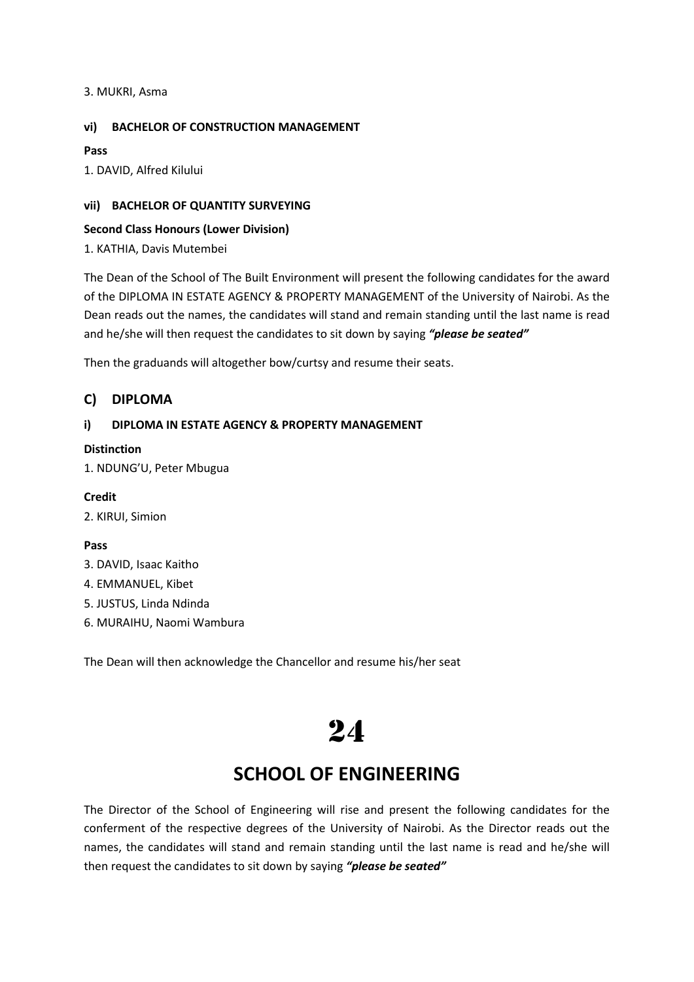## 3. MUKRI, Asma

## **vi) BACHELOR OF CONSTRUCTION MANAGEMENT**

## **Pass**

1. DAVID, Alfred Kilului

## **vii) BACHELOR OF QUANTITY SURVEYING**

## **Second Class Honours (Lower Division)**

1. KATHIA, Davis Mutembei

The Dean of the School of The Built Environment will present the following candidates for the award of the DIPLOMA IN ESTATE AGENCY & PROPERTY MANAGEMENT of the University of Nairobi. As the Dean reads out the names, the candidates will stand and remain standing until the last name is read and he/she will then request the candidates to sit down by saying *"please be seated"*

Then the graduands will altogether bow/curtsy and resume their seats.

## **C) DIPLOMA**

## **i) DIPLOMA IN ESTATE AGENCY & PROPERTY MANAGEMENT**

## **Distinction**

1. NDUNG'U, Peter Mbugua

**Credit** 

2. KIRUI, Simion

## **Pass**

- 3. DAVID, Isaac Kaitho
- 4. EMMANUEL, Kibet
- 5. JUSTUS, Linda Ndinda
- 6. MURAIHU, Naomi Wambura

The Dean will then acknowledge the Chancellor and resume his/her seat

# 24

## **SCHOOL OF ENGINEERING**

The Director of the School of Engineering will rise and present the following candidates for the conferment of the respective degrees of the University of Nairobi. As the Director reads out the names, the candidates will stand and remain standing until the last name is read and he/she will then request the candidates to sit down by saying *"please be seated"*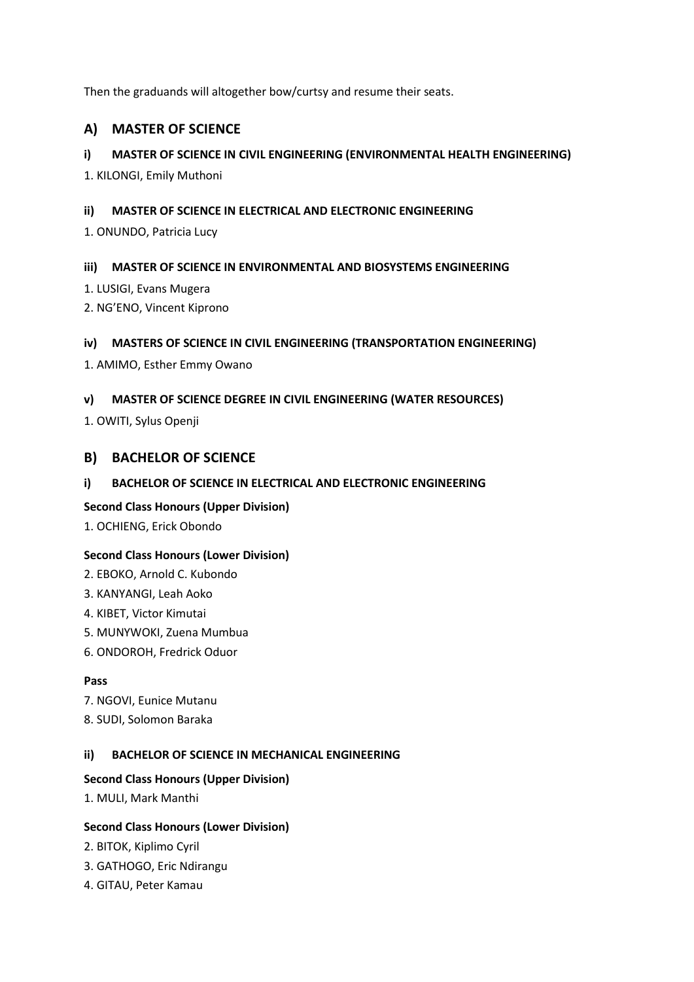Then the graduands will altogether bow/curtsy and resume their seats.

## **A) MASTER OF SCIENCE**

## **i) MASTER OF SCIENCE IN CIVIL ENGINEERING (ENVIRONMENTAL HEALTH ENGINEERING)**

1. KILONGI, Emily Muthoni

## **ii) MASTER OF SCIENCE IN ELECTRICAL AND ELECTRONIC ENGINEERING**

1. ONUNDO, Patricia Lucy

## **iii) MASTER OF SCIENCE IN ENVIRONMENTAL AND BIOSYSTEMS ENGINEERING**

- 1. LUSIGI, Evans Mugera
- 2. NG'ENO, Vincent Kiprono

## **iv) MASTERS OF SCIENCE IN CIVIL ENGINEERING (TRANSPORTATION ENGINEERING)**

1. AMIMO, Esther Emmy Owano

## **v) MASTER OF SCIENCE DEGREE IN CIVIL ENGINEERING (WATER RESOURCES)**

1. OWITI, Sylus Openji

## **B) BACHELOR OF SCIENCE**

## **i) BACHELOR OF SCIENCE IN ELECTRICAL AND ELECTRONIC ENGINEERING**

## **Second Class Honours (Upper Division)**

1. OCHIENG, Erick Obondo

## **Second Class Honours (Lower Division)**

- 2. EBOKO, Arnold C. Kubondo
- 3. KANYANGI, Leah Aoko
- 4. KIBET, Victor Kimutai
- 5. MUNYWOKI, Zuena Mumbua
- 6. ONDOROH, Fredrick Oduor

## **Pass**

- 7. NGOVI, Eunice Mutanu
- 8. SUDI, Solomon Baraka

## **ii) BACHELOR OF SCIENCE IN MECHANICAL ENGINEERING**

## **Second Class Honours (Upper Division)**

1. MULI, Mark Manthi

## **Second Class Honours (Lower Division)**

- 2. BITOK, Kiplimo Cyril
- 3. GATHOGO, Eric Ndirangu
- 4. GITAU, Peter Kamau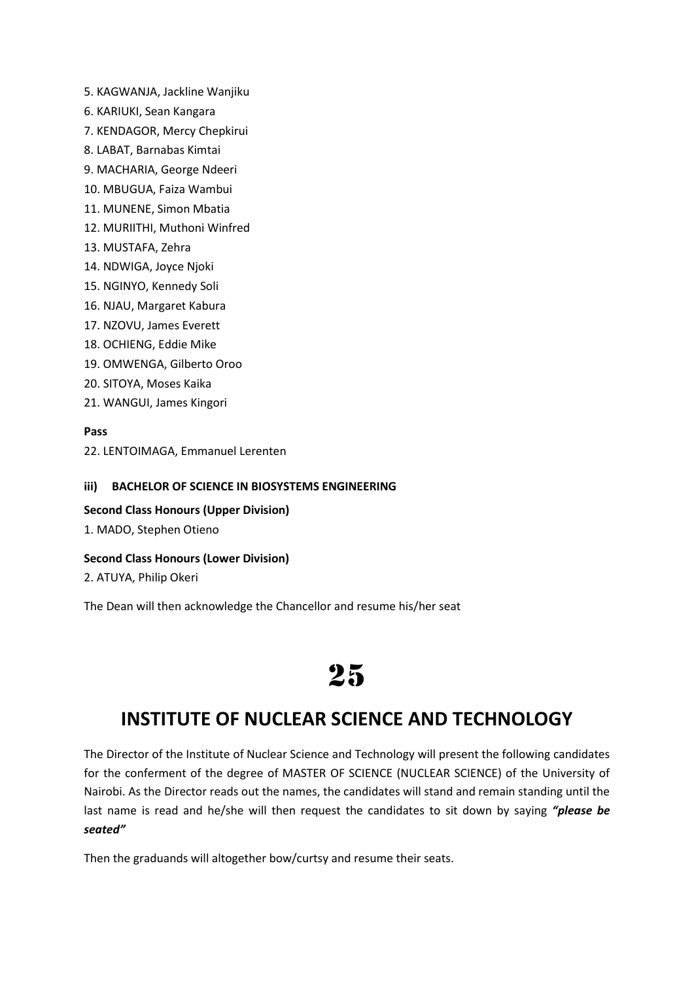- 5. KAGWANJA, Jackline Wanjiku
- 6. KARIUKI, Sean Kangara
- 7. KENDAGOR, Mercy Chepkirui
- 8. LABAT, Barnabas Kimtai
- 9. MACHARIA, George Ndeeri
- 10. MBUGUA, Faiza Wambui
- 11. MUNENE, Simon Mbatia
- 12. MURIITHI, Muthoni Winfred
- 13. MUSTAFA, Zehra
- 14. NDWIGA, Joyce Njoki
- 15. NGINYO, Kennedy Soli
- 16. NJAU, Margaret Kabura
- 17. NZOVU, James Everett
- 18. OCHIENG, Eddie Mike
- 19. OMWENGA, Gilberto Oroo
- 20. SITOYA, Moses Kaika
- 21. WANGUI, James Kingori

## **Pass**

22. LENTOIMAGA, Emmanuel Lerenten

## **iii) BACHELOR OF SCIENCE IN BIOSYSTEMS ENGINEERING**

**Second Class Honours (Upper Division)**

1. MADO, Stephen Otieno

## **Second Class Honours (Lower Division)**

2. ATUYA, Philip Okeri

The Dean will then acknowledge the Chancellor and resume his/her seat

# 25

## **INSTITUTE OF NUCLEAR SCIENCE AND TECHNOLOGY**

The Director of the Institute of Nuclear Science and Technology will present the following candidates for the conferment of the degree of MASTER OF SCIENCE (NUCLEAR SCIENCE) of the University of Nairobi. As the Director reads out the names, the candidates will stand and remain standing until the last name is read and he/she will then request the candidates to sit down by saying *"please be seated"*

Then the graduands will altogether bow/curtsy and resume their seats.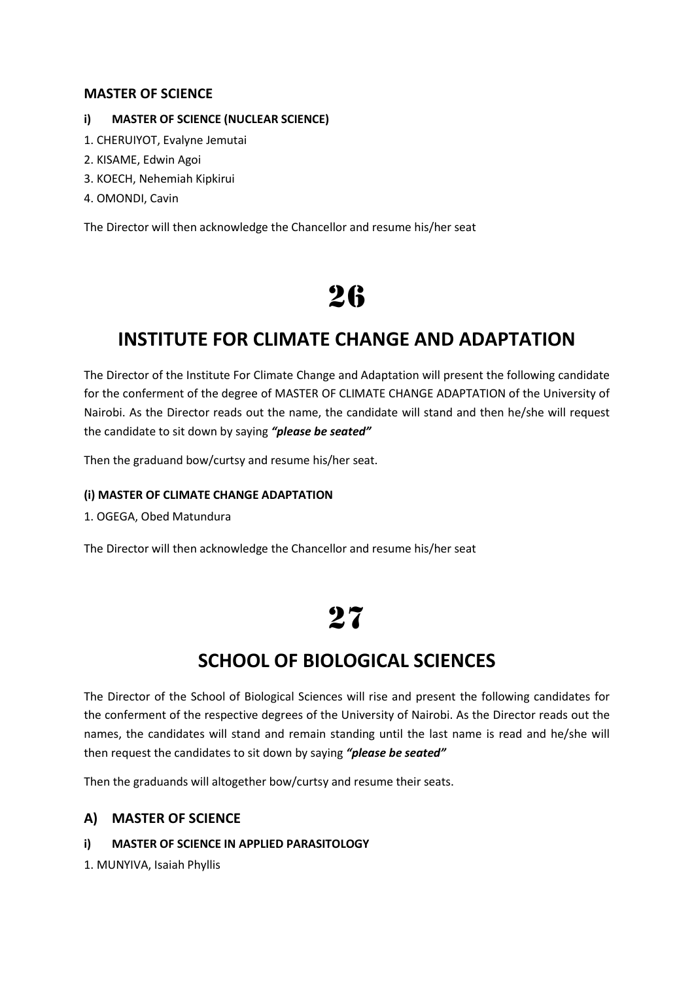## **MASTER OF SCIENCE**

## **i) MASTER OF SCIENCE (NUCLEAR SCIENCE)**

- 1. CHERUIYOT, Evalyne Jemutai
- 2. KISAME, Edwin Agoi
- 3. KOECH, Nehemiah Kipkirui
- 4. OMONDI, Cavin

The Director will then acknowledge the Chancellor and resume his/her seat

# 26

## **INSTITUTE FOR CLIMATE CHANGE AND ADAPTATION**

The Director of the Institute For Climate Change and Adaptation will present the following candidate for the conferment of the degree of MASTER OF CLIMATE CHANGE ADAPTATION of the University of Nairobi. As the Director reads out the name, the candidate will stand and then he/she will request the candidate to sit down by saying *"please be seated"*

Then the graduand bow/curtsy and resume his/her seat.

## **(i) MASTER OF CLIMATE CHANGE ADAPTATION**

1. OGEGA, Obed Matundura

The Director will then acknowledge the Chancellor and resume his/her seat

# 27

## **SCHOOL OF BIOLOGICAL SCIENCES**

The Director of the School of Biological Sciences will rise and present the following candidates for the conferment of the respective degrees of the University of Nairobi. As the Director reads out the names, the candidates will stand and remain standing until the last name is read and he/she will then request the candidates to sit down by saying *"please be seated"*

Then the graduands will altogether bow/curtsy and resume their seats.

## **A) MASTER OF SCIENCE**

## **i) MASTER OF SCIENCE IN APPLIED PARASITOLOGY**

1. MUNYIVA, Isaiah Phyllis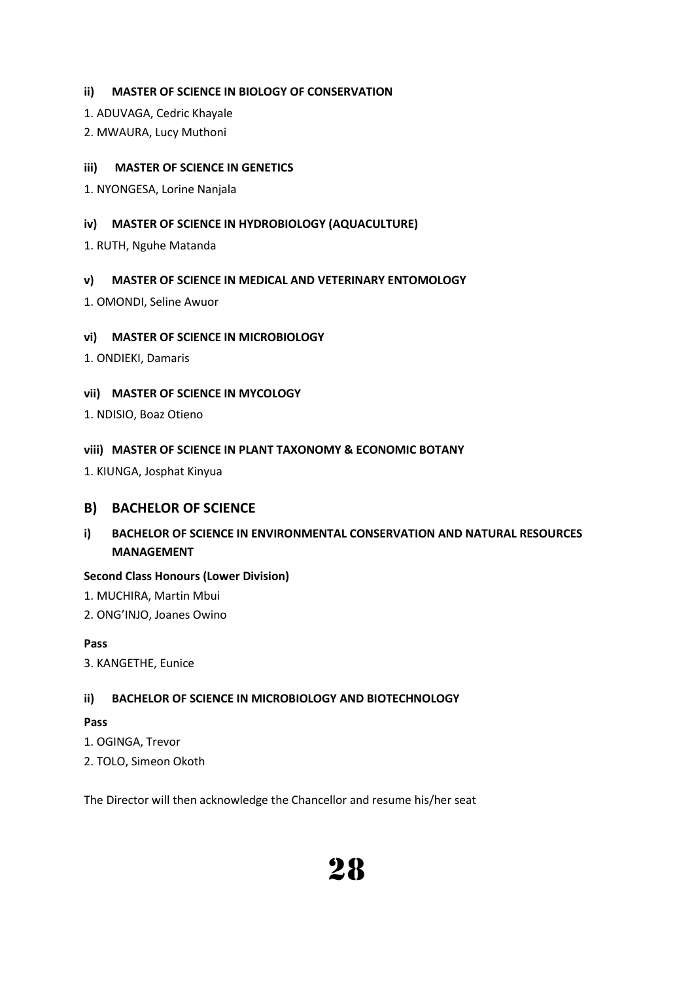## **ii) MASTER OF SCIENCE IN BIOLOGY OF CONSERVATION**

- 1. ADUVAGA, Cedric Khayale
- 2. MWAURA, Lucy Muthoni

## **iii) MASTER OF SCIENCE IN GENETICS**

1. NYONGESA, Lorine Nanjala

## **iv) MASTER OF SCIENCE IN HYDROBIOLOGY (AQUACULTURE)**

1. RUTH, Nguhe Matanda

## **v) MASTER OF SCIENCE IN MEDICAL AND VETERINARY ENTOMOLOGY**

1. OMONDI, Seline Awuor

## **vi) MASTER OF SCIENCE IN MICROBIOLOGY**

1. ONDIEKI, Damaris

## **vii) MASTER OF SCIENCE IN MYCOLOGY**

1. NDISIO, Boaz Otieno

## **viii) MASTER OF SCIENCE IN PLANT TAXONOMY & ECONOMIC BOTANY**

1. KIUNGA, Josphat Kinyua

## **B) BACHELOR OF SCIENCE**

**i) BACHELOR OF SCIENCE IN ENVIRONMENTAL CONSERVATION AND NATURAL RESOURCES MANAGEMENT** 

## **Second Class Honours (Lower Division)**

- 1. MUCHIRA, Martin Mbui
- 2. ONG'INJO, Joanes Owino

## **Pass**

3. KANGETHE, Eunice

## **ii) BACHELOR OF SCIENCE IN MICROBIOLOGY AND BIOTECHNOLOGY**

## **Pass**

- 1. OGINGA, Trevor
- 2. TOLO, Simeon Okoth

The Director will then acknowledge the Chancellor and resume his/her seat

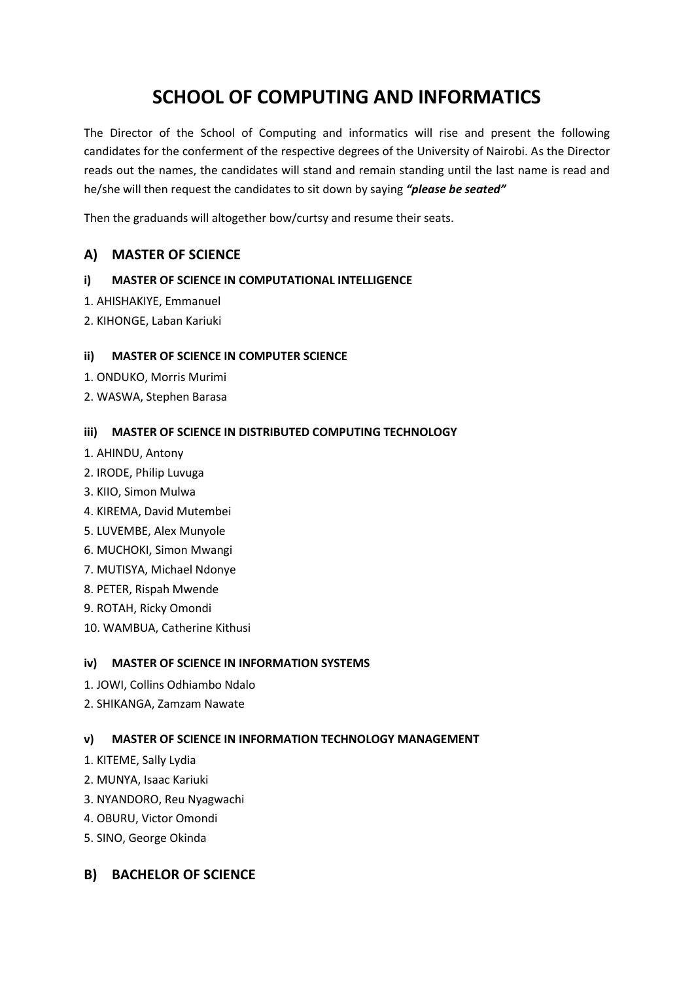# **SCHOOL OF COMPUTING AND INFORMATICS**

The Director of the School of Computing and informatics will rise and present the following candidates for the conferment of the respective degrees of the University of Nairobi. As the Director reads out the names, the candidates will stand and remain standing until the last name is read and he/she will then request the candidates to sit down by saying *"please be seated"*

Then the graduands will altogether bow/curtsy and resume their seats.

## **A) MASTER OF SCIENCE**

## **i) MASTER OF SCIENCE IN COMPUTATIONAL INTELLIGENCE**

- 1. AHISHAKIYE, Emmanuel
- 2. KIHONGE, Laban Kariuki

## **ii) MASTER OF SCIENCE IN COMPUTER SCIENCE**

- 1. ONDUKO, Morris Murimi
- 2. WASWA, Stephen Barasa

## **iii) MASTER OF SCIENCE IN DISTRIBUTED COMPUTING TECHNOLOGY**

- 1. AHINDU, Antony
- 2. IRODE, Philip Luvuga
- 3. KIIO, Simon Mulwa
- 4. KIREMA, David Mutembei
- 5. LUVEMBE, Alex Munyole
- 6. MUCHOKI, Simon Mwangi
- 7. MUTISYA, Michael Ndonye
- 8. PETER, Rispah Mwende
- 9. ROTAH, Ricky Omondi
- 10. WAMBUA, Catherine Kithusi

## **iv) MASTER OF SCIENCE IN INFORMATION SYSTEMS**

- 1. JOWI, Collins Odhiambo Ndalo
- 2. SHIKANGA, Zamzam Nawate

## **v) MASTER OF SCIENCE IN INFORMATION TECHNOLOGY MANAGEMENT**

- 1. KITEME, Sally Lydia
- 2. MUNYA, Isaac Kariuki
- 3. NYANDORO, Reu Nyagwachi
- 4. OBURU, Victor Omondi
- 5. SINO, George Okinda

## **B) BACHELOR OF SCIENCE**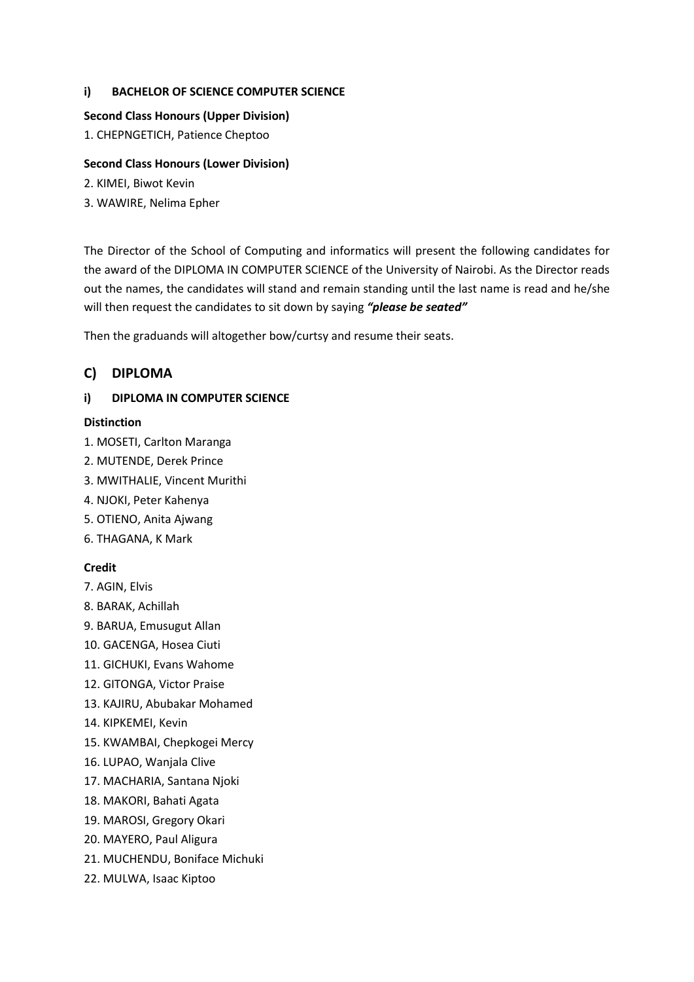## **i) BACHELOR OF SCIENCE COMPUTER SCIENCE**

## **Second Class Honours (Upper Division)**

1. CHEPNGETICH, Patience Cheptoo

## **Second Class Honours (Lower Division)**

- 2. KIMEI, Biwot Kevin
- 3. WAWIRE, Nelima Epher

The Director of the School of Computing and informatics will present the following candidates for the award of the DIPLOMA IN COMPUTER SCIENCE of the University of Nairobi. As the Director reads out the names, the candidates will stand and remain standing until the last name is read and he/she will then request the candidates to sit down by saying *"please be seated"*

Then the graduands will altogether bow/curtsy and resume their seats.

## **C) DIPLOMA**

## **i) DIPLOMA IN COMPUTER SCIENCE**

## **Distinction**

- 1. MOSETI, Carlton Maranga
- 2. MUTENDE, Derek Prince
- 3. MWITHALIE, Vincent Murithi
- 4. NJOKI, Peter Kahenya
- 5. OTIENO, Anita Ajwang
- 6. THAGANA, K Mark

## **Credit**

- 7. AGIN, Elvis
- 8. BARAK, Achillah
- 9. BARUA, Emusugut Allan
- 10. GACENGA, Hosea Ciuti
- 11. GICHUKI, Evans Wahome
- 12. GITONGA, Victor Praise
- 13. KAJIRU, Abubakar Mohamed
- 14. KIPKEMEI, Kevin
- 15. KWAMBAI, Chepkogei Mercy
- 16. LUPAO, Wanjala Clive
- 17. MACHARIA, Santana Njoki
- 18. MAKORI, Bahati Agata
- 19. MAROSI, Gregory Okari
- 20. MAYERO, Paul Aligura
- 21. MUCHENDU, Boniface Michuki
- 22. MULWA, Isaac Kiptoo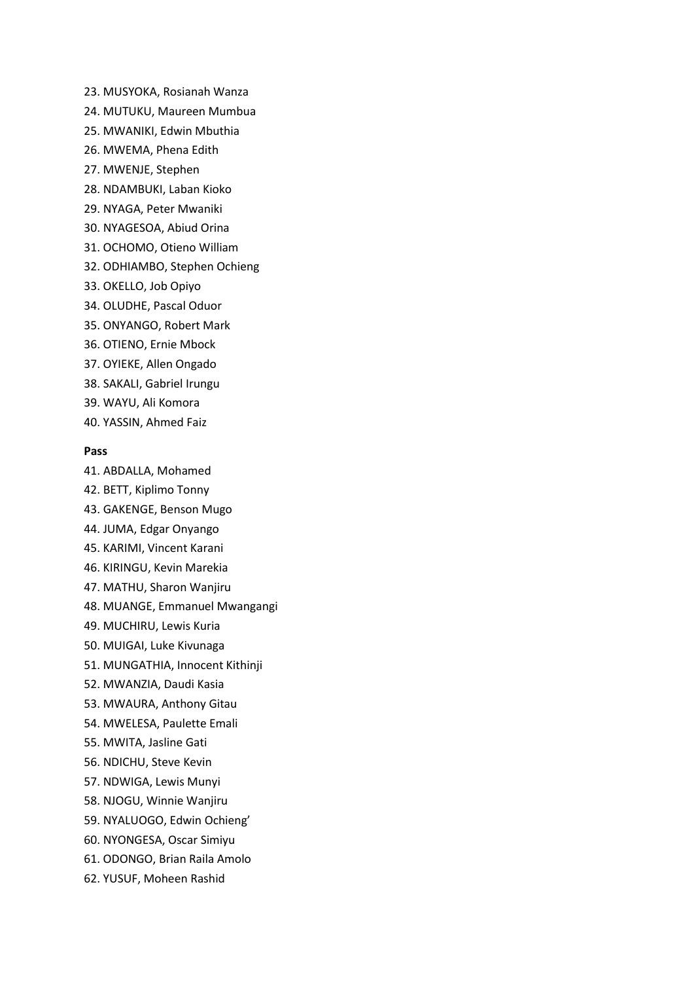- 23. MUSYOKA, Rosianah Wanza
- 24. MUTUKU, Maureen Mumbua
- 25. MWANIKI, Edwin Mbuthia
- 26. MWEMA, Phena Edith
- 27. MWENJE, Stephen
- 28. NDAMBUKI, Laban Kioko
- 29. NYAGA, Peter Mwaniki
- 30. NYAGESOA, Abiud Orina
- 31. OCHOMO, Otieno William
- 32. ODHIAMBO, Stephen Ochieng
- 33. OKELLO, Job Opiyo
- 34. OLUDHE, Pascal Oduor
- 35. ONYANGO, Robert Mark
- 36. OTIENO, Ernie Mbock
- 37. OYIEKE, Allen Ongado
- 38. SAKALI, Gabriel Irungu
- 39. WAYU, Ali Komora
- 40. YASSIN, Ahmed Faiz

#### **Pass**

- 41. ABDALLA, Mohamed
- 42. BETT, Kiplimo Tonny
- 43. GAKENGE, Benson Mugo
- 44. JUMA, Edgar Onyango
- 45. KARIMI, Vincent Karani
- 46. KIRINGU, Kevin Marekia
- 47. MATHU, Sharon Wanjiru
- 48. MUANGE, Emmanuel Mwangangi
- 49. MUCHIRU, Lewis Kuria
- 50. MUIGAI, Luke Kivunaga
- 51. MUNGATHIA, Innocent Kithinji
- 52. MWANZIA, Daudi Kasia
- 53. MWAURA, Anthony Gitau
- 54. MWELESA, Paulette Emali
- 55. MWITA, Jasline Gati
- 56. NDICHU, Steve Kevin
- 57. NDWIGA, Lewis Munyi
- 58. NJOGU, Winnie Wanjiru
- 59. NYALUOGO, Edwin Ochieng'
- 60. NYONGESA, Oscar Simiyu
- 61. ODONGO, Brian Raila Amolo
- 62. YUSUF, Moheen Rashid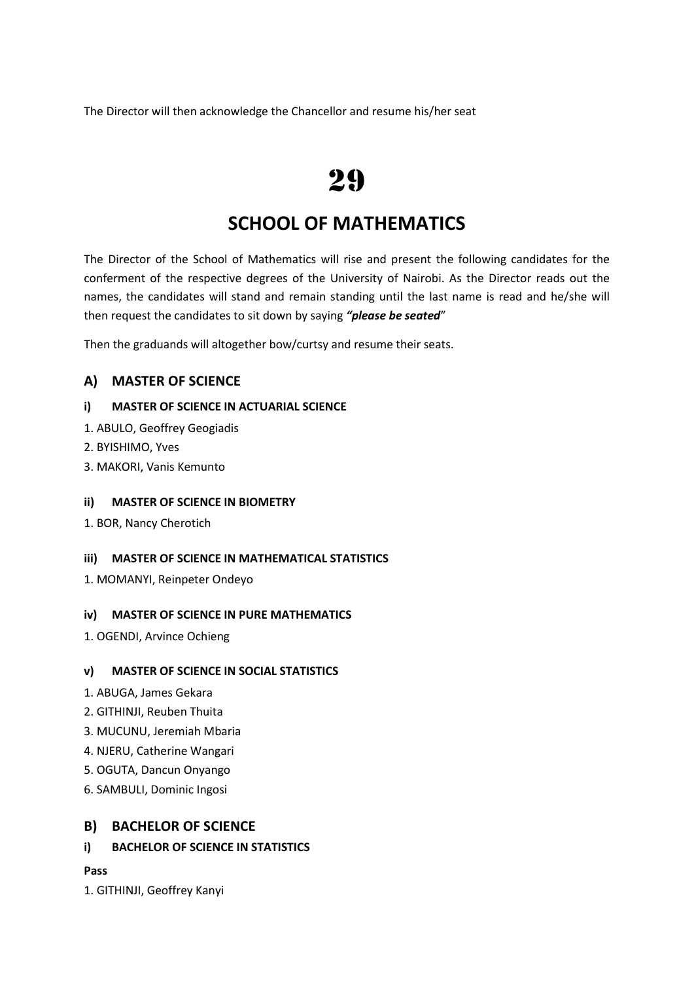The Director will then acknowledge the Chancellor and resume his/her seat

# 29

## **SCHOOL OF MATHEMATICS**

The Director of the School of Mathematics will rise and present the following candidates for the conferment of the respective degrees of the University of Nairobi. As the Director reads out the names, the candidates will stand and remain standing until the last name is read and he/she will then request the candidates to sit down by saying *"please be seated*"

Then the graduands will altogether bow/curtsy and resume their seats.

## **A) MASTER OF SCIENCE**

## **i) MASTER OF SCIENCE IN ACTUARIAL SCIENCE**

- 1. ABULO, Geoffrey Geogiadis
- 2. BYISHIMO, Yves
- 3. MAKORI, Vanis Kemunto

## **ii) MASTER OF SCIENCE IN BIOMETRY**

1. BOR, Nancy Cherotich

## **iii) MASTER OF SCIENCE IN MATHEMATICAL STATISTICS**

1. MOMANYI, Reinpeter Ondeyo

## **iv) MASTER OF SCIENCE IN PURE MATHEMATICS**

1. OGENDI, Arvince Ochieng

## **v) MASTER OF SCIENCE IN SOCIAL STATISTICS**

- 1. ABUGA, James Gekara
- 2. GITHINJI, Reuben Thuita
- 3. MUCUNU, Jeremiah Mbaria
- 4. NJERU, Catherine Wangari
- 5. OGUTA, Dancun Onyango
- 6. SAMBULI, Dominic Ingosi

## **B) BACHELOR OF SCIENCE**

## **i) BACHELOR OF SCIENCE IN STATISTICS**

## **Pass**

1. GITHINJI, Geoffrey Kanyi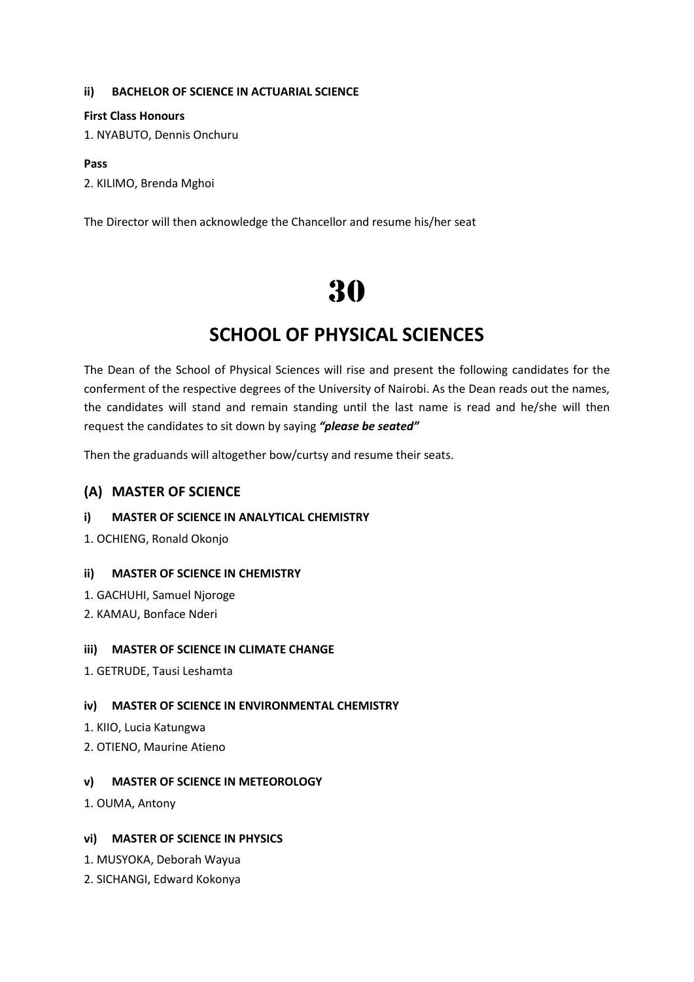## **ii) BACHELOR OF SCIENCE IN ACTUARIAL SCIENCE**

## **First Class Honours**

1. NYABUTO, Dennis Onchuru

## **Pass**

2. KILIMO, Brenda Mghoi

The Director will then acknowledge the Chancellor and resume his/her seat

# 30

# **SCHOOL OF PHYSICAL SCIENCES**

The Dean of the School of Physical Sciences will rise and present the following candidates for the conferment of the respective degrees of the University of Nairobi. As the Dean reads out the names, the candidates will stand and remain standing until the last name is read and he/she will then request the candidates to sit down by saying *"please be seated"*

Then the graduands will altogether bow/curtsy and resume their seats.

## **(A) MASTER OF SCIENCE**

## **i) MASTER OF SCIENCE IN ANALYTICAL CHEMISTRY**

1. OCHIENG, Ronald Okonjo

## **ii) MASTER OF SCIENCE IN CHEMISTRY**

- 1. GACHUHI, Samuel Njoroge
- 2. KAMAU, Bonface Nderi

## **iii) MASTER OF SCIENCE IN CLIMATE CHANGE**

1. GETRUDE, Tausi Leshamta

## **iv) MASTER OF SCIENCE IN ENVIRONMENTAL CHEMISTRY**

- 1. KIIO, Lucia Katungwa
- 2. OTIENO, Maurine Atieno

## **v) MASTER OF SCIENCE IN METEOROLOGY**

1. OUMA, Antony

## **vi) MASTER OF SCIENCE IN PHYSICS**

- 1. MUSYOKA, Deborah Wayua
- 2. SICHANGI, Edward Kokonya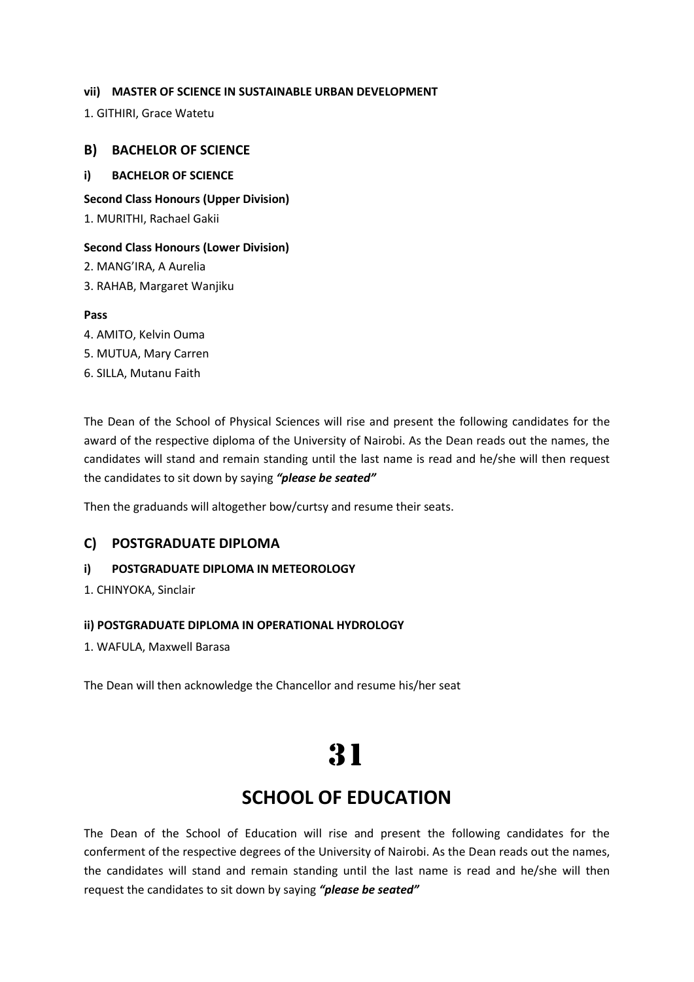## **vii) MASTER OF SCIENCE IN SUSTAINABLE URBAN DEVELOPMENT**

1. GITHIRI, Grace Watetu

## **B) BACHELOR OF SCIENCE**

## **i) BACHELOR OF SCIENCE**

**Second Class Honours (Upper Division)** 1. MURITHI, Rachael Gakii

## **Second Class Honours (Lower Division)**

2. MANG'IRA, A Aurelia

3. RAHAB, Margaret Wanjiku

## **Pass**

- 4. AMITO, Kelvin Ouma 5. MUTUA, Mary Carren
- 6. SILLA, Mutanu Faith

The Dean of the School of Physical Sciences will rise and present the following candidates for the award of the respective diploma of the University of Nairobi. As the Dean reads out the names, the candidates will stand and remain standing until the last name is read and he/she will then request the candidates to sit down by saying *"please be seated"*

Then the graduands will altogether bow/curtsy and resume their seats.

## **C) POSTGRADUATE DIPLOMA**

## **i) POSTGRADUATE DIPLOMA IN METEOROLOGY**

1. CHINYOKA, Sinclair

## **ii) POSTGRADUATE DIPLOMA IN OPERATIONAL HYDROLOGY**

1. WAFULA, Maxwell Barasa

The Dean will then acknowledge the Chancellor and resume his/her seat

# 31

## **SCHOOL OF EDUCATION**

The Dean of the School of Education will rise and present the following candidates for the conferment of the respective degrees of the University of Nairobi. As the Dean reads out the names, the candidates will stand and remain standing until the last name is read and he/she will then request the candidates to sit down by saying *"please be seated"*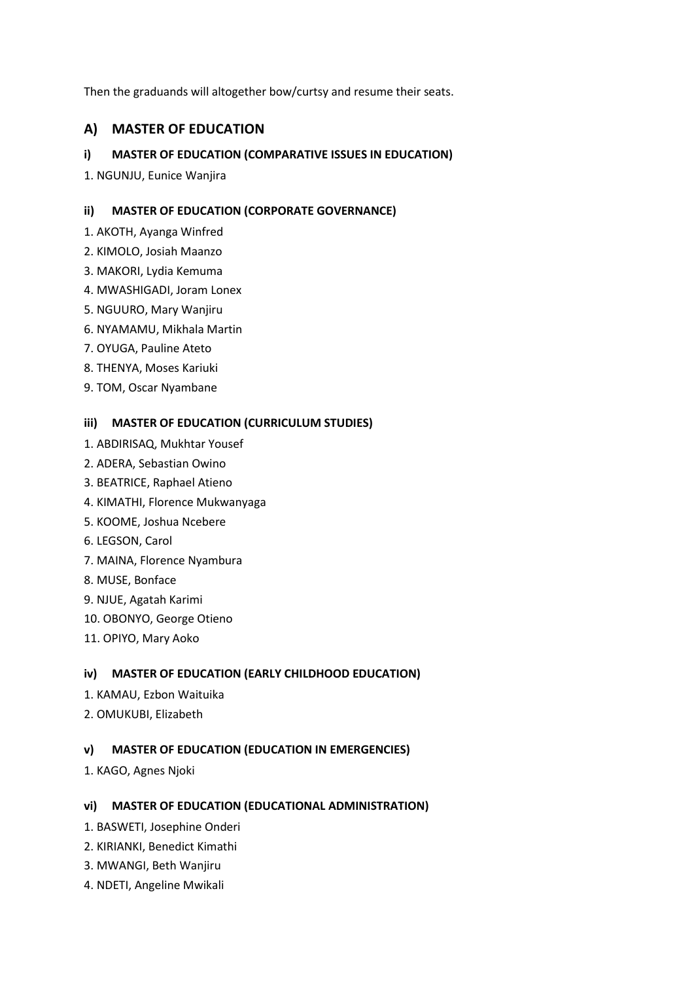Then the graduands will altogether bow/curtsy and resume their seats.

## **A) MASTER OF EDUCATION**

## **i) MASTER OF EDUCATION (COMPARATIVE ISSUES IN EDUCATION)**

1. NGUNJU, Eunice Wanjira

## **ii) MASTER OF EDUCATION (CORPORATE GOVERNANCE)**

- 1. AKOTH, Ayanga Winfred
- 2. KIMOLO, Josiah Maanzo
- 3. MAKORI, Lydia Kemuma
- 4. MWASHIGADI, Joram Lonex
- 5. NGUURO, Mary Wanjiru
- 6. NYAMAMU, Mikhala Martin
- 7. OYUGA, Pauline Ateto
- 8. THENYA, Moses Kariuki
- 9. TOM, Oscar Nyambane

## **iii) MASTER OF EDUCATION (CURRICULUM STUDIES)**

- 1. ABDIRISAQ, Mukhtar Yousef
- 2. ADERA, Sebastian Owino
- 3. BEATRICE, Raphael Atieno
- 4. KIMATHI, Florence Mukwanyaga
- 5. KOOME, Joshua Ncebere
- 6. LEGSON, Carol
- 7. MAINA, Florence Nyambura
- 8. MUSE, Bonface
- 9. NJUE, Agatah Karimi
- 10. OBONYO, George Otieno
- 11. OPIYO, Mary Aoko

## **iv) MASTER OF EDUCATION (EARLY CHILDHOOD EDUCATION)**

- 1. KAMAU, Ezbon Waituika
- 2. OMUKUBI, Elizabeth

## **v) MASTER OF EDUCATION (EDUCATION IN EMERGENCIES)**

1. KAGO, Agnes Njoki

## **vi) MASTER OF EDUCATION (EDUCATIONAL ADMINISTRATION)**

- 1. BASWETI, Josephine Onderi
- 2. KIRIANKI, Benedict Kimathi
- 3. MWANGI, Beth Wanjiru
- 4. NDETI, Angeline Mwikali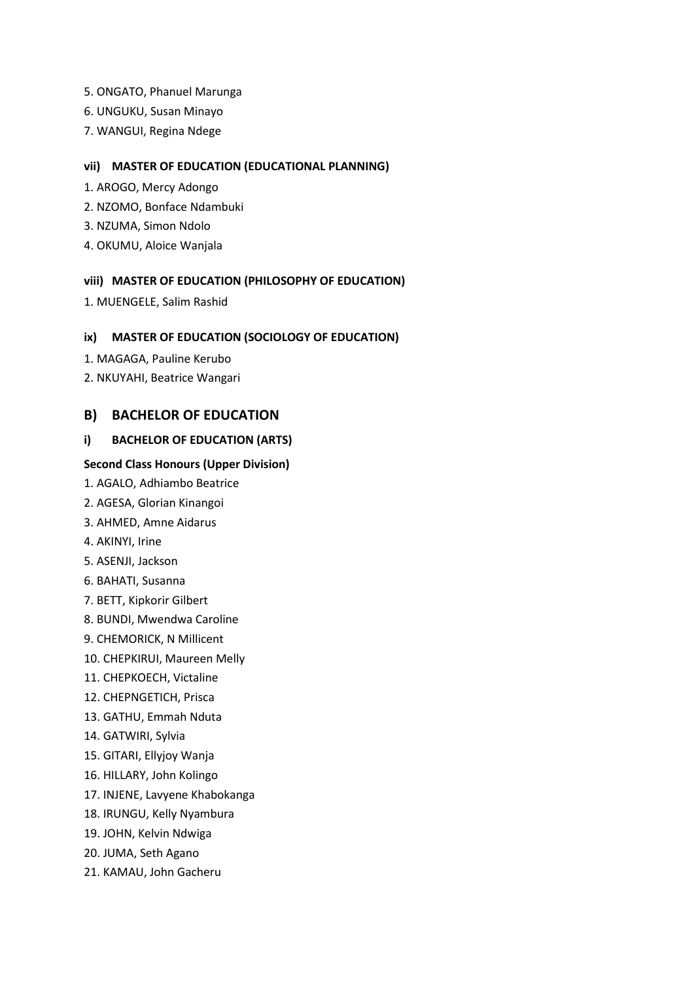- 5. ONGATO, Phanuel Marunga
- 6. UNGUKU, Susan Minayo
- 7. WANGUI, Regina Ndege

## **vii) MASTER OF EDUCATION (EDUCATIONAL PLANNING)**

- 1. AROGO, Mercy Adongo
- 2. NZOMO, Bonface Ndambuki
- 3. NZUMA, Simon Ndolo
- 4. OKUMU, Aloice Wanjala

## **viii) MASTER OF EDUCATION (PHILOSOPHY OF EDUCATION)**

1. MUENGELE, Salim Rashid

## **ix) MASTER OF EDUCATION (SOCIOLOGY OF EDUCATION)**

- 1. MAGAGA, Pauline Kerubo
- 2. NKUYAHI, Beatrice Wangari

## **B) BACHELOR OF EDUCATION**

## **i) BACHELOR OF EDUCATION (ARTS)**

## **Second Class Honours (Upper Division)**

- 1. AGALO, Adhiambo Beatrice
- 2. AGESA, Glorian Kinangoi
- 3. AHMED, Amne Aidarus
- 4. AKINYI, Irine
- 5. ASENJI, Jackson
- 6. BAHATI, Susanna
- 7. BETT, Kipkorir Gilbert
- 8. BUNDI, Mwendwa Caroline
- 9. CHEMORICK, N Millicent
- 10. CHEPKIRUI, Maureen Melly
- 11. CHEPKOECH, Victaline
- 12. CHEPNGETICH, Prisca
- 13. GATHU, Emmah Nduta
- 14. GATWIRI, Sylvia
- 15. GITARI, Ellyjoy Wanja
- 16. HILLARY, John Kolingo
- 17. INJENE, Lavyene Khabokanga
- 18. IRUNGU, Kelly Nyambura
- 19. JOHN, Kelvin Ndwiga
- 20. JUMA, Seth Agano
- 21. KAMAU, John Gacheru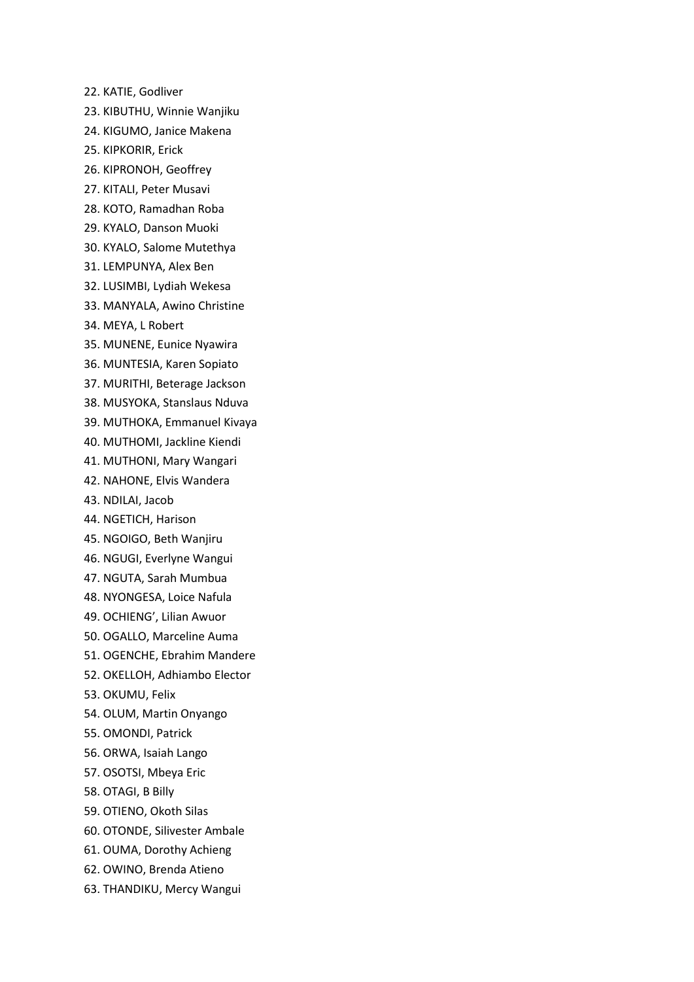22. KATIE, Godliver

- 23. KIBUTHU, Winnie Wanjiku
- 24. KIGUMO, Janice Makena
- 25. KIPKORIR, Erick
- 26. KIPRONOH, Geoffrey
- 27. KITALI, Peter Musavi
- 28. KOTO, Ramadhan Roba
- 29. KYALO, Danson Muoki
- 30. KYALO, Salome Mutethya
- 31. LEMPUNYA, Alex Ben
- 32. LUSIMBI, Lydiah Wekesa
- 33. MANYALA, Awino Christine
- 34. MEYA, L Robert
- 35. MUNENE, Eunice Nyawira
- 36. MUNTESIA, Karen Sopiato
- 37. MURITHI, Beterage Jackson
- 38. MUSYOKA, Stanslaus Nduva
- 39. MUTHOKA, Emmanuel Kivaya
- 40. MUTHOMI, Jackline Kiendi
- 41. MUTHONI, Mary Wangari
- 42. NAHONE, Elvis Wandera
- 43. NDILAI, Jacob
- 44. NGETICH, Harison
- 45. NGOIGO, Beth Wanjiru
- 46. NGUGI, Everlyne Wangui
- 47. NGUTA, Sarah Mumbua
- 48. NYONGESA, Loice Nafula
- 49. OCHIENG', Lilian Awuor
- 50. OGALLO, Marceline Auma
- 51. OGENCHE, Ebrahim Mandere
- 52. OKELLOH, Adhiambo Elector
- 53. OKUMU, Felix
- 54. OLUM, Martin Onyango
- 55. OMONDI, Patrick
- 56. ORWA, Isaiah Lango
- 57. OSOTSI, Mbeya Eric
- 58. OTAGI, B Billy
- 59. OTIENO, Okoth Silas
- 60. OTONDE, Silivester Ambale
- 61. OUMA, Dorothy Achieng
- 62. OWINO, Brenda Atieno
- 63. THANDIKU, Mercy Wangui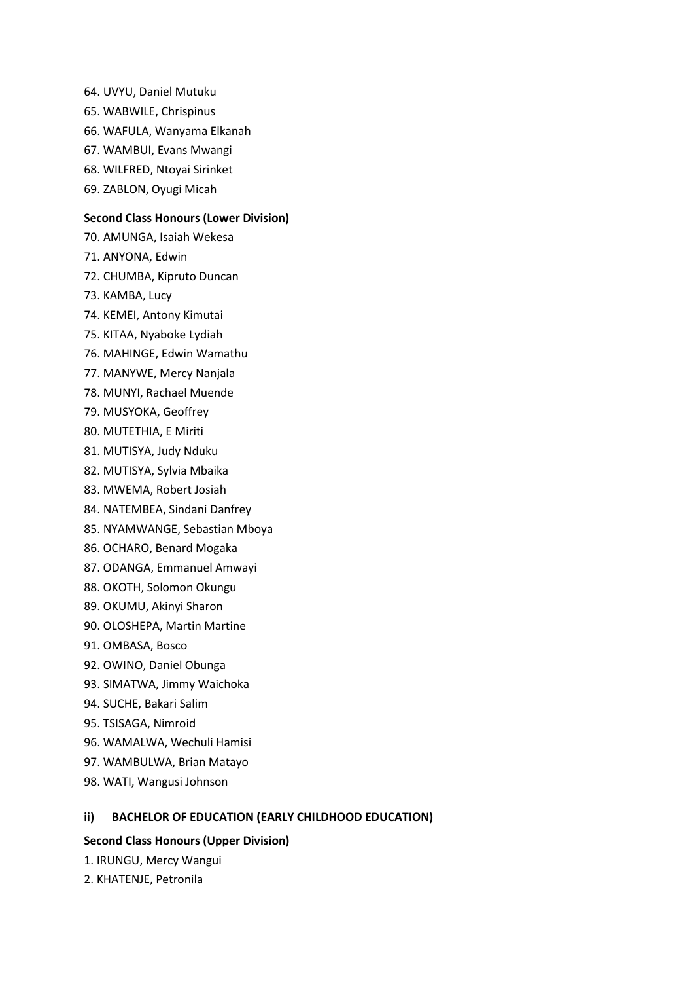- 64. UVYU, Daniel Mutuku
- 65. WABWILE, Chrispinus
- 66. WAFULA, Wanyama Elkanah
- 67. WAMBUI, Evans Mwangi
- 68. WILFRED, Ntoyai Sirinket
- 69. ZABLON, Oyugi Micah

#### **Second Class Honours (Lower Division)**

- 70. AMUNGA, Isaiah Wekesa
- 71. ANYONA, Edwin
- 72. CHUMBA, Kipruto Duncan
- 73. KAMBA, Lucy
- 74. KEMEI, Antony Kimutai
- 75. KITAA, Nyaboke Lydiah
- 76. MAHINGE, Edwin Wamathu
- 77. MANYWE, Mercy Nanjala
- 78. MUNYI, Rachael Muende
- 79. MUSYOKA, Geoffrey
- 80. MUTETHIA, E Miriti
- 81. MUTISYA, Judy Nduku
- 82. MUTISYA, Sylvia Mbaika
- 83. MWEMA, Robert Josiah
- 84. NATEMBEA, Sindani Danfrey
- 85. NYAMWANGE, Sebastian Mboya
- 86. OCHARO, Benard Mogaka
- 87. ODANGA, Emmanuel Amwayi
- 88. OKOTH, Solomon Okungu
- 89. OKUMU, Akinyi Sharon
- 90. OLOSHEPA, Martin Martine
- 91. OMBASA, Bosco
- 92. OWINO, Daniel Obunga
- 93. SIMATWA, Jimmy Waichoka
- 94. SUCHE, Bakari Salim
- 95. TSISAGA, Nimroid
- 96. WAMALWA, Wechuli Hamisi
- 97. WAMBULWA, Brian Matayo
- 98. WATI, Wangusi Johnson

## **ii) BACHELOR OF EDUCATION (EARLY CHILDHOOD EDUCATION)**

#### **Second Class Honours (Upper Division)**

- 1. IRUNGU, Mercy Wangui
- 2. KHATENJE, Petronila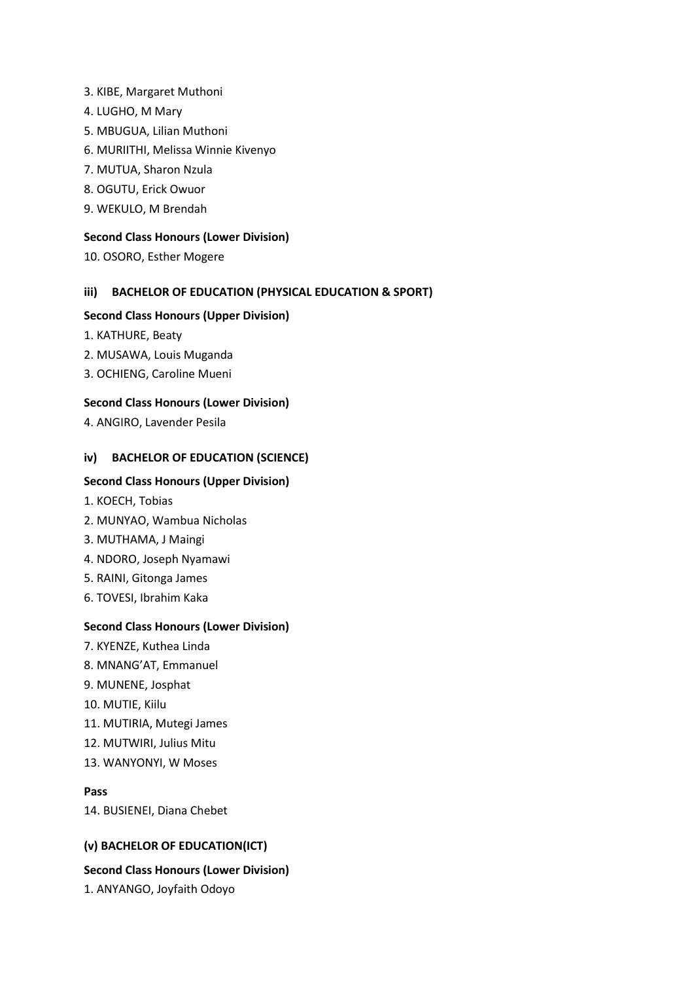- 3. KIBE, Margaret Muthoni
- 4. LUGHO, M Mary
- 5. MBUGUA, Lilian Muthoni
- 6. MURIITHI, Melissa Winnie Kivenyo
- 7. MUTUA, Sharon Nzula
- 8. OGUTU, Erick Owuor
- 9. WEKULO, M Brendah

## **Second Class Honours (Lower Division)**

10. OSORO, Esther Mogere

## **iii) BACHELOR OF EDUCATION (PHYSICAL EDUCATION & SPORT)**

## **Second Class Honours (Upper Division)**

- 1. KATHURE, Beaty
- 2. MUSAWA, Louis Muganda
- 3. OCHIENG, Caroline Mueni

## **Second Class Honours (Lower Division)**

4. ANGIRO, Lavender Pesila

## **iv) BACHELOR OF EDUCATION (SCIENCE)**

## **Second Class Honours (Upper Division)**

- 1. KOECH, Tobias
- 2. MUNYAO, Wambua Nicholas
- 3. MUTHAMA, J Maingi
- 4. NDORO, Joseph Nyamawi
- 5. RAINI, Gitonga James
- 6. TOVESI, Ibrahim Kaka

## **Second Class Honours (Lower Division)**

- 7. KYENZE, Kuthea Linda
- 8. MNANG'AT, Emmanuel
- 9. MUNENE, Josphat
- 10. MUTIE, Kiilu
- 11. MUTIRIA, Mutegi James
- 12. MUTWIRI, Julius Mitu
- 13. WANYONYI, W Moses

## **Pass**

14. BUSIENEI, Diana Chebet

## **(v) BACHELOR OF EDUCATION(ICT)**

## **Second Class Honours (Lower Division)**

1. ANYANGO, Joyfaith Odoyo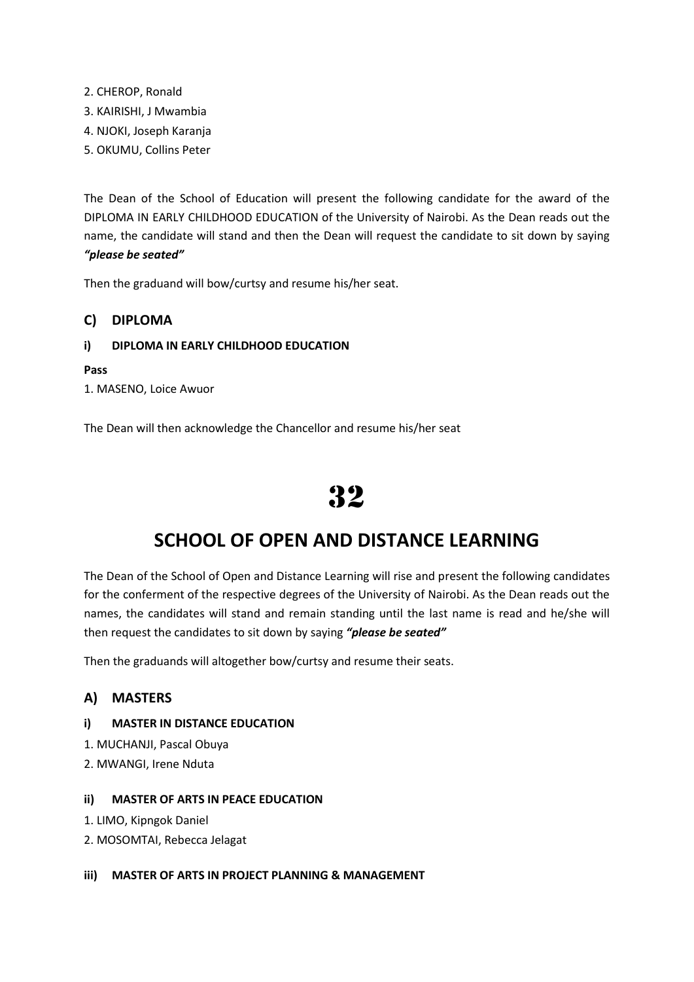- 2. CHEROP, Ronald
- 3. KAIRISHI, J Mwambia
- 4. NJOKI, Joseph Karanja
- 5. OKUMU, Collins Peter

The Dean of the School of Education will present the following candidate for the award of the DIPLOMA IN EARLY CHILDHOOD EDUCATION of the University of Nairobi. As the Dean reads out the name, the candidate will stand and then the Dean will request the candidate to sit down by saying *"please be seated"*

Then the graduand will bow/curtsy and resume his/her seat.

## **C) DIPLOMA**

## **i) DIPLOMA IN EARLY CHILDHOOD EDUCATION**

## **Pass**

1. MASENO, Loice Awuor

The Dean will then acknowledge the Chancellor and resume his/her seat

# 32

## **SCHOOL OF OPEN AND DISTANCE LEARNING**

The Dean of the School of Open and Distance Learning will rise and present the following candidates for the conferment of the respective degrees of the University of Nairobi. As the Dean reads out the names, the candidates will stand and remain standing until the last name is read and he/she will then request the candidates to sit down by saying *"please be seated"*

Then the graduands will altogether bow/curtsy and resume their seats.

## **A) MASTERS**

## **i) MASTER IN DISTANCE EDUCATION**

- 1. MUCHANJI, Pascal Obuya
- 2. MWANGI, Irene Nduta

## **ii) MASTER OF ARTS IN PEACE EDUCATION**

- 1. LIMO, Kipngok Daniel
- 2. MOSOMTAI, Rebecca Jelagat

## **iii) MASTER OF ARTS IN PROJECT PLANNING & MANAGEMENT**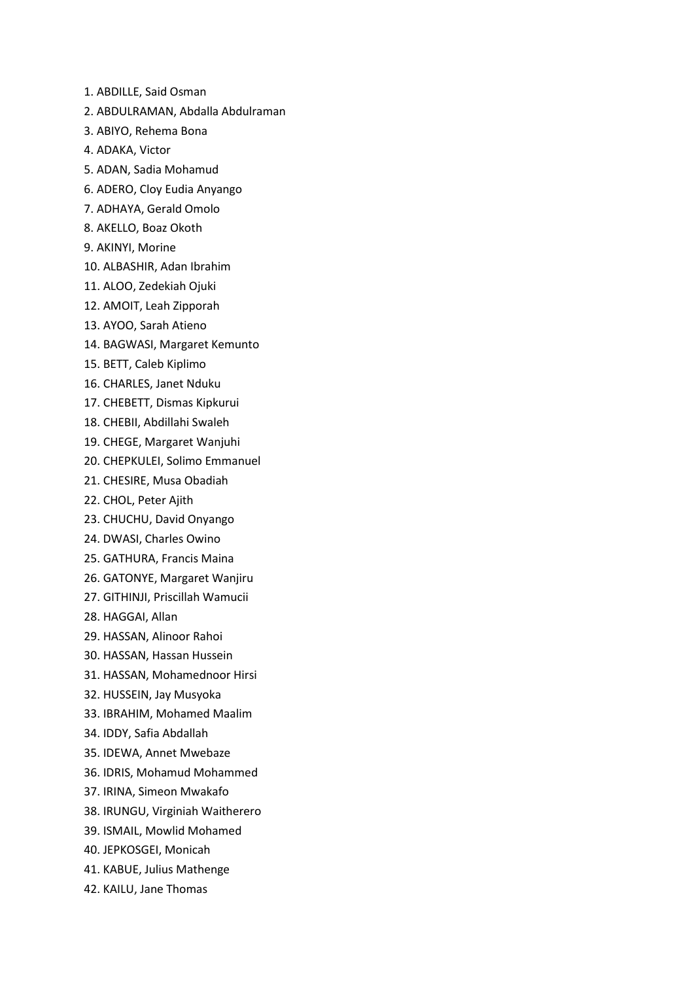- 1. ABDILLE, Said Osman
- 2. ABDULRAMAN, Abdalla Abdulraman
- 3. ABIYO, Rehema Bona
- 4. ADAKA, Victor
- 5. ADAN, Sadia Mohamud
- 6. ADERO, Cloy Eudia Anyango
- 7. ADHAYA, Gerald Omolo
- 8. AKELLO, Boaz Okoth
- 9. AKINYI, Morine
- 10. ALBASHIR, Adan Ibrahim
- 11. ALOO, Zedekiah Ojuki
- 12. AMOIT, Leah Zipporah
- 13. AYOO, Sarah Atieno
- 14. BAGWASI, Margaret Kemunto
- 15. BETT, Caleb Kiplimo
- 16. CHARLES, Janet Nduku
- 17. CHEBETT, Dismas Kipkurui
- 18. CHEBII, Abdillahi Swaleh
- 19. CHEGE, Margaret Wanjuhi
- 20. CHEPKULEI, Solimo Emmanuel
- 21. CHESIRE, Musa Obadiah
- 22. CHOL, Peter Ajith
- 23. CHUCHU, David Onyango
- 24. DWASI, Charles Owino
- 25. GATHURA, Francis Maina
- 26. GATONYE, Margaret Wanjiru
- 27. GITHINJI, Priscillah Wamucii
- 28. HAGGAI, Allan
- 29. HASSAN, Alinoor Rahoi
- 30. HASSAN, Hassan Hussein
- 31. HASSAN, Mohamednoor Hirsi
- 32. HUSSEIN, Jay Musyoka
- 33. IBRAHIM, Mohamed Maalim
- 34. IDDY, Safia Abdallah
- 35. IDEWA, Annet Mwebaze
- 36. IDRIS, Mohamud Mohammed
- 37. IRINA, Simeon Mwakafo
- 38. IRUNGU, Virginiah Waitherero
- 39. ISMAIL, Mowlid Mohamed
- 40. JEPKOSGEI, Monicah
- 41. KABUE, Julius Mathenge
- 42. KAILU, Jane Thomas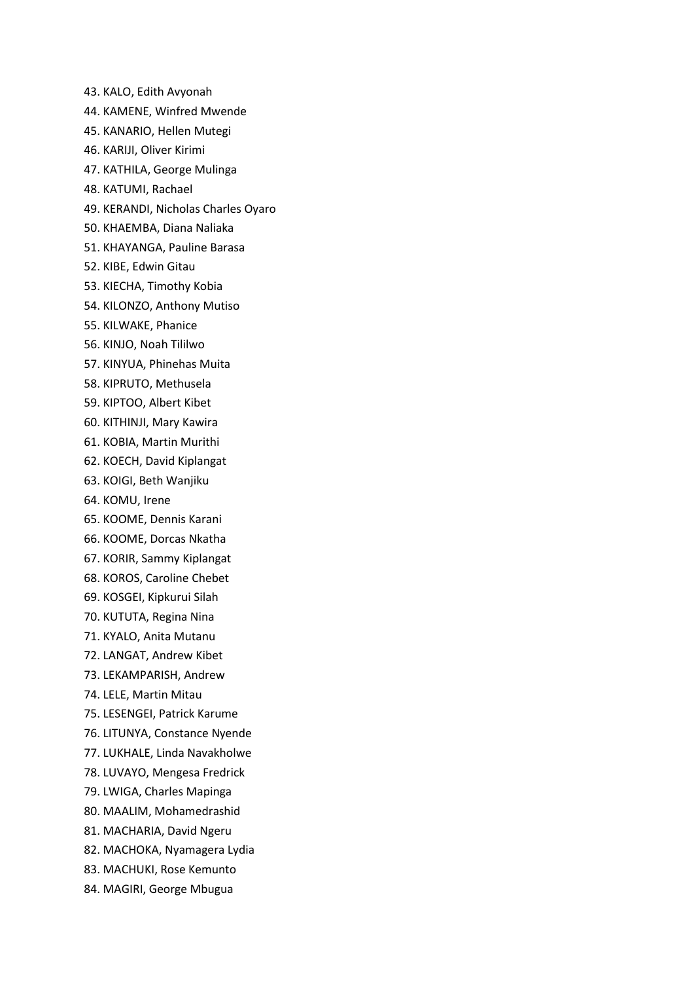43. KALO, Edith Avyonah 44. KAMENE, Winfred Mwende 45. KANARIO, Hellen Mutegi 46. KARIJI, Oliver Kirimi 47. KATHILA, George Mulinga 48. KATUMI, Rachael 49. KERANDI, Nicholas Charles Oyaro 50. KHAEMBA, Diana Naliaka 51. KHAYANGA, Pauline Barasa 52. KIBE, Edwin Gitau 53. KIECHA, Timothy Kobia 54. KILONZO, Anthony Mutiso 55. KILWAKE, Phanice 56. KINJO, Noah Tililwo 57. KINYUA, Phinehas Muita 58. KIPRUTO, Methusela 59. KIPTOO, Albert Kibet 60. KITHINJI, Mary Kawira 61. KOBIA, Martin Murithi 62. KOECH, David Kiplangat 63. KOIGI, Beth Wanjiku 64. KOMU, Irene 65. KOOME, Dennis Karani 66. KOOME, Dorcas Nkatha 67. KORIR, Sammy Kiplangat 68. KOROS, Caroline Chebet 69. KOSGEI, Kipkurui Silah 70. KUTUTA, Regina Nina 71. KYALO, Anita Mutanu 72. LANGAT, Andrew Kibet 73. LEKAMPARISH, Andrew 74. LELE, Martin Mitau 75. LESENGEI, Patrick Karume 76. LITUNYA, Constance Nyende 77. LUKHALE, Linda Navakholwe 78. LUVAYO, Mengesa Fredrick 79. LWIGA, Charles Mapinga 80. MAALIM, Mohamedrashid 81. MACHARIA, David Ngeru 82. MACHOKA, Nyamagera Lydia 83. MACHUKI, Rose Kemunto

84. MAGIRI, George Mbugua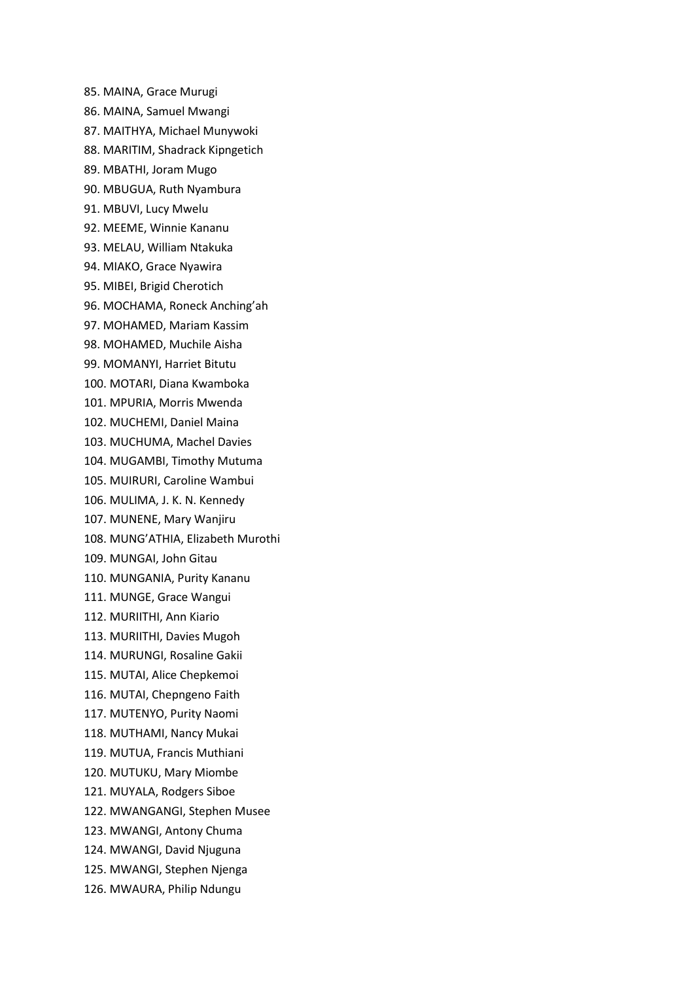85. MAINA, Grace Murugi 86. MAINA, Samuel Mwangi 87. MAITHYA, Michael Munywoki 88. MARITIM, Shadrack Kipngetich 89. MBATHI, Joram Mugo 90. MBUGUA, Ruth Nyambura 91. MBUVI, Lucy Mwelu 92. MEEME, Winnie Kananu 93. MELAU, William Ntakuka 94. MIAKO, Grace Nyawira 95. MIBEI, Brigid Cherotich 96. MOCHAMA, Roneck Anching'ah 97. MOHAMED, Mariam Kassim 98. MOHAMED, Muchile Aisha 99. MOMANYI, Harriet Bitutu 100. MOTARI, Diana Kwamboka 101. MPURIA, Morris Mwenda 102. MUCHEMI, Daniel Maina 103. MUCHUMA, Machel Davies 104. MUGAMBI, Timothy Mutuma 105. MUIRURI, Caroline Wambui 106. MULIMA, J. K. N. Kennedy 107. MUNENE, Mary Wanjiru 108. MUNG'ATHIA, Elizabeth Murothi 109. MUNGAI, John Gitau 110. MUNGANIA, Purity Kananu 111. MUNGE, Grace Wangui 112. MURIITHI, Ann Kiario 113. MURIITHI, Davies Mugoh 114. MURUNGI, Rosaline Gakii 115. MUTAI, Alice Chepkemoi 116. MUTAI, Chepngeno Faith 117. MUTENYO, Purity Naomi 118. MUTHAMI, Nancy Mukai 119. MUTUA, Francis Muthiani 120. MUTUKU, Mary Miombe 121. MUYALA, Rodgers Siboe 122. MWANGANGI, Stephen Musee 123. MWANGI, Antony Chuma 124. MWANGI, David Njuguna 125. MWANGI, Stephen Njenga 126. MWAURA, Philip Ndungu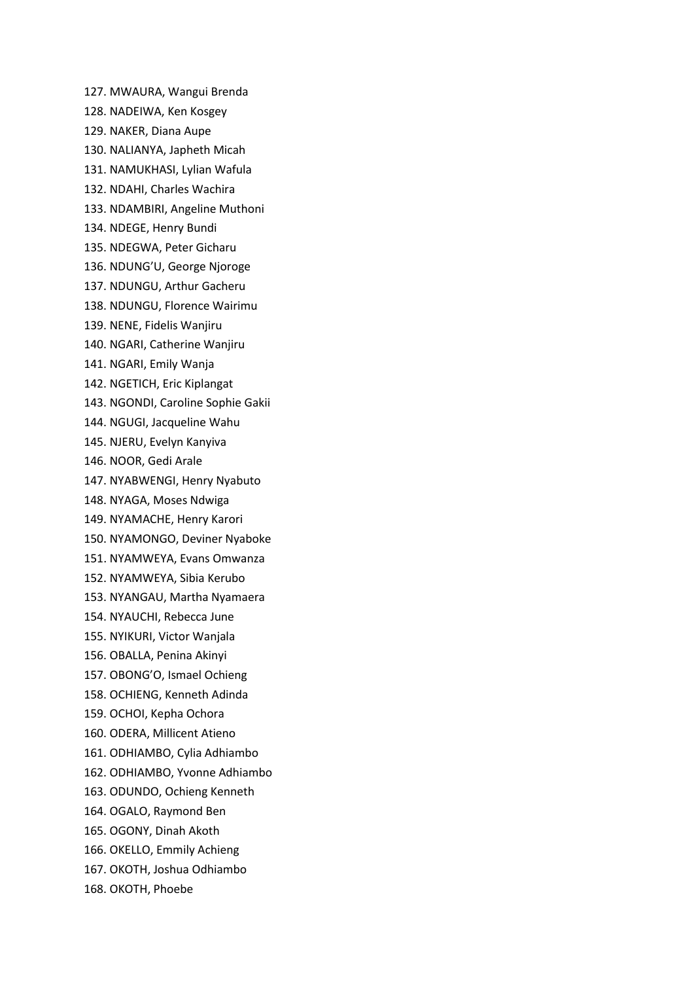127. MWAURA, Wangui Brenda

128. NADEIWA, Ken Kosgey

129. NAKER, Diana Aupe

130. NALIANYA, Japheth Micah

131. NAMUKHASI, Lylian Wafula

132. NDAHI, Charles Wachira

133. NDAMBIRI, Angeline Muthoni

134. NDEGE, Henry Bundi

135. NDEGWA, Peter Gicharu

136. NDUNG'U, George Njoroge

137. NDUNGU, Arthur Gacheru

138. NDUNGU, Florence Wairimu

139. NENE, Fidelis Wanjiru

140. NGARI, Catherine Wanjiru

141. NGARI, Emily Wanja

142. NGETICH, Eric Kiplangat

143. NGONDI, Caroline Sophie Gakii

144. NGUGI, Jacqueline Wahu

145. NJERU, Evelyn Kanyiva

146. NOOR, Gedi Arale

147. NYABWENGI, Henry Nyabuto

148. NYAGA, Moses Ndwiga

149. NYAMACHE, Henry Karori

150. NYAMONGO, Deviner Nyaboke

151. NYAMWEYA, Evans Omwanza

152. NYAMWEYA, Sibia Kerubo

153. NYANGAU, Martha Nyamaera

154. NYAUCHI, Rebecca June

155. NYIKURI, Victor Wanjala

156. OBALLA, Penina Akinyi

157. OBONG'O, Ismael Ochieng

158. OCHIENG, Kenneth Adinda

159. OCHOI, Kepha Ochora

160. ODERA, Millicent Atieno

161. ODHIAMBO, Cylia Adhiambo

162. ODHIAMBO, Yvonne Adhiambo

163. ODUNDO, Ochieng Kenneth

164. OGALO, Raymond Ben

165. OGONY, Dinah Akoth

166. OKELLO, Emmily Achieng

167. OKOTH, Joshua Odhiambo

168. OKOTH, Phoebe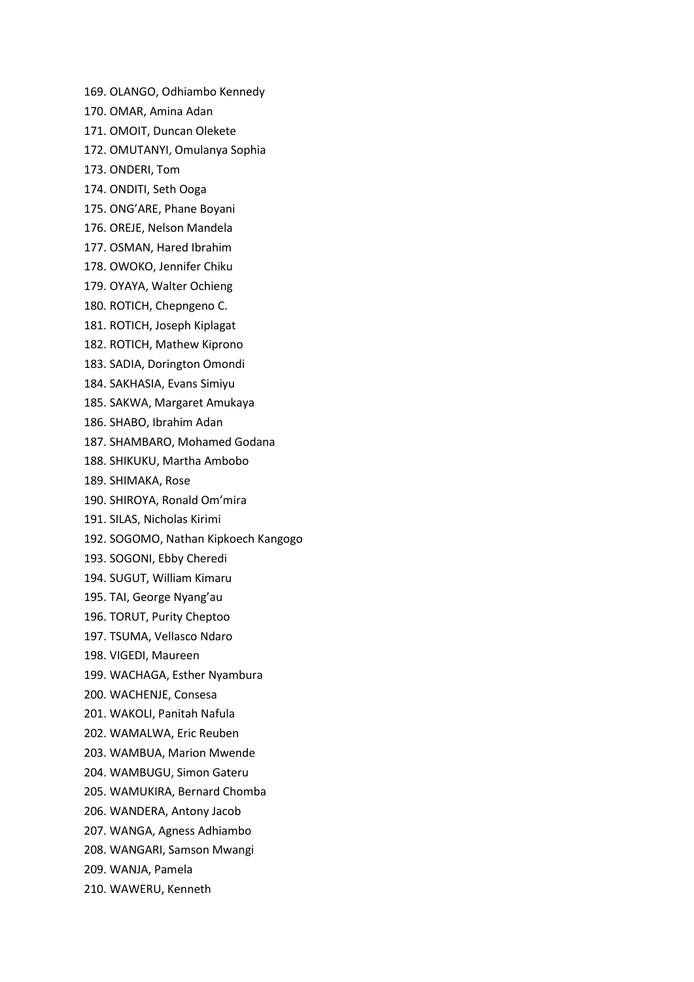- 169. OLANGO, Odhiambo Kennedy
- 170. OMAR, Amina Adan
- 171. OMOIT, Duncan Olekete
- 172. OMUTANYI, Omulanya Sophia
- 173. ONDERI, Tom
- 174. ONDITI, Seth Ooga
- 175. ONG'ARE, Phane Boyani
- 176. OREJE, Nelson Mandela
- 177. OSMAN, Hared Ibrahim
- 178. OWOKO, Jennifer Chiku
- 179. OYAYA, Walter Ochieng
- 180. ROTICH, Chepngeno C.
- 181. ROTICH, Joseph Kiplagat
- 182. ROTICH, Mathew Kiprono
- 183. SADIA, Dorington Omondi
- 184. SAKHASIA, Evans Simiyu
- 185. SAKWA, Margaret Amukaya
- 186. SHABO, Ibrahim Adan
- 187. SHAMBARO, Mohamed Godana
- 188. SHIKUKU, Martha Ambobo
- 189. SHIMAKA, Rose
- 190. SHIROYA, Ronald Om'mira
- 191. SILAS, Nicholas Kirimi
- 192. SOGOMO, Nathan Kipkoech Kangogo
- 193. SOGONI, Ebby Cheredi
- 194. SUGUT, William Kimaru
- 195. TAI, George Nyang'au
- 196. TORUT, Purity Cheptoo
- 197. TSUMA, Vellasco Ndaro
- 198. VIGEDI, Maureen
- 199. WACHAGA, Esther Nyambura
- 200. WACHENJE, Consesa
- 201. WAKOLI, Panitah Nafula
- 202. WAMALWA, Eric Reuben
- 203. WAMBUA, Marion Mwende
- 204. WAMBUGU, Simon Gateru
- 205. WAMUKIRA, Bernard Chomba
- 206. WANDERA, Antony Jacob
- 207. WANGA, Agness Adhiambo
- 208. WANGARI, Samson Mwangi
- 209. WANJA, Pamela
- 210. WAWERU, Kenneth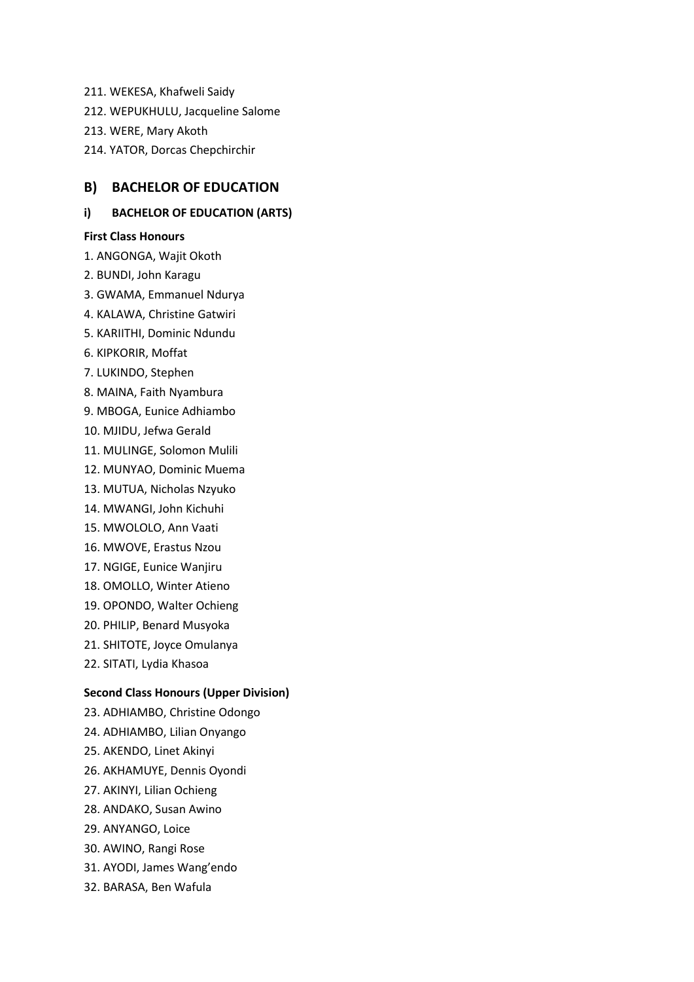- 211. WEKESA, Khafweli Saidy 212. WEPUKHULU, Jacqueline Salome 213. WERE, Mary Akoth
- 214. YATOR, Dorcas Chepchirchir

# **B) BACHELOR OF EDUCATION**

### **i) BACHELOR OF EDUCATION (ARTS)**

#### **First Class Honours**

- 1. ANGONGA, Wajit Okoth
- 2. BUNDI, John Karagu
- 3. GWAMA, Emmanuel Ndurya
- 4. KALAWA, Christine Gatwiri
- 5. KARIITHI, Dominic Ndundu
- 6. KIPKORIR, Moffat
- 7. LUKINDO, Stephen
- 8. MAINA, Faith Nyambura
- 9. MBOGA, Eunice Adhiambo
- 10. MJIDU, Jefwa Gerald
- 11. MULINGE, Solomon Mulili
- 12. MUNYAO, Dominic Muema
- 13. MUTUA, Nicholas Nzyuko
- 14. MWANGI, John Kichuhi
- 15. MWOLOLO, Ann Vaati
- 16. MWOVE, Erastus Nzou
- 17. NGIGE, Eunice Wanjiru
- 18. OMOLLO, Winter Atieno
- 19. OPONDO, Walter Ochieng
- 20. PHILIP, Benard Musyoka
- 21. SHITOTE, Joyce Omulanya
- 22. SITATI, Lydia Khasoa

### **Second Class Honours (Upper Division)**

- 23. ADHIAMBO, Christine Odongo
- 24. ADHIAMBO, Lilian Onyango
- 25. AKENDO, Linet Akinyi
- 26. AKHAMUYE, Dennis Oyondi
- 27. AKINYI, Lilian Ochieng
- 28. ANDAKO, Susan Awino
- 29. ANYANGO, Loice
- 30. AWINO, Rangi Rose
- 31. AYODI, James Wang'endo
- 32. BARASA, Ben Wafula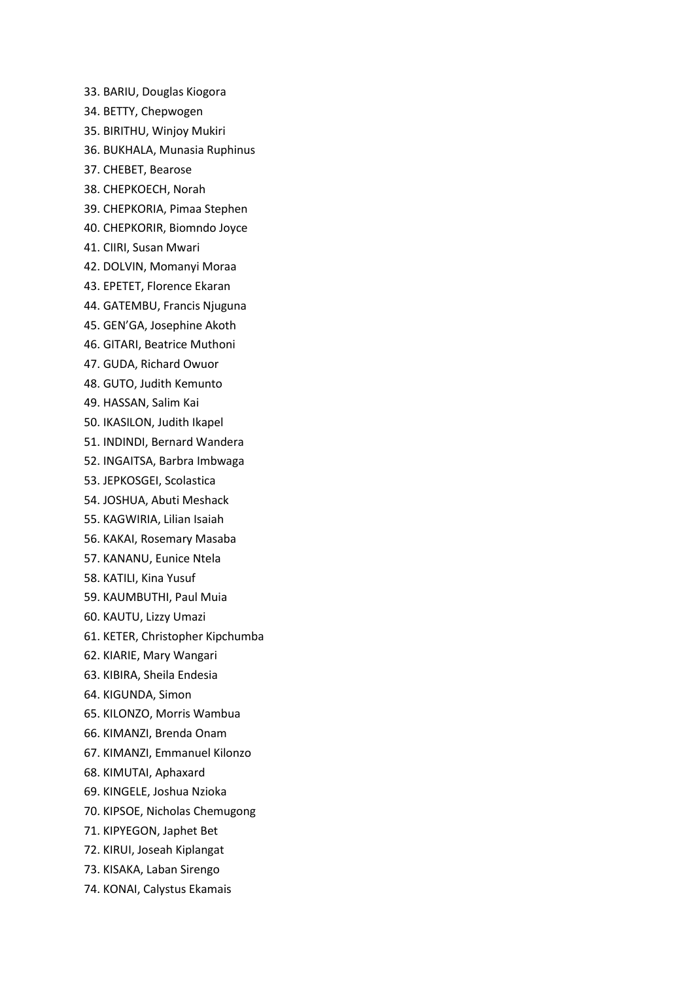- 33. BARIU, Douglas Kiogora
- 34. BETTY, Chepwogen
- 35. BIRITHU, Winjoy Mukiri
- 36. BUKHALA, Munasia Ruphinus
- 37. CHEBET, Bearose
- 38. CHEPKOECH, Norah
- 39. CHEPKORIA, Pimaa Stephen
- 40. CHEPKORIR, Biomndo Joyce
- 41. CIIRI, Susan Mwari
- 42. DOLVIN, Momanyi Moraa
- 43. EPETET, Florence Ekaran
- 44. GATEMBU, Francis Njuguna
- 45. GEN'GA, Josephine Akoth
- 46. GITARI, Beatrice Muthoni
- 47. GUDA, Richard Owuor
- 48. GUTO, Judith Kemunto
- 49. HASSAN, Salim Kai
- 50. IKASILON, Judith Ikapel
- 51. INDINDI, Bernard Wandera
- 52. INGAITSA, Barbra Imbwaga
- 53. JEPKOSGEI, Scolastica
- 54. JOSHUA, Abuti Meshack
- 55. KAGWIRIA, Lilian Isaiah
- 56. KAKAI, Rosemary Masaba
- 57. KANANU, Eunice Ntela
- 58. KATILI, Kina Yusuf
- 59. KAUMBUTHI, Paul Muia
- 60. KAUTU, Lizzy Umazi
- 61. KETER, Christopher Kipchumba
- 62. KIARIE, Mary Wangari
- 63. KIBIRA, Sheila Endesia
- 64. KIGUNDA, Simon
- 65. KILONZO, Morris Wambua
- 66. KIMANZI, Brenda Onam
- 67. KIMANZI, Emmanuel Kilonzo
- 68. KIMUTAI, Aphaxard
- 69. KINGELE, Joshua Nzioka
- 70. KIPSOE, Nicholas Chemugong
- 71. KIPYEGON, Japhet Bet
- 72. KIRUI, Joseah Kiplangat
- 73. KISAKA, Laban Sirengo
- 74. KONAI, Calystus Ekamais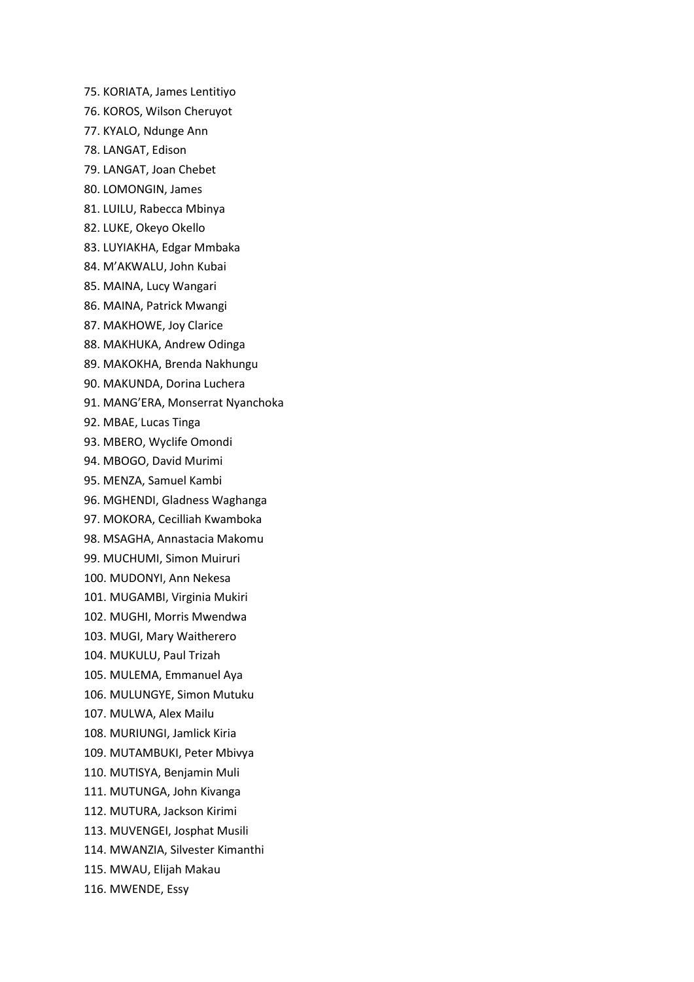75. KORIATA, James Lentitiyo

- 76. KOROS, Wilson Cheruyot
- 77. KYALO, Ndunge Ann
- 78. LANGAT, Edison
- 79. LANGAT, Joan Chebet
- 80. LOMONGIN, James
- 81. LUILU, Rabecca Mbinya
- 82. LUKE, Okeyo Okello
- 83. LUYIAKHA, Edgar Mmbaka
- 84. M'AKWALU, John Kubai
- 85. MAINA, Lucy Wangari
- 86. MAINA, Patrick Mwangi
- 87. MAKHOWE, Joy Clarice
- 88. MAKHUKA, Andrew Odinga
- 89. MAKOKHA, Brenda Nakhungu
- 90. MAKUNDA, Dorina Luchera
- 91. MANG'ERA, Monserrat Nyanchoka
- 92. MBAE, Lucas Tinga
- 93. MBERO, Wyclife Omondi
- 94. MBOGO, David Murimi
- 95. MENZA, Samuel Kambi
- 96. MGHENDI, Gladness Waghanga
- 97. MOKORA, Cecilliah Kwamboka
- 98. MSAGHA, Annastacia Makomu
- 99. MUCHUMI, Simon Muiruri
- 100. MUDONYI, Ann Nekesa
- 101. MUGAMBI, Virginia Mukiri
- 102. MUGHI, Morris Mwendwa
- 103. MUGI, Mary Waitherero
- 104. MUKULU, Paul Trizah
- 105. MULEMA, Emmanuel Aya
- 106. MULUNGYE, Simon Mutuku
- 107. MULWA, Alex Mailu
- 108. MURIUNGI, Jamlick Kiria
- 109. MUTAMBUKI, Peter Mbivya
- 110. MUTISYA, Benjamin Muli
- 111. MUTUNGA, John Kivanga
- 112. MUTURA, Jackson Kirimi
- 113. MUVENGEI, Josphat Musili
- 114. MWANZIA, Silvester Kimanthi
- 115. MWAU, Elijah Makau
- 116. MWENDE, Essy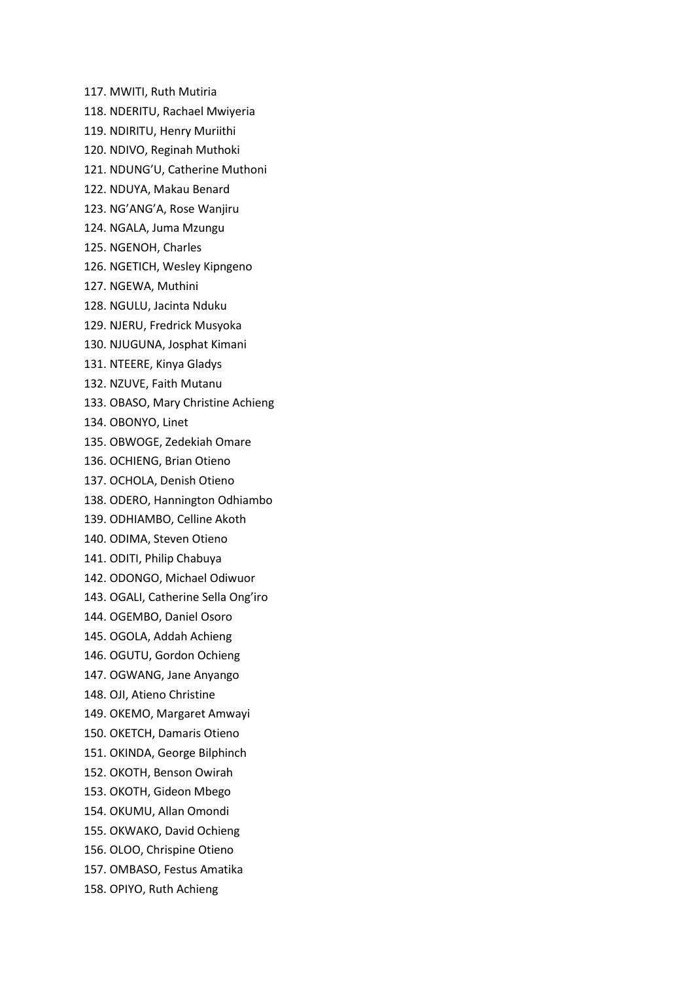- 117. MWITI, Ruth Mutiria
- 118. NDERITU, Rachael Mwiyeria
- 119. NDIRITU, Henry Muriithi
- 120. NDIVO, Reginah Muthoki
- 121. NDUNG'U, Catherine Muthoni
- 122. NDUYA, Makau Benard
- 123. NG'ANG'A, Rose Wanjiru
- 124. NGALA, Juma Mzungu
- 125. NGENOH, Charles
- 126. NGETICH, Wesley Kipngeno
- 127. NGEWA, Muthini
- 128. NGULU, Jacinta Nduku
- 129. NJERU, Fredrick Musyoka
- 130. NJUGUNA, Josphat Kimani
- 131. NTEERE, Kinya Gladys
- 132. NZUVE, Faith Mutanu
- 133. OBASO, Mary Christine Achieng
- 134. OBONYO, Linet
- 135. OBWOGE, Zedekiah Omare
- 136. OCHIENG, Brian Otieno
- 137. OCHOLA, Denish Otieno
- 138. ODERO, Hannington Odhiambo
- 139. ODHIAMBO, Celline Akoth
- 140. ODIMA, Steven Otieno
- 141. ODITI, Philip Chabuya
- 142. ODONGO, Michael Odiwuor
- 143. OGALI, Catherine Sella Ong'iro
- 144. OGEMBO, Daniel Osoro
- 145. OGOLA, Addah Achieng
- 146. OGUTU, Gordon Ochieng
- 147. OGWANG, Jane Anyango
- 148. OJI, Atieno Christine
- 149. OKEMO, Margaret Amwayi
- 150. OKETCH, Damaris Otieno
- 151. OKINDA, George Bilphinch
- 152. OKOTH, Benson Owirah
- 153. OKOTH, Gideon Mbego
- 154. OKUMU, Allan Omondi
- 155. OKWAKO, David Ochieng
- 156. OLOO, Chrispine Otieno
- 157. OMBASO, Festus Amatika
- 158. OPIYO, Ruth Achieng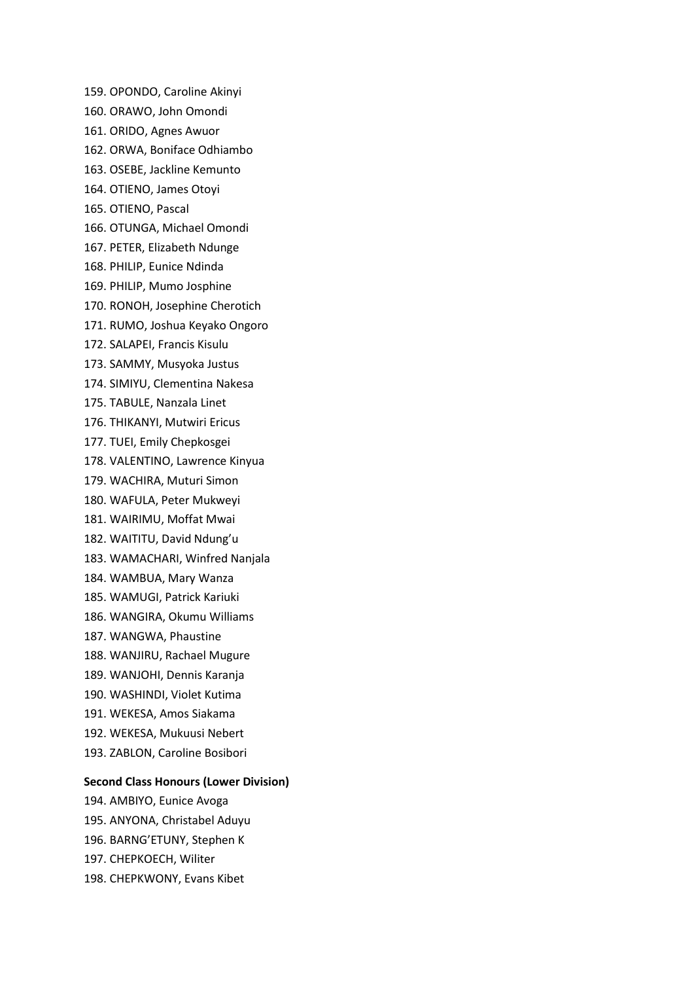159. OPONDO, Caroline Akinyi

160. ORAWO, John Omondi

161. ORIDO, Agnes Awuor

162. ORWA, Boniface Odhiambo

163. OSEBE, Jackline Kemunto

164. OTIENO, James Otoyi

165. OTIENO, Pascal

166. OTUNGA, Michael Omondi

167. PETER, Elizabeth Ndunge

168. PHILIP, Eunice Ndinda

169. PHILIP, Mumo Josphine

170. RONOH, Josephine Cherotich

171. RUMO, Joshua Keyako Ongoro

172. SALAPEI, Francis Kisulu

173. SAMMY, Musyoka Justus

174. SIMIYU, Clementina Nakesa

175. TABULE, Nanzala Linet

176. THIKANYI, Mutwiri Ericus

177. TUEI, Emily Chepkosgei

178. VALENTINO, Lawrence Kinyua

179. WACHIRA, Muturi Simon

180. WAFULA, Peter Mukweyi

181. WAIRIMU, Moffat Mwai

182. WAITITU, David Ndung'u

183. WAMACHARI, Winfred Nanjala

184. WAMBUA, Mary Wanza

185. WAMUGI, Patrick Kariuki

186. WANGIRA, Okumu Williams

187. WANGWA, Phaustine

188. WANJIRU, Rachael Mugure

189. WANJOHI, Dennis Karanja

190. WASHINDI, Violet Kutima

191. WEKESA, Amos Siakama

192. WEKESA, Mukuusi Nebert

193. ZABLON, Caroline Bosibori

#### **Second Class Honours (Lower Division)**

194. AMBIYO, Eunice Avoga 195. ANYONA, Christabel Aduyu

196. BARNG'ETUNY, Stephen K

197. CHEPKOECH, Wiliter

198. CHEPKWONY, Evans Kibet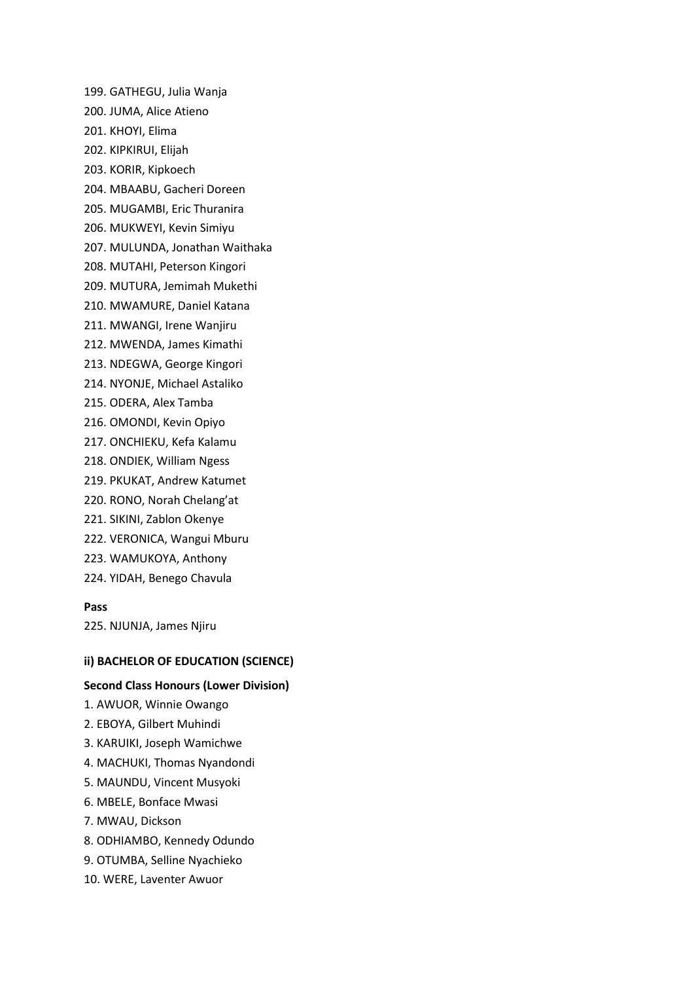199. GATHEGU, Julia Wanja

- 200. JUMA, Alice Atieno
- 201. KHOYI, Elima
- 202. KIPKIRUI, Elijah
- 203. KORIR, Kipkoech
- 204. MBAABU, Gacheri Doreen
- 205. MUGAMBI, Eric Thuranira
- 206. MUKWEYI, Kevin Simiyu
- 207. MULUNDA, Jonathan Waithaka
- 208. MUTAHI, Peterson Kingori
- 209. MUTURA, Jemimah Mukethi
- 210. MWAMURE, Daniel Katana
- 211. MWANGI, Irene Wanjiru
- 212. MWENDA, James Kimathi
- 213. NDEGWA, George Kingori
- 214. NYONJE, Michael Astaliko
- 215. ODERA, Alex Tamba
- 216. OMONDI, Kevin Opiyo
- 217. ONCHIEKU, Kefa Kalamu
- 218. ONDIEK, William Ngess
- 219. PKUKAT, Andrew Katumet
- 220. RONO, Norah Chelang'at
- 221. SIKINI, Zablon Okenye
- 222. VERONICA, Wangui Mburu
- 223. WAMUKOYA, Anthony
- 224. YIDAH, Benego Chavula

### **Pass**

225. NJUNJA, James Njiru

### **ii) BACHELOR OF EDUCATION (SCIENCE)**

#### **Second Class Honours (Lower Division)**

- 1. AWUOR, Winnie Owango
- 2. EBOYA, Gilbert Muhindi
- 3. KARUIKI, Joseph Wamichwe
- 4. MACHUKI, Thomas Nyandondi
- 5. MAUNDU, Vincent Musyoki
- 6. MBELE, Bonface Mwasi
- 7. MWAU, Dickson
- 8. ODHIAMBO, Kennedy Odundo
- 9. OTUMBA, Selline Nyachieko
- 10. WERE, Laventer Awuor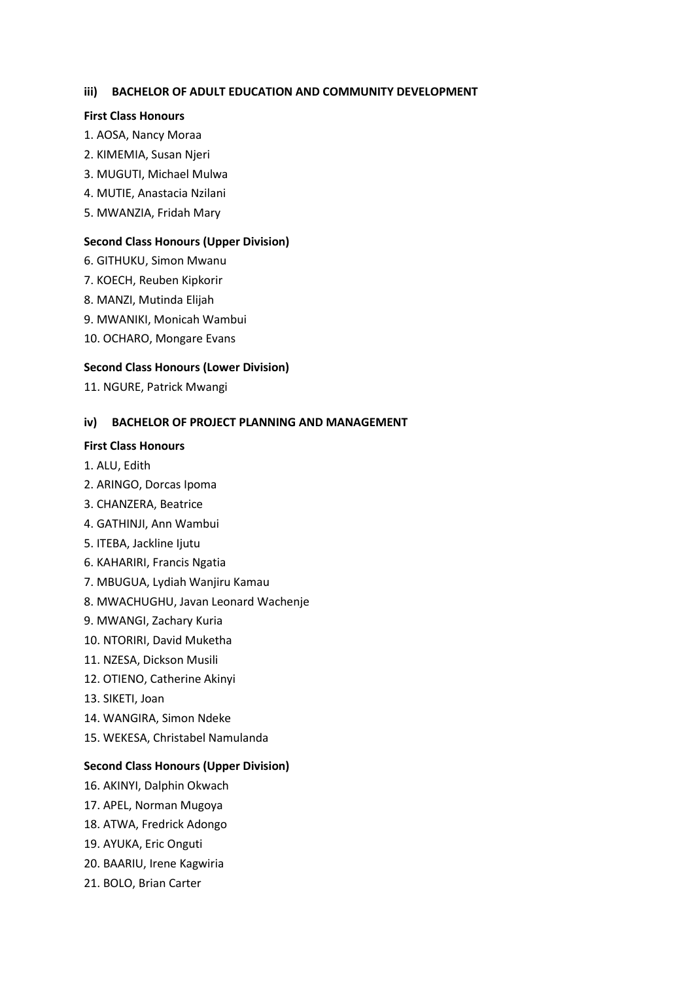#### **iii) BACHELOR OF ADULT EDUCATION AND COMMUNITY DEVELOPMENT**

#### **First Class Honours**

- 1. AOSA, Nancy Moraa
- 2. KIMEMIA, Susan Njeri
- 3. MUGUTI, Michael Mulwa
- 4. MUTIE, Anastacia Nzilani
- 5. MWANZIA, Fridah Mary

### **Second Class Honours (Upper Division)**

- 6. GITHUKU, Simon Mwanu
- 7. KOECH, Reuben Kipkorir
- 8. MANZI, Mutinda Elijah
- 9. MWANIKI, Monicah Wambui
- 10. OCHARO, Mongare Evans

### **Second Class Honours (Lower Division)**

11. NGURE, Patrick Mwangi

### **iv) BACHELOR OF PROJECT PLANNING AND MANAGEMENT**

### **First Class Honours**

- 1. ALU, Edith
- 2. ARINGO, Dorcas Ipoma
- 3. CHANZERA, Beatrice
- 4. GATHINJI, Ann Wambui
- 5. ITEBA, Jackline Ijutu
- 6. KAHARIRI, Francis Ngatia
- 7. MBUGUA, Lydiah Wanjiru Kamau
- 8. MWACHUGHU, Javan Leonard Wachenje
- 9. MWANGI, Zachary Kuria
- 10. NTORIRI, David Muketha
- 11. NZESA, Dickson Musili
- 12. OTIENO, Catherine Akinyi
- 13. SIKETI, Joan
- 14. WANGIRA, Simon Ndeke
- 15. WEKESA, Christabel Namulanda

### **Second Class Honours (Upper Division)**

- 16. AKINYI, Dalphin Okwach
- 17. APEL, Norman Mugoya
- 18. ATWA, Fredrick Adongo
- 19. AYUKA, Eric Onguti
- 20. BAARIU, Irene Kagwiria
- 21. BOLO, Brian Carter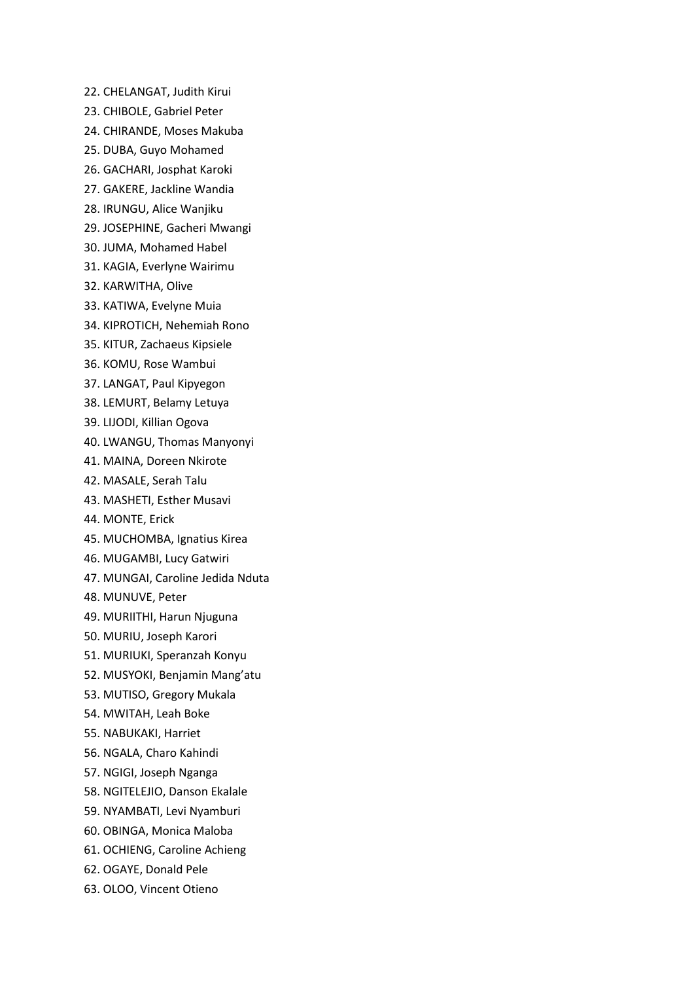- 22. CHELANGAT, Judith Kirui
- 23. CHIBOLE, Gabriel Peter
- 24. CHIRANDE, Moses Makuba
- 25. DUBA, Guyo Mohamed
- 26. GACHARI, Josphat Karoki
- 27. GAKERE, Jackline Wandia
- 28. IRUNGU, Alice Wanjiku
- 29. JOSEPHINE, Gacheri Mwangi
- 30. JUMA, Mohamed Habel
- 31. KAGIA, Everlyne Wairimu
- 32. KARWITHA, Olive
- 33. KATIWA, Evelyne Muia
- 34. KIPROTICH, Nehemiah Rono
- 35. KITUR, Zachaeus Kipsiele
- 36. KOMU, Rose Wambui
- 37. LANGAT, Paul Kipyegon
- 38. LEMURT, Belamy Letuya
- 39. LIJODI, Killian Ogova
- 40. LWANGU, Thomas Manyonyi
- 41. MAINA, Doreen Nkirote
- 42. MASALE, Serah Talu
- 43. MASHETI, Esther Musavi
- 44. MONTE, Erick
- 45. MUCHOMBA, Ignatius Kirea
- 46. MUGAMBI, Lucy Gatwiri
- 47. MUNGAI, Caroline Jedida Nduta
- 48. MUNUVE, Peter
- 49. MURIITHI, Harun Njuguna
- 50. MURIU, Joseph Karori
- 51. MURIUKI, Speranzah Konyu
- 52. MUSYOKI, Benjamin Mang'atu
- 53. MUTISO, Gregory Mukala
- 54. MWITAH, Leah Boke
- 55. NABUKAKI, Harriet
- 56. NGALA, Charo Kahindi
- 57. NGIGI, Joseph Nganga
- 58. NGITELEJIO, Danson Ekalale
- 59. NYAMBATI, Levi Nyamburi
- 60. OBINGA, Monica Maloba
- 61. OCHIENG, Caroline Achieng
- 62. OGAYE, Donald Pele
- 63. OLOO, Vincent Otieno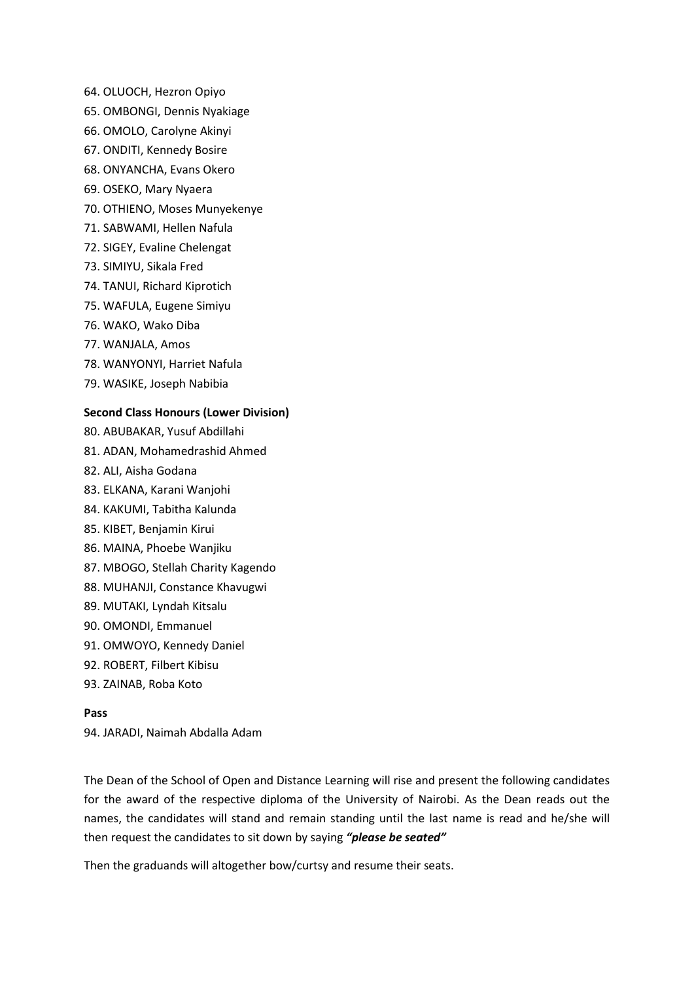- 64. OLUOCH, Hezron Opiyo
- 65. OMBONGI, Dennis Nyakiage
- 66. OMOLO, Carolyne Akinyi
- 67. ONDITI, Kennedy Bosire
- 68. ONYANCHA, Evans Okero
- 69. OSEKO, Mary Nyaera
- 70. OTHIENO, Moses Munyekenye
- 71. SABWAMI, Hellen Nafula
- 72. SIGEY, Evaline Chelengat
- 73. SIMIYU, Sikala Fred
- 74. TANUI, Richard Kiprotich
- 75. WAFULA, Eugene Simiyu
- 76. WAKO, Wako Diba
- 77. WANJALA, Amos
- 78. WANYONYI, Harriet Nafula
- 79. WASIKE, Joseph Nabibia

#### **Second Class Honours (Lower Division)**

- 80. ABUBAKAR, Yusuf Abdillahi
- 81. ADAN, Mohamedrashid Ahmed
- 82. ALI, Aisha Godana
- 83. ELKANA, Karani Wanjohi
- 84. KAKUMI, Tabitha Kalunda
- 85. KIBET, Benjamin Kirui
- 86. MAINA, Phoebe Wanjiku
- 87. MBOGO, Stellah Charity Kagendo
- 88. MUHANJI, Constance Khavugwi
- 89. MUTAKI, Lyndah Kitsalu
- 90. OMONDI, Emmanuel
- 91. OMWOYO, Kennedy Daniel
- 92. ROBERT, Filbert Kibisu
- 93. ZAINAB, Roba Koto

#### **Pass**

94. JARADI, Naimah Abdalla Adam

The Dean of the School of Open and Distance Learning will rise and present the following candidates for the award of the respective diploma of the University of Nairobi. As the Dean reads out the names, the candidates will stand and remain standing until the last name is read and he/she will then request the candidates to sit down by saying *"please be seated"*

Then the graduands will altogether bow/curtsy and resume their seats.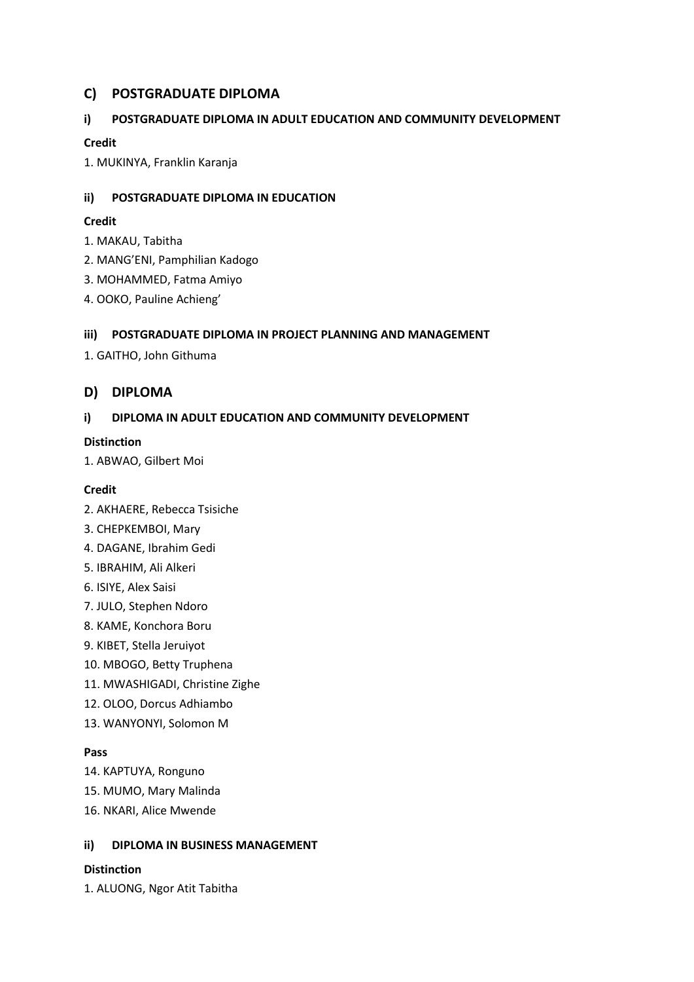# **C) POSTGRADUATE DIPLOMA**

# **i) POSTGRADUATE DIPLOMA IN ADULT EDUCATION AND COMMUNITY DEVELOPMENT**

## **Credit**

1. MUKINYA, Franklin Karanja

# **ii) POSTGRADUATE DIPLOMA IN EDUCATION**

# **Credit**

- 1. MAKAU, Tabitha
- 2. MANG'ENI, Pamphilian Kadogo
- 3. MOHAMMED, Fatma Amiyo
- 4. OOKO, Pauline Achieng'

### **iii) POSTGRADUATE DIPLOMA IN PROJECT PLANNING AND MANAGEMENT**

1. GAITHO, John Githuma

# **D) DIPLOMA**

### **i) DIPLOMA IN ADULT EDUCATION AND COMMUNITY DEVELOPMENT**

### **Distinction**

1. ABWAO, Gilbert Moi

## **Credit**

- 2. AKHAERE, Rebecca Tsisiche
- 3. CHEPKEMBOI, Mary
- 4. DAGANE, Ibrahim Gedi
- 5. IBRAHIM, Ali Alkeri
- 6. ISIYE, Alex Saisi
- 7. JULO, Stephen Ndoro
- 8. KAME, Konchora Boru
- 9. KIBET, Stella Jeruiyot
- 10. MBOGO, Betty Truphena
- 11. MWASHIGADI, Christine Zighe
- 12. OLOO, Dorcus Adhiambo
- 13. WANYONYI, Solomon M

### **Pass**

- 14. KAPTUYA, Ronguno
- 15. MUMO, Mary Malinda
- 16. NKARI, Alice Mwende

# **ii) DIPLOMA IN BUSINESS MANAGEMENT**

# **Distinction**

1. ALUONG, Ngor Atit Tabitha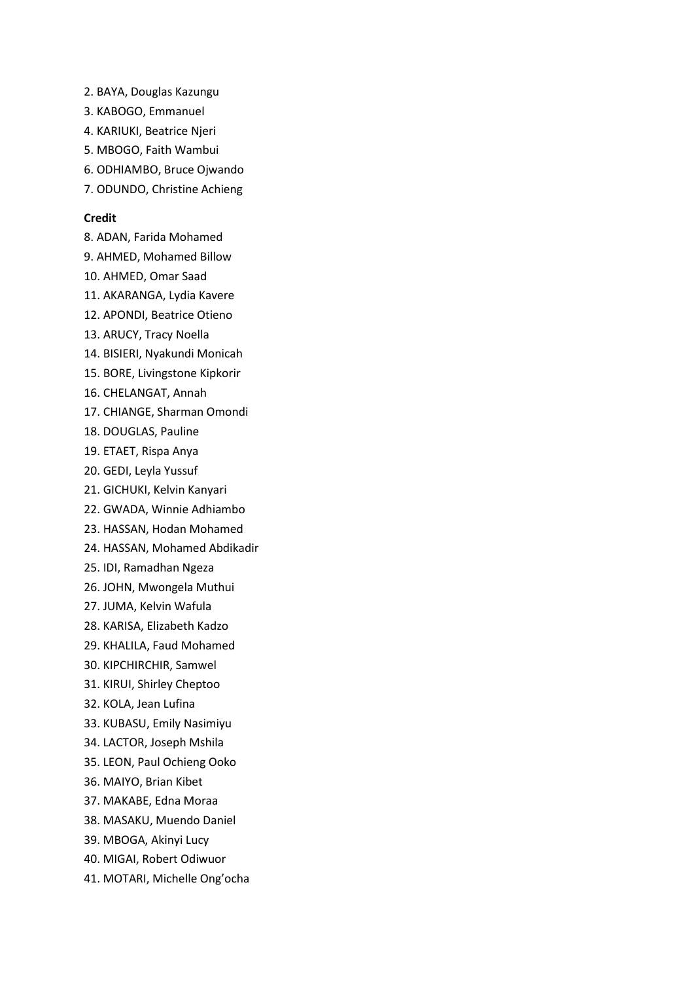- 2. BAYA, Douglas Kazungu
- 3. KABOGO, Emmanuel
- 4. KARIUKI, Beatrice Njeri
- 5. MBOGO, Faith Wambui
- 6. ODHIAMBO, Bruce Ojwando
- 7. ODUNDO, Christine Achieng

- 8. ADAN, Farida Mohamed
- 9. AHMED, Mohamed Billow
- 10. AHMED, Omar Saad
- 11. AKARANGA, Lydia Kavere
- 12. APONDI, Beatrice Otieno
- 13. ARUCY, Tracy Noella
- 14. BISIERI, Nyakundi Monicah
- 15. BORE, Livingstone Kipkorir
- 16. CHELANGAT, Annah
- 17. CHIANGE, Sharman Omondi
- 18. DOUGLAS, Pauline
- 19. ETAET, Rispa Anya
- 20. GEDI, Leyla Yussuf
- 21. GICHUKI, Kelvin Kanyari
- 22. GWADA, Winnie Adhiambo
- 23. HASSAN, Hodan Mohamed
- 24. HASSAN, Mohamed Abdikadir
- 25. IDI, Ramadhan Ngeza
- 26. JOHN, Mwongela Muthui
- 27. JUMA, Kelvin Wafula
- 28. KARISA, Elizabeth Kadzo
- 29. KHALILA, Faud Mohamed
- 30. KIPCHIRCHIR, Samwel
- 31. KIRUI, Shirley Cheptoo
- 32. KOLA, Jean Lufina
- 33. KUBASU, Emily Nasimiyu
- 34. LACTOR, Joseph Mshila
- 35. LEON, Paul Ochieng Ooko
- 36. MAIYO, Brian Kibet
- 37. MAKABE, Edna Moraa
- 38. MASAKU, Muendo Daniel
- 39. MBOGA, Akinyi Lucy
- 40. MIGAI, Robert Odiwuor
- 41. MOTARI, Michelle Ong'ocha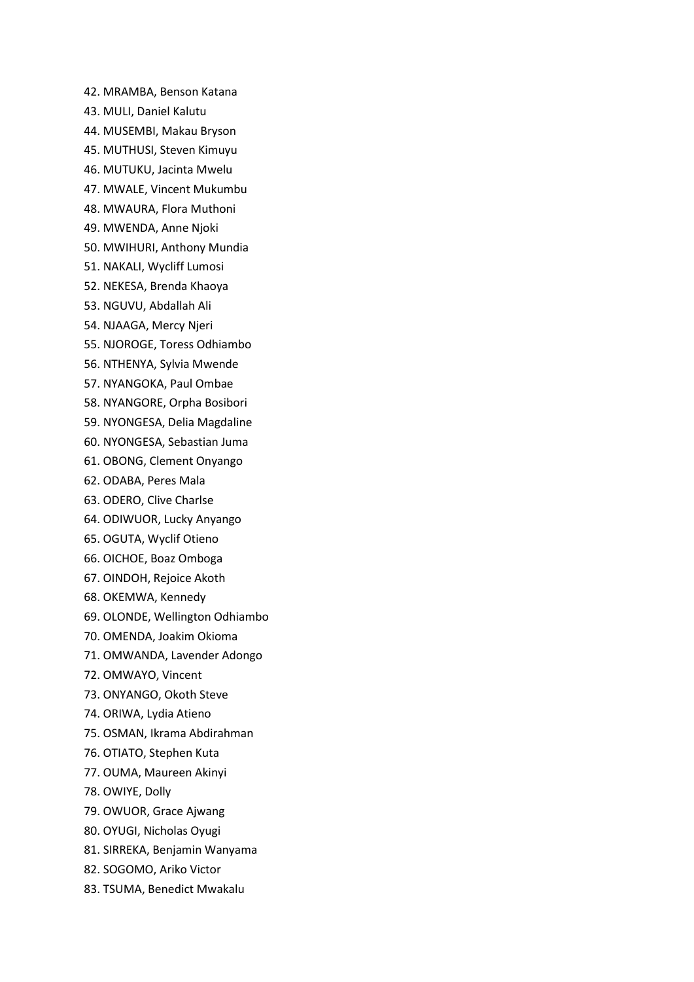42. MRAMBA, Benson Katana

- 43. MULI, Daniel Kalutu
- 44. MUSEMBI, Makau Bryson
- 45. MUTHUSI, Steven Kimuyu
- 46. MUTUKU, Jacinta Mwelu
- 47. MWALE, Vincent Mukumbu
- 48. MWAURA, Flora Muthoni
- 49. MWENDA, Anne Njoki
- 50. MWIHURI, Anthony Mundia
- 51. NAKALI, Wycliff Lumosi
- 52. NEKESA, Brenda Khaoya
- 53. NGUVU, Abdallah Ali
- 54. NJAAGA, Mercy Njeri
- 55. NJOROGE, Toress Odhiambo
- 56. NTHENYA, Sylvia Mwende
- 57. NYANGOKA, Paul Ombae
- 58. NYANGORE, Orpha Bosibori
- 59. NYONGESA, Delia Magdaline
- 60. NYONGESA, Sebastian Juma
- 61. OBONG, Clement Onyango
- 62. ODABA, Peres Mala
- 63. ODERO, Clive Charlse
- 64. ODIWUOR, Lucky Anyango
- 65. OGUTA, Wyclif Otieno
- 66. OICHOE, Boaz Omboga
- 67. OINDOH, Rejoice Akoth
- 68. OKEMWA, Kennedy
- 69. OLONDE, Wellington Odhiambo
- 70. OMENDA, Joakim Okioma
- 71. OMWANDA, Lavender Adongo
- 72. OMWAYO, Vincent
- 73. ONYANGO, Okoth Steve
- 74. ORIWA, Lydia Atieno
- 75. OSMAN, Ikrama Abdirahman
- 76. OTIATO, Stephen Kuta
- 77. OUMA, Maureen Akinyi
- 78. OWIYE, Dolly
- 79. OWUOR, Grace Ajwang
- 80. OYUGI, Nicholas Oyugi
- 81. SIRREKA, Benjamin Wanyama
- 82. SOGOMO, Ariko Victor
- 83. TSUMA, Benedict Mwakalu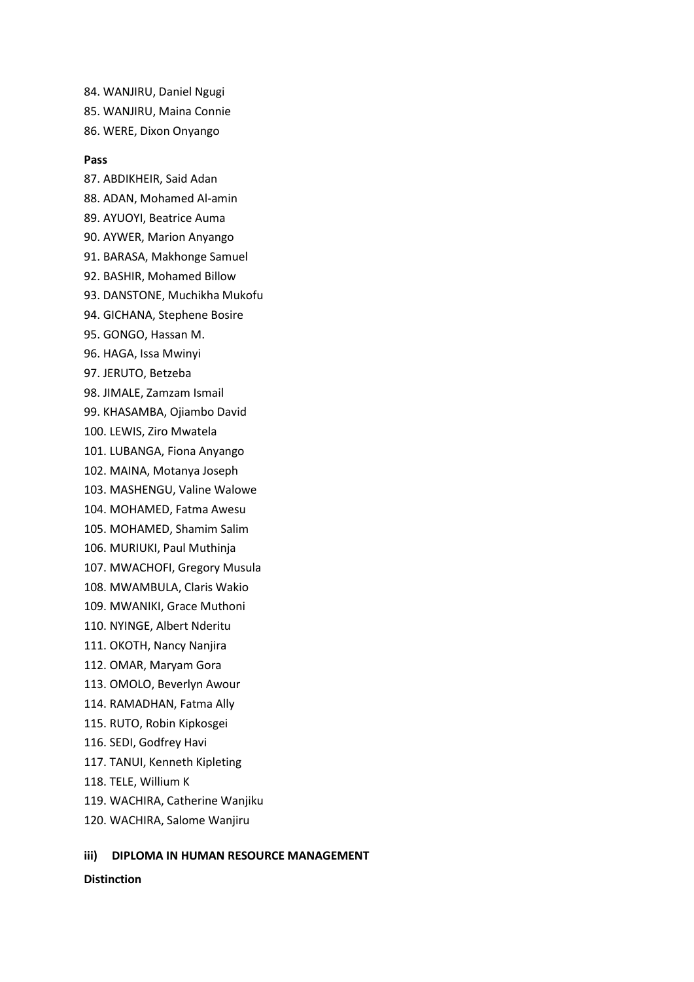84. WANJIRU, Daniel Ngugi

- 85. WANJIRU, Maina Connie
- 86. WERE, Dixon Onyango

### **Pass**

- 87. ABDIKHEIR, Said Adan
- 88. ADAN, Mohamed Al-amin
- 89. AYUOYI, Beatrice Auma
- 90. AYWER, Marion Anyango
- 91. BARASA, Makhonge Samuel
- 92. BASHIR, Mohamed Billow
- 93. DANSTONE, Muchikha Mukofu
- 94. GICHANA, Stephene Bosire
- 95. GONGO, Hassan M.
- 96. HAGA, Issa Mwinyi
- 97. JERUTO, Betzeba
- 98. JIMALE, Zamzam Ismail
- 99. KHASAMBA, Ojiambo David
- 100. LEWIS, Ziro Mwatela
- 101. LUBANGA, Fiona Anyango
- 102. MAINA, Motanya Joseph
- 103. MASHENGU, Valine Walowe
- 104. MOHAMED, Fatma Awesu
- 105. MOHAMED, Shamim Salim
- 106. MURIUKI, Paul Muthinja
- 107. MWACHOFI, Gregory Musula
- 108. MWAMBULA, Claris Wakio
- 109. MWANIKI, Grace Muthoni
- 110. NYINGE, Albert Nderitu
- 111. OKOTH, Nancy Nanjira
- 112. OMAR, Maryam Gora
- 113. OMOLO, Beverlyn Awour
- 114. RAMADHAN, Fatma Ally
- 115. RUTO, Robin Kipkosgei
- 116. SEDI, Godfrey Havi
- 117. TANUI, Kenneth Kipleting
- 118. TELE, Willium K
- 119. WACHIRA, Catherine Wanjiku
- 120. WACHIRA, Salome Wanjiru

# **iii) DIPLOMA IN HUMAN RESOURCE MANAGEMENT**

# **Distinction**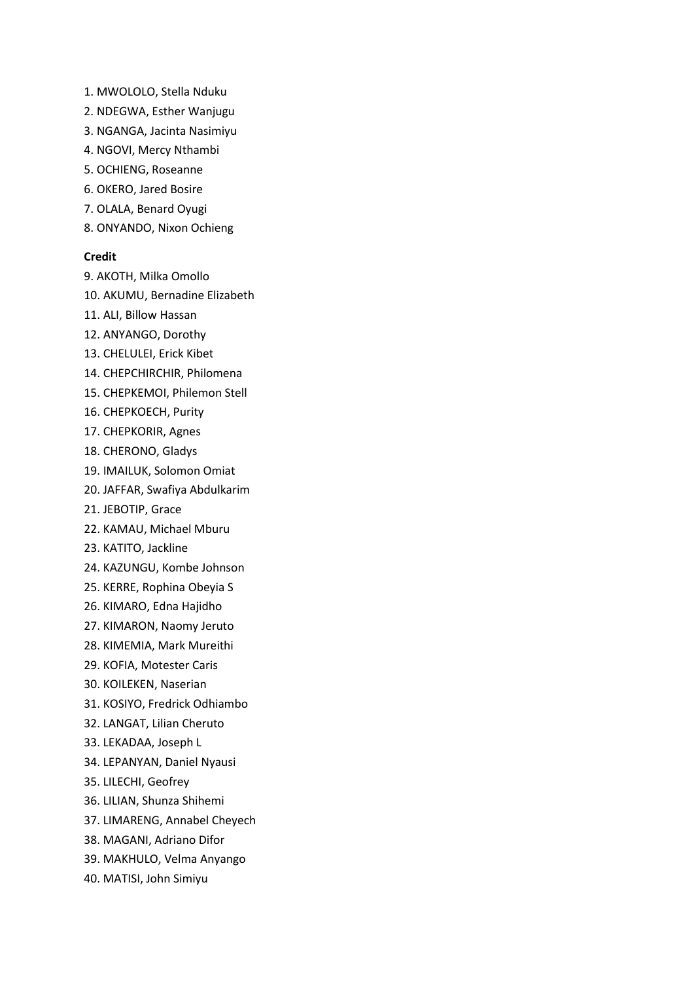- 1. MWOLOLO, Stella Nduku
- 2. NDEGWA, Esther Wanjugu
- 3. NGANGA, Jacinta Nasimiyu
- 4. NGOVI, Mercy Nthambi
- 5. OCHIENG, Roseanne
- 6. OKERO, Jared Bosire
- 7. OLALA, Benard Oyugi
- 8. ONYANDO, Nixon Ochieng

- 9. AKOTH, Milka Omollo
- 10. AKUMU, Bernadine Elizabeth
- 11. ALI, Billow Hassan
- 12. ANYANGO, Dorothy
- 13. CHELULEI, Erick Kibet
- 14. CHEPCHIRCHIR, Philomena
- 15. CHEPKEMOI, Philemon Stell
- 16. CHEPKOECH, Purity
- 17. CHEPKORIR, Agnes
- 18. CHERONO, Gladys
- 19. IMAILUK, Solomon Omiat
- 20. JAFFAR, Swafiya Abdulkarim
- 21. JEBOTIP, Grace
- 22. KAMAU, Michael Mburu
- 23. KATITO, Jackline
- 24. KAZUNGU, Kombe Johnson
- 25. KERRE, Rophina Obeyia S
- 26. KIMARO, Edna Hajidho
- 27. KIMARON, Naomy Jeruto
- 28. KIMEMIA, Mark Mureithi
- 29. KOFIA, Motester Caris
- 30. KOILEKEN, Naserian
- 31. KOSIYO, Fredrick Odhiambo
- 32. LANGAT, Lilian Cheruto
- 33. LEKADAA, Joseph L
- 34. LEPANYAN, Daniel Nyausi
- 35. LILECHI, Geofrey
- 36. LILIAN, Shunza Shihemi
- 37. LIMARENG, Annabel Cheyech
- 38. MAGANI, Adriano Difor
- 39. MAKHULO, Velma Anyango
- 40. MATISI, John Simiyu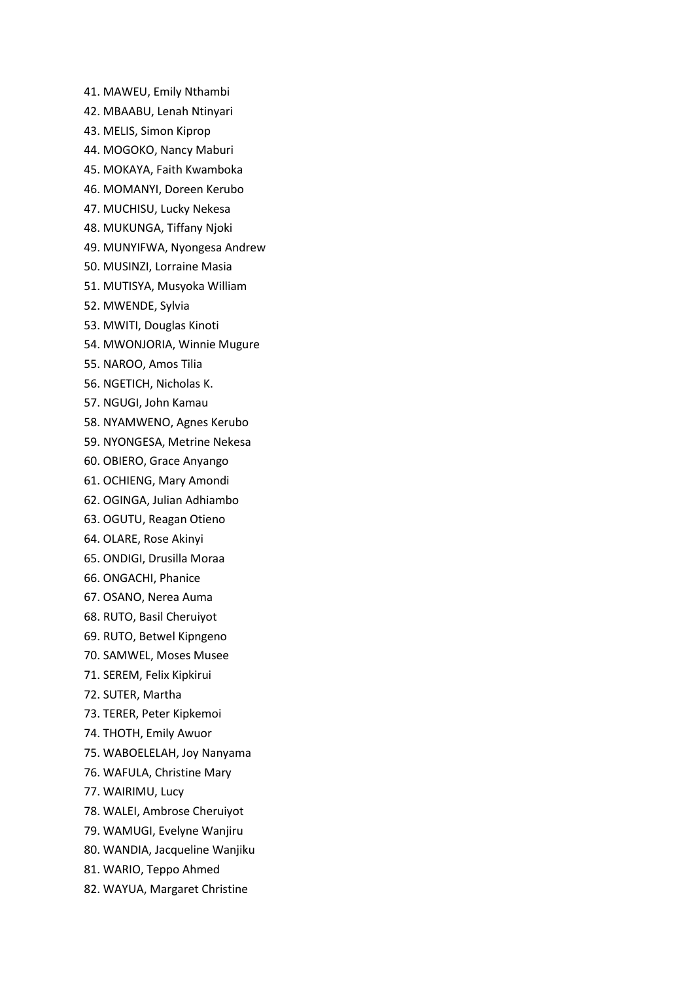- 41. MAWEU, Emily Nthambi
- 42. MBAABU, Lenah Ntinyari
- 43. MELIS, Simon Kiprop
- 44. MOGOKO, Nancy Maburi
- 45. MOKAYA, Faith Kwamboka
- 46. MOMANYI, Doreen Kerubo
- 47. MUCHISU, Lucky Nekesa
- 48. MUKUNGA, Tiffany Njoki
- 49. MUNYIFWA, Nyongesa Andrew
- 50. MUSINZI, Lorraine Masia
- 51. MUTISYA, Musyoka William
- 52. MWENDE, Sylvia
- 53. MWITI, Douglas Kinoti
- 54. MWONJORIA, Winnie Mugure
- 55. NAROO, Amos Tilia
- 56. NGETICH, Nicholas K.
- 57. NGUGI, John Kamau
- 58. NYAMWENO, Agnes Kerubo
- 59. NYONGESA, Metrine Nekesa
- 60. OBIERO, Grace Anyango
- 61. OCHIENG, Mary Amondi
- 62. OGINGA, Julian Adhiambo
- 63. OGUTU, Reagan Otieno
- 64. OLARE, Rose Akinyi
- 65. ONDIGI, Drusilla Moraa
- 66. ONGACHI, Phanice
- 67. OSANO, Nerea Auma
- 68. RUTO, Basil Cheruiyot
- 69. RUTO, Betwel Kipngeno
- 70. SAMWEL, Moses Musee
- 71. SEREM, Felix Kipkirui
- 72. SUTER, Martha
- 73. TERER, Peter Kipkemoi
- 74. THOTH, Emily Awuor
- 75. WABOELELAH, Joy Nanyama
- 76. WAFULA, Christine Mary
- 77. WAIRIMU, Lucy
- 78. WALEI, Ambrose Cheruiyot
- 79. WAMUGI, Evelyne Wanjiru
- 80. WANDIA, Jacqueline Wanjiku
- 81. WARIO, Teppo Ahmed
- 82. WAYUA, Margaret Christine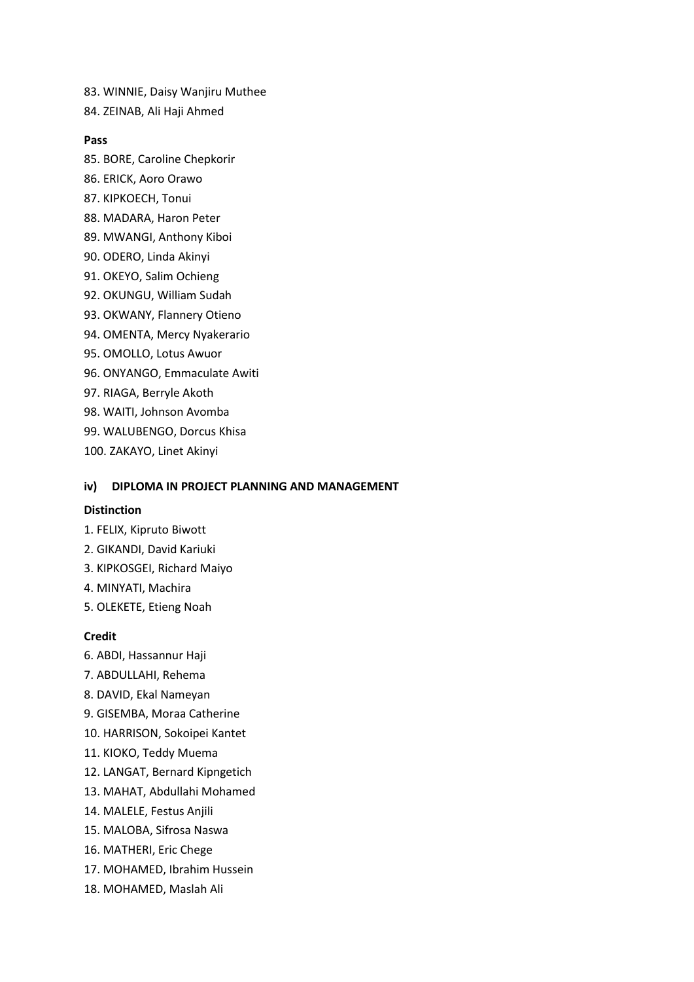83. WINNIE, Daisy Wanjiru Muthee

84. ZEINAB, Ali Haji Ahmed

### **Pass**

- 85. BORE, Caroline Chepkorir
- 86. ERICK, Aoro Orawo
- 87. KIPKOECH, Tonui
- 88. MADARA, Haron Peter
- 89. MWANGI, Anthony Kiboi
- 90. ODERO, Linda Akinyi
- 91. OKEYO, Salim Ochieng
- 92. OKUNGU, William Sudah
- 93. OKWANY, Flannery Otieno
- 94. OMENTA, Mercy Nyakerario
- 95. OMOLLO, Lotus Awuor
- 96. ONYANGO, Emmaculate Awiti
- 97. RIAGA, Berryle Akoth
- 98. WAITI, Johnson Avomba
- 99. WALUBENGO, Dorcus Khisa
- 100. ZAKAYO, Linet Akinyi

## **iv) DIPLOMA IN PROJECT PLANNING AND MANAGEMENT**

### **Distinction**

- 1. FELIX, Kipruto Biwott
- 2. GIKANDI, David Kariuki
- 3. KIPKOSGEI, Richard Maiyo
- 4. MINYATI, Machira
- 5. OLEKETE, Etieng Noah

- 6. ABDI, Hassannur Haji
- 7. ABDULLAHI, Rehema
- 8. DAVID, Ekal Nameyan
- 9. GISEMBA, Moraa Catherine
- 10. HARRISON, Sokoipei Kantet
- 11. KIOKO, Teddy Muema
- 12. LANGAT, Bernard Kipngetich
- 13. MAHAT, Abdullahi Mohamed
- 14. MALELE, Festus Anjili
- 15. MALOBA, Sifrosa Naswa
- 16. MATHERI, Eric Chege
- 17. MOHAMED, Ibrahim Hussein
- 18. MOHAMED, Maslah Ali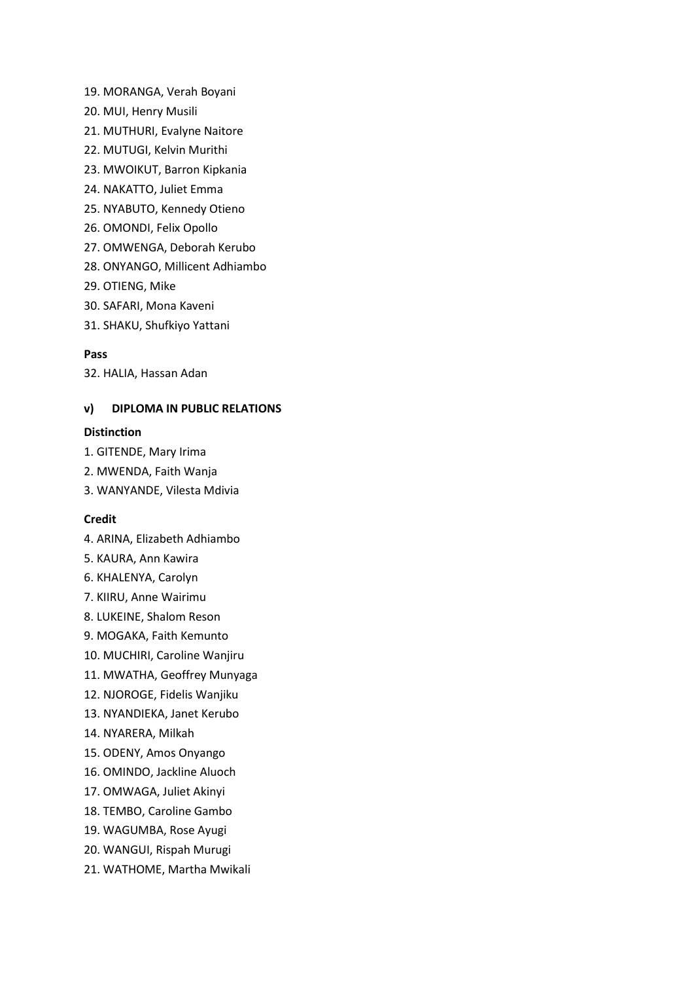- 19. MORANGA, Verah Boyani
- 20. MUI, Henry Musili
- 21. MUTHURI, Evalyne Naitore
- 22. MUTUGI, Kelvin Murithi
- 23. MWOIKUT, Barron Kipkania
- 24. NAKATTO, Juliet Emma
- 25. NYABUTO, Kennedy Otieno
- 26. OMONDI, Felix Opollo
- 27. OMWENGA, Deborah Kerubo
- 28. ONYANGO, Millicent Adhiambo
- 29. OTIENG, Mike
- 30. SAFARI, Mona Kaveni
- 31. SHAKU, Shufkiyo Yattani

### **Pass**

32. HALIA, Hassan Adan

# **v) DIPLOMA IN PUBLIC RELATIONS**

### **Distinction**

- 1. GITENDE, Mary Irima
- 2. MWENDA, Faith Wanja
- 3. WANYANDE, Vilesta Mdivia

- 4. ARINA, Elizabeth Adhiambo
- 5. KAURA, Ann Kawira
- 6. KHALENYA, Carolyn
- 7. KIIRU, Anne Wairimu
- 8. LUKEINE, Shalom Reson
- 9. MOGAKA, Faith Kemunto
- 10. MUCHIRI, Caroline Wanjiru
- 11. MWATHA, Geoffrey Munyaga
- 12. NJOROGE, Fidelis Wanjiku
- 13. NYANDIEKA, Janet Kerubo
- 14. NYARERA, Milkah
- 15. ODENY, Amos Onyango
- 16. OMINDO, Jackline Aluoch
- 17. OMWAGA, Juliet Akinyi
- 18. TEMBO, Caroline Gambo
- 19. WAGUMBA, Rose Ayugi
- 20. WANGUI, Rispah Murugi
- 21. WATHOME, Martha Mwikali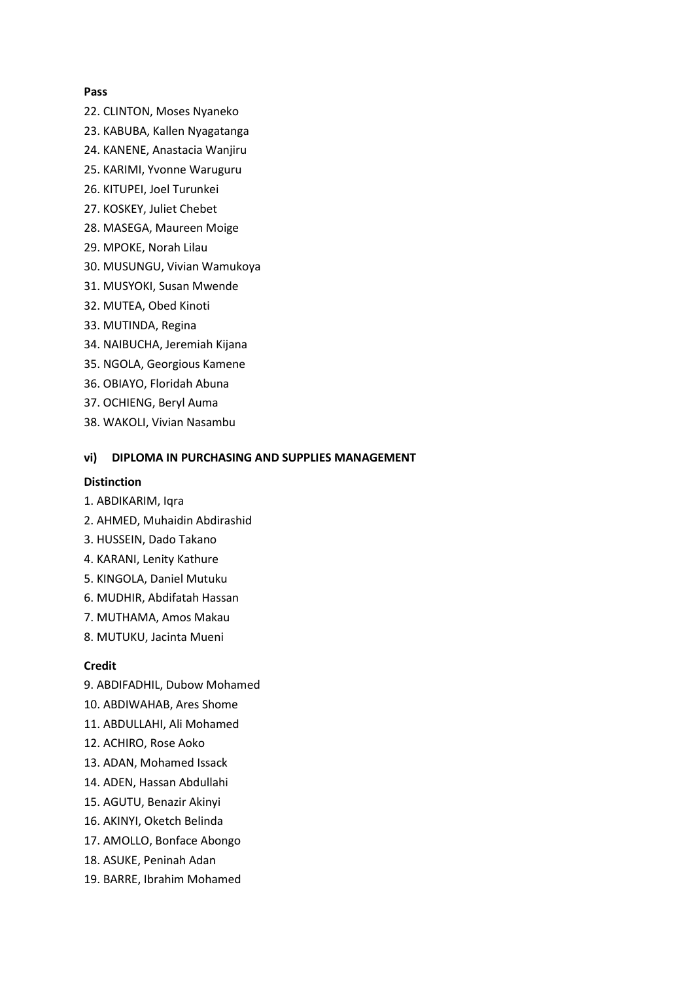#### **Pass**

- 22. CLINTON, Moses Nyaneko
- 23. KABUBA, Kallen Nyagatanga
- 24. KANENE, Anastacia Wanjiru
- 25. KARIMI, Yvonne Waruguru
- 26. KITUPEI, Joel Turunkei
- 27. KOSKEY, Juliet Chebet
- 28. MASEGA, Maureen Moige
- 29. MPOKE, Norah Lilau
- 30. MUSUNGU, Vivian Wamukoya
- 31. MUSYOKI, Susan Mwende
- 32. MUTEA, Obed Kinoti
- 33. MUTINDA, Regina
- 34. NAIBUCHA, Jeremiah Kijana
- 35. NGOLA, Georgious Kamene
- 36. OBIAYO, Floridah Abuna
- 37. OCHIENG, Beryl Auma
- 38. WAKOLI, Vivian Nasambu

#### **vi) DIPLOMA IN PURCHASING AND SUPPLIES MANAGEMENT**

#### **Distinction**

- 1. ABDIKARIM, Iqra
- 2. AHMED, Muhaidin Abdirashid
- 3. HUSSEIN, Dado Takano
- 4. KARANI, Lenity Kathure
- 5. KINGOLA, Daniel Mutuku
- 6. MUDHIR, Abdifatah Hassan
- 7. MUTHAMA, Amos Makau
- 8. MUTUKU, Jacinta Mueni

- 9. ABDIFADHIL, Dubow Mohamed
- 10. ABDIWAHAB, Ares Shome
- 11. ABDULLAHI, Ali Mohamed
- 12. ACHIRO, Rose Aoko
- 13. ADAN, Mohamed Issack
- 14. ADEN, Hassan Abdullahi
- 15. AGUTU, Benazir Akinyi
- 16. AKINYI, Oketch Belinda
- 17. AMOLLO, Bonface Abongo
- 18. ASUKE, Peninah Adan
- 19. BARRE, Ibrahim Mohamed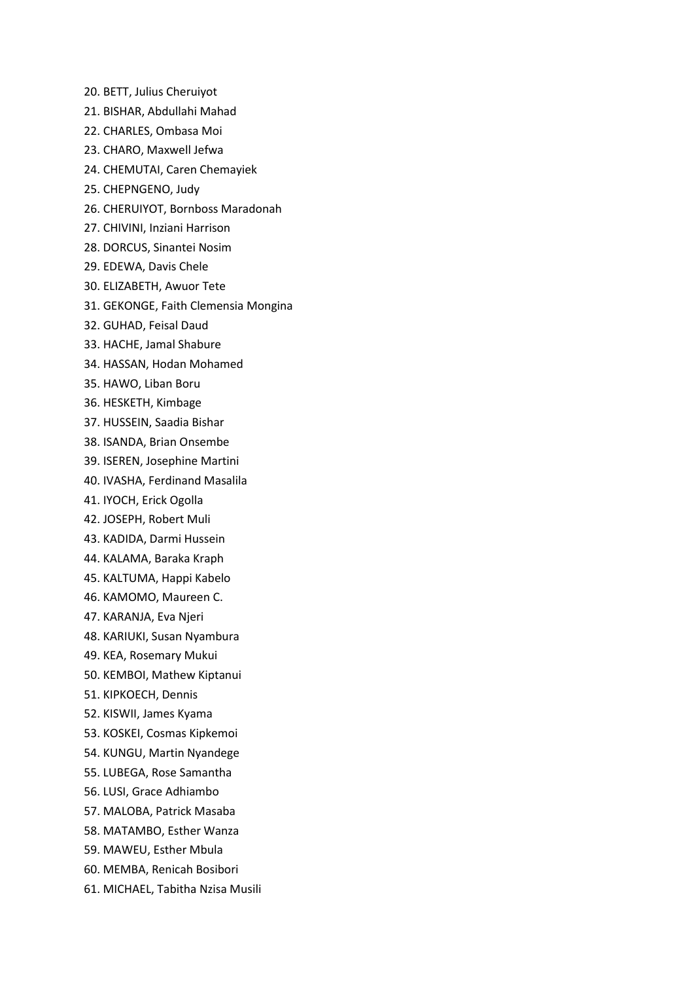- 20. BETT, Julius Cheruiyot
- 21. BISHAR, Abdullahi Mahad
- 22. CHARLES, Ombasa Moi
- 23. CHARO, Maxwell Jefwa
- 24. CHEMUTAI, Caren Chemayiek
- 25. CHEPNGENO, Judy
- 26. CHERUIYOT, Bornboss Maradonah
- 27. CHIVINI, Inziani Harrison
- 28. DORCUS, Sinantei Nosim
- 29. EDEWA, Davis Chele
- 30. ELIZABETH, Awuor Tete
- 31. GEKONGE, Faith Clemensia Mongina
- 32. GUHAD, Feisal Daud
- 33. HACHE, Jamal Shabure
- 34. HASSAN, Hodan Mohamed
- 35. HAWO, Liban Boru
- 36. HESKETH, Kimbage
- 37. HUSSEIN, Saadia Bishar
- 38. ISANDA, Brian Onsembe
- 39. ISEREN, Josephine Martini
- 40. IVASHA, Ferdinand Masalila
- 41. IYOCH, Erick Ogolla
- 42. JOSEPH, Robert Muli
- 43. KADIDA, Darmi Hussein
- 44. KALAMA, Baraka Kraph
- 45. KALTUMA, Happi Kabelo
- 46. KAMOMO, Maureen C.
- 47. KARANJA, Eva Njeri
- 48. KARIUKI, Susan Nyambura
- 49. KEA, Rosemary Mukui
- 50. KEMBOI, Mathew Kiptanui
- 51. KIPKOECH, Dennis
- 52. KISWII, James Kyama
- 53. KOSKEI, Cosmas Kipkemoi
- 54. KUNGU, Martin Nyandege
- 55. LUBEGA, Rose Samantha
- 56. LUSI, Grace Adhiambo
- 57. MALOBA, Patrick Masaba
- 58. MATAMBO, Esther Wanza
- 59. MAWEU, Esther Mbula
- 60. MEMBA, Renicah Bosibori
- 61. MICHAEL, Tabitha Nzisa Musili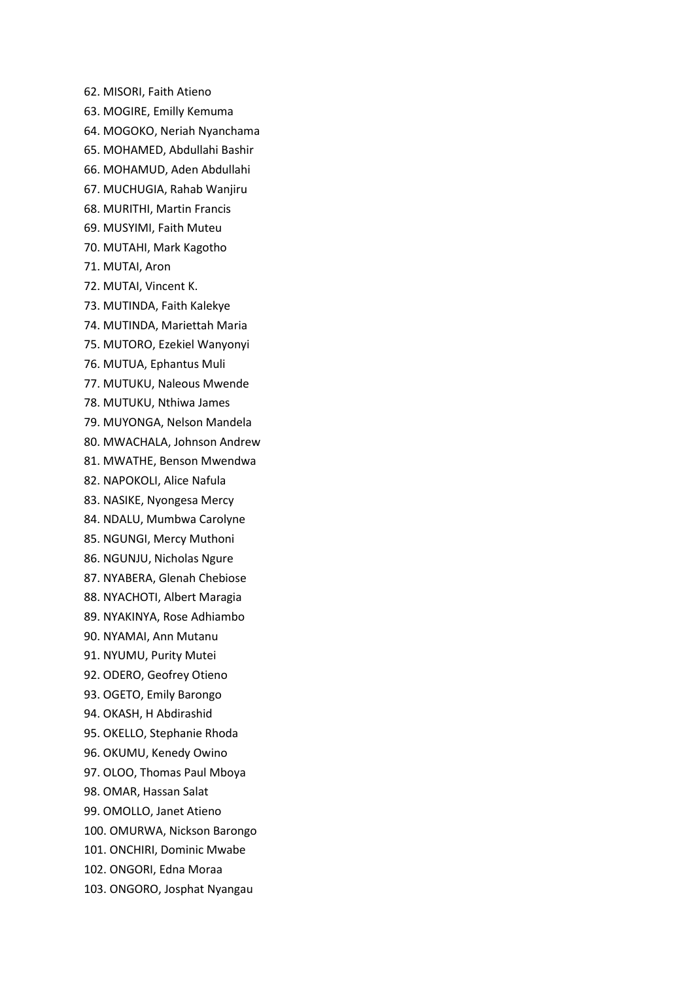62. MISORI, Faith Atieno

- 63. MOGIRE, Emilly Kemuma
- 64. MOGOKO, Neriah Nyanchama
- 65. MOHAMED, Abdullahi Bashir
- 66. MOHAMUD, Aden Abdullahi
- 67. MUCHUGIA, Rahab Wanjiru
- 68. MURITHI, Martin Francis
- 69. MUSYIMI, Faith Muteu
- 70. MUTAHI, Mark Kagotho
- 71. MUTAI, Aron
- 72. MUTAI, Vincent K.
- 73. MUTINDA, Faith Kalekye
- 74. MUTINDA, Mariettah Maria
- 75. MUTORO, Ezekiel Wanyonyi
- 76. MUTUA, Ephantus Muli
- 77. MUTUKU, Naleous Mwende
- 78. MUTUKU, Nthiwa James
- 79. MUYONGA, Nelson Mandela
- 80. MWACHALA, Johnson Andrew
- 81. MWATHE, Benson Mwendwa
- 82. NAPOKOLI, Alice Nafula
- 83. NASIKE, Nyongesa Mercy
- 84. NDALU, Mumbwa Carolyne
- 85. NGUNGI, Mercy Muthoni
- 86. NGUNJU, Nicholas Ngure
- 87. NYABERA, Glenah Chebiose
- 88. NYACHOTI, Albert Maragia
- 89. NYAKINYA, Rose Adhiambo
- 90. NYAMAI, Ann Mutanu
- 91. NYUMU, Purity Mutei
- 92. ODERO, Geofrey Otieno
- 93. OGETO, Emily Barongo
- 94. OKASH, H Abdirashid
- 95. OKELLO, Stephanie Rhoda
- 96. OKUMU, Kenedy Owino
- 97. OLOO, Thomas Paul Mboya
- 98. OMAR, Hassan Salat
- 99. OMOLLO, Janet Atieno
- 100. OMURWA, Nickson Barongo
- 101. ONCHIRI, Dominic Mwabe
- 102. ONGORI, Edna Moraa
- 103. ONGORO, Josphat Nyangau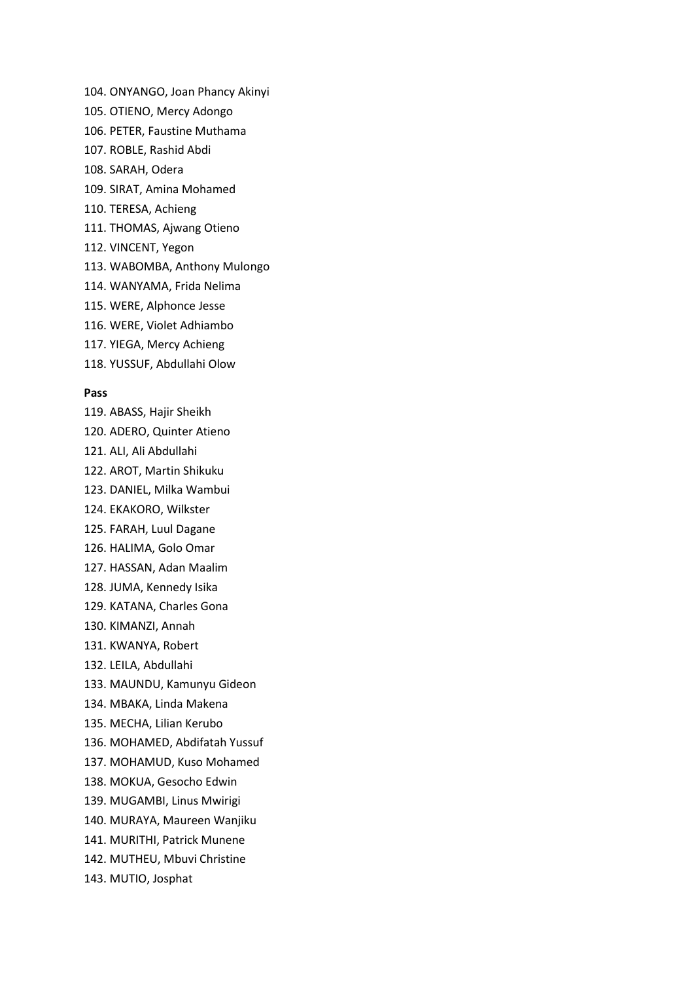104. ONYANGO, Joan Phancy Akinyi 105. OTIENO, Mercy Adongo 106. PETER, Faustine Muthama 107. ROBLE, Rashid Abdi 108. SARAH, Odera 109. SIRAT, Amina Mohamed 110. TERESA, Achieng 111. THOMAS, Ajwang Otieno 112. VINCENT, Yegon 113. WABOMBA, Anthony Mulongo 114. WANYAMA, Frida Nelima 115. WERE, Alphonce Jesse 116. WERE, Violet Adhiambo 117. YIEGA, Mercy Achieng 118. YUSSUF, Abdullahi Olow

#### **Pass**

120. ADERO, Quinter Atieno

119. ABASS, Hajir Sheikh

- 121. ALI, Ali Abdullahi
- 122. AROT, Martin Shikuku
- 123. DANIEL, Milka Wambui
- 124. EKAKORO, Wilkster
- 125. FARAH, Luul Dagane
- 126. HALIMA, Golo Omar
- 127. HASSAN, Adan Maalim
- 128. JUMA, Kennedy Isika
- 129. KATANA, Charles Gona
- 130. KIMANZI, Annah
- 131. KWANYA, Robert
- 132. LEILA, Abdullahi
- 133. MAUNDU, Kamunyu Gideon
- 134. MBAKA, Linda Makena
- 135. MECHA, Lilian Kerubo
- 136. MOHAMED, Abdifatah Yussuf
- 137. MOHAMUD, Kuso Mohamed
- 138. MOKUA, Gesocho Edwin
- 139. MUGAMBI, Linus Mwirigi
- 140. MURAYA, Maureen Wanjiku
- 141. MURITHI, Patrick Munene
- 142. MUTHEU, Mbuvi Christine
- 143. MUTIO, Josphat